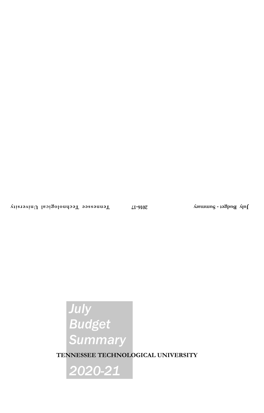# *July Budget Summary*

**TENNESSEE TECHNOLOGICAL UNIVERSITY**

*2020-21*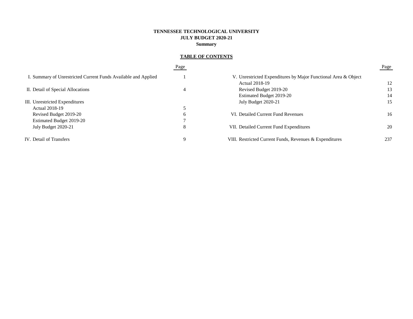# **TENNESSEE TECHNOLOGICAL UNIVERSITY JULY BUDGET 2020-21 Summary**

# **TABLE OF CONTENTS**

|                                                                | Page |                                                                | Page |
|----------------------------------------------------------------|------|----------------------------------------------------------------|------|
| I. Summary of Unrestricted Current Funds Available and Applied |      | V. Unrestricted Expenditures by Major Functional Area & Object |      |
|                                                                |      | Actual 2018-19                                                 | 12   |
| II. Detail of Special Allocations                              | 4    | Revised Budget 2019-20                                         | 13   |
|                                                                |      | Estimated Budget 2019-20                                       | 14   |
| III. Unrestricted Expenditures                                 |      | July Budget 2020-21                                            | 15   |
| <b>Actual 2018-19</b>                                          |      |                                                                |      |
| Revised Budget 2019-20                                         | b    | VI. Detailed Current Fund Revenues                             | 16   |
| Estimated Budget 2019-20                                       |      |                                                                |      |
| July Budget 2020-21                                            | 8    | VII. Detailed Current Fund Expenditures                        | 20   |
| IV. Detail of Transfers                                        |      | VIII. Restricted Current Funds, Revenues & Expenditures        | 237  |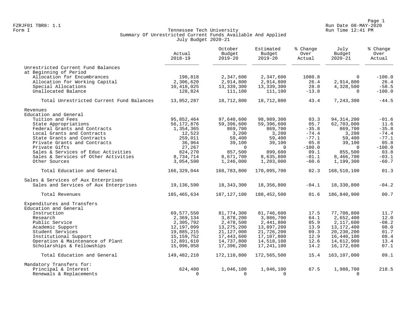Page 1 Page 1<br>Run Date 08-MAY-2020 Run Date 08-MAY-2020 FZRJF01 TBR8: 1.1 Run Date 08-MAY-2020

# Form I Georgian Communication of the Communication of Tennessee Tech University Communication Run Time 12:41 PM Summary Of Unrestricted Current Funds Available And Applied July Budget 2020-21

|                                                           | Actual<br>$2018 - 19$      | October<br>Budget<br>$2019 - 20$ | Estimated<br>Budget<br>$2019 - 20$ | % Change<br>Over<br>Actual | July<br>Budget<br>$2020 - 21$ | % Change<br>Over<br>Actual |
|-----------------------------------------------------------|----------------------------|----------------------------------|------------------------------------|----------------------------|-------------------------------|----------------------------|
| Unrestricted Current Fund Balances                        |                            |                                  |                                    |                            |                               |                            |
| at Beginning of Period                                    |                            |                                  |                                    |                            |                               |                            |
| Allocation for Encumbrances                               | 198,818                    | 2,347,600                        | 2,347,600                          | 1080.8                     | $\Omega$                      | $-100.0$                   |
| Allocation for Working Capital                            | 2,306,620                  | 2,914,800                        | 2,914,800                          | 26.4                       | 2,914,800                     | 26.4                       |
| Special Allocations                                       | 10,418,025                 | 13,339,300                       | 13,339,300                         | 28.0                       | 4,328,500                     | $-58.5$                    |
| Unallocated Balance                                       | 128,824                    | 111,100                          | 111,100                            | $-13.8$                    | $\Omega$                      | $-100.0$                   |
| Total Unrestricted Current Fund Balances                  | 13,052,287                 | 18,712,800                       | 18,712,800                         | 43.4                       | 7,243,300                     | $-44.5$                    |
| Revenues                                                  |                            |                                  |                                    |                            |                               |                            |
| Education and General                                     |                            |                                  |                                    |                            |                               |                            |
| Tuition and Fees                                          | 95,852,464                 | 97,640,600                       | 98,989,300                         | 03.3                       | 94, 314, 200                  | $-01.6$                    |
| State Appropriations                                      | 56,172,876                 | 59,396,600                       | 59,396,600                         | 05.7                       | 62,703,000                    | 11.6                       |
| Federal Grants and Contracts                              | 1,354,365                  | 869,700                          | 869,700                            | $-35.8$                    | 869,700                       | $-35.8$                    |
| Local Grants and Contracts                                | 12,523                     | 3,200                            | 3,200                              | $-74.4$                    | 3,200                         | $-74.4$                    |
| State Grants and Contracts                                | 259,011                    | 59,400                           | 59,400                             | $-77.1$                    | 59,400                        | $-77.1$                    |
| Private Grants and Contracts                              | 36,964                     | 39,100                           | 39,100                             | 05.8                       | 39,100                        | 05.8                       |
| Private Gifts                                             | 27,267                     | $\overline{0}$                   | $\mathbf 0$                        | $-100.0$                   | $\Omega$                      | $-100.0$                   |
| Sales & Services of Educ Activities                       | 824,270                    | 857,500                          | 899,600                            | 09.1                       | 855,500                       | 03.8                       |
| Sales & Services of Other Activities                      | 8,734,714                  | 8,671,700                        | 8,635,800                          | $-01.1$                    | 8,466,700                     | $-03.1$                    |
| Other Sources                                             | 3,054,590                  | 1,246,000                        | 1,203,000                          | $-60.6$                    | 1,199,300                     | $-60.7$                    |
| Total Education and General                               | 166, 329, 044              | 168,783,800                      | 170,095,700                        | 02.3                       | 168,510,100                   | 01.3                       |
| Sales & Services of Aux Enterprises                       |                            |                                  |                                    |                            |                               |                            |
| Sales and Services of Aux Enterprises                     | 19,136,590                 | 18, 343, 300                     | 18,356,800                         | $-04.1$                    | 18,330,800                    | $-04.2$                    |
| Total Revenues                                            | 185,465,634                | 187, 127, 100                    | 188,452,500                        | 01.6                       | 186,840,900                   | 00.7                       |
| Expenditures and Transfers                                |                            |                                  |                                    |                            |                               |                            |
| Education and General                                     |                            |                                  |                                    |                            |                               |                            |
| Instruction                                               | 69,577,550                 | 81,774,300                       | 81,746,600                         | 17.5                       | 77,708,800                    | 11.7                       |
| Research                                                  | 2,369,134                  | 3,878,200                        | 3,886,700                          | 64.1<br>05.9               | 2,652,400                     | 12.0<br>$-08.2$            |
| Public Service                                            | 2,305,792                  | 2,478,500                        | 2,441,800                          |                            | 2,117,600                     |                            |
| Academic Support<br>Student Services                      | 12,197,099                 | 13, 275, 200                     | 13,897,200                         | 13.9                       | 13, 172, 400                  | 08.0<br>01.7               |
|                                                           | 19,885,215                 | 21, 127, 000                     | 21,726,200                         | 09.3                       | 20, 230, 200                  | 08.4                       |
| Institutional Support<br>Operation & Maintenance of Plant | 15, 159, 752<br>12,891,610 | 17,443,600<br>14,737,800         | 17,107,800<br>14,518,100           | 12.9<br>12.6               | 16,440,100<br>14,612,900      | 13.4                       |
| Scholarships & Fellowships                                | 15,096,058                 | 17,396,200                       | 17,241,100                         | 14.2                       | 16,172,600                    | 07.1                       |
| Total Education and General                               | 149,482,210                | 172,110,800                      | 172,565,500                        | 15.4                       | 163,107,000                   | 09.1                       |
| Mandatory Transfers for:                                  |                            |                                  |                                    |                            |                               |                            |
| Principal & Interest                                      | 624,480                    | 1,046,100                        | 1,046,100                          | 67.5                       | 1,988,700                     | 218.5                      |
| Renewals & Replacements                                   | $\Omega$                   | $\Omega$                         | $\Omega$                           |                            | $\Omega$                      |                            |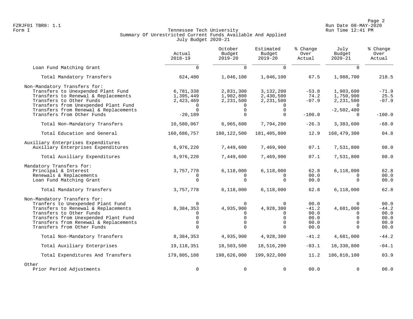Page 2<br>Run Date 08-MAY-2020<br>Run Date 08-MAY-2020 FZRJF01 TBR8: 1.1 Run Date 08-MAY-2020

# Form I Georgian Communication of the Communication of Tennessee Tech University Communication Run Time 12:41 PM Summary Of Unrestricted Current Funds Available And Applied July Budget 2020-21

|                                                                                                                                                                                                                                                     | Actual<br>$2018 - 19$                                                       | October<br>Budget<br>$2019 - 20$                                         | Estimated<br>Budget<br>$2019 - 20$                                | % Change<br>Over<br>Actual                      | July<br>Budget<br>$2020 - 21$                                         | % Change<br>Over<br>Actual                      |
|-----------------------------------------------------------------------------------------------------------------------------------------------------------------------------------------------------------------------------------------------------|-----------------------------------------------------------------------------|--------------------------------------------------------------------------|-------------------------------------------------------------------|-------------------------------------------------|-----------------------------------------------------------------------|-------------------------------------------------|
| Loan Fund Matching Grant                                                                                                                                                                                                                            | $\Omega$                                                                    | $\Omega$                                                                 | $\Omega$                                                          |                                                 | $\Omega$                                                              |                                                 |
| Total Mandatory Transfers                                                                                                                                                                                                                           | 624,480                                                                     | 1,046,100                                                                | 1,046,100                                                         | 67.5                                            | 1,988,700                                                             | 218.5                                           |
| Non-Mandatory Transfers for:<br>Transfers to Unexpended Plant Fund<br>Transfers to Renewal & Replacements<br>Transfers to Other Funds<br>Transfers from Unexpended Plant Fund                                                                       | 6,781,338<br>1,395,449<br>2,423,469<br>$\Omega$                             | 2,831,300<br>1,902,800<br>2,231,500                                      | 3,132,200<br>2,430,500<br>2,231,500                               | $-53.8$<br>74.2<br>$-07.9$                      | 1,903,600<br>1,750,900<br>2,231,500                                   | $-71.9$<br>25.5<br>$-07.9$                      |
| Transfers from Renewal & Replacements<br>Transfers from Other Funds                                                                                                                                                                                 | $-20,189$                                                                   | $\mathbf 0$<br>$\Omega$                                                  | $\mathbf 0$<br>$\Omega$                                           | $-100.0$                                        | $-2,502,400$<br>$\cap$                                                | $-100.0$                                        |
| Total Non-Mandatory Transfers                                                                                                                                                                                                                       | 10,580,067                                                                  | 6,965,600                                                                | 7,794,200                                                         | $-26.3$                                         | 3,383,600                                                             | $-68.0$                                         |
| Total Education and General                                                                                                                                                                                                                         | 160,686,757                                                                 | 180, 122, 500                                                            | 181,405,800                                                       | 12.9                                            | 168,479,300                                                           | 04.8                                            |
| Auxiliary Enterprises Expenditures<br>Auxiliary Enterprises Expenditures                                                                                                                                                                            | 6,976,220                                                                   | 7,449,600                                                                | 7,469,900                                                         | 07.1                                            | 7,531,800                                                             | 08.0                                            |
| Total Auxiliary Expenditures                                                                                                                                                                                                                        | 6,976,220                                                                   | 7,449,600                                                                | 7,469,900                                                         | 07.1                                            | 7,531,800                                                             | 08.0                                            |
| Mandatory Transfers for:<br>Principal & Interest<br>Renewals & Replacements<br>Loan Fund Matching Grant                                                                                                                                             | 3,757,778<br>$\Omega$                                                       | 6,118,000<br>$\Omega$<br>$\Omega$                                        | 6,118,000<br>0<br>$\Omega$                                        | 62.8<br>00.0<br>00.0                            | 6,118,000<br>$\Omega$<br>$\Omega$                                     | 62.8<br>00.0<br>00.0                            |
| Total Mandatory Transfers                                                                                                                                                                                                                           | 3,757,778                                                                   | 6,118,000                                                                | 6,118,000                                                         | 62.8                                            | 6,118,000                                                             | 62.8                                            |
| Non-Mandatory Transfers for:<br>Tranfers to Unexpended Plant Fund<br>Transfers to Renewal & Replacements<br>Transfers to Other Funds<br>Transfers from Unexpended Plant Fund<br>Transfers from Renewal & Replacements<br>Transfers from Other Funds | $\Omega$<br>8,384,353<br>$\Omega$<br>$\overline{0}$<br>$\Omega$<br>$\Omega$ | $\Omega$<br>4,935,900<br>$\Omega$<br>$\mathbf 0$<br>$\Omega$<br>$\Omega$ | $\Omega$<br>4,928,300<br>0<br>$\mathbf 0$<br>$\Omega$<br>$\Omega$ | 00.0<br>$-41.2$<br>00.0<br>00.0<br>00.0<br>00.0 | $\Omega$<br>4,681,000<br>$\Omega$<br>$\Omega$<br>$\Omega$<br>$\Omega$ | 00.0<br>$-44.2$<br>00.0<br>00.0<br>00.0<br>00.0 |
| Total Non-Mandatory Transfers                                                                                                                                                                                                                       | 8,384,353                                                                   | 4,935,900                                                                | 4,928,300                                                         | $-41.2$                                         | 4,681,000                                                             | $-44.2$                                         |
| Total Auxiliary Enterprises                                                                                                                                                                                                                         | 19,118,351                                                                  | 18,503,500                                                               | 18,516,200                                                        | $-03.1$                                         | 18,330,800                                                            | $-04.1$                                         |
| Total Expenditures And Transfers                                                                                                                                                                                                                    | 179,805,108                                                                 | 198,626,000                                                              | 199,922,000                                                       | 11.2                                            | 186,810,100                                                           | 03.9                                            |
| Other<br>Prior Period Adjustments                                                                                                                                                                                                                   | $\mathbf 0$                                                                 | $\mathbf 0$                                                              | $\mathbf 0$                                                       | 00.0                                            | $\Omega$                                                              | 00.0                                            |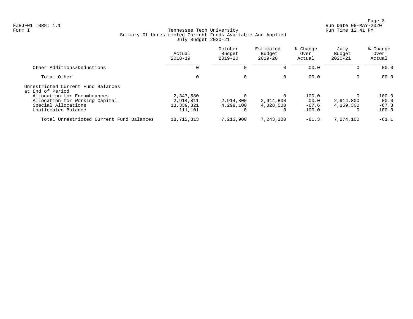Page 3<br>Run Date 08-MAY-2020<br>Run Date 08-MAY-2020 FZRJF01 TBR8: 1.1 Run Date 08-MAY-2020

# Form I Georgian Communication of the Communication of Tennessee Tech University Communication Run Time 12:41 PM Summary Of Unrestricted Current Funds Available And Applied July Budget 2020-21

|                                                                                       | Actual<br>$2018 - 19$                | October<br>Budget<br>$2019 - 20$ | Estimated<br>Budget<br>$2019 - 20$ | % Change<br>Over<br>Actual  | July<br>Budget<br>$2020 - 21$ | % Change<br>Over<br>Actual  |
|---------------------------------------------------------------------------------------|--------------------------------------|----------------------------------|------------------------------------|-----------------------------|-------------------------------|-----------------------------|
| Other Additions/Deductions                                                            |                                      | $\Omega$                         |                                    | 00.0                        |                               | 00.0                        |
| Total Other                                                                           | 0                                    | 0                                | 0                                  | 00.0                        | 0                             | 00.0                        |
| Unrestricted Current Fund Balances<br>at End of Period<br>Allocation for Encumbrances | 2,347,580                            |                                  |                                    | $-100.0$                    |                               | $-100.0$                    |
| Allocation for Working Capital<br>Special Allocations<br>Unallocated Balance          | 2,914,811<br>13, 339, 321<br>111,101 | 2,914,800<br>4,299,100           | 2,914,800<br>4,328,500<br>$\Omega$ | 00.0<br>$-67.6$<br>$-100.0$ | 2,914,800<br>4,359,300<br>0   | 00.0<br>$-67.3$<br>$-100.0$ |
| Total Unrestricted Current Fund Balances                                              | 18,712,813                           | 7,213,900                        | 7,243,300                          | $-61.3$                     | 7,274,100                     | $-61.1$                     |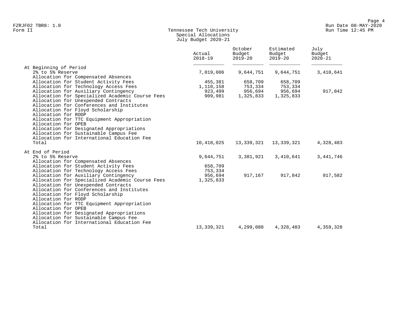# Form II Tennessee Tech University Run Time 12:45 PM Special Allocations July Budget 2020-21

|                                                 | Actual<br>$2018 - 19$ | October<br>Budget<br>$2019 - 20$ | Estimated<br>Budget<br>$2019 - 20$ | July<br>Budget<br>$2020 - 21$ |
|-------------------------------------------------|-----------------------|----------------------------------|------------------------------------|-------------------------------|
| At Beginning of Period                          |                       |                                  |                                    |                               |
| 2% to 5% Reserve                                | 7,019,006             | 9,644,751                        | 9,644,751                          | 3,410,641                     |
| Allocation for Compensated Absences             |                       |                                  |                                    |                               |
| Allocation for Student Activity Fees            | 455,381               | 658,709                          | 658,709                            |                               |
| Allocation for Technology Access Fees           | 1,110,158             | 753,334                          | 753,334                            |                               |
| Allocation for Auxiliary Contingency            | 923,499               | 956,694                          | 956,694                            | 917,842                       |
| Allocation for Specialized Academic Course Fees | 909,981               | 1,325,833                        | 1,325,833                          |                               |
| Allocation for Unexpended Contracts             |                       |                                  |                                    |                               |
| Allocation for Conferences and Institutes       |                       |                                  |                                    |                               |
| Allocation for Floyd Scholarship                |                       |                                  |                                    |                               |
| Allocation for RODP                             |                       |                                  |                                    |                               |
| Allocation for TTC Equipment Appropriation      |                       |                                  |                                    |                               |
| Allocation for OPEB                             |                       |                                  |                                    |                               |
| Allocation for Designated Appropriations        |                       |                                  |                                    |                               |
| Allocation for Sustainable Campus Fee           |                       |                                  |                                    |                               |
| Allocation for International Education Fee      |                       |                                  |                                    |                               |
| Total                                           | 10,418,025            | 13,339,321                       | 13,339,321                         | 4,328,483                     |
| At End of Period                                |                       |                                  |                                    |                               |
| 2% to 5% Reserve                                | 9,644,751             | 3,381,921                        | 3,410,641                          | 3,441,746                     |
| Allocation for Compensated Absences             |                       |                                  |                                    |                               |
| Allocation for Student Activity Fees            | 658,709               |                                  |                                    |                               |
| Allocation for Technology Access Fees           | 753,334               |                                  |                                    |                               |
| Allocation for Auxiliary Contingency            | 956,694               | 917,167                          | 917,842                            | 917,582                       |
| Allocation for Specialized Academic Course Fees | 1,325,833             |                                  |                                    |                               |
| Allocation for Unexpended Contracts             |                       |                                  |                                    |                               |
| Allocation for Conferences and Institutes       |                       |                                  |                                    |                               |
| Allocation for Floyd Scholarship                |                       |                                  |                                    |                               |
| Allocation for RODP                             |                       |                                  |                                    |                               |
| Allocation for TTC Equipment Appropriation      |                       |                                  |                                    |                               |
| Allocation for OPEB                             |                       |                                  |                                    |                               |
| Allocation for Designated Appropriations        |                       |                                  |                                    |                               |
| Allocation for Sustainable Campus Fee           |                       |                                  |                                    |                               |
| Allocation for International Education Fee      |                       |                                  |                                    |                               |
| Total                                           | 13,339,321            | 4,299,088                        | 4,328,483                          | 4,359,328                     |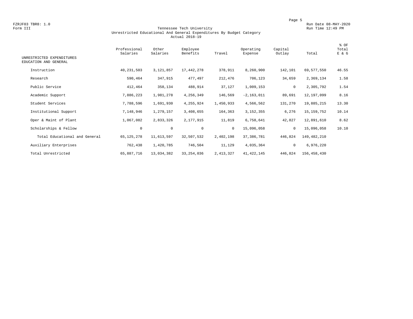#### Form III Tennessee Tech University Run Time 12:49 PM Unrestricted Educational And General Expenditures By Budget Category Actual 2018-19

| UNRESTRICTED EXPENDITURES<br>EDUCATION AND GENERAL | Professional<br>Salaries | Other<br>Salaries | Employee<br>Benefits | Travel       | Operating<br>Expense | Capital<br>Outlay | Total       | % OF<br>Total<br>E & G |
|----------------------------------------------------|--------------------------|-------------------|----------------------|--------------|----------------------|-------------------|-------------|------------------------|
| Instruction                                        | 40,231,503               | 3,121,857         | 17, 442, 278         | 378,911      | 8,260,900            | 142,101           | 69,577,550  | 46.55                  |
| Research                                           | 590,464                  | 347,915           | 477,497              | 212,476      | 706,123              | 34,659            | 2,369,134   | 1.58                   |
| Public Service                                     | 412,464                  | 358,134           | 488,914              | 37,127       | 1,009,153            | $\circ$           | 2,305,792   | 1.54                   |
| Academic Support                                   | 7,886,223                | 1,981,278         | 4,256,349            | 146,569      | $-2, 163, 011$       | 89,691            | 12,197,099  | 8.16                   |
| Student Services                                   | 7,788,596                | 1,691,930         | 4,255,924            | 1,450,933    | 4,566,562            | 131,270           | 19,885,215  | 13.30                  |
| Institutional Support                              | 7,148,946                | 1,279,157         | 3,408,655            | 164,363      | 3, 152, 355          | 6,276             | 15,159,752  | 10.14                  |
| Oper & Maint of Plant                              | 1,067,082                | 2,833,326         | 2,177,915            | 11,819       | 6,758,641            | 42,827            | 12,891,610  | 8.62                   |
| Scholarships & Fellow                              | $\mathbf 0$              | $\mathbf 0$       | $\mathbf 0$          | $\mathbf{0}$ | 15,096,058           | $\circ$           | 15,096,058  | 10.10                  |
| Total Educational and General                      | 65, 125, 278             | 11,613,597        | 32,507,532           | 2,402,198    | 37, 386, 781         | 446,824           | 149,482,210 |                        |
| Auxiliary Enterprises                              | 762,438                  | 1,420,785         | 746,504              | 11,129       | 4,035,364            | $\mathbf 0$       | 6,976,220   |                        |
| Total Unrestricted                                 | 65,887,716               | 13,034,382        | 33, 254, 036         | 2, 413, 327  | 41, 422, 145         | 446,824           | 156,458,430 |                        |
|                                                    |                          |                   |                      |              |                      |                   |             |                        |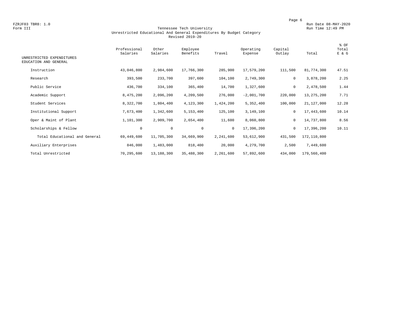#### Form III Tennessee Tech University Run Time 12:49 PM Unrestricted Educational And General Expenditures By Budget Category Revised 2019-20

| UNRESTRICTED EXPENDITURES<br>EDUCATION AND GENERAL | Professional<br>Salaries | Other<br>Salaries | Employee<br>Benefits | Travel       | Operating<br>Expense | Capital<br>Outlay | Total       | % OF<br>Total<br>E & G |
|----------------------------------------------------|--------------------------|-------------------|----------------------|--------------|----------------------|-------------------|-------------|------------------------|
|                                                    |                          |                   |                      |              |                      |                   |             |                        |
| Instruction                                        | 43,046,800               | 2,984,600         | 17,766,300           | 285,900      | 17,579,200           | 111,500           | 81,774,300  | 47.51                  |
| Research                                           | 393,500                  | 233,700           | 397,600              | 104,100      | 2,749,300            | 0                 | 3,878,200   | 2.25                   |
| Public Service                                     | 436,700                  | 334,100           | 365,400              | 14,700       | 1,327,600            | 0                 | 2,478,500   | 1.44                   |
| Academic Support                                   | 8,475,200                | 2,096,200         | 4,209,500            | 276,000      | $-2,001,700$         | 220,000           | 13,275,200  | 7.71                   |
| Student Services                                   | 8,322,700                | 1,804,400         | 4,123,300            | 1,424,200    | 5,352,400            | 100,000           | 21,127,000  | 12.28                  |
| Institutional Support                              | 7,673,400                | 1,342,600         | 5,153,400            | 125,100      | 3,149,100            | 0                 | 17,443,600  | 10.14                  |
| Oper & Maint of Plant                              | 1,101,300                | 2,909,700         | 2,654,400            | 11,600       | 8,060,800            | 0                 | 14,737,800  | 8.56                   |
| Scholarships & Fellow                              | $\mathbf 0$              | $\circ$           | $\mathbf 0$          | $\mathbf{0}$ | 17,396,200           | $\mathbf 0$       | 17,396,200  | 10.11                  |
| Total Educational and General                      | 69,449,600               | 11,705,300        | 34,669,900           | 2,241,600    | 53,612,900           | 431,500           | 172,110,800 |                        |
| Auxiliary Enterprises                              | 846,000                  | 1,483,000         | 818,400              | 20,000       | 4,279,700            | 2,500             | 7,449,600   |                        |
| Total Unrestricted                                 | 70,295,600               | 13,188,300        | 35,488,300           | 2,261,600    | 57,892,600           | 434,000           | 179,560,400 |                        |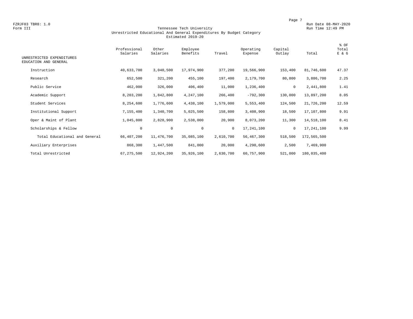#### Form III Tennessee Tech University Run Time 12:49 PM Unrestricted Educational And General Expenditures By Budget Category Estimated 2019-20

| UNRESTRICTED EXPENDITURES<br>EDUCATION AND GENERAL | Professional<br>Salaries | Other<br>Salaries | Employee<br>Benefits | Travel       | Operating<br>Expense | Capital<br>Outlay | Total       | % OF<br>Total<br>E & G |
|----------------------------------------------------|--------------------------|-------------------|----------------------|--------------|----------------------|-------------------|-------------|------------------------|
| Instruction                                        | 40,633,700               | 3,040,500         | 17,974,900           | 377,200      | 19,566,900           | 153,400           | 81,746,600  | 47.37                  |
| Research                                           | 652,500                  | 321,200           | 455,100              | 197,400      | 2,179,700            | 80,800            | 3,886,700   | 2.25                   |
| Public Service                                     | 462,000                  | 326,000           | 406,400              | 11,000       | 1,236,400            | 0                 | 2,441,800   | 1.41                   |
| Academic Support                                   | 8,203,200                | 1,842,800         | 4,247,100            | 266,400      | $-792,300$           | 130,000           | 13,897,200  | 8.05                   |
| Student Services                                   | 8,254,600                | 1,776,600         | 4,438,100            | 1,579,000    | 5,553,400            | 124,500           | 21,726,200  | 12.59                  |
| Institutional Support                              | 7,155,400                | 1,340,700         | 5,025,500            | 158,800      | 3,408,900            | 18,500            | 17,107,800  | 9.91                   |
| Oper & Maint of Plant                              | 1,045,800                | 2,828,900         | 2,538,000            | 20,900       | 8,073,200            | 11,300            | 14,518,100  | 8.41                   |
| Scholarships & Fellow                              | $\mathbf 0$              | $\mathbf 0$       | $\mathbf 0$          | $\mathbf{0}$ | 17,241,100           | $\mathbf 0$       | 17,241,100  | 9.99                   |
| Total Educational and General                      | 66,407,200               | 11,476,700        | 35,085,100           | 2,610,700    | 56,467,300           | 518,500           | 172,565,500 |                        |
| Auxiliary Enterprises                              | 868,300                  | 1,447,500         | 841,000              | 20,000       | 4,290,600            | 2,500             | 7,469,900   |                        |
| Total Unrestricted                                 | 67, 275, 500             | 12,924,200        | 35,926,100           | 2,630,700    | 60,757,900           | 521,000           | 180,035,400 |                        |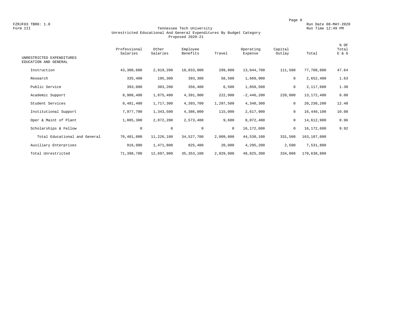#### Form III Tennessee Tech University Run Time 12:49 PM Unrestricted Educational And General Expenditures By Budget Category Proposed 2020-21

| UNRESTRICTED EXPENDITURES<br>EDUCATION AND GENERAL | Professional<br>Salaries | Other<br>Salaries | Employee<br>Benefits | Travel     | Operating<br>Expense | Capital<br>Outlay | Total       | % OF<br>Total<br>E & G |
|----------------------------------------------------|--------------------------|-------------------|----------------------|------------|----------------------|-------------------|-------------|------------------------|
| Instruction                                        | 43,300,600               | 2,919,200         | 18,033,000           | 299,800    | 13,044,700           | 111,500           | 77,708,800  | 47.64                  |
| Research                                           | 335,400                  | 195,300           | 393,300              | 58,500     | 1,669,900            | $\mathbf 0$       | 2,652,400   | 1.63                   |
| Public Service                                     | 393,000                  | 303,200           | 356,400              | 6,500      | 1,058,500            | $\mathbf 0$       | 2,117,600   | 1.30                   |
| Academic Support                                   | 8,908,400                | 1,875,400         | 4,391,900            | 222,900    | $-2,446,200$         | 220,000           | 13,172,400  | 8.08                   |
| Student Services                                   | 8,481,400                | 1,717,300         | 4,393,700            | 1,297,500  | 4,340,300            | 0                 | 20,230,200  | 12.40                  |
| Institutional Support                              | 7,977,700                | 1,343,500         | 4,386,000            | 115,000    | 2,617,900            | $\mathbf 0$       | 16,440,100  | 10.08                  |
| Oper & Maint of Plant                              | 1,085,300                | 2,872,200         | 2,573,400            | 9,600      | 8,072,400            | 0                 | 14,612,900  | 8.96                   |
| Scholarships & Fellow                              | $\mathbf 0$              | $\mathbf 0$       | $\mathbf{0}$         | $^{\circ}$ | 16,172,600           | $\mathbf 0$       | 16,172,600  | 9.92                   |
| Total Educational and General                      | 70,481,800               | 11,226,100        | 34,527,700           | 2,009,800  | 44,530,100           | 331,500           | 163,107,000 |                        |
| Auxiliary Enterprises                              | 916,900                  | 1,471,800         | 825,400              | 20,000     | 4,295,200            | 2,500             | 7,531,800   |                        |
| Total Unrestricted                                 | 71,398,700               | 12,697,900        | 35, 353, 100         | 2,029,800  | 48,825,300           | 334,000           | 170,638,800 |                        |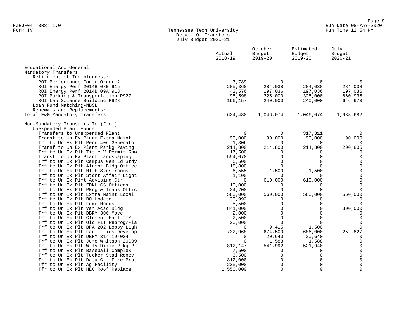# Form IV Tennessee Tech University Run Time 12:54 PM Detail Of Transfers July Budget 2020-21

|                                                                           | Actual<br>$2018 - 19$ | October<br>Budget<br>$2019 - 20$ | Estimated<br>Budget<br>$2019 - 20$ | July<br>Budget<br>$2020 - 21$ |
|---------------------------------------------------------------------------|-----------------------|----------------------------------|------------------------------------|-------------------------------|
| Educational And General                                                   |                       |                                  |                                    |                               |
| Mandatory Transfers                                                       |                       |                                  |                                    |                               |
| Retirement of Indebtedness:                                               |                       |                                  |                                    |                               |
| ROI Performance Contr Order 2                                             | 3,789                 | $\Omega$                         | $\Omega$                           | $\Omega$                      |
| ROI Energy Perf 2014B 08B 915<br>ROI Energy Perf 2014B 09A 918            | 285,360<br>43,576     | 284,038<br>197,036               | 284,038<br>197,036                 | 284,038<br>197,036            |
| ROI Parking & Transportation P927                                         | 95,598                | 325,000                          | 325,000                            | 860,935                       |
| ROI Lab Science Building P928                                             | 196,157               | 240,000                          | 240,000                            | 646,673                       |
| Loan Fund Matching-NDSL                                                   |                       |                                  |                                    |                               |
| Renewals and Replacements:                                                |                       |                                  |                                    |                               |
| Total E&G Mandatory Transfers                                             | 624,480               | 1,046,074                        | 1,046,074                          | 1,988,682                     |
| Non-Mandatory Transfers To (From)                                         |                       |                                  |                                    |                               |
| Unexpended Plant Funds:                                                   |                       |                                  |                                    |                               |
| Transfers to Unexpended Plant                                             | $\mathbf 0$           | $\Omega$                         | 317,311                            | $\Omega$                      |
| Transf to Un Ex Plant Extra Maint                                         | 90,000                | 90,000                           | 90,000                             | 90,000                        |
| Trf to Un Ex Plt Penn 406 Generator                                       | 1,306                 | $\Omega$                         | $\Omega$                           | $\Omega$                      |
| Transf to Un Ex Plant Parkg Paving<br>Trf to Un Ex Plt Title V Permit Rnw | 214,800<br>17,500     | 214,800<br>$\Omega$              | 214,800<br>0                       | 200,805<br>$\Omega$           |
| Transf to Un Ex Plant Landscaping                                         | 554,070               | $\Omega$                         | 0                                  | $\mathbf 0$                   |
| Trf to Un Ex Plt Campus Gen Ld Stdy                                       | 6,500                 | $\Omega$                         | 0                                  | $\mathbf 0$                   |
| Trf to Un Ex Plt Alumni Bldg Office                                       | 18,800                | $\Omega$                         | $\Omega$                           | $\mathsf 0$                   |
| Trf to Un Ex Plt Hlth Svcs rooms                                          | 6,555                 | 1,500                            | 1,500                              | $\Omega$                      |
| Trf to Un Ex Plt Stdnt Affair Light                                       | 1,100                 | $\Omega$                         | $\Omega$                           | $\mathsf{O}\xspace$           |
| Trf to Un Ex Plnt Advising Ctr                                            | $\Omega$              | 610,000                          | 610,000                            | $\mathbf{0}$                  |
| Trf to Un Ex Plt FDNH CS Offices                                          | 10,000                | $\Omega$                         | $\mathbf 0$                        | $\Omega$                      |
| Trf to Un Ex Plt Pkng & Trans Offic                                       | 24,200                | $\Omega$                         | $\Omega$                           | $\Omega$                      |
| Trf to Un Ex Plt Extra Maint Local                                        | 560,000               | 560,000                          | 560,000                            | 560,000                       |
| Trf to Un Ex Plt BO Update                                                | 33,992                | $\Omega$                         | 0                                  | $\Omega$                      |
| Trf to Un Ex Plt Fume Hoods                                               | 5,500                 | $\Omega$                         | $\Omega$                           | $\Omega$                      |
| Trf to Un Ex Plt Var Acad Bldg                                            | 841,000               | $\Omega$<br>$\Omega$             | $\Omega$<br>$\Omega$               | 800,000                       |
| Trf to Un Ex Plt DBRY 306 Move<br>Trf to Un Ex Plt Clement Hall ITS       | 2,000<br>2,500        | $\Omega$                         | 0                                  | $\Omega$<br>$\mathbf 0$       |
| Trf to Un Ex Plt Old FIT Reprog/Pla                                       | 20,000                | $\Omega$                         | $\Omega$                           | $\Omega$                      |
| Trf to Un Ex Plt BFA 202 Lobby Ligh                                       | 0                     | 9,415                            | 1,500                              | $\Omega$                      |
| Trf to Un Ex Plt Facilities Develop                                       | 732,968               | 674,500                          | 686,000                            | 252,827                       |
| Trf to Un Ex Plt DBRY 314 19-024                                          | 0                     | 20,640                           | 20,640                             | $\mathbf 0$                   |
| Trf to Un Ex Plt Jere Whitson 20009                                       | $\mathbf 0$           | 1,588                            | 1,588                              | $\mathbf 0$                   |
| Trf to Un Ex Plt W TV Dixie Prkg Pr                                       | 812,147               | 541,992                          | 521,940                            | $\mathbf 0$                   |
| Trf to Un Ex Plt Baseball Complex                                         | 7,500                 | $\Omega$                         | 0                                  | $\mathsf{O}\xspace$           |
| Trf to Un Ex Plt Tucker Stad Renov                                        | 6,500                 | $\Omega$                         | $\Omega$                           | $\mathsf 0$                   |
| Trf to Un Ex Plt Data Ctr Fire Prot                                       | 312,000               | 0                                | 0                                  | $\mathsf{O}\xspace$           |
| Tfr to Un Ex Plt Ag Facility                                              | 235,000               | $\mathbf 0$                      | 0                                  | $\mathsf{O}\xspace$           |
| Tfr to Un Ex Plt HEC Roof Replace                                         | 1,550,000             | $\Omega$                         | $\Omega$                           | $\mathbf{0}$                  |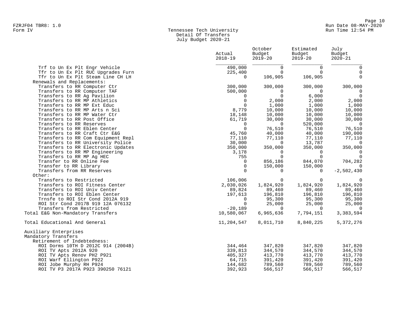# Form IV Tennessee Tech University Run Time 12:54 PM Detail Of Transfers July Budget 2020-21

|                                    | Actual<br>$2018 - 19$ | October<br>Budget<br>$2019 - 20$ | Estimated<br>Budget<br>$2019 - 20$ | July<br>Budget<br>$2020 - 21$ |
|------------------------------------|-----------------------|----------------------------------|------------------------------------|-------------------------------|
| Trf to Un Ex Plt Engr Vehicle      | 490,000               | $\Omega$                         | $\mathbf 0$                        | 0                             |
| Tfr to Un Ex Plt RUC Upgrades Furn | 225,400               | $\Omega$                         | $\Omega$                           | $\Omega$                      |
| Tfr to Un Ex Plt Steam Line CH LH  | $\mathbf 0$           | 106,905                          | 106,905                            | $\Omega$                      |
| Renewals and Replacements:         |                       |                                  |                                    |                               |
| Transfers to RR Computer Ctr       | 300,000               | 300,000                          | 300,000                            | 300,000                       |
| Transfers to RR Computer TAF       | 500,000               | 0                                | $\Omega$                           | $\overline{0}$                |
| Transfers to RR Ag Pavilion        | $\mathbf{0}$          | $\Omega$                         | 6,000                              | $\Omega$                      |
| Transfers to RR MP Athletics       | $\Omega$              | 2,000                            | 2,000                              | 2,000                         |
| Transfers to RR MP Ext Educ        | $\Omega$              | 1,000                            | 1,000                              | 1,000                         |
| Transfers to RR MP Arts n Sci      | 8,779                 | 10,000                           | 10,000                             | 10,000                        |
| Transfers to RR MP Water Ctr       | 18,148                | 10,000                           | 10,000                             | 10,000                        |
| Transfers to RR Post Office        | 61,719                | 30,000                           | 30,000                             | 30,000                        |
| Transfers to RR Reserves           | $\Omega$              | $\Omega$                         | 520,000                            | $\overline{0}$                |
| Transfers to RR Eblen Center       | $\Omega$              | 76,510                           | 76,510                             | 76,510                        |
| Transfers to RR Craft Ctr E&G      | 45,760                | 40,000                           | 40,000                             | 190,000                       |
| Transfers to RR Com Equipment Repl | 77,110                | 77,110                           | 77,110                             | 77,110                        |
| Transfers to RR University Police  | 30,000                | $\Omega$                         | 13,787                             | $\Omega$                      |
| Transfers to RR Electronic Updates | 350,000               | 350,000                          | 350,000                            | 350,000                       |
| Transfers to RR MP Engineering     | 3,178                 | $\Omega$                         | $\Omega$                           | $\overline{0}$                |
| Transfers to RR MP Ag HEC          | 755                   | $\Omega$                         | $\Omega$                           | $\Omega$                      |
| Transfer to RR Online Fee          | $\mathbf 0$           | 856,186                          | 844,070                            | 704,282                       |
| Transfer to RR Library             | $\mathbf 0$           | 150,000                          | 150,000                            | $\Omega$                      |
| Transfers from RR Reserves         | $\Omega$              | $\Omega$                         | $\Omega$                           | $-2,502,430$                  |
| Other:                             |                       |                                  |                                    |                               |
| Transfers to Restricted            | 106,006               | $\Omega$                         | $\Omega$                           | $\Omega$                      |
| Transfers to ROI Fitness Center    | 2,030,026             | 1,824,920                        | 1,824,920                          | 1,824,920                     |
| Transfers to ROI Univ Center       | 89,824                | 89,460                           | 89,460                             | 89,460                        |
| Transfers to ROI Eblen Center      | 197,613               | 196,810                          | 196,810                            | 196,810                       |
| Trnsfe to ROI Str Cond 2012A 919   | $\mathbf{0}$          | 95,300                           | 95,300                             | 95,300                        |
| ROI Str Cond 2017B 919 12A 076132  | $\Omega$              | 25,000                           | 25,000                             | 25,000                        |
| Transfers from Restricted          | $-20,189$             | $\Omega$                         | $\Omega$                           | $\Omega$                      |
| Total E&G Non-Mandatory Transfers  | 10,580,067            | 6,965,636                        | 7,794,151                          | 3,383,594                     |
| Total Educational And General      | 11,204,547            | 8,011,710                        | 8,840,225                          | 5,372,276                     |
| Auxiliary Enterprises              |                       |                                  |                                    |                               |
| Mandatory Transfers                |                       |                                  |                                    |                               |
| Retirement of Indebtedness:        |                       |                                  |                                    |                               |
| ROI Dorms 10TH D 2012C 914 (2004B) | 344,464               | 347,820                          | 347,820                            | 347,820                       |
| ROI TV Apts 2012A 920              | 339,813               | 344,570                          | 344,570                            | 344,570                       |
| ROI TV Apts Renov PH2 P921         | 405,327               | 413,770                          | 413,770                            | 413,770                       |
| ROI Warf Ellington P922            | 64,715                | 391,420                          | 391,420                            | 391,420                       |
| ROI Jobe Murphy RH P924            | 144,682               | 789,560                          | 789,560                            | 789,560                       |
| ROI TV P3 2017A P923 390250 76121  | 392,923               | 566,517                          | 566,517                            | 566,517                       |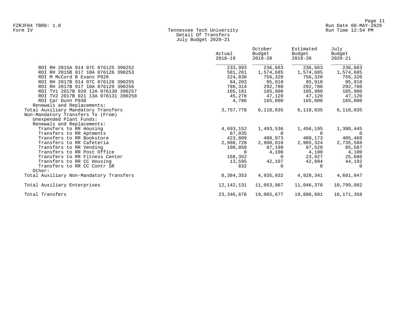# Form IV Tennessee Tech University Run Time 12:54 PM Detail Of Transfers July Budget 2020-21

|                                         | Actual<br>$2018 - 19$ | October<br>Budget<br>$2019 - 20$ | Estimated<br>Budget<br>$2019 - 20$ | July<br>Budget<br>$2020 - 21$ |
|-----------------------------------------|-----------------------|----------------------------------|------------------------------------|-------------------------------|
| ROI RH 2015A 914 07C 076125 390252      | 233,993               | 236,663                          | 236,663                            | 236,663                       |
| ROI RH 2015B 917 10A 076126 390253      | 581,261               | 1,574,685                        | 1,574,685                          | 1,574,685                     |
| ROI M McCord B Evans P926               | 224,838               | 756,320                          | 756,320                            | 756,320                       |
| ROI RH 2017B 914 07C 076128 390255      | 84,203                | 85,910                           | 85,910                             | 85,910                        |
| ROI RH 2017B 917 10A 076129 390256      | 786,314               | 292,780                          | 292,780                            | 292,780                       |
| ROI TV1 2017B 920 12A 076130 390257     | 105,181               | 105,900                          | 105,900                            | 105,900                       |
| ROI TV2 2017B 921 13A 076131 390258     | 45,278                | 47,120                           | 47,120                             | 47,120                        |
| ROI Cpr Dunn P930                       | 4,786                 | 165,000                          | 165,000                            | 165,000                       |
| Renewals and Replacements:              |                       |                                  |                                    |                               |
| Total Auxiliary Mandatory Transfers     | 3,757,778             | 6,118,035                        | 6,118,035                          | 6,118,035                     |
| Non-Mandatory Transfers To (From)       |                       |                                  |                                    |                               |
| Unexpended Plant Funds:                 |                       |                                  |                                    |                               |
| Renewals and Replacements:              |                       |                                  |                                    |                               |
| Transfers to RR Housing                 | 4,693,152             | 1,493,536                        | 1,456,195                          | 1,380,445                     |
| Transfers to RR Aptments                | 67,035                | $\Omega$                         | $\Omega$                           | $\overline{0}$                |
| Transfers to RR Bookstore               | 423,809               | 408,973                          | 409,173                            | 405,469                       |
| Transfers to RR Cafeteria               | 2,908,728             | 2,900,018                        | 2,905,324                          | 2,735,568                     |
| Transfers to RR Vending                 | 108,850               | 87,198                           | 87,528                             | 85,587                        |
| Transfers to RR Post Office             | $\Omega$              | 4,100                            | 4,100                              | 4,100                         |
| Transfers to RR Fitness Center          | 168,352               | $\Omega$                         | 23,927                             | 25,686                        |
| Transfers to RR CC Housing              | 13,595                | 42,107                           | 42,094                             | 44,192                        |
| Transfers to RR CC Contr SR             | 832                   | $\Omega$                         | $\Omega$                           | $\Omega$                      |
| Other:                                  |                       |                                  |                                    |                               |
| Total Auxiliary Non-Mandatory Transfers | 8,384,353             | 4,935,932                        | 4,928,341                          | 4,681,047                     |
| Total Auxiliary Enterprises             | 12,142,131            | 11,053,967                       | 11,046,376                         | 10,799,082                    |
| Total Transfers                         | 23, 346, 678          | 19,065,677                       | 19,886,601                         | 16, 171, 358                  |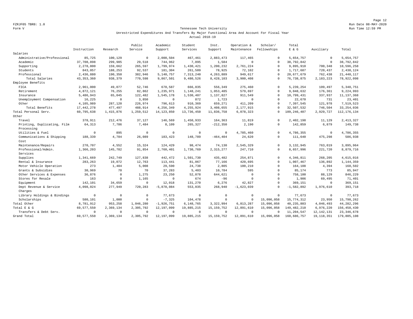Page 12 FZRJF05 TBR8: 1.0 Run Date 08-MAY-2020

#### Form V Tennessee Tech University Run Time 12:59 PM Unrestricted Expenditures And Transfers By Major Functional Area And Account For Fiscal Year Actual 2018-19

|                             |              |              | Public      | Academic     | Student     | Inst.          | Operation &  | Scholar/     | Total         |              |               |
|-----------------------------|--------------|--------------|-------------|--------------|-------------|----------------|--------------|--------------|---------------|--------------|---------------|
|                             | Instruction  | Research     | Service     | Support      | Services    | Support        | Maintenance  | Fellowships  | $E$ & $G$     | Auxiliary    | Total         |
| Salaries                    |              |              |             |              |             |                |              |              |               |              |               |
| Administrative/Professional | 85,725       | 100,129      | $\mathbf 0$ | 2,000,504    | 467,461     | 2,883,473      | 117,465      | $\circ$      | 5.654.757     | $\mathbf 0$  | 5,654,757     |
| Academic                    | 37,708,898   | 299,985      | 29,518      | 744,962      | 7,895       | 1,584          | $\mathbf{0}$ | $\circ$      | 38,792,842    | $\mathbf 0$  | 38,792,842    |
| Supporting                  | 2,278,800    | 159,662      | 265,597     | 1,799,974    | 1,430,421   | 1,200,232      | 2,761,224    | $\mathbf{0}$ | 9,895,910     | 700,348      | 10,596,258    |
| Students                    | 843,057      | 188,253      | 92,537      | 181,304      | 261,509     | 78,925         | 72,102       | $\Omega$     | 1,717,687     | 720,437      | 2,438,124     |
| Professional                | 2,436,880    | 190,350      | 382,946     | 5,140,757    | 7, 313, 240 | 4,263,889      | 949,617      | $\Omega$     | 20,677,679    | 762,438      | 21, 440, 117  |
| Total Salaries              | 43, 353, 360 | 938,379      | 770,598     | 9,867,501    | 9,480,526   | 8,428,103      | 3,900,408    | $\Omega$     | 76, 738, 875  | 2,183,223    | 78,922,098    |
| Employee Benefits           |              |              |             |              |             |                |              |              |               |              |               |
| FICA                        | 2,961,000    | 49,077       | 52,746      | 678,587      | 666,035     | 556,349        | 275,460      | $\Omega$     | 5,239,254     | 109,497      | 5, 348, 751   |
| Retirement                  | 4,872,121    | 76,255       | 82,862      | 1,235,971    | 1,148,241   | 1,053,485      | 579,697      | $\Omega$     | 9,048,632     | 176,361      | 9,224,993     |
| Insurance                   | 5,486,943    | 65,045       | 122,482     | 1,545,178    | 1,530,407   | 1,137,827      | 911,549      | $\Omega$     | 10,799,431    | 337,937      | 11, 137, 368  |
| Unemployment Compensation   | 16,225       | $^{\circ}$   | 3,850       | $^{\circ}$   | 872         | 1,723          | $\mathbf{0}$ | $\circ$      | 22,670        | 731          | 23,401        |
| Other                       | 4,105,989    | 287,120      | 226,974     | 796,613      | 910,369     | 659,271        | 411,209      | $\Omega$     | 7,397,545     | 121,978      | 7,519,523     |
| Total Benefits              | 17, 442, 278 | 477,497      | 488,914     | 4,256,349    | 4,255,924   | 3,408,655      | 2,177,915    | $\Omega$     | 32,507,532    | 746,504      | 33, 254, 036  |
| Total Personal Serv.        | 60,795,638   | 1,415,876    | 1,259,512   | 14, 123, 850 | 13,736,450  | 11,836,758     | 6,078,323    | $\Omega$     | 109, 246, 407 | 2,929,727    | 112, 176, 134 |
| Other                       |              |              |             |              |             |                |              |              |               |              |               |
| Travel                      | 378,911      | 212,476      | 37,127      | 146,569      | 1,450,933   | 164,363        | 11,819       | $\circ$      | 2,402,198     | 11,129       | 2, 413, 327   |
| Printing, Duplicating, Film | 64,313       | 7,786        | 7,484       | 8,109        | 265,327     | $-212,350$     | 2,190        | $\Omega$     | 142,859       | 6,879        | 149,738       |
| Processing                  |              |              |             |              |             |                |              |              |               |              |               |
| Utilities & Fuel            | $\mathbf 0$  | 895          | $\mathbf 0$ | $\mathbf 0$  | $\mathbf 0$ | $\overline{0}$ | 4,785,460    | $\circ$      | 4,786,355     | $\mathbf 0$  | 4,786,355     |
| Communications & Shipping   | 188,339      | 4,784        | 26,089      | 183,423      | 148,789     | $-464, 404$    | 24,620       | $\circ$      | 111,640       | 475,298      | 586,938       |
| Cost                        |              |              |             |              |             |                |              |              |               |              |               |
| Maintenance/Repairs         | 270,707      | 4,552        | 15,324      | 124,429      | 98,474      | 74,130         | 2,545,329    | $\Omega$     | 3,132,945     | 763,019      | 3,895,964     |
| Professional/Admin.         | 1,366,203    | 145,782      | 91,854      | 2,760,401    | 1,730,769   | 2, 315, 277    | 247,710      | $\Omega$     | 8,657,996     | 221,720      | 8,879,716     |
| Services                    |              |              |             |              |             |                |              |              |               |              |               |
| Supplies                    | 1,341,669    | 242,749      | 127,838     | 442,472      | 1,501,730   | 435,482        | 254,871      | $\circ$      | 4,346,811     | 268,205      | 4,615,016     |
| Rental & Insurance          | 283,263      | 19,072       | 12,763      | 113,441      | 81,067      | 77,166         | 420,695      | $\circ$      | 1,007,467     | 136,892      | 1,144,359     |
| Motor Vehicle Operation     | 273          | 1,484        | 5,008       | 29,590       | 24,738      | 2,805          | 100,210      | $\Omega$     | 164,108       | 4,394        | 168,502       |
| Grants & Subsidies          | 30,969       | 70           | 70          | 37,283       | 5,403       | 10,784         | 595          | $\Omega$     | 85,174        | 773          | 85,947        |
| Other Services & Expenses   | 36,876       | $^{\circ}$   | 1,275       | 23,250       | 52,078      | 644,621        | $\mathbf{0}$ | $\mathbf{0}$ | 758,100       | 88,129       | 846,229       |
| Stores for Resale           | 163          | $\mathbf{0}$ | 1,165       | $\mathbf 0$  | 674         | $-96$          | $\mathbf{0}$ | $\Omega$     | 1,906         | 69,495       | 71,401        |
| Equipment                   | 142,101      | 34,659       | $\mathbf 0$ | 12,018       | 131,270     | 6,276          | 42,827       | $\Omega$     | 369,151       | $\mathbf 0$  | 369,151       |
| Dept Revenue & Service      | 4,098,024    | 277,949      | 720,283     | $-5,878,084$ | 553,035     | 268,940        | $-1,623,039$ | $\Omega$     | $-1,582,892$  | 1,976,610    | 393,718       |
| Charges                     |              |              |             |              |             |                |              |              |               |              |               |
| Library Holdings & Bindings | $\circ$      | $^{\circ}$   | $\mathbf 0$ | 77,673       | $\mathbf 0$ | $\circ$        | $\mathbf{0}$ | $\circ$      | 77,673        | $\mathbf 0$  | 77.673        |
| Scholarships                | 580,101      | 1,000        | $\mathbf 0$ | $-7,325$     | 104,478     | $\mathbf 0$    | $\mathbf{0}$ | 15,096,058   | 15,774,312    | 23,950       | 15,798,262    |
| Total Other                 | 8,781,912    | 953,258      | 1,046,280   | $-1,926,751$ | 6,148,765   | 3,322,994      | 6,813,287    | 15,096,058   | 40,235,803    | 4,046,493    | 44, 282, 296  |
| Total E & G                 | 69,577,550   | 2,369,134    | 2,305,792   | 12,197,099   | 19,885,215  | 15, 159, 752   | 12,891,610   | 15,096,058   | 149,482,210   | 6,976,220    | 156, 458, 430 |
| Transfers & Debt Serv.      | $\Omega$     | $\mathbf 0$  | $\Omega$    | $^{\circ}$   | $\Omega$    | $\overline{0}$ | $^{\circ}$   | $\Omega$     | 11,204,547    | 12, 142, 131 | 23, 346, 678  |
| Grand Total                 | 69, 577, 550 | 2,369,134    | 2,305,792   | 12,197,099   | 19,885,215  | 15, 159, 752   | 12,891,610   | 15,096,058   | 160,686,757   | 19, 118, 351 | 179,805,108   |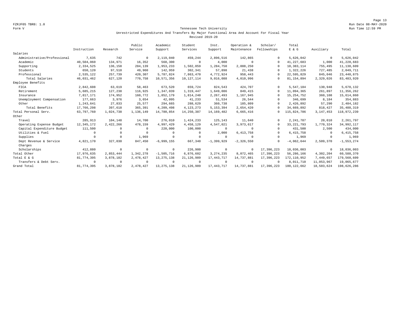Page 13 FZRJF05 TBR8: 1.0 Run Date 08-MAY-2020

#### Form V Tennessee Tech University Run Time 12:59 PM Unrestricted Expenditures And Transfers By Major Functional Area And Account For Fiscal Year Revised 2019-20

|                             |              |             | Public     | Academic     | Student      | Inst.          | Operation &    | Scholar/    | Total         |             |                |
|-----------------------------|--------------|-------------|------------|--------------|--------------|----------------|----------------|-------------|---------------|-------------|----------------|
|                             | Instruction  | Research    | Service    | Support      | Services     | Support        | Maintenance    | Fellowships | $E$ & $G$     | Auxiliary   | Total          |
| Salaries                    |              |             |            |              |              |                |                |             |               |             |                |
| Administrative/Professional | 7,635        | 742         | $^{\circ}$ | 2,119,040    | 459,244      | 2,896,516      | 142,865        | $\Omega$    | 5,626,042     | $^{\circ}$  | 5,626,042      |
| Academic                    | 40,504,060   | 134,971     | 16,352     | 568,300      | $^{\circ}$   | 4,000          | $\overline{0}$ | $\Omega$    | 41, 227, 683  | 1,000       | 41,228,683     |
| Supporting                  | 2,334,525    | 136,158     | 284,139    | 1,953,233    | 1,502,059    | 1,284,750      | 2,888,250      | $\Omega$    | 10,383,114    | 755,495     | 11, 138, 609   |
| Students                    | 650,120      | 97,510      | 49,960     | 142,959      | 302,341      | 57,898         | 21,438         | $\Omega$    | 1,322,226     | 727,485     | 2,049,711      |
| Professional                | 2,535,122    | 257.739     | 420,307    | 5.787.824    | 7.863.470    | 4,772,924      | 958.443        | $\Omega$    | 22,595,829    | 845,046     | 23, 440, 875   |
| Total Salaries              | 46, 031, 462 | 627,120     | 770,758    | 10,571,356   | 10, 127, 114 | 9,016,088      | 4,010,996      | $\Omega$    | 81, 154, 894  | 2,329,026   | 83, 483, 920   |
| Employee Benefits           |              |             |            |              |              |                |                |             |               |             |                |
| FICA                        | 2,842,608    | 63,619      | 58,463     | 673,520      | 659,724      | 824,543        | 424,707        | $\Omega$    | 5,547,184     | 130,948     | 5,678,132      |
| Retirement                  | 5,685,215    | 127,238     | 116,925    | 1,347,039    | 1,319,447    | 1,649,086      | 849,415        | $^{\circ}$  | 11,094,365    | 261,897     | 11,356,262     |
| Insurance                   | 7,817,171    | 174,952     | 160,772    | 1,852,179    | 1,814,240    | 2, 267, 493    | 1,167,945      | $\Omega$    | 15, 254, 752  | 360,108     | 15,614,860     |
| Unemployment Compensation   | 177,663      | 3,976       | 3,654      | 42,095       | 41,233       | 51,534         | 26,544         | $\cap$      | 346,699       | 8,184       | 354,883        |
| Other                       | 1,243,641    | 27,833      | 25,577     | 294,665      | 288,629      | 360,738        | 185,809        | $\Omega$    | 2,426,892     | 57,290      | 2,484,182      |
| Total Benefits              | 17,766,298   | 397,618     | 365,391    | 4,209,498    | 4, 123, 273  | 5, 153, 394    | 2,654,420      | $\Omega$    | 34,669,892    | 818,427     | 35, 488, 319   |
| Total Personal Serv.        | 63,797,760   | 1,024,738   | 1,136,149  | 14,780,854   | 14,250,387   | 14, 169, 482   | 6,665,416      | $\Omega$    | 115,824,786   | 3, 147, 453 | 118,972,239    |
| Other                       |              |             |            |              |              |                |                |             |               |             |                |
| Travel                      | 285,913      | 104,148     | 14,700     | 276,010      | 1,424,233    | 125,143        | 11,640         | $\Omega$    | 2, 241, 787   | 20,010      | 2,261,797      |
| Operating Expense Budget    | 12, 345, 172 | 2,422,266   | 478,159    | 4,997,429    | 4, 458, 129  | 4,547,021      | 3,973,617      | $\Omega$    | 33, 221, 793  | 1,770,324   | 34,992,117     |
| Capital Expenditure Budget  | 111,500      | $^{\circ}$  | $\Omega$   | 220,000      | 100,000      | $^{\circ}$     | $\Omega$       | $\Omega$    | 431,500       | 2,500       | 434,000        |
| Utilities & Fuel            | $\Omega$     | $^{\circ}$  | $\Omega$   | $\Omega$     | $^{\circ}$   | 2,000          | 6, 413, 758    | $\Omega$    | 6, 415, 758   | $^{\circ}$  | 6, 415, 758    |
| Supplies                    | $\cap$       | $^{\circ}$  | 1,969      | 0            | $^{\circ}$   | $\Omega$       | $\overline{0}$ | $\cap$      | 1,969         | $^{\circ}$  | 1,969          |
| Dept Revenue & Service      | 4,821,170    | 327,030     | 847,450    | $-6,999,155$ | 667,340      | $-1, 399, 929$ | $-2, 326, 550$ | $\cap$      | $-4,062,644$  | 2,509,370   | $-1, 553, 274$ |
| Charges                     |              |             |            |              |              |                |                |             |               |             |                |
| Scholarships                | 412,880      | $\mathbb O$ | $^{\circ}$ | $\mathbf 0$  | 226,900      | $^{\circ}$     | $^{\circ}$     | 17,396,223  | 18,036,003    | $^{\circ}$  | 18,036,003     |
| Total Other                 | 17,976,635   | 2,853,444   | 1,342,278  | $-1,505,716$ | 6,876,602    | 3, 274, 235    | 8,072,465      | 17,396,223  | 56,286,166    | 4,302,204   | 60,588,370     |
| Total E & G                 | 81,774,395   | 3,878,182   | 2,478,427  | 13, 275, 138 | 21, 126, 989 | 17,443,717     | 14,737,881     | 17,396,223  | 172, 110, 952 | 7,449,657   | 179,560,609    |
| Transfers & Debt Serv.      | $\Omega$     | $^{\circ}$  |            | $^{\circ}$   | $^{\circ}$   | $\Omega$       | $\Omega$       | $\Omega$    | 8,011,710     | 11,053,967  | 19,065,677     |
| Grand Total                 | 81,774,395   | 3,878,182   | 2,478,427  | 13, 275, 138 | 21, 126, 989 | 17, 443, 717   | 14,737,881     | 17,396,223  | 180, 122, 662 | 18,503,624  | 198,626,286    |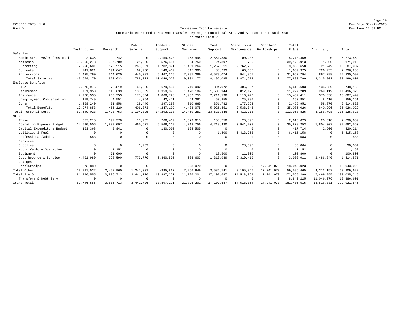Page 14 FZRJF05 TBR8: 1.0 Run Date 08-MAY-2020

#### Form V Tennessee Tech University Run Time 12:59 PM Unrestricted Expenditures And Transfers By Major Functional Area And Account For Fiscal Year Estimated 2019-20

|                             |              |             | Public       | Academic       | Student      | Inst.          | Operation &  | Scholar/     | Total         |             |                |
|-----------------------------|--------------|-------------|--------------|----------------|--------------|----------------|--------------|--------------|---------------|-------------|----------------|
|                             | Instruction  | Research    | Service      | Support        | Services     | Support        | Maintenance  | Fellowships  | $E$ & $G$     | Auxiliary   | Total          |
| Salaries                    |              |             |              |                |              |                |              |              |               |             |                |
| Administrative/Professional | 2,635        | 742         | $\Omega$     | 2,159,470      | 458,494      | 2,551,880      | 100,238      | $\circ$      | 5.273.459     | $^{\circ}$  | 5, 273, 459    |
| Academic                    | 38, 205, 273 | 337,709     | 21,630       | 576,454        | 4,750        | 24,397         | 700          | $\Omega$     | 39,170,913    | 1,000       | 39, 171, 913   |
| Supporting                  | 2,298,681    | 126,515     | 263,051      | 1,702,371      | 1,461,264    | 1,252,511      | 2,762,265    | 0            | 9,866,658     | 721,249     | 10,587,907     |
| Students                    | 741,821      | 194,647     | 62,960       | 140,409        | 315,300      | 88,233         | 66,605       | $\Omega$     | 1,609,975     | 726,255     | 2,336,230      |
| Professional                | 2,425,760    | 314,020     | 440,381      | 5,467,325      | 7,791,369    | 4,579,074      | 944,865      | $\Omega$     | 21,962,794    | 867,298     | 22,830,092     |
| Total Salaries              | 43,674,170   | 973,633     | 788,022      | 10,046,029     | 10,031,177   | 8,496,095      | 3,874,673    | $\Omega$     | 77,883,799    | 2,315,802   | 80,199,601     |
| Employee Benefits           |              |             |              |                |              |                |              |              |               |             |                |
| FICA                        | 2,875,976    | 72,819      | 65,020       | 679,537        | 710,092      | 804,072        | 406,087      | $\Omega$     | 5,613,603     | 134,559     | 5,748,162      |
| Retirement                  | 5,751,953    | 145,639     | 130,039      | 1,359,075      | 1,420,184    | 1,608,144      | 812,175      | $\Omega$     | 11,227,209    | 269,119     | 11,496,328     |
| Insurance                   | 7,908,935    | 200,253     | 178,804      | 1,868,728      | 1,952,753    | 2, 211, 198    | 1,116,740    | $\Omega$     | 15, 437, 411  | 370,038     | 15,807,449     |
| Unemployment Compensation   | 179,749      | 4,551       | 4,064        | 42,471         | 44,381       | 50,255         | 25,380       | $\Omega$     | 350,851       | 8,410       | 359,261        |
| Other                       | 1,258,240    | 31,858      | 28,446       | 297,298        | 310,665      | 351,782        | 177,663      | $\Omega$     | 2,455,952     | 58,870      | 2,514,822      |
| Total Benefits              | 17,974,853   | 455,120     | 406,373      | 4,247,109      | 4,438,075    | 5,025,451      | 2,538,045    | $\Omega$     | 35,085,026    | 840,996     | 35,926,022     |
| Total Personal Serv.        | 61,649,023   | 1,428,753   | 1,194,395    | 14, 293, 138   | 14, 469, 252 | 13,521,546     | 6, 412, 718  | $\Omega$     | 112,968,825   | 3,156,798   | 116, 125, 623  |
| Other                       |              |             |              |                |              |                |              |              |               |             |                |
| Travel                      | 377,215      | 197,370     | 10,965       | 266,419        | 1,579,015    | 158,750        | 20,895       | $\Omega$     | 2,610,629     | 20,010      | 2,630,639      |
| Operating Expense Budget    | 14,590,506   | 1,880,007   | 460,627      | 5,568,219      | 4,718,756    | 4,718,430      | 3,941,708    | $\Omega$     | 35,878,253    | 1,804,307   | 37,682,560     |
| Capital Expenditure Budget  | 153,368      | 9,841       | $\Omega$     | 130,000        | 124,505      | $\Omega$       | $\Omega$     | $\Omega$     | 417,714       | 2,500       | 420,214        |
| Utilities & Fuel            | $\cap$       | $\Omega$    | $\Omega$     | $\Omega$       | $\Omega$     | 1,400          | 6, 413, 758  | $\Omega$     | 6, 415, 158   | $^{\circ}$  | 6, 415, 158    |
| Professional/Admin.         | 583          | 0           | $\Omega$     | $^{\circ}$     | $\Omega$     | $\Omega$       | $\Omega$     | $\Omega$     | 583           | $\Omega$    | 583            |
| Services                    |              |             |              |                |              |                |              |              |               |             |                |
| Supplies                    | $\Omega$     | $\mathbb O$ | 1,969        | $\Omega$       | $\Omega$     | $\mathbf 0$    | 28,095       | $\Omega$     | 30,064        | $\mathbf 0$ | 30,064         |
| Motor Vehicle Operation     | $\Omega$     | 1,152       | $\mathbf{0}$ | $^{\circ}$     | $\circ$      | $\Omega$       | $^{\circ}$   | $\cap$       | 1,152         | $^{\circ}$  | 1,152          |
| Equipment                   | $\cap$       | 71,000      | $\Omega$     | $\Omega$       | $\Omega$     | 18,500         | 11,300       | $\cap$       | 100,800       | $^{\circ}$  | 100,800        |
| Dept Revenue & Service      | 4,401,980    | 298,590     | 773,770      | $-6, 360, 505$ | 606,603      | $-1, 310, 939$ | $-2,310,410$ | $\Omega$     | $-3,900,911$  | 2,486,340   | $-1, 414, 571$ |
| Charges                     |              |             |              |                |              |                |              |              |               |             |                |
| Scholarships                | 573,880      | $\circ$     | $\Omega$     | $\mathbf{0}$   | 228,070      | $^{\circ}$     | $^{\circ}$   | 17.241.073   | 18,043,023    | $\circ$     | 18,043,023     |
| Total Other                 | 20,097,532   | 2,457,960   | 1,247,331    | $-395,867$     | 7,256,949    | 3,586,141      | 8,105,346    | 17, 241, 073 | 59,596,465    | 4, 313, 157 | 63,909,622     |
| Total E & G                 | 81,746,555   | 3,886,713   | 2, 441, 726  | 13,897,271     | 21,726,201   | 17,107,687     | 14,518,064   | 17, 241, 073 | 172,565,290   | 7,469,955   | 180,035,245    |
| Transfers & Debt Serv.      | $\Omega$     | $^{\circ}$  | $\Omega$     | $\mathbf 0$    | $\circ$      | $\Omega$       | $\Omega$     | $^{\circ}$   | 8,840,225     | 11,046,376  | 19,886,601     |
| Grand Total                 | 81,746,555   | 3,886,713   | 2, 441, 726  | 13,897,271     | 21,726,201   | 17,107,687     | 14,518,064   | 17, 241, 073 | 181, 405, 515 | 18,516,331  | 199, 921, 846  |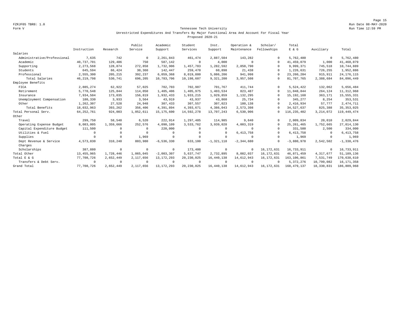Page 15 FZRJF05 TBR8: 1.0 Run Date 08-MAY-2020

#### Form V Tennessee Tech University Run Time 12:59 PM Unrestricted Expenditures And Transfers By Major Functional Area And Account For Fiscal Year Proposed 2020-21

|                             |              |            | Public     | Academic       | Student      | Inst.          | Operation &    | Scholar/     | Total         |             |                |
|-----------------------------|--------------|------------|------------|----------------|--------------|----------------|----------------|--------------|---------------|-------------|----------------|
|                             | Instruction  | Research   | Service    | Support        | Services     | Support        | Maintenance    | Fellowships  | E & G         | Auxiliary   | Total          |
| Salaries                    |              |            |            |                |              |                |                |              |               |             |                |
| Administrative/Professional | 7,635        | 742        | $^{\circ}$ | 2, 261, 843    | 461,474      | 2,887,504      | 143,282        | $\Omega$     | 5,762,480     | $\mathbf 0$ | 5,762,480      |
| Academic                    | 40,737,701   | 129,486    | 750        | 587,142        | $^{\circ}$   | 4,000          | $\Omega$       | $\Omega$     | 41, 459, 079  | 1,000       | 41,460,079     |
| Supporting                  | 2,273,568    | 128,874    | 272,858    | 1,732,906      | 1,457,783    | 1,282,592      | 2,850,790      | $\Omega$     | 9,999,371     | 745,518     | 10,744,889     |
| Students                    | 645,594      | 66,424     | 30,360     | 142,447        | 259,470      | 60,898         | 21,438         | $\Omega$     | 1,226,631     | 726,255     | 1,952,886      |
| Professional                | 2,555,300    | 205,215    | 392,237    | 6,059,368      | 8,019,880    | 5,086,206      | 941,998        | $\Omega$     | 23, 260, 204  | 915,911     | 24, 176, 115   |
| Total Salaries              | 46, 219, 798 | 530,741    | 696,205    | 10,783,706     | 10,198,607   | 9,321,200      | 3,957,508      | $\Omega$     | 81,707,765    | 2,388,684   | 84,096,449     |
| Employee Benefits           |              |            |            |                |              |                |                |              |               |             |                |
| FICA                        | 2,885,274    | 62,922     | 57,025     | 702,703        | 702,987      | 701,767        | 411,744        | $\Omega$     | 5,524,422     | 132,062     | 5,656,484      |
| Retirement                  | 5,770,548    | 125,844    | 114,050    | 1,405,406      | 1,405,975    | 1,403,534      | 823,487        | $\Omega$     | 11,048,844    | 264,124     | 11, 312, 968   |
| Insurance                   | 7,934,504    | 173,035    | 156,819    | 1,932,433      | 1,933,215    | 1,929,859      | 1,132,295      | $\Omega$     | 15, 192, 160  | 363,171     | 15, 555, 331   |
| Unemployment Compensation   | 180,330      | 3,933      | 3,564      | 43,919         | 43.937       | 43,860         | 25,734         | $\Omega$     | 345,277       | 8,254       | 353,531        |
| Other                       | 1,262,307    | 27,528     | 24,948     | 307,433        | 307,557      | 307,023        | 180,138        | $\Omega$     | 2,416,934     | 57,777      | 2,474,711      |
| Total Benefits              | 18,032,963   | 393,262    | 356,406    | 4,391,894      | 4,393,671    | 4,386,043      | 2,573,398      | $\Omega$     | 34,527,637    | 825,388     | 35, 353, 025   |
| Total Personal Serv.        | 64, 252, 761 | 924,003    | 1,052,611  | 15, 175, 600   | 14,592,278   | 13,707,243     | 6,530,906      | $\Omega$     | 116, 235, 402 | 3, 214, 072 | 119, 449, 474  |
| Other                       |              |            |            |                |              |                |                |              |               |             |                |
| Travel                      | 299,750      | 58,540     | 6,520      | 222,914        | 1,297,485    | 114,985        | 9,640          | $\Omega$     | 2,009,834     | 20,010      | 2,029,844      |
| Operating Expense Budget    | 8,083,005    | 1,359,666  | 252,576    | 4,090,109      | 3,533,762    | 3,939,028      | 4,003,319      | $\Omega$     | 25, 261, 465  | 1,752,665   | 27,014,130     |
| Capital Expenditure Budget  | 111,500      | $\Omega$   | $\Omega$   | 220,000        | $\Omega$     | $\Omega$       | $\Omega$       | $\Omega$     | 331,500       | 2,500       | 334,000        |
| Utilities & Fuel            | $\Omega$     | $\Omega$   | $\Omega$   | $\Omega$       | $\mathbf 0$  | $\Omega$       | 6, 413, 758    | $\Omega$     | 6, 413, 758   | $^{\circ}$  | 6, 413, 758    |
| Supplies                    | $\Omega$     | $\Omega$   | 1,969      | $^{\circ}$     | $\mathbf 0$  | $\Omega$       | $\Omega$       | $\Omega$     | 1,969         | $^{\circ}$  | 1,969          |
| Dept Revenue & Service      | 4,573,830    | 310,240    | 803,980    | $-6, 536, 330$ | 633,100      | $-1, 321, 118$ | $-2, 344, 680$ | $\Omega$     | $-3,880,978$  | 2,542,502   | $-1, 338, 476$ |
| Charges                     |              |            |            |                |              |                |                |              |               |             |                |
| Scholarships                | 387,880      | $\circ$    | $^{\circ}$ | $\mathbf 0$    | 173,400      | $\circ$        | $^{\circ}$     | 16, 172, 631 | 16,733,911    | $^{\circ}$  | 16,733,911     |
| Total Other                 | 13, 455, 965 | 1,728,446  | 1,065,045  | $-2,003,307$   | 5,637,747    | 2,732,895      | 8,082,037      | 16, 172, 631 | 46,871,459    | 4,317,677   | 51, 189, 136   |
| Total E & G                 | 77,708,726   | 2,652,449  | 2,117,656  | 13, 172, 293   | 20, 230, 025 | 16, 440, 138   | 14,612,943     | 16,172,631   | 163, 106, 861 | 7,531,749   | 170,638,610    |
| Transfers & Debt Serv.      | $\Omega$     | $^{\circ}$ | $\Omega$   | $^{\circ}$     | $^{\circ}$   | $\Omega$       | $\Omega$       | $\Omega$     | 5, 372, 276   | 10,799,082  | 16, 171, 358   |
| Grand Total                 | 77,708,726   | 2,652,449  | 2,117,656  | 13, 172, 293   | 20, 230, 025 | 16,440,138     | 14,612,943     | 16, 172, 631 | 168, 479, 137 | 18,330,831  | 186,809,968    |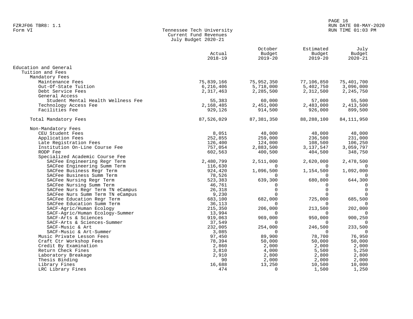#### PAGE 16 FZRJF06 TBR8: 1.1 RUN DATE 08-MAY-2020 RUN TIME 01:03 PM

| Form VI | Tennessee Tech University |
|---------|---------------------------|
|         | Current Fund Revenues     |
|         | July Budget 2020-21       |

|                                    | Actual<br>$2018 - 19$ | October<br>Budget<br>$2019 - 20$ | Estimated<br>Budget<br>$2019 - 20$ | July<br>Budget<br>$2020 - 21$ |
|------------------------------------|-----------------------|----------------------------------|------------------------------------|-------------------------------|
| Education and General              |                       |                                  |                                    |                               |
| Tuition and Fees                   |                       |                                  |                                    |                               |
| Mandatory Fees                     |                       |                                  |                                    |                               |
| Maintenance Fees                   | 75,839,166            | 75,952,350                       | 77,106,850                         | 75,401,700                    |
| Out-Of-State Tuition               | 6,216,406             | 5,718,000                        | 5,402,750                          | 3,096,000                     |
| Debt Service Fees                  | 2,317,463             | 2,285,500                        | 2,312,500                          | 2,245,750                     |
| General Access                     |                       |                                  |                                    |                               |
| Student Mental Health Wellness Fee | 55,383                | 60,000                           | 57,000                             | 55,500                        |
| Technology Access Fee              | 2,168,485             | 2,451,000                        | 2,483,000                          | 2,413,500                     |
| Facilities Fee                     | 929,126               | 914,500                          | 926,000                            | 899,500                       |
| Total Mandatory Fees               | 87,526,029            | 87, 381, 350                     | 88,288,100                         | 84, 111, 950                  |
| Non-Mandatory Fees                 |                       |                                  |                                    |                               |
| CEU Student Fees                   | 8,051                 | 48,000                           | 48,000                             | 48,000                        |
| Application Fees                   | 252,855               | 259,000                          | 236,500                            | 231,000                       |
| Late Registration Fees             | 126,400               | 124,000                          | 108,500                            | 106,250                       |
| Institution On-Line Course Fee     | 757,054               | 2,883,500                        | 3,137,547                          | 3,059,797                     |
| RODP Fee                           | 602,563               | 400,500                          | 404,500                            | 348,750                       |
| Specialized Academic Course Fee    |                       |                                  |                                    |                               |
| SACFee Engineering Regr Term       | 2,480,799             | 2,511,000                        | 2,620,000                          | 2,478,500                     |
| SACFee Engineering Summ Term       | 116,630               | $\Omega$                         | $\Omega$                           | 0                             |
| SACFee Business Regr Term          | 924,420               | 1,096,500                        | 1,154,500                          | 1,092,000                     |
| SACFee Business Summ Term          | 78,526                | $\Omega$                         | $\Omega$                           | $\Omega$                      |
| SACFee Nursing Regr Term           | 523,383               | 639,300                          | 680,800                            | 644,300                       |
| SACFee Nursing Summ Term           | 46,761                | $\Omega$                         | $\Omega$                           | $\mathbf 0$                   |
| SACFee Nurs Regr Term TN eCampus   | 26,318                | $\Omega$                         | $\Omega$                           | $\mathbf 0$                   |
| SACFee Nurs Summ Term TN eCampus   | 9,230                 | $\Omega$                         | $\Omega$                           | $\Omega$                      |
| SACFee Education Regr Term         | 683,100               | 682,000                          | 725,000                            | 685,500                       |
| SACFee Education Summ Term         | 36,113                | $\Omega$                         | $\Omega$                           | 0                             |
| SACF-Agric/Human Ecology           | 215,350               | 206,000                          | 213,500                            | 202,000                       |
| SACF-Agric/Human Ecology-Summer    | 13,994                |                                  |                                    |                               |
| SACF-Arts & Sciences               | 919,063               | 969,000                          | 950,000                            | 900,250                       |
| SACF-Arts & Sciences-Summer        | 37,549                | 0                                | $\Omega$                           | 0                             |
| SACF-Music & Art                   | 232,005               | 254,000                          | 246,500                            | 233,500                       |
| SACF-Music & Art-Summer            | 3,085                 | $\Omega$                         | $\Omega$                           | $\overline{0}$                |
| Music Private Lesson Fees          | 97,450                | 89,900                           | 78,700                             | 76,950                        |
| Craft Ctr Workshop Fees            | 78,394                | 50,000                           | 50,000                             | 50,000                        |
| Credit By Examination              | 2,860                 | 2,000                            | 2,000                              | 2,000                         |
| Return Check Fines                 | 3,810                 | 4,000                            | 5,500                              | 5,250                         |
| Laboratory Breakage                | 2,910                 | 2,800                            | 2,800                              | 2,800                         |
| Thesis Binding                     | 90                    | 2,000                            | 2,000                              | 2,000                         |
| Library Fines                      | 16,688                | 13,250                           | 10,500                             | 10,000                        |
| LRC Library Fines                  | 474                   | 0                                | 1,500                              | 1,250                         |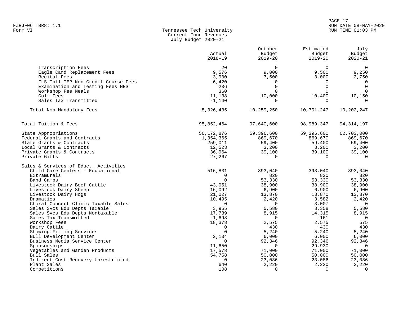| Form VI | Tennessee Tech University |
|---------|---------------------------|
|         | Current Fund Revenues     |
|         | July Budget 2020-21       |

|                                        | Actual<br>$2018 - 19$ | October<br>Budget<br>$2019 - 20$ | Estimated<br>Budget<br>$2019 - 20$ | July<br>Budget<br>$2020 - 21$ |
|----------------------------------------|-----------------------|----------------------------------|------------------------------------|-------------------------------|
| Transcription Fees                     | 20                    | $\Omega$                         | $\Omega$                           | $\Omega$                      |
| Eagle Card Replacement Fees            | 9,576                 | 9,000                            | 9,500                              | 9,250                         |
| Recital Fees                           | 3,900                 | 3,500                            | 3,000                              | 2,750                         |
| FLS Intl IEP Non-Credit Course Fees    | 6,420                 | $\Omega$                         | $\Omega$                           | $\Omega$                      |
| Examination and Testing Fees NES       | 236                   | $\Omega$                         | $\Omega$                           | $\Omega$                      |
| Workshop Fee Meals                     | 360                   | $\Omega$                         | $\Omega$                           | $\Omega$                      |
| Golf Fees                              | 11,138                | 10,000                           | 10,400                             | 10,150                        |
| Sales Tax Transmitted                  | $-1,140$              | $\Omega$                         | $\Omega$                           | $\Omega$                      |
| Total Non-Mandatory Fees               | 8,326,435             | 10,259,250                       | 10,701,247                         | 10,202,247                    |
| Total Tuition & Fees                   | 95,852,464            | 97,640,600                       | 98,989,347                         | 94, 314, 197                  |
| State Appropriations                   | 56, 172, 876          | 59,396,600                       | 59,396,600                         | 62,703,000                    |
| Federal Grants and Contracts           | 1,354,365             | 869,670                          | 869,670                            | 869,670                       |
| State Grants & Contracts               | 259,011               | 59,400                           | 59,400                             | 59,400                        |
| Local Grants & Contracts               | 12,523                | 3,200                            | 3,200                              | 3,200                         |
| Private Grants & Contracts             | 36,964                | 39,100                           | 39,100                             | 39,100                        |
| Private Gifts                          | 27,267                | $\Omega$                         | $\Omega$                           | $\Omega$                      |
| Sales & Services of Educ. Activities   |                       |                                  |                                    |                               |
| Child Care Centers - Educational       | 516,831               | 393,040                          | 393,040                            | 393,040                       |
| Extramurals                            | $\mathbf 0$           | 820                              | 820                                | 820                           |
| Band Camps                             | $\Omega$              | 53,330                           | 53,330                             | 53,330                        |
| Livestock Dairy Beef Cattle            | 43,051                | 38,900                           | 38,900                             | 38,900                        |
| Livestock Dairy Sheep                  | 16,092                | 6,900                            | 6,900                              | 6,900                         |
| Livestock Dairy Hogs                   | 21,027                | 13,870                           | 13,870                             | 13,870                        |
| Dramatics                              | 10,495                | 2,420                            | 3,582                              | 2,420                         |
| Choral Concert Clinic Taxable Sales    | $\mathbf 0$           | $\Omega$                         | 3,007                              | $\overline{0}$                |
| Sales Svcs Edu Depts Taxable           | 3,955                 | 5,580                            | 8,358                              | 5,580                         |
| Sales Svcs Edu Depts Nontaxable        | 17,739                | 8,915                            | 14,315                             | 8,915<br>$\overline{0}$       |
| Sales Tax Transmitted<br>Workshop Fees | $-1,698$              | 0                                | $-161$<br>2,575                    | 575                           |
| Dairy Cattle                           | 18,378<br>$\Omega$    | 2,575<br>430                     | 430                                | 430                           |
| Showing Fitting Services               | $\Omega$              | 5,240                            | 5,240                              | 5,240                         |
| Bull Development Center                | 2,134                 | 6,000                            | 6,000                              | 6,000                         |
| Business Media Service Center          | $\Omega$              | 92,346                           | 92,346                             | 92,346                        |
| Sponsorships                           | 11,650                | $\Omega$                         | 29,930                             | $\overline{0}$                |
| Vegetables and Garden Products         | 17,578                | 71,000                           | 71,000                             | 71,000                        |
| Bull Sales                             | 54,758                | 50,000                           | 50,000                             | 50,000                        |
| Indirect Cost Recovery Unrestricted    | 0                     | 23,086                           | 23,086                             | 23,086                        |
| Plant Sales                            | 640                   | 2,220                            | 2,220                              | 2,220                         |
| Competitions                           | 108                   | $\Omega$                         | $\Omega$                           | $\Omega$                      |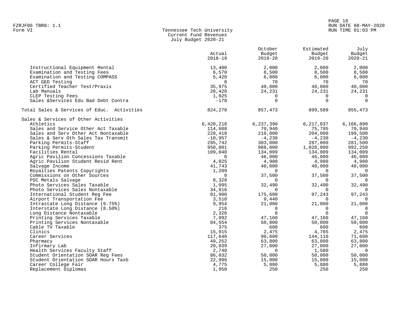| Form VI | Tennessee Tech University |
|---------|---------------------------|
|         | Current Fund Revenues     |
|         | July Budget 2020-21       |

|                                            | Actual<br>$2018 - 19$ | October<br>Budget<br>$2019 - 20$ | Estimated<br>Budget<br>$2019 - 20$ | July<br>Budget<br>$2020 - 21$ |
|--------------------------------------------|-----------------------|----------------------------------|------------------------------------|-------------------------------|
| Instructional Equipment Rental             | 13,400                | 2,000                            | 2,000                              | 2,000                         |
| Examination and Testing Fees               | 6,570                 | 8,500                            | 8,500                              | 8,500                         |
| Examination and Testing COMPASS            | 5,420                 | 6,000                            | 6,000                              | 6,000                         |
| ACT GED Testing                            | $\Omega$              | 70                               | 70                                 | 70                            |
| Certified Teacher Test/Praxis              | 35,975                | 40,000                           | 40,000                             | 40,000                        |
| Lab Manuals                                | 28,420                | 24,231                           | 24,231                             | 24,231                        |
| CLEP Testing Fees                          | 1,925                 | $\Omega$                         | $\Omega$                           | $\Omega$                      |
| Sales &Services Edu Bad Debt Contra        | $-178$                | $\Omega$                         | $\mathbf 0$                        | $\Omega$                      |
| Total Sales & Services of Educ. Activities | 824,270               | 857,473                          | 899,589                            | 855,473                       |
| Sales & Services of Other Activities       |                       |                                  |                                    |                               |
| Athletics                                  | 6,428,218             | 6,237,390                        | 6,217,037                          | 6,166,890                     |
| Sales and Service Other Act Taxable        | 114,608               | 70,940                           | 75,795                             | 70,940                        |
| Sales and Serv Other Act Nontaxable        | 228,418               | 210,000                          | 204,000                            | 199,500                       |
| Sales & Serv Oth Sales Tax Transmit        | $-10,957$             | $-4,230$                         | $-4,230$                           | $-4,230$                      |
| Parking Permits-Staff                      | 295,742               | 303,000                          | 287,000                            | 281,500                       |
| Parking Permits-Student                    | 950,001               | 988,000                          | 1,020,000                          | 992,250                       |
| Facilities Rental                          | 109,040               | 134,009                          | 134,009                            | 134,009                       |
| Agric Pavilion Concessions Taxable         | $\Omega$              | 46,000                           | 46,000                             | 46,000                        |
| Agric Pavilion Student Resid Rent          | 4,025                 | 4,980                            | 4,980                              | 4,980                         |
| Salvage Income                             | 41,743                | 40,000                           | 40,000                             | 40,000                        |
| Royalties Patents Copyrights               | 1,209                 | $\Omega$                         | $\overline{0}$                     | $\Omega$                      |
| Commissions on Other Sources               | $\Omega$              | 37,500                           | 37,500                             | 37,500                        |
| PSC Metals Salvage                         | 8,328                 | $\Omega$                         | $\Omega$                           | $\Omega$                      |
| Photo Services Sales Taxable               |                       | 32,490                           |                                    |                               |
| Photo Services Sales Nontaxable            | 1,095<br>34,816       | $\Omega$                         | 32,490<br>$\mathbf 0$              | 32,490<br>$\Omega$            |
|                                            | 81,900                |                                  |                                    |                               |
| International Student Reg Fee              |                       | 175,600                          | 97,243                             | 97,243                        |
| Airport Transportation Fee                 | 3,510                 | 9,440                            | $\overline{0}$                     | $\Omega$                      |
| Intrastate Long Distance (9.75%)           | 9,954                 | 21,000                           | 21,000                             | 21,000                        |
| Interstate Long Distance (8.50%)           | 216                   | $\Omega$<br>$\Omega$             | $\overline{0}$<br>$\Omega$         | $\mathbf 0$<br>$\Omega$       |
| Long Distance Nontaxable                   | 2,326                 |                                  |                                    |                               |
| Printing Services Taxable                  | 7,092                 | 47,160                           | 47,160                             | 47,160                        |
| Printing Services Nontaxable               | 84,554                | 50,000                           | 50,000                             | 50,000                        |
| Cable TV Taxable                           | 375                   | 600                              | 600                                | 600                           |
| Clinics                                    | 15,915                | 2,475                            | 4,765                              | 2,475                         |
| Career Services                            | 117,640               | 90,600                           | 144,110                            | 71,600                        |
| Pharmacy                                   | 49,252                | 63,800                           | 63,800                             | 63,800                        |
| Infirmary Lab                              | 20,039                | 27,000                           | 27,000                             | 27,000                        |
| Health Services Faculty Staff              | 2,740                 | $\Omega$                         | 1,580                              | $\Omega$                      |
| Student Orientation SOAR Req Fees          | 86,032                | 50,000                           | 50,000                             | 50,000                        |
| Student Orientation SOAR Hours Taxb        | 22,996                | 15,000                           | 15,000                             | 15,000                        |
| Career College Fair                        | 4,775                 | 5,880                            | 5,880                              | 5,880                         |
| Replacement Diplomas                       | 1,950                 | 250                              | 250                                | 250                           |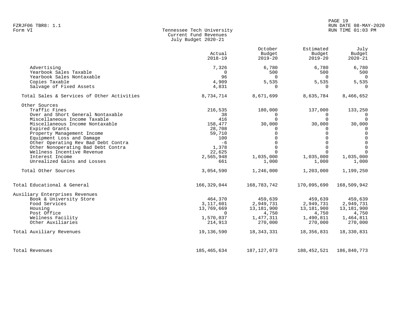#### PAGE 19 FZRJF06 TBR8: 1.1 RUN DATE 08-MAY-2020 RUN TIME 01:03 PM

| Form VI | Tennessee Tech University |
|---------|---------------------------|
|         | Current Fund Revenues     |
|         | July Budget 2020-21       |

|                                            | Actual<br>$2018 - 19$ | October<br>Budget<br>$2019 - 20$ | Estimated<br>Budget<br>$2019 - 20$ | July<br>Budget<br>$2020 - 21$ |
|--------------------------------------------|-----------------------|----------------------------------|------------------------------------|-------------------------------|
| Advertising                                | 7,326                 | 6,780                            | 6,780                              | 6,780                         |
| Yearbook Sales Taxable                     | $\Omega$              | 500                              | 500                                | 500                           |
| Yearbook Sales Nontaxable                  | 96                    | $\Omega$                         | $\Omega$                           | $\overline{0}$                |
| Copies Taxable                             | 4,909                 | 5,535                            | 5,535                              | 5,535                         |
| Salvage of Fixed Assets                    | 4,831                 | $\Omega$                         | $\Omega$                           | 0                             |
| Total Sales & Services of Other Activities | 8,734,714             | 8,671,699                        | 8,635,784                          | 8,466,652                     |
| Other Sources                              |                       |                                  |                                    |                               |
| Traffic Fines                              | 216,535               | 180,000                          | 137,000                            | 133,250                       |
| Over and Short General Nontaxable          | 38                    | $\Omega$                         | $\Omega$                           | $\overline{0}$                |
| Miscellaneous Income Taxable               | 416                   | $\cap$                           | $\cap$                             | $\Omega$                      |
| Miscellaneous Income Nontaxable            | 158,477               | 30,000                           | 30,000                             | 30,000                        |
| Expired Grants                             | 28,708                | $\Omega$                         | 0                                  | 0                             |
| Property Management Income                 | 59,710                | $\Omega$                         | $\Omega$                           | 0                             |
| Equipment Loss and Damage                  | 100                   | $\Omega$                         | $\Omega$                           | $\mathbf 0$                   |
| Other Operating Rev Bad Debt Contra        | $-6$                  | $\Omega$                         | $\Omega$                           | $\mathbf 0$                   |
| Other Nonoperating Bad Debt Contra         | 1,378                 | $\Omega$                         | $\Omega$                           | $\mathbf 0$                   |
| Wellness Incentive Revenue                 | 22,625                | $\Omega$                         | $\Omega$                           | $\Omega$                      |
| Interest Income                            | 2,565,948             | 1,035,000                        | 1,035,000                          | 1,035,000                     |
| Unrealized Gains and Losses                | 661                   | 1,000                            | 1,000                              | 1,000                         |
| Total Other Sources                        | 3,054,590             | 1,246,000                        | 1,203,000                          | 1,199,250                     |
| Total Educational & General                | 166,329,044           | 168,783,742                      | 170,095,690                        | 168,509,942                   |
| Auxiliary Enterprises Revenues             |                       |                                  |                                    |                               |
| Book & University Store                    | 464,370               | 459,639                          | 459,639                            | 459,639                       |
| Food Services                              | 3,117,601             | 2,949,731                        | 2,949,731                          | 2,949,731                     |
| Housing                                    | 13,769,669            | 13,181,900                       | 13,181,900                         | 13,181,900                    |
| Post Office                                | $\Omega$              | 4,750                            | 4,750                              | 4,750                         |
| Wellness Facility                          | 1,570,037             | 1,477,311                        | 1,490,811                          | 1,464,811                     |
| Other Auxiliaries                          | 214,913               | 270,000                          | 270,000                            | 270,000                       |
| Total Auxiliary Revenues                   | 19,136,590            | 18,343,331                       | 18,356,831                         | 18,330,831                    |
| Total Revenues                             | 185,465,634           | 187, 127, 073                    | 188, 452, 521                      | 186,840,773                   |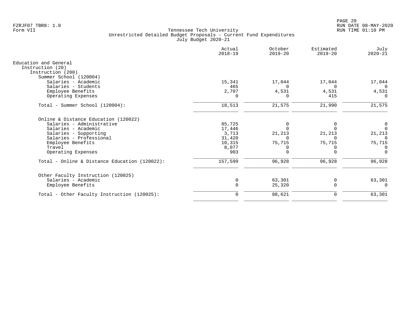|                                               | Actual<br>$2018 - 19$ | October<br>$2019 - 20$ | Estimated<br>$2019 - 20$ | July<br>$2020 - 21$ |
|-----------------------------------------------|-----------------------|------------------------|--------------------------|---------------------|
| Education and General                         |                       |                        |                          |                     |
| Instruction (20)                              |                       |                        |                          |                     |
| Instruction (200)                             |                       |                        |                          |                     |
| Summer School (120004)                        |                       |                        |                          |                     |
| Salaries - Academic                           | 15,341                | 17,044                 | 17,044                   | 17,044              |
| Salaries - Students                           | 465                   | $\Omega$               | $\Omega$                 | $\Omega$            |
| Employee Benefits                             | 2,707                 | 4,531                  | 4,531                    | 4,531               |
| Operating Expenses                            | $\Omega$              | $\Omega$               | 415                      | $\Omega$            |
| Total - Summer School (120004):               | 18,513                | 21,575                 | 21,990                   | 21,575              |
| Online & Distance Education (120022)          |                       |                        |                          |                     |
| Salaries - Administrative                     | 85,725                | 0                      | 0                        | 0                   |
| Salaries - Academic                           | 17,446                |                        |                          | $\Omega$            |
| Salaries - Supporting                         | 3,713                 | 21,213                 | 21,213                   | 21,213              |
| Salaries - Professional                       | 31,420                |                        | $\Omega$                 | $\Omega$            |
| Employee Benefits                             | 10,315                | 75,715                 | 75,715                   | 75,715              |
| Travel                                        | 8,077                 | 0                      | 0                        | $\Omega$            |
| Operating Expenses                            | 903                   | $\Omega$               | $\Omega$                 | $\Omega$            |
| Total - Online & Distance Education (120022): | 157,599               | 96,928                 | 96,928                   | 96,928              |
| Other Faculty Instruction (120025)            |                       |                        |                          |                     |
| Salaries - Academic                           | $\Omega$              | 63,301                 | 0                        | 63,301              |
| Employee Benefits                             |                       | 25,320                 | $\mathbf 0$              | $\cap$              |
| Total - Other Faculty Instruction (120025):   | $\Omega$              | 88,621                 | 0                        | 63,301              |
|                                               |                       |                        |                          |                     |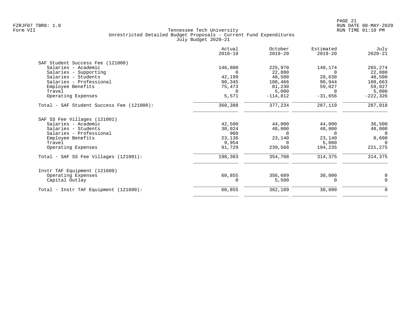| 146,800<br>$\Omega$<br>42,199<br>90,345<br>75,473<br>$\Omega$<br>5,571 | 225,970<br>22,880<br>48,500<br>108,466<br>81,230<br>5,000                    | 140,174<br>$\Omega$<br>28,630<br>90,944<br>59,027<br>$\Omega$ | 265,274<br>22,880<br>48,500<br>108,663<br>59,027 |
|------------------------------------------------------------------------|------------------------------------------------------------------------------|---------------------------------------------------------------|--------------------------------------------------|
|                                                                        |                                                                              |                                                               |                                                  |
|                                                                        |                                                                              |                                                               |                                                  |
|                                                                        |                                                                              |                                                               |                                                  |
|                                                                        |                                                                              |                                                               |                                                  |
|                                                                        |                                                                              |                                                               |                                                  |
|                                                                        |                                                                              |                                                               |                                                  |
|                                                                        |                                                                              |                                                               | 5,000                                            |
|                                                                        | $-114,812$                                                                   | $-31,656$                                                     | $-222, 326$                                      |
| 360,388                                                                | 377,234                                                                      | 287,119                                                       | 287,018                                          |
|                                                                        |                                                                              |                                                               |                                                  |
|                                                                        | 44,000                                                                       | 44,000                                                        | 36,500                                           |
|                                                                        | 48,000                                                                       | 48,000                                                        | 48,000                                           |
| 960                                                                    | $\Omega$                                                                     | $\Omega$                                                      | $\Omega$                                         |
|                                                                        | 23,140                                                                       | 23,140                                                        | 8,600                                            |
|                                                                        | $\Omega$                                                                     | 5,000                                                         | $\Omega$                                         |
|                                                                        | 239,568                                                                      | 194,235                                                       | 221,275                                          |
|                                                                        | 354,708                                                                      | 314,375                                                       | 314,375                                          |
|                                                                        |                                                                              |                                                               |                                                  |
|                                                                        | 356,689                                                                      | 30,000                                                        | 0                                                |
|                                                                        | 5,500                                                                        | 0                                                             | $\Omega$                                         |
|                                                                        | 362,189                                                                      | 30,000                                                        | 0                                                |
|                                                                        | 42,500<br>30,024<br>23,136<br>9,954<br>91,729<br>198,303<br>60,855<br>60,855 |                                                               |                                                  |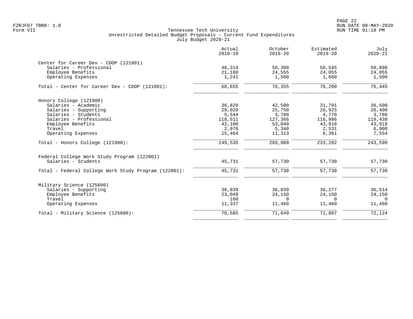PAGE 22 FZRJF07 TBR8: 1.0 RUN DATE 08-MAY-2020

|                                                      | Actual<br>$2018 - 19$ | October<br>$2019 - 20$ | Estimated<br>$2019 - 20$ | July<br>$2020 - 21$ |
|------------------------------------------------------|-----------------------|------------------------|--------------------------|---------------------|
| Center for Career Dev - COOP (121801)                |                       |                        |                          |                     |
| Salaries - Professional                              | 46,314                | 50,300                 | 50,545                   | 50,890              |
| Employee Benefits                                    | 21,100                | 24,555                 | 24,055                   | 24,055              |
| Operating Expenses                                   | 1,241                 | 1,500                  | 1,600                    | 1,500               |
| Total - Center for Career Dev - COOP (121801):       | 68,655                | 76,355                 | 76,200                   | 76,445              |
| Honors College (121900)                              |                       |                        |                          |                     |
| Salaries - Academic                                  | 36,820                | 42,500                 | 31,791                   | 36,500              |
| Salaries - Supporting                                | 29,020                | 25,750                 | 26,925                   | 26,400              |
| Salaries - Students                                  | 5,544                 | 3,780                  | 4,770                    | 3,780               |
| Salaries - Professional                              | 118,511               | 127,366                | 116,986                  | 119,438             |
| Employee Benefits                                    | 42,100                | 53,040                 | 43,918                   | 43,918              |
| Travel                                               | 2,076                 | 5,340                  | 2,531                    | 6,000               |
| Operating Expenses                                   | 15,464                | 11,313                 | 6,361                    | 7,554               |
| Total - Honors College (121900):                     | 249,535               | 269,089                | 233,282                  | 243,590             |
| Federal College Work Study Program (122001)          |                       |                        |                          |                     |
| Salaries - Students                                  | 45,731                | 57,730                 | 57,730                   | 57,730              |
| Total - Federal College Work Study Program (122001): | 45,731                | 57,730                 | 57,730                   | 57,730              |
| Military Science (125600)                            |                       |                        |                          |                     |
| Salaries - Supporting                                | 36,039                | 36,039                 | 36,277                   | 36,514              |
| Employee Benefits                                    | 23,049                | 24,150                 | 24,150                   | 24,150              |
| Travel                                               | 160                   | $\Omega$               | $\Omega$                 | $\Omega$            |
| Operating Expenses                                   | 11,337                | 11,460                 | 11,460                   | 11,460              |
| Total - Military Science (125600):                   | $\overline{70}$ , 585 | 71,649                 | 71,887                   | 72,124              |
|                                                      |                       |                        |                          |                     |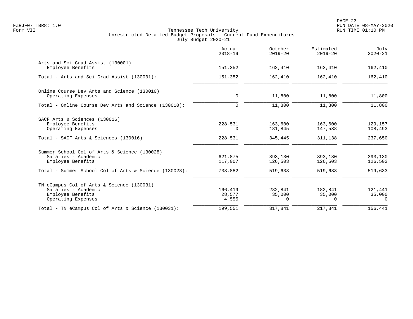|                                                                                                                                                   | Actual<br>$2018 - 19$         | October<br>$2019 - 20$        | Estimated<br>$2019 - 20$      | July<br>$2020 - 21$           |
|---------------------------------------------------------------------------------------------------------------------------------------------------|-------------------------------|-------------------------------|-------------------------------|-------------------------------|
| Arts and Sci Grad Assist (130001)<br>Employee Benefits                                                                                            | 151,352                       | 162,410                       | 162,410                       | 162,410                       |
| Total - Arts and Sci Grad Assist (130001):                                                                                                        | 151,352                       | 162,410                       | 162,410                       | 162,410                       |
| Online Course Dev Arts and Science (130010)<br>Operating Expenses                                                                                 | 0                             | 11,800                        | 11,800                        | 11,800                        |
| Total - Online Course Dev Arts and Science (130010):                                                                                              | $\Omega$                      | 11,800                        | 11,800                        | 11,800                        |
| SACF Arts & Sciences (130016)<br>Employee Benefits<br>Operating Expenses                                                                          | 228,531<br>$\Omega$           | 163,600<br>181,845            | 163,600<br>147,538            | 129,157<br>108,493            |
| Total - SACF Arts & Sciences (130016):                                                                                                            | 228,531                       | 345,445                       | 311,138                       | 237,650                       |
| Summer School Col of Arts & Science (130028)<br>Salaries - Academic<br>Employee Benefits<br>Total - Summer School Col of Arts & Science (130028): | 621,875<br>117,007<br>738,882 | 393,130<br>126,503<br>519,633 | 393,130<br>126,503<br>519,633 | 393,130<br>126,503<br>519,633 |
|                                                                                                                                                   |                               |                               |                               |                               |
| TN eCampus Col of Arts & Science (130031)<br>Salaries - Academic<br>Employee Benefits<br>Operating Expenses                                       | 166,419<br>28,577<br>4,555    | 282,841<br>35,000<br>$\Omega$ | 182,841<br>35,000<br>$\Omega$ | 121,441<br>35,000<br>$\Omega$ |
| Total - TN eCampus Col of Arts & Science (130031):                                                                                                | 199,551                       | 317,841                       | 217,841                       | 156,441                       |
|                                                                                                                                                   |                               |                               |                               |                               |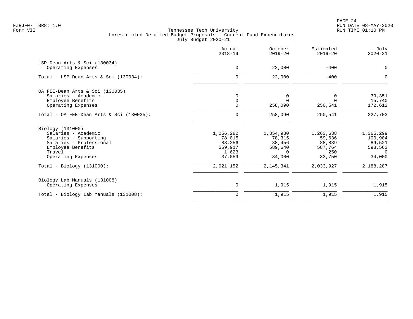|                                             | Actual<br>$2018 - 19$ | October<br>$2019 - 20$ | Estimated<br>$2019 - 20$ | July<br>$2020 - 21$ |
|---------------------------------------------|-----------------------|------------------------|--------------------------|---------------------|
| LSP-Dean Arts & Sci (130034)                |                       |                        |                          |                     |
| Operating Expenses                          | $\mathbf 0$           | 22,000                 | $-400$                   | 0                   |
| Total - LSP-Dean Arts & Sci (130034):       | $\Omega$              | 22,000                 | $-400$                   | $\Omega$            |
| OA FEE-Dean Arts & Sci (130035)             |                       |                        |                          |                     |
| Salaries - Academic                         |                       | 0                      | 0                        | 39,351              |
| Employee Benefits                           | $\mathbf 0$           | $\Omega$               | $\Omega$                 | 15,740              |
| Operating Expenses                          | $\Omega$              | 258,090                | 250,541                  | 172,612             |
| Total - OA FEE-Dean Arts & Sci $(130035)$ : | $\Omega$              | 258,090                | 250,541                  | 227,703             |
| Biology (131000)                            |                       |                        |                          |                     |
| Salaries - Academic                         | 1,256,282             | 1,354,930              | 1,263,638                | 1,365,299           |
| Salaries - Supporting                       | 78,015                | 78,315                 | 59,636                   | 100,904             |
| Salaries - Professional                     | 88,256                | 88,456                 | 88,889                   | 89,521              |
| Employee Benefits                           | 559,917               | 589,640                | 587,764                  | 598,563             |
| Travel                                      | 1,623                 | $\Omega$               | 250                      | $\cap$              |
| Operating Expenses                          | 37,059                | 34,000                 | 33,750                   | 34,000              |
| Total - Biology $(131000)$ :                | 2,021,152             | 2,145,341              | 2,033,927                | 2,188,287           |
| Biology Lab Manuals (131008)                |                       |                        |                          |                     |
| Operating Expenses                          | $\mathsf 0$           | 1,915                  | 1,915                    | 1,915               |
| Total - Biology Lab Manuals (131008):       | 0                     | 1,915                  | 1,915                    | 1,915               |
|                                             |                       |                        |                          |                     |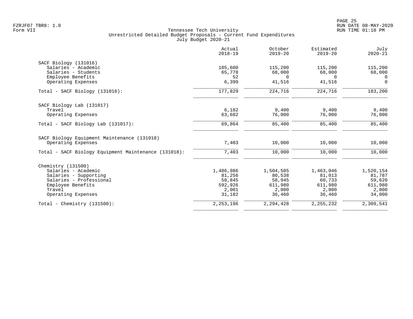|                                                      | Actual<br>$2018 - 19$ | October<br>$2019 - 20$ | Estimated<br>$2019 - 20$ | July<br>$2020 - 21$ |
|------------------------------------------------------|-----------------------|------------------------|--------------------------|---------------------|
| SACF Biology (131016)                                |                       |                        |                          |                     |
| Salaries - Academic                                  | 105,600               | 115,200                | 115,200                  | 115,200             |
| Salaries - Students                                  | 65,778                | 68,000                 | 68,000                   | 68,000              |
| Employee Benefits                                    | 52                    | $\Omega$               | $\Omega$                 | $\Omega$            |
| Operating Expenses                                   | 6,399                 | 41,516                 | 41,516                   | $\Omega$            |
| Total - SACF Biology (131016):                       | 177,829               | 224,716                | 224,716                  | 183,200             |
| SACF Biology Lab (131017)                            |                       |                        |                          |                     |
| Travel                                               | 6,182                 | 9,400                  | 9,400                    | 9,400               |
| Operating Expenses                                   | 63,682                | 76,000                 | 76,000                   | 76,000              |
| $Total - SACF Biology Lab (131017):$                 | 69,864                | 85,400                 | 85,400                   | 85,400              |
| SACF Biology Equipment Maintenance (131018)          |                       |                        |                          |                     |
| Operating Expenses                                   | 7,403                 | 10,000                 | 10,000                   | 10,000              |
| Total - SACF Biology Equipment Maintenance (131018): | 7,403                 | 10,000                 | 10,000                   | 10,000              |
| Chemistry (131500)                                   |                       |                        |                          |                     |
| Salaries - Academic                                  | 1,486,986             | 1,504,505              | 1,463,046                | 1,520,154           |
| Salaries - Supporting                                | 81,256                | 80,538                 | 81,013                   | 81,787              |
| Salaries - Professional                              | 58,845                | 58,945                 | 60,733                   | 59,620              |
| Employee Benefits                                    | 592,926               | 611,980                | 611,980                  | 611,980             |
| Travel                                               | 2,001                 | 2,000                  | 2,000                    | 2,000               |
| Operating Expenses                                   | 31,182                | 36,460                 | 36,460                   | 34,000              |
| Total - Chemistry $(131500)$ :                       | 2, 253, 196           | 2, 294, 428            | 2, 255, 232              | 2,309,541           |
|                                                      |                       |                        |                          |                     |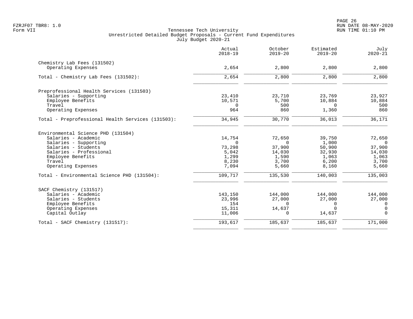|                                                   | Actual<br>$2018 - 19$ | October<br>$2019 - 20$ | Estimated<br>$2019 - 20$ | July<br>$2020 - 21$ |
|---------------------------------------------------|-----------------------|------------------------|--------------------------|---------------------|
| Chemistry Lab Fees (131502)                       |                       |                        |                          |                     |
| Operating Expenses                                | 2,654                 | 2,800                  | 2,800                    | 2,800               |
| Total - Chemistry Lab Fees (131502):              | 2,654                 | 2,800                  | 2,800                    | 2,800               |
| Preprofessional Health Services (131503)          |                       |                        |                          |                     |
| Salaries - Supporting                             | 23,410                | 23,710                 | 23,769                   | 23,927              |
| Employee Benefits                                 | 10,571                | 5,700                  | 10,884                   | 10,884              |
| Travel                                            | 0                     | 500                    | $\Omega$                 | 500                 |
| Operating Expenses                                | 964                   | 860                    | 1,360                    | 860                 |
| Total - Preprofessional Health Services (131503): | 34,945                | 30,770                 | 36,013                   | 36,171              |
| Environmental Science PHD (131504)                |                       |                        |                          |                     |
| Salaries - Academic                               | 14,754                | 72,650                 | 39,750                   | 72,650              |
| Salaries - Supporting                             | $\Omega$              | $\Omega$               | 1,000                    | $\bigcirc$          |
| Salaries - Students                               | 73,298                | 37,900                 | 50,900                   | 37,900              |
| Salaries - Professional                           | 5,042                 | 14,030                 | 32,930                   | 14,030              |
| Employee Benefits                                 | 1,299                 | 1,590                  | 1,063                    | 1,063               |
| Travel                                            | 8,230                 | 3,700                  | 6,200                    | 3,700               |
| Operating Expenses                                | 7,094                 | 5,660                  | 8,160                    | 5,660               |
| Total - Environmental Science PHD (131504):       | 109,717               | 135,530                | 140,003                  | 135,003             |
| SACF Chemistry (131517)                           |                       |                        |                          |                     |
| Salaries - Academic                               | 143,150               | 144,000                | 144,000                  | 144,000             |
| Salaries - Students                               | 23,996                | 27,000                 | 27,000                   | 27,000              |
| Employee Benefits                                 | 154                   | $\Omega$               | $\Omega$                 | $\mathbf 0$         |
| Operating Expenses                                | 15,311                | 14,637                 | $\Omega$                 | $\overline{0}$      |
| Capital Outlay                                    | 11,006                | $\Omega$               | 14,637                   | $\Omega$            |
| Total - SACF Chemistry (131517):                  | 193,617               | 185,637                | 185,637                  | 171,000             |
|                                                   |                       |                        |                          |                     |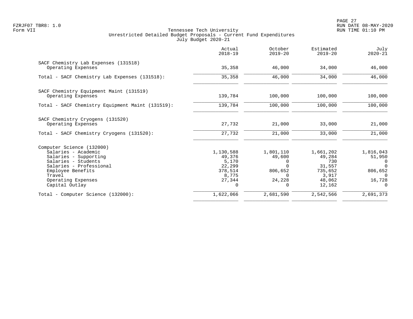|                                                            | Actual<br>$2018 - 19$ | October<br>$2019 - 20$ | Estimated<br>$2019 - 20$ | July<br>$2020 - 21$ |
|------------------------------------------------------------|-----------------------|------------------------|--------------------------|---------------------|
| SACF Chemistry Lab Expenses (131518)<br>Operating Expenses | 35,358                | 46,000                 | 34,000                   | 46,000              |
|                                                            |                       |                        |                          |                     |
| Total - SACF Chemistry Lab Expenses (131518):              | 35,358                | 46,000                 | 34,000                   | 46,000              |
| SACF Chemistry Equipment Maint (131519)                    |                       |                        |                          |                     |
| Operating Expenses                                         | 139,784               | 100,000                | 100,000                  | 100,000             |
| Total - SACF Chemistry Equipment Maint (131519):           | 139,784               | 100,000                | 100,000                  | 100,000             |
| SACF Chemistry Cryogens (131520)                           |                       |                        |                          |                     |
| Operating Expenses                                         | 27,732                | 21,000                 | 33,000                   | 21,000              |
| Total - SACF Chemistry Cryogens (131520):                  | 27,732                | 21,000                 | 33,000                   | 21,000              |
| Computer Science (132000)                                  |                       |                        |                          |                     |
| Salaries - Academic                                        | 1,130,588             | 1,801,110              | 1,661,202                | 1,816,043           |
| Salaries - Supporting                                      | 49,376                | 49,600                 | 49,284                   | 51,950              |
| Salaries - Students                                        | 5,170                 | 0                      | 730                      | 0                   |
| Salaries - Professional                                    | 22,299                | $\Omega$               | 31,557                   | $\Omega$            |
| Employee Benefits<br>Travel                                | 378,514<br>8,775      | 806,652<br>$\Omega$    | 735,652<br>3,917         | 806,652<br>$\Omega$ |
| Operating Expenses                                         | 27,344                | 24,228                 | 48,062                   | 16,728              |
| Capital Outlay                                             | 0                     | $\Omega$               | 12,162                   | $\Omega$            |
| Total - Computer Science (132000):                         | 1,622,066             | 2,681,590              | 2,542,566                | 2,691,373           |
|                                                            |                       |                        |                          |                     |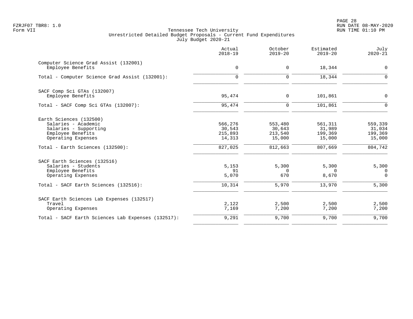PAGE 28 FZRJF07 TBR8: 1.0 RUN DATE 08-MAY-2020

|                                                                                                                    | Actual<br>$2018 - 19$                  | October<br>$2019 - 20$                 | Estimated<br>$2019 - 20$               | July<br>$2020 - 21$                    |
|--------------------------------------------------------------------------------------------------------------------|----------------------------------------|----------------------------------------|----------------------------------------|----------------------------------------|
| Computer Science Grad Assist (132001)<br>Employee Benefits                                                         | $\mathbf 0$                            | $\mathbf 0$                            | 18,344                                 | $\mathbf 0$                            |
| Total - Computer Science Grad Assist (132001):                                                                     | $\Omega$                               | $\Omega$                               | 18,344                                 | $\Omega$                               |
| SACF Comp Sci GTAs (132007)<br>Employee Benefits                                                                   | 95,474                                 | $\mathbf 0$                            | 101,861                                | $\mathbf 0$                            |
| Total - SACF Comp Sci GTAs (132007):                                                                               | 95,474                                 | $\mathbf 0$                            | 101,861                                | $\Omega$                               |
| Earth Sciences (132500)<br>Salaries - Academic<br>Salaries - Supporting<br>Employee Benefits<br>Operating Expenses | 566,276<br>30,543<br>215,893<br>14,313 | 553,480<br>30,643<br>213,540<br>15,000 | 561,311<br>31,989<br>199,369<br>15,000 | 559,339<br>31,034<br>199,369<br>15,000 |
| Total - Earth Sciences (132500):                                                                                   | 827,025                                | 812,663                                | 807,669                                | 804,742                                |
| SACF Earth Sciences (132516)<br>Salaries - Students<br>Employee Benefits<br>Operating Expenses                     | 5,153<br>91<br>5,070                   | 5,300<br>$\Omega$<br>670               | 5,300<br>$\Omega$<br>8,670             | 5,300<br>0<br>$\Omega$                 |
| Total - SACF Earth Sciences (132516):                                                                              | 10,314                                 | 5,970                                  | 13,970                                 | 5,300                                  |
| SACF Earth Sciences Lab Expenses (132517)<br>Travel<br>Operating Expenses                                          | 2,122<br>7,169                         | 2,500<br>7,200                         | 2,500<br>7,200                         | 2,500<br>7,200                         |
| Total - SACF Earth Sciences Lab Expenses (132517):                                                                 | 9,291                                  | 9,700                                  | 9,700                                  | 9,700                                  |
|                                                                                                                    |                                        |                                        |                                        |                                        |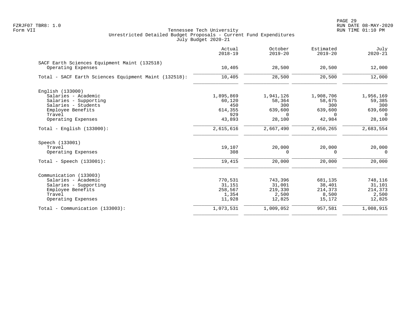|                                                                    | Actual<br>$2018 - 19$ | October<br>$2019 - 20$ | Estimated<br>$2019 - 20$ | July<br>$2020 - 21$ |
|--------------------------------------------------------------------|-----------------------|------------------------|--------------------------|---------------------|
| SACF Earth Sciences Equipment Maint (132518)<br>Operating Expenses | 10,405                | 28,500                 | 20,500                   | 12,000              |
|                                                                    |                       |                        |                          |                     |
| Total - SACF Earth Sciences Equipment Maint (132518):              | 10,405                | 28,500                 | 20,500                   | 12,000              |
| English (133000)                                                   |                       |                        |                          |                     |
| Salaries - Academic                                                | 1,895,869             | 1,941,126              | 1,908,706                | 1,956,169           |
| Salaries - Supporting                                              | 60,120                | 58,364                 | 58,675                   | 59,385              |
| Salaries - Students                                                | 450                   | 300                    | 300                      | 300                 |
| Employee Benefits                                                  | 614,355               | 639,600                | 639,600                  | 639,600             |
| Travel<br>Operating Expenses                                       | 929<br>43,893         | $\Omega$<br>28,100     | $\Omega$<br>42,984       | $\Omega$<br>28,100  |
|                                                                    |                       |                        |                          |                     |
| $Total - English (133000):$                                        | 2,615,616             | 2,667,490              | 2,650,265                | 2,683,554           |
| Speech (133001)                                                    |                       |                        |                          |                     |
| Travel                                                             | 19,107                | 20,000                 | 20,000                   | 20,000              |
| Operating Expenses                                                 | 308                   | $\Omega$               | $\Omega$                 | $\Omega$            |
| $Total - Speech (133001):$                                         | 19,415                | 20,000                 | 20,000                   | 20,000              |
| Communication (133003)                                             |                       |                        |                          |                     |
| Salaries - Academic                                                | 770,531               | 743,396                | 681,135                  | 748,116             |
| Salaries - Supporting                                              | 31,151                | 31,001                 | 38,401                   | 31,101              |
| Employee Benefits                                                  | 258,567               | 219,330                | 214,373                  | 214,373             |
| Travel                                                             | 1,354                 | 2,500                  | 8,500                    | 2,500               |
| Operating Expenses                                                 | 11,928                | 12,825                 | 15,172                   | 12,825              |
| Total - Communication (133003):                                    | 1,073,531             | 1,009,052              | 957,581                  | 1,008,915           |
|                                                                    |                       |                        |                          |                     |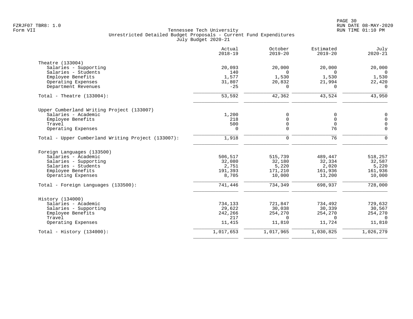|                                                    | Actual<br>$2018 - 19$ | October<br>$2019 - 20$ | Estimated<br>$2019 - 20$ | July<br>$2020 - 21$ |
|----------------------------------------------------|-----------------------|------------------------|--------------------------|---------------------|
| Theatre (133004)                                   |                       |                        |                          |                     |
| Salaries - Supporting                              | 20,093                | 20,000                 | 20,000                   | 20,000              |
| Salaries - Students                                | 140                   | $\Omega$               | $\Omega$                 | $\Omega$            |
| Employee Benefits                                  | 1,577                 | 1,530                  | 1,530                    | 1,530               |
| Operating Expenses                                 | 31,807                | 20,832                 | 21,994                   | 22,420              |
| Department Revenues                                | $-25$                 | 0                      | 0                        | 0                   |
| Total - Theatre $(133004)$ :                       | 53,592                | 42,362                 | 43,524                   | 43,950              |
| Upper Cumberland Writing Project (133007)          |                       |                        |                          |                     |
| Salaries - Academic                                | 1,200                 | 0                      | 0                        | $\mathbf 0$         |
| Employee Benefits                                  | 218                   | 0                      | $\overline{0}$           | $\mathbf 0$         |
| Travel                                             | 500                   | 0                      | $\overline{0}$           | $\overline{0}$      |
| Operating Expenses                                 | $\Omega$              | $\Omega$               | 76                       | $\Omega$            |
| Total - Upper Cumberland Writing Project (133007): | 1,918                 | $\mathbf 0$            | 76                       | $\mathbf 0$         |
| Foreign Languages (133500)                         |                       |                        |                          |                     |
| Salaries - Academic                                | 506,517               | 515,739                | 489,447                  | 518,257             |
| Salaries - Supporting                              | 32,080                | 32,180                 | 32,334                   | 32,587              |
| Salaries - Students                                | 2,751                 | 5,220                  | 2,020                    | 5,220               |
| Employee Benefits                                  | 191,393               | 171,210                | 161,936                  | 161,936             |
| Operating Expenses                                 | 8,705                 | 10,000                 | 13,200                   | 10,000              |
| Total - Foreign Languages (133500):                | 741,446               | 734,349                | 698,937                  | 728,000             |
| History (134000)                                   |                       |                        |                          |                     |
| Salaries - Academic                                | 734,133               | 721,847                | 734,492                  | 729,632             |
| Salaries - Supporting                              | 29,622                | 30,038                 | 30,339                   | 30,567              |
| Employee Benefits                                  | 242,266               | 254,270                | 254,270                  | 254,270             |
| Travel                                             | 217                   | $\Omega$               | $\Omega$                 | $\Omega$            |
| Operating Expenses                                 | 11,415                | 11,810                 | 11,724                   | 11,810              |
| Total - History $(134000)$ :                       | 1,017,653             | 1,017,965              | 1,030,825                | 1,026,279           |
|                                                    |                       |                        |                          |                     |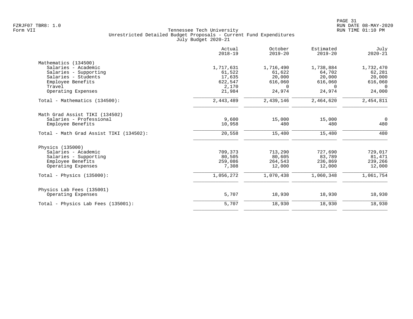|                                         | Actual<br>$2018 - 19$ | October<br>$2019 - 20$ | Estimated<br>$2019 - 20$ | July<br>$2020 - 21$ |
|-----------------------------------------|-----------------------|------------------------|--------------------------|---------------------|
| Mathematics (134500)                    |                       |                        |                          |                     |
| Salaries - Academic                     | 1,717,631             | 1,716,490              | 1,738,884                | 1,732,470           |
| Salaries - Supporting                   | 61,522                | 61,622                 | 64,702                   | 62,281              |
| Salaries - Students                     | 17,635                | 20,000                 | 20,000                   | 20,000              |
| Employee Benefits                       | 622,547               | 616,060                | 616,060                  | 616,060             |
| Travel                                  | 2,170                 | $\Omega$               | $\Omega$                 | $\Omega$            |
| Operating Expenses                      | 21,984                | 24,974                 | 24,974                   | 24,000              |
| Total - Mathematics (134500):           | 2,443,489             | 2,439,146              | 2,464,620                | 2,454,811           |
| Math Grad Assist TIKI (134502)          |                       |                        |                          |                     |
| Salaries - Professional                 | 9,600                 | 15,000                 | 15,000                   | $\Omega$            |
| Employee Benefits                       | 10,958                | 480                    | 480                      | 480                 |
| Total - Math Grad Assist TIKI (134502): | 20,558                | 15,480                 | 15,480                   | 480                 |
| Physics (135000)                        |                       |                        |                          |                     |
| Salaries - Academic                     | 709,373               | 713,290                | 727,690                  | 729,017             |
| Salaries - Supporting                   | 80,505                | 80,605                 | 83,789                   | 81,471              |
| Employee Benefits                       | 259,086               | 264,543                | 236,869                  | 239,266             |
| Operating Expenses                      | 7,308                 | 12,000                 | 12,000                   | 12,000              |
| Total - Physics $(135000)$ :            | 1,056,272             | 1,070,438              | 1,060,348                | 1,061,754           |
| Physics Lab Fees (135001)               |                       |                        |                          |                     |
| Operating Expenses                      | 5,707                 | 18,930                 | 18,930                   | 18,930              |
| Total - Physics Lab Fees (135001):      | 5,707                 | 18,930                 | 18,930                   | 18,930              |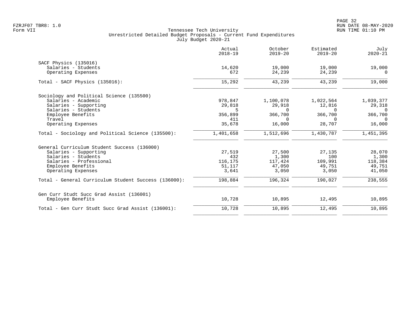|                                                      | Actual<br>$2018 - 19$ | October<br>$2019 - 20$ | Estimated<br>$2019 - 20$ | July<br>$2020 - 21$ |
|------------------------------------------------------|-----------------------|------------------------|--------------------------|---------------------|
| SACF Physics (135016)                                |                       |                        |                          |                     |
| Salaries - Students                                  | 14,620                | 19,000                 | 19,000                   | 19,000              |
| Operating Expenses                                   | 672                   | 24,239                 | 24,239                   | $\Omega$            |
| $Total - SACF Physics (135016):$                     | 15,292                | 43,239                 | 43,239                   | 19,000              |
| Sociology and Political Science (135500)             |                       |                        |                          |                     |
| Salaries - Academic                                  | 978,847               | 1,100,078              | 1,022,564                | 1,039,377           |
| Salaries - Supporting                                | 29,818                | 29,918                 | 12,816                   | 29,318              |
| Salaries - Students                                  | 5                     | $\Omega$               | $\Omega$                 | $\Omega$            |
| Employee Benefits                                    | 356,899               | 366,700                | 366,700                  | 366,700             |
| Travel                                               | 411                   | $\Omega$               | $\Omega$                 | $\Omega$            |
| Operating Expenses                                   | 35,678                | 16,000                 | 28,707                   | 16,000              |
| Total - Sociology and Political Science (135500):    | 1,401,658             | 1,512,696              | 1,430,787                | 1,451,395           |
| General Curriculum Student Success (136000)          |                       |                        |                          |                     |
| Salaries - Supporting                                | 27,519                | 27,500                 | 27,135                   | 28,070              |
| Salaries - Students                                  | 432                   | 1,300                  | 100                      | 1,300               |
| Salaries - Professional                              | 116,175               | 117,424                | 109,991                  | 118,384             |
| Employee Benefits                                    | 51,117                | 47,050                 | 49,751                   | 49,751              |
| Operating Expenses                                   | 3,641                 | 3,050                  | 3,050                    | 41,050              |
| Total - General Curriculum Student Success (136000): | 198,884               | 196,324                | 190,027                  | 238,555             |
| Gen Curr Studt Succ Grad Assist (136001)             |                       |                        |                          |                     |
| Employee Benefits                                    | 10,728                | 10,895                 | 12,495                   | 10,895              |
| Total - Gen Curr Studt Succ Grad Assist (136001):    | 10,728                | 10,895                 | 12,495                   | 10,895              |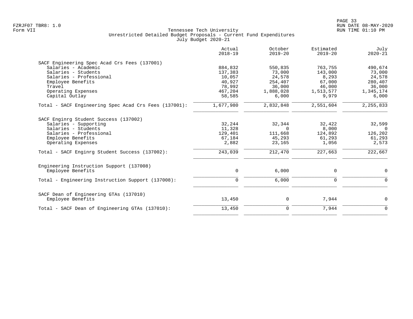| Actual<br>$2018 - 19$ | October<br>$2019 - 20$ | Estimated<br>$2019 - 20$ | July<br>$2020 - 21$ |
|-----------------------|------------------------|--------------------------|---------------------|
|                       |                        |                          |                     |
| 884,832               | 550,835                | 763,755                  | 490,674             |
| 137,383               | 73,000                 | 143,000                  | 73,000              |
| 10,057                | 24,578                 | 8,293                    | 24,578              |
| 40,927                | 254,407                | 67,000                   | 280,407             |
| 78,992                | 36,000                 | 46,000                   | 36,000              |
| 467,204               | 1,888,028              | 1,513,577                | 1,345,174           |
| 58,585                | 6,000                  | 9,979                    | 6,000               |
| 1,677,980             | 2,832,848              | 2,551,604                | 2,255,833           |
|                       |                        |                          |                     |
|                       |                        |                          | 32,599              |
|                       | $\Omega$               |                          | $\cap$              |
| 129,401               | 111,668                | 124,892                  | 126,202             |
| 67,184                | 45,293                 | 61,293                   | 61,293              |
| 2,882                 | 23,165                 | 1,056                    | 2,573               |
| 243,039               | 212,470                | 227,663                  | 222,667             |
|                       |                        |                          |                     |
| $\mathbf 0$           | 6,000                  | 0                        | $\mathbf 0$         |
| 0                     | 6,000                  | 0                        | 0                   |
|                       |                        |                          |                     |
| 13,450                | 0                      | 7,944                    | $\mathbf 0$         |
|                       |                        |                          |                     |
|                       | 32,244<br>11,328       | 32,344                   | 32,422<br>8,000     |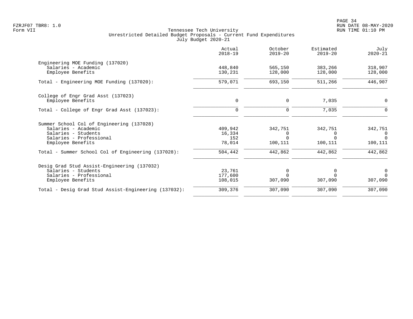|                                                      | Actual<br>$2018 - 19$ | October<br>$2019 - 20$ | Estimated<br>$2019 - 20$ | July<br>$2020 - 21$ |
|------------------------------------------------------|-----------------------|------------------------|--------------------------|---------------------|
| Engineering MOE Funding (137020)                     |                       |                        |                          |                     |
| Salaries - Academic                                  | 448,840               | 565,150                | 383,266                  | 318,907             |
| Employee Benefits                                    | 130,231               | 128,000                | 128,000                  | 128,000             |
| Total - Engineering MOE Funding (137020):            | 579,071               | 693,150                | 511,266                  | 446,907             |
| College of Engr Grad Asst (137023)                   |                       |                        |                          |                     |
| Employee Benefits                                    | 0                     | 0                      | 7,035                    | 0                   |
| Total - College of Engr Grad Asst (137023):          | $\mathbf 0$           | $\mathbf 0$            | 7,035                    | 0                   |
| Summer School Col of Engineering (137028)            |                       |                        |                          |                     |
| Salaries - Academic                                  | 409,942               | 342,751                | 342,751                  | 342,751             |
| Salaries - Students                                  | 16,334                | 0                      | 0                        | 0                   |
| Salaries - Professional                              | 152                   | $\Omega$               |                          | $\Omega$            |
| Employee Benefits                                    | 78,014                | 100,111                | 100,111                  | 100,111             |
| Total - Summer School Col of Engineering (137028):   | 504,442               | 442,862                | 442,862                  | 442,862             |
| Desig Grad Stud Assist-Engineering (137032)          |                       |                        |                          |                     |
| Salaries - Students                                  | 23,761                | $\Omega$               |                          | 0                   |
| Salaries - Professional                              | 177,600               |                        | $\Omega$                 | $\Omega$            |
| Employee Benefits                                    | 108,015               | 307,090                | 307,090                  | 307,090             |
| Total - Desig Grad Stud Assist-Engineering (137032): | 309,376               | 307,090                | 307,090                  | 307,090             |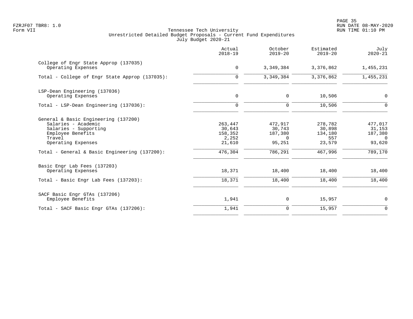PAGE 35 FZRJF07 TBR8: 1.0 RUN DATE 08-MAY-2020

|                                                                                                                                                                                            | Actual<br>$2018 - 19$                                      | October<br>$2019 - 20$                                        | Estimated<br>$2019 - 20$                                 | July<br>$2020 - 21$                                            |
|--------------------------------------------------------------------------------------------------------------------------------------------------------------------------------------------|------------------------------------------------------------|---------------------------------------------------------------|----------------------------------------------------------|----------------------------------------------------------------|
| College of Engr State Approp (137035)<br>Operating Expenses                                                                                                                                | $\mathbf 0$                                                | 3,349,384                                                     | 3,376,862                                                | 1,455,231                                                      |
| Total - College of Engr State Approp (137035):                                                                                                                                             | 0                                                          | 3,349,384                                                     | 3,376,862                                                | 1,455,231                                                      |
| LSP-Dean Engineering (137036)<br>Operating Expenses                                                                                                                                        | 0                                                          | 0                                                             | 10,506                                                   | 0                                                              |
| Total - LSP-Dean Engineering (137036):                                                                                                                                                     | $\mathbf 0$                                                | 0                                                             | 10,506                                                   | 0                                                              |
| General & Basic Engineering (137200)<br>Salaries - Academic<br>Salaries - Supporting<br>Employee Benefits<br>Travel<br>Operating Expenses<br>Total - General & Basic Engineering (137200): | 263,447<br>30,643<br>158,352<br>2,252<br>21,610<br>476,304 | 472,917<br>30,743<br>187,380<br>$\Omega$<br>95,251<br>786,291 | 278,782<br>30,898<br>134,180<br>557<br>23,579<br>467,996 | 477,017<br>31,153<br>187,380<br>$\Omega$<br>93,620<br>789, 170 |
| Basic Engr Lab Fees (137203)<br>Operating Expenses                                                                                                                                         | 18,371                                                     | 18,400                                                        | 18,400                                                   | 18,400                                                         |
| Total - Basic Engr Lab Fees (137203):                                                                                                                                                      | 18,371                                                     | 18,400                                                        | 18,400                                                   | 18,400                                                         |
| SACF Basic Engr GTAs (137206)<br>Employee Benefits                                                                                                                                         | 1,941                                                      | 0                                                             | 15,957                                                   | 0                                                              |
| Total - SACF Basic Engr GTAs (137206):                                                                                                                                                     | 1,941                                                      | $\mathbf 0$                                                   | 15,957                                                   | $\Omega$                                                       |
|                                                                                                                                                                                            |                                                            |                                                               |                                                          |                                                                |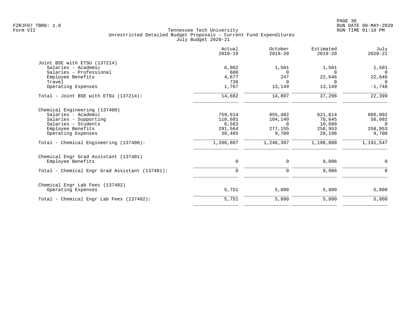|                                                | Actual<br>$2018 - 19$ | October<br>$2019 - 20$ | Estimated<br>$2019 - 20$ | July<br>$2020 - 21$ |
|------------------------------------------------|-----------------------|------------------------|--------------------------|---------------------|
| Joint BSE with ETSU (137214)                   |                       |                        |                          |                     |
| Salaries - Academic                            | 6,902                 | 1,501                  | 1,501                    | 1,501               |
| Salaries - Professional                        | 600                   | $\Omega$               | $\Omega$                 | $\Omega$            |
| Employee Benefits                              | 4,677                 | 247                    | 22,646                   | 22,646              |
| Travel                                         | 736                   | $\Omega$               | $\Omega$                 | $\Omega$            |
| Operating Expenses                             | 1,767                 | 13,149                 | 13,149                   | $-1,748$            |
| Total - Joint BSE with ETSU (137214):          | 14,682                | 14,897                 | 37,296                   | 22,399              |
| Chemical Engineering (137400)                  |                       |                        |                          |                     |
| Salaries - Academic                            | 759,614               | 855,402                | 821,614                  | 866,802             |
| Salaries - Supporting                          | 110,601               | 104,140                | 78,645                   | 56,092              |
| Salaries - Students                            | 6,563                 | $\Omega$               | 10,680                   | $\Omega$            |
| Employee Benefits                              | 291,564               | 277,155                | 258,953                  | 258,953             |
| Operating Expenses                             | 38,465                | 9,700                  | 28,196                   | 9,700               |
| Total - Chemical Engineering (137400):         | 1,206,807             | 1,246,397              | 1,198,088                | 1,191,547           |
| Chemical Engr Grad Assistant (137401)          |                       |                        |                          |                     |
| Employee Benefits                              | 0                     | $\mathbf 0$            | 9,006                    | $\mathbf 0$         |
| Total - Chemical Engr Grad Assistant (137401): | $\mathbf 0$           | 0                      | 9,006                    | $\Omega$            |
| Chemical Engr Lab Fees (137402)                |                       |                        |                          |                     |
| Operating Expenses                             | 5,751                 | 5,800                  | 5,800                    | 5,800               |
| Total - Chemical Engr Lab Fees (137402):       | 5,751                 | 5,800                  | 5,800                    | 5,800               |
|                                                |                       |                        |                          |                     |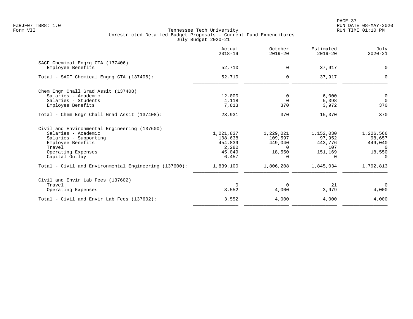PAGE 37 FZRJF07 TBR8: 1.0 RUN DATE 08-MAY-2020

|                                                       | Actual<br>$2018 - 19$ | October<br>$2019 - 20$ | Estimated<br>$2019 - 20$ | July<br>$2020 - 21$ |
|-------------------------------------------------------|-----------------------|------------------------|--------------------------|---------------------|
| SACF Chemical Engrg GTA (137406)                      |                       |                        |                          |                     |
| Employee Benefits                                     | 52,710                | $\mathbf 0$            | 37,917                   | $\mathbf 0$         |
| Total - SACF Chemical Engrg GTA (137406):             | 52,710                | $\mathbf 0$            | 37,917                   | $\Omega$            |
| Chem Engr Chall Grad Assit (137408)                   |                       |                        |                          |                     |
| Salaries - Academic                                   | 12,000                | 0                      | 6,000                    | $\overline{0}$      |
| Salaries - Students                                   | 4,118                 | $\Omega$               | 5,398                    | $\overline{0}$      |
| Employee Benefits                                     | 7,813                 | 370                    | 3,972                    | 370                 |
| Total - Chem Engr Chall Grad Assit (137408):          | 23,931                | 370                    | 15,370                   | 370                 |
| Civil and Environmental Engineering (137600)          |                       |                        |                          |                     |
| Salaries - Academic                                   | 1,221,837             | 1,229,021              | 1,152,030                | 1,226,566           |
| Salaries - Supporting                                 | 108,638               | 109,597                | 97,952                   | 98,657              |
| Employee Benefits                                     | 454,839               | 449,040                | 443,776                  | 449,040             |
| Travel                                                | 2,280                 | $\Omega$               | 107                      | $\Omega$            |
| Operating Expenses                                    | 45,049                | 18,550                 | 151,169                  | 18,550              |
| Capital Outlay                                        | 6,457                 | $\Omega$               | $\Omega$                 | $\Omega$            |
| Total - Civil and Environmental Engineering (137600): | 1,839,100             | 1,806,208              | 1,845,034                | 1,792,813           |
| Civil and Envir Lab Fees (137602)                     |                       |                        |                          |                     |
| Travel                                                | $\Omega$              | $\Omega$               | 21                       | $\Omega$            |
| Operating Expenses                                    | 3,552                 | 4,000                  | 3,979                    | 4,000               |
| Total - Civil and Envir Lab Fees (137602):            | 3,552                 | 4,000                  | 4,000                    | 4,000               |
|                                                       |                       |                        |                          |                     |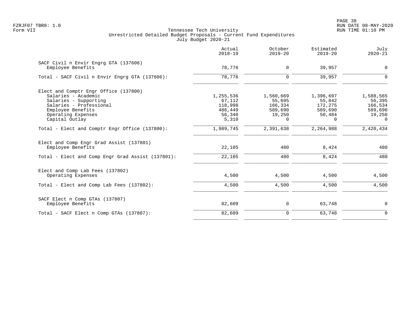PAGE 38 FZRJF07 TBR8: 1.0 RUN DATE 08-MAY-2020

|                                                               | Actual<br>$2018 - 19$ | October<br>$2019 - 20$ | Estimated<br>$2019 - 20$ | July<br>$2020 - 21$ |
|---------------------------------------------------------------|-----------------------|------------------------|--------------------------|---------------------|
| SACF Civil n Envir Engrg GTA (137606)<br>Employee Benefits    | 78,776                | 0                      | 39,957                   | $\mathbf 0$         |
| Total - SACF Civil n Envir Engrg GTA (137606):                | 78,776                | $\Omega$               | 39,957                   | $\Omega$            |
| Elect and Comptr Engr Office (137800)                         |                       |                        |                          |                     |
| Salaries - Academic                                           | 1,255,536             | 1,560,669              | 1,396,697                | 1,588,565           |
| Salaries - Supporting                                         | 67,112                | 55,695                 | 55,842                   | 56,395              |
| Salaries - Professional                                       | 118,998               | 166,334                | 172,275                  | 166,534             |
| Employee Benefits                                             | 486,449               | 589,690                | 589,690                  | 589,690             |
| Operating Expenses                                            | 56,340                | 19,250                 | 50,484                   | 19,250              |
| Capital Outlay                                                | 5,310                 | $\Omega$               | $\Omega$                 | $\Omega$            |
| Total - Elect and Comptr Engr Office (137800):                | 1,989,745             | 2,391,638              | 2,264,988                | 2,420,434           |
| Elect and Comp Engr Grad Assist (137801)<br>Employee Benefits | 22,105                | 480                    | 8,424                    | 480                 |
| Total - Elect and Comp Engr Grad Assist (137801):             | 22,105                | 480                    | 8,424                    | 480                 |
| Elect and Comp Lab Fees (137802)                              |                       |                        |                          |                     |
| Operating Expenses                                            | 4,500                 | 4,500                  | 4,500                    | 4,500               |
| Total - Elect and Comp Lab Fees (137802):                     | 4,500                 | 4,500                  | 4,500                    | 4,500               |
| SACF Elect n Comp GTAs (137807)                               |                       |                        |                          |                     |
| Employee Benefits                                             | 82,609                | 0                      | 63,748                   | $\mathbf 0$         |
| Total - SACF Elect n Comp GTAs (137807):                      | 82,609                | $\mathbf 0$            | 63,748                   | $\mathbf 0$         |
|                                                               |                       |                        |                          |                     |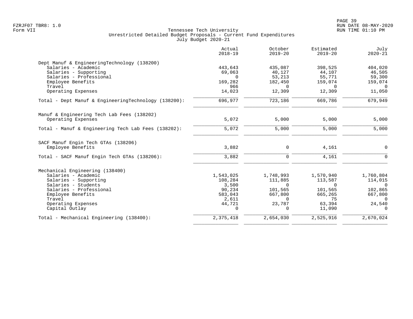|                                                      | Actual<br>$2018 - 19$ | October<br>$2019 - 20$ | Estimated<br>$2019 - 20$ | July<br>$2020 - 21$ |
|------------------------------------------------------|-----------------------|------------------------|--------------------------|---------------------|
| Dept Manuf & EngineeringTechnology (138200)          |                       |                        |                          |                     |
| Salaries - Academic                                  | 443,643               | 435,087                | 398,525                  | 404,020             |
| Salaries - Supporting                                | 69,063                | 40,127                 | 44,107                   | 46,505              |
| Salaries - Professional                              | $\Omega$              | 53,213                 | 55,771                   | 59,300              |
| Employee Benefits                                    | 169,282               | 182,450                | 159,074                  | 159,074             |
| Travel                                               | 966                   | $\Omega$               | $\Omega$                 | $\Omega$            |
| Operating Expenses                                   | 14,023                | 12,309                 | 12,309                   | 11,050              |
| Total - Dept Manuf & EngineeringTechnology (138200): | 696,977               | 723,186                | 669,786                  | 679,949             |
| Manuf & Engineering Tech Lab Fees (138202)           |                       |                        |                          |                     |
| Operating Expenses                                   | 5,072                 | 5,000                  | 5,000                    | 5,000               |
| Total - Manuf & Engineering Tech Lab Fees (138202):  | 5,072                 | 5,000                  | 5,000                    | 5,000               |
| SACF Manuf Engin Tech GTAs (138206)                  |                       |                        |                          |                     |
| Employee Benefits                                    | 3,882                 | $\Omega$               | 4,161                    | $\overline{0}$      |
| Total - SACF Manuf Engin Tech GTAs (138206):         | 3,882                 | $\Omega$               | 4,161                    | $\Omega$            |
| Mechanical Engineering (138400)                      |                       |                        |                          |                     |
| Salaries - Academic                                  | 1,543,025             | 1,748,993              | 1,570,940                | 1,760,804           |
| Salaries - Supporting                                | 108,284               | 111,885                | 113,587                  | 114,015             |
| Salaries - Students                                  | 3,500                 | $\Omega$               | $\Omega$                 | $\Omega$            |
| Salaries - Professional                              | 90,234                | 101,565                | 101,565                  | 102,865             |
| Employee Benefits                                    | 583,043               | 667,800                | 665,265                  | 667,800             |
| Travel                                               | 2,611                 | $\Omega$               | 75                       | $\Omega$            |
| Operating Expenses                                   | 44,721                | 23,787                 | 63,394                   | 24,540              |
| Capital Outlay                                       | $\mathbf 0$           | $\Omega$               | 11,090                   | $\Omega$            |
| Total - Mechanical Engineering (138400):             | 2,375,418             | 2,654,030              | 2,525,916                | 2,670,024           |
|                                                      |                       |                        |                          |                     |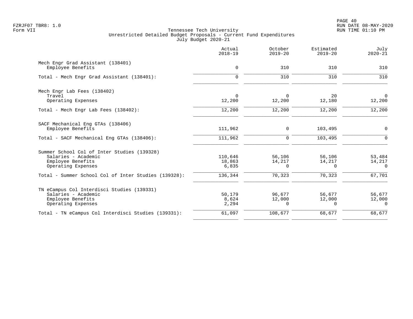PAGE 40 FZRJF07 TBR8: 1.0 RUN DATE 08-MAY-2020

|                                                        | Actual<br>$2018 - 19$ | October<br>$2019 - 20$   | Estimated<br>$2019 - 20$ | July<br>$2020 - 21$      |
|--------------------------------------------------------|-----------------------|--------------------------|--------------------------|--------------------------|
| Mech Engr Grad Assistant (138401)<br>Employee Benefits | 0                     | 310                      | 310                      | 310                      |
| Total - Mech Engr Grad Assistant (138401):             | $\Omega$              | 310                      | 310                      | 310                      |
| Mech Engr Lab Fees (138402)                            |                       |                          |                          |                          |
| Travel<br>Operating Expenses                           | 0<br>12,200           | $\overline{0}$<br>12,200 | 20<br>12,180             | $\mathsf{O}$<br>12,200   |
| Total - Mech Engr Lab Fees (138402):                   | 12,200                | 12,200                   | 12,200                   | 12,200                   |
| SACF Mechanical Eng GTAs (138406)                      |                       |                          |                          |                          |
| Employee Benefits                                      | 111,962               | 0                        | 103,495                  | $\overline{0}$           |
| Total - SACF Mechanical Eng GTAs (138406):             | 111,962               | $\mathbf 0$              | 103,495                  | $\mathbf 0$              |
| Summer School Col of Inter Studies (139328)            |                       |                          |                          |                          |
| Salaries - Academic                                    | 110,646               | 56,106                   | 56,106                   | 53,484                   |
| Employee Benefits<br>Operating Expenses                | 18,863<br>6,835       | 14,217<br>$\Omega$       | 14,217<br>$\Omega$       | 14,217<br>$\Omega$       |
| Total - Summer School Col of Inter Studies (139328):   | 136,344               | 70,323                   | 70,323                   | 67,701                   |
| TN eCampus Col Interdisci Studies (139331)             |                       |                          |                          |                          |
| Salaries - Academic                                    | 50,179                | 96,677                   | 56,677                   | 56,677                   |
| Employee Benefits<br>Operating Expenses                | 8,624<br>2,294        | 12,000<br>0              | 12,000<br>$\Omega$       | 12,000<br>$\overline{0}$ |
| Total - TN eCampus Col Interdisci Studies (139331):    | 61,097                | 108,677                  | 68,677                   | 68,677                   |
|                                                        |                       |                          |                          |                          |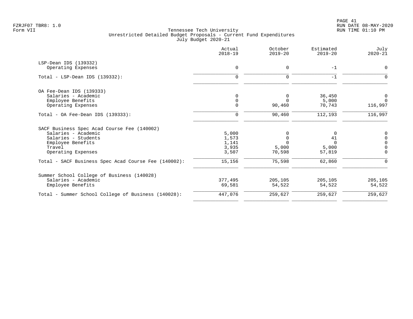| 0<br>$\Omega$ | 0           | $-1$     |             |
|---------------|-------------|----------|-------------|
|               |             |          |             |
|               |             |          | $\Omega$    |
|               | $\mathbf 0$ | $-1$     |             |
|               |             |          |             |
| 0             | 0           | 36,450   | 0           |
| $\mathbf 0$   | $\Omega$    | 5,000    | $\Omega$    |
| $\mathbf 0$   | 90,460      | 70,743   | 116,997     |
| 0             | 90,460      | 112,193  | 116,997     |
|               |             |          |             |
| 5,000         | 0           | 0        |             |
| 1,573         | 0           | 41       | $\Omega$    |
| 1,141         | $\Omega$    | $\Omega$ | 0           |
| 3,935         | 5,000       | 5,000    | 0           |
| 3,507         | 70,598      | 57,819   | $\Omega$    |
| 15,156        | 75,598      | 62,860   | $\mathbf 0$ |
|               |             |          |             |
| 377,495       | 205,105     | 205,105  | 205,105     |
| 69,581        | 54,522      | 54,522   | 54,522      |
| 447,076       | 259,627     | 259,627  | 259,627     |
|               |             |          |             |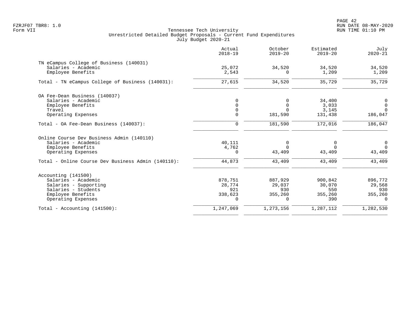|                                                    | Actual<br>$2018 - 19$ | October<br>$2019 - 20$ | Estimated<br>$2019 - 20$ | July<br>$2020 - 21$ |
|----------------------------------------------------|-----------------------|------------------------|--------------------------|---------------------|
| TN eCampus College of Business (140031)            |                       |                        |                          |                     |
| Salaries - Academic<br>Employee Benefits           | 25,072<br>2,543       | 34,520<br>$\Omega$     | 34,520<br>1,209          | 34,520<br>1,209     |
| Total - TN eCampus College of Business (140031):   | 27,615                | 34,520                 | 35,729                   | 35,729              |
| OA Fee-Dean Business (140037)                      |                       |                        |                          |                     |
| Salaries - Academic                                | $\Omega$              | $\Omega$               | 34,400                   | 0                   |
| Employee Benefits                                  | $\Omega$              | $\mathbf 0$            | 3,033                    | $\mathbf 0$         |
| Travel                                             | 0                     | $\Omega$               | 3,145                    | $\overline{0}$      |
| Operating Expenses                                 | 0                     | 181,590                | 131,438                  | 186,047             |
| Total - OA Fee-Dean Business (140037):             | $\mathbf 0$           | 181,590                | 172,016                  | 186,047             |
| Online Course Dev Business Admin (140110)          |                       |                        |                          |                     |
| Salaries - Academic                                | 40,111                | $\mathbf 0$            | 0                        | $\mathsf{O}$        |
| Employee Benefits                                  | 4,762                 | $\Omega$               | $\Omega$                 | $\Omega$            |
| Operating Expenses                                 | 0                     | 43,409                 | 43,409                   | 43,409              |
| Total - Online Course Dev Business Admin (140110): | 44,873                | 43,409                 | 43,409                   | 43,409              |
| Accounting (141500)                                |                       |                        |                          |                     |
| Salaries - Academic                                | 878,751               | 887,929                | 900,842                  | 896,772             |
| Salaries - Supporting                              | 28,774                | 29,037                 | 30,070                   | 29,568              |
| Salaries - Students                                | 921                   | 930                    | 550                      | 930                 |
| Employee Benefits                                  | 338,623               | 355,260                | 355,260                  | 355,260             |
| Operating Expenses                                 | $\Omega$              | $\Omega$               | 390                      | $\Omega$            |
| Total - Accounting (141500):                       | 1,247,069             | 1,273,156              | 1,287,112                | 1,282,530           |
|                                                    |                       |                        |                          |                     |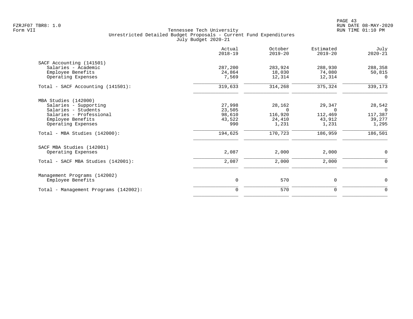|                                       | Actual<br>$2018 - 19$ | October<br>$2019 - 20$ | Estimated<br>$2019 - 20$ | July<br>$2020 - 21$ |
|---------------------------------------|-----------------------|------------------------|--------------------------|---------------------|
| SACF Accounting (141501)              |                       |                        |                          |                     |
| Salaries - Academic                   | 287,200               | 283,924                | 288,930                  | 288,358             |
| Employee Benefits                     | 24,864                | 18,030                 | 74,080                   | 50,815              |
| Operating Expenses                    | 7,569                 | 12,314                 | 12,314                   | 0                   |
| Total - SACF Accounting (141501):     | 319,633               | 314,268                | 375,324                  | 339,173             |
| MBA Studies (142000)                  |                       |                        |                          |                     |
| Salaries - Supporting                 | 27,998                | 28,162                 | 29,347                   | 28,542              |
| Salaries - Students                   | 23,505                | $\Omega$               | $\Omega$                 | $\mathbf 0$         |
| Salaries - Professional               | 98,610                | 116,920                | 112,469                  | 117,387             |
| Employee Benefits                     | 43,522                | 24,410                 | 43,912                   | 39,277              |
| Operating Expenses                    | 990                   | 1,231                  | 1,231                    | 1,295               |
| Total - MBA Studies (142000):         | 194,625               | 170,723                | 186,959                  | 186,501             |
| SACF MBA Studies (142001)             |                       |                        |                          |                     |
| Operating Expenses                    | 2,087                 | 2,000                  | 2,000                    | $\mathbf 0$         |
| Total - SACF MBA Studies (142001):    | 2,087                 | 2,000                  | 2,000                    | $\mathbf 0$         |
| Management Programs (142002)          |                       |                        |                          |                     |
| Employee Benefits                     | 0                     | 570                    | 0                        | $\mathbf 0$         |
| Total - Management Programs (142002): | $\mathbf 0$           | 570                    | 0                        | 0                   |
|                                       |                       |                        |                          |                     |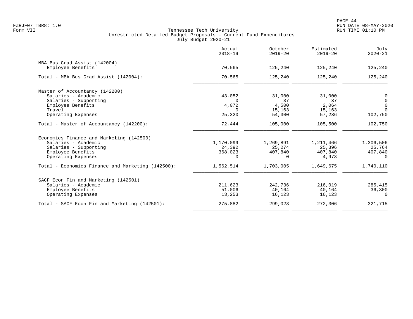|                                                   | Actual<br>$2018 - 19$ | October<br>$2019 - 20$ | Estimated<br>$2019 - 20$ | July<br>$2020 - 21$ |
|---------------------------------------------------|-----------------------|------------------------|--------------------------|---------------------|
| MBA Bus Grad Assist (142004)                      |                       |                        |                          |                     |
| Employee Benefits                                 | 70,565                | 125,240                | 125,240                  | 125,240             |
| Total - MBA Bus Grad Assist (142004):             | 70,565                | 125,240                | 125,240                  | 125,240             |
| Master of Accountancy (142200)                    |                       |                        |                          |                     |
| Salaries - Academic                               | 43,052                | 31,000                 | 31,000                   | $0$ 0               |
| Salaries - Supporting                             | $\Omega$              | 37                     | 37                       | $\mathsf 0$         |
| Employee Benefits<br>Travel                       | 4,072<br>$\Omega$     | 4,500                  | 2,064                    | $\Omega$            |
| Operating Expenses                                | 25,320                | 15,163<br>54,300       | 15,163<br>57,236         | 102,750             |
|                                                   |                       |                        |                          |                     |
| Total - Master of Accountancy (142200):           | 72,444                | 105,000                | 105,500                  | 102,750             |
| Economics Finance and Marketing (142500)          |                       |                        |                          |                     |
| Salaries - Academic                               | 1,170,099             | 1,269,891              | 1,211,466                | 1,306,506           |
| Salaries - Supporting                             | 24,392                | 25,274                 | 25,396                   | 25,764              |
| Employee Benefits                                 | 368,023               | 407,840                | 407,840                  | 407,840             |
| Operating Expenses                                | $\Omega$              | $\Omega$               | 4,973                    | $\Omega$            |
| Total - Economics Finance and Marketing (142500): | 1,562,514             | 1,703,005              | 1,649,675                | 1,740,110           |
| SACF Econ Fin and Marketing (142501)              |                       |                        |                          |                     |
| Salaries - Academic                               | 211,623               | 242,736                | 216,019                  | 285,415             |
| Employee Benefits                                 | 51,006                | 40,164                 | 40,164                   | 36,300              |
| Operating Expenses                                | 13,253                | 16,123                 | 16,123                   | $\mathbf 0$         |
| Total - SACF Econ Fin and Marketing (142501):     | 275,882               | 299,023                | 272,306                  | 321,715             |
|                                                   |                       |                        |                          |                     |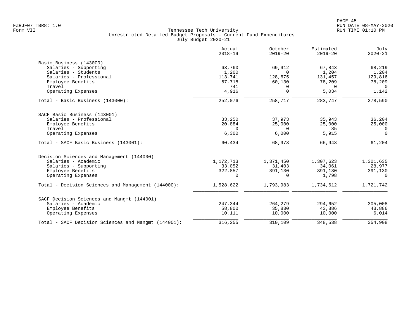|                                                     | Actual<br>$2018 - 19$ | October<br>$2019 - 20$ | Estimated<br>$2019 - 20$ | July<br>$2020 - 21$ |
|-----------------------------------------------------|-----------------------|------------------------|--------------------------|---------------------|
| Basic Business (143000)                             |                       |                        |                          |                     |
| Salaries - Supporting                               | 63,760                | 69,912                 | 67,843                   | 68,219              |
| Salaries - Students                                 | 1,200                 | $\Omega$               | 1,204                    | 1,204               |
| Salaries - Professional                             | 113,741               | 128,675                | 131,457                  | 129,816             |
| Employee Benefits                                   | 67,718                | 60,130                 | 78,209                   | 78,209              |
| Travel                                              | 741                   | $\Omega$               | $\Omega$                 | $\Omega$            |
| Operating Expenses                                  | 4,916                 | $\Omega$               | 5,034                    | 1,142               |
| Total - Basic Business (143000):                    | 252,076               | 258,717                | 283,747                  | 278,590             |
| SACF Basic Business (143001)                        |                       |                        |                          |                     |
| Salaries - Professional                             | 33,250                | 37,973                 | 35,943                   | 36,204              |
| Employee Benefits                                   | 20,884                | 25,000                 | 25,000                   | 25,000              |
| Travel                                              | 0                     | $\Omega$               | 85                       | 0                   |
| Operating Expenses                                  | 6,300                 | 6,000                  | 5,915                    | $\Omega$            |
| Total - SACF Basic Business (143001):               | 60,434                | 68,973                 | 66,943                   | 61,204              |
| Decision Sciences and Management (144000)           |                       |                        |                          |                     |
| Salaries - Academic                                 | 1,172,713             | 1,371,450              | 1,307,623                | 1,301,635           |
| Salaries - Supporting                               | 33,052                | 31,403                 | 34,061                   | 28,977              |
| Employee Benefits                                   | 322,857               | 391,130                | 391,130                  | 391,130             |
| Operating Expenses                                  | $\Omega$              | $\Omega$               | 1,798                    | $\Omega$            |
| Total - Decision Sciences and Management (144000):  | 1,528,622             | 1,793,983              | 1,734,612                | 1,721,742           |
| SACF Decision Sciences and Mangmt (144001)          |                       |                        |                          |                     |
| Salaries - Academic                                 | 247,344               | 264,279                | 294,652                  | 305,008             |
| Employee Benefits                                   | 58,800                | 35,830                 | 43,886                   | 43,886              |
| Operating Expenses                                  | 10,111                | 10,000                 | 10,000                   | 6,014               |
| Total - SACF Decision Sciences and Mangmt (144001): | 316,255               | 310,109                | 348,538                  | 354,908             |
|                                                     |                       |                        |                          |                     |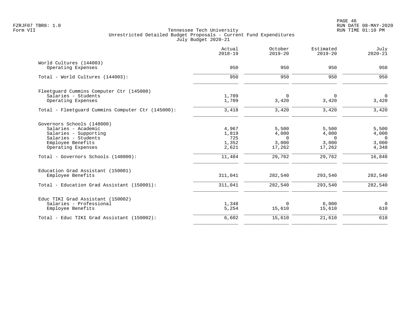|                                                   | Actual<br>$2018 - 19$ | October<br>$2019 - 20$ | Estimated<br>$2019 - 20$ | July<br>$2020 - 21$     |
|---------------------------------------------------|-----------------------|------------------------|--------------------------|-------------------------|
| World Cultures (144003)                           |                       |                        |                          |                         |
| Operating Expenses                                | 950                   | 950                    | 950                      | 950                     |
| Total - World Cultures (144003):                  | 950                   | 950                    | 950                      | 950                     |
| Fleetquard Cummins Computer Ctr (145000)          |                       |                        |                          |                         |
| Salaries - Students                               | 1,709                 | 0                      | $\Omega$                 | $\mathbf 0$             |
| Operating Expenses                                | 1,709                 | 3,420                  | 3,420                    | 3,420                   |
| Total - Fleetquard Cummins Computer Ctr (145000): | 3,418                 | 3,420                  | 3,420                    | 3,420                   |
| Governors Schools (148000)                        |                       |                        |                          |                         |
| Salaries - Academic                               | 4,967                 | 5,500                  | 5,500                    | 5,500                   |
| Salaries - Supporting                             | 1,819<br>725          | 4,000<br>$\Omega$      | 4,000<br>$\Omega$        | 4,000<br>$\overline{0}$ |
| Salaries - Students<br>Employee Benefits          | 1,352                 | 3,000                  | 3,000                    | 3,000                   |
| Operating Expenses                                | 2,621                 | 17,262                 | 17,262                   | 4,348                   |
| Total - Governors Schools (148000):               | 11,484                | 29,762                 | 29,762                   | 16,848                  |
| Education Grad Assistant (150001)                 |                       |                        |                          |                         |
| Employee Benefits                                 | 311,041               | 282,540                | 293,540                  | 282,540                 |
| Total - Education Grad Assistant (150001):        | 311,041               | 282,540                | 293,540                  | 282,540                 |
| Educ TIKI Grad Assistant (150002)                 |                       |                        |                          |                         |
| Salaries - Professional                           | 1,348                 | $\mathbf 0$            | 6,000                    | $\mathsf{O}$            |
| Employee Benefits                                 | 5,254                 | 15,610                 | 15,610                   | 610                     |
| Total - Educ TIKI Grad Assistant (150002):        | 6,602                 | 15,610                 | 21,610                   | 610                     |
|                                                   |                       |                        |                          |                         |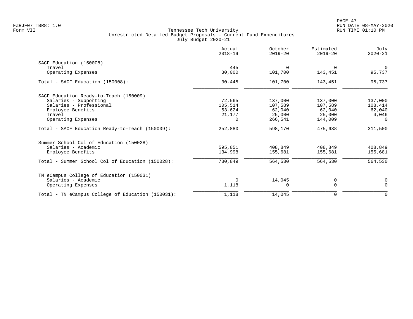|                                                   | Actual<br>$2018 - 19$ | October<br>$2019 - 20$ | Estimated<br>$2019 - 20$ | July<br>$2020 - 21$ |
|---------------------------------------------------|-----------------------|------------------------|--------------------------|---------------------|
| SACF Education (150008)                           |                       |                        |                          |                     |
| Travel                                            | 445                   | $\Omega$               | $\Omega$                 | $\mathbf 0$         |
| Operating Expenses                                | 30,000                | 101,700                | 143,451                  | 95,737              |
| Total - SACF Education (150008):                  | 30,445                | 101,700                | 143,451                  | 95,737              |
| SACF Education Ready-to-Teach (150009)            |                       |                        |                          |                     |
| Salaries - Supporting                             | 72,565                | 137,000                | 137,000                  | 137,000             |
| Salaries - Professional                           | 105,514               | 107,589                | 107,589                  | 108,414             |
| Employee Benefits                                 | 53,624                | 62,040                 | 62,040                   | 62,040              |
| Travel                                            | 21,177                | 25,000                 | 25,000                   | 4,046               |
| Operating Expenses                                | 0                     | 266,541                | 144,009                  | 0                   |
| Total - SACF Education Ready-to-Teach (150009):   | 252,880               | 598,170                | 475,638                  | 311,500             |
| Summer School Col of Education (150028)           |                       |                        |                          |                     |
| Salaries - Academic                               | 595,851               | 408,849                | 408,849                  | 408,849             |
| Employee Benefits                                 | 134,998               | 155,681                | 155,681                  | 155,681             |
| Total - Summer School Col of Education (150028):  | 730,849               | 564,530                | 564,530                  | 564,530             |
| TN eCampus College of Education (150031)          |                       |                        |                          |                     |
| Salaries - Academic                               | $\Omega$              | 14,045                 | 0                        | $\mathbf 0$         |
| Operating Expenses                                | 1,118                 | $\Omega$               | $\Omega$                 | $\Omega$            |
| Total - TN eCampus College of Education (150031): | 1,118                 | 14,045                 | 0                        | 0                   |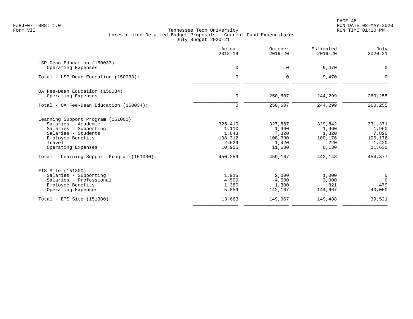PAGE 48 FZRJF07 TBR8: 1.0 RUN DATE 08-MAY-2020

|                                            | Actual<br>$2018 - 19$ | October<br>$2019 - 20$ | Estimated<br>$2019 - 20$ | July<br>$2020 - 21$ |
|--------------------------------------------|-----------------------|------------------------|--------------------------|---------------------|
| LSP-Dean Education (150033)                |                       |                        |                          |                     |
| Operating Expenses                         | $\mathbf 0$           | 0                      | 9,470                    | 0                   |
| Total - LSP-Dean Education (150033):       | $\mathbf 0$           | $\Omega$               | 9,470                    | $\Omega$            |
| OA Fee-Dean Education (150034)             |                       |                        |                          |                     |
| Operating Expenses                         | $\mathbf 0$           | 250,607                | 244,299                  | 260,255             |
| Total - OA Fee-Dean Education (150034):    | $\mathbf 0$           | 250,607                | 244,299                  | 260,255             |
| Learning Support Program (151000)          |                       |                        |                          |                     |
| Salaries - Academic                        | 325,410               | 327,887                | 329,842                  | 331,371             |
| Salaries - Supporting                      | 1,110                 | 1,960                  | 1,960                    | 1,960               |
| Salaries - Students                        | 1,843<br>108,312      | 7,820                  | 1,820<br>100,176         | 7,820               |
| Employee Benefits<br>Travel                | 2,629                 | 108,390<br>1,420       | 220                      | 100,176<br>1,420    |
| Operating Expenses                         | 10,955                | 11,630                 | 8,130                    | 11,630              |
| Total - Learning Support Program (151000): | 450,259               | 459,107                | 442,148                  | 454,377             |
| ETS Site (151300)                          |                       |                        |                          |                     |
| Salaries - Supporting                      | 1,915                 | 2,000                  | 1,000                    | $\overline{0}$      |
| Salaries - Professional                    | 4,509                 | 4,500                  | 3,000                    | $\Omega$            |
| Employee Benefits                          | 1,380                 | 1,300                  | 821                      | $-479$              |
| Operating Expenses                         | 5,859                 | 142,167                | 144,667                  | 40,000              |
| Total - ETS Site $(151300)$ :              | 13,663                | 149,967                | 149,488                  | 39,521              |
|                                            |                       |                        |                          |                     |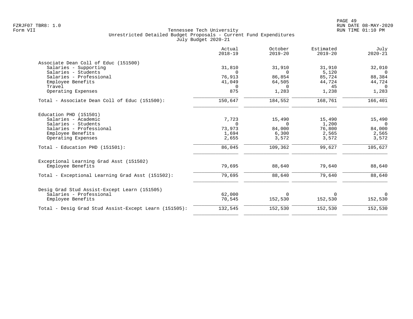|                                                       | Actual<br>$2018 - 19$ | October<br>$2019 - 20$ | Estimated<br>$2019 - 20$ | July<br>$2020 - 21$ |
|-------------------------------------------------------|-----------------------|------------------------|--------------------------|---------------------|
| Associate Dean Coll of Educ (151500)                  |                       |                        |                          |                     |
| Salaries - Supporting                                 | 31,810                | 31,910                 | 31,910                   | 32,010              |
| Salaries - Students                                   | $\Omega$              | $\Omega$               | 5,120                    | $\Omega$            |
| Salaries - Professional                               | 76,913                | 86,854                 | 85,724                   | 88,384              |
| Employee Benefits<br>Travel                           | 41,049<br>$\Omega$    | 64,505<br>$\Omega$     | 44,724<br>45             | 44,724<br>$\Omega$  |
| Operating Expenses                                    | 875                   | 1,283                  | 1,238                    | 1,283               |
| Total - Associate Dean Coll of Educ (151500):         | 150,647               | 184,552                | 168,761                  | 166, 401            |
| Education PHD (151501)                                |                       |                        |                          |                     |
| Salaries - Academic                                   | 7,723                 | 15,490                 | 15,490                   | 15,490              |
| Salaries - Students                                   | $\Omega$              | $\Omega$               | 1,200                    | $\overline{0}$      |
| Salaries - Professional                               | 73,973                | 84,000                 | 76,800                   | 84,000              |
| Employee Benefits                                     | 1,694                 | 6,300                  | 2,565                    | 2,565               |
| Operating Expenses                                    | 2,655                 | 3,572                  | 3,572                    | 3,572               |
| Total - Education PHD $(151501)$ :                    | 86,045                | 109,362                | 99,627                   | 105,627             |
| Exceptional Learning Grad Asst (151502)               |                       |                        |                          |                     |
| Employee Benefits                                     | 79,695                | 88,640                 | 79,640                   | 88,640              |
| Total - Exceptional Learning Grad Asst (151502):      | 79,695                | 88,640                 | 79,640                   | 88,640              |
| Desig Grad Stud Assist-Except Learn (151505)          |                       |                        |                          |                     |
| Salaries - Professional                               | 62,000                | $\Omega$               | $\Omega$                 | $\Omega$            |
| Employee Benefits                                     | 70,545                | 152,530                | 152,530                  | 152,530             |
| Total - Desig Grad Stud Assist-Except Learn (151505): | 132,545               | 152,530                | 152,530                  | 152,530             |
|                                                       |                       |                        |                          |                     |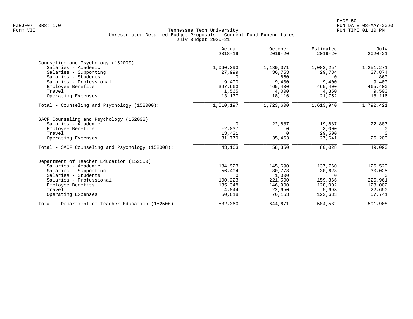| Actual<br>$2018 - 19$ | October<br>$2019 - 20$              | Estimated<br>$2019 - 20$            | July<br>$2020 - 21$                 |
|-----------------------|-------------------------------------|-------------------------------------|-------------------------------------|
|                       |                                     |                                     |                                     |
| 1,060,393             | 1,189,071                           | 1,083,254                           | 1,251,271                           |
| 27,999                | 36,753                              | 29,784                              | 37,874                              |
| $\Omega$              | 860                                 | $\Omega$                            | 860                                 |
|                       |                                     |                                     | 9,400                               |
|                       |                                     |                                     | 465,400                             |
|                       |                                     |                                     | 9,500                               |
|                       |                                     |                                     | 18,116                              |
| 1,510,197             | 1,723,600                           | 1,613,940                           | 1,792,421                           |
|                       |                                     |                                     |                                     |
| $\mathbf 0$           | 22,887                              | 19,887                              | 22,887                              |
| $-2,037$              | 0                                   | 3,000                               | 0                                   |
| 13,421                | $\Omega$                            | 29,500                              | $\Omega$                            |
| 31,779                | 35,463                              | 27,641                              | 26,203                              |
| 43,163                | 58,350                              | 80,028                              | 49,090                              |
|                       |                                     |                                     |                                     |
| 184,923               | 145,690                             | 137,760                             | 126,529                             |
| 56,404                | 30,778                              | 30,628                              | 30,025                              |
| $\Omega$              | 1,000                               | $\Omega$                            | $\Omega$                            |
| 100,223               | 221,500                             | 159,866                             | 226,961                             |
| 135,348               | 146,900                             | 128,002                             | 128,002                             |
| 4,844                 | 22,650                              | 5,693                               | 22,650                              |
| 50,618                | 76,153                              | 122,633                             | 57,741                              |
| 532,360               | 644,671                             | 584,582                             | 591,908                             |
|                       | 9,400<br>397,663<br>1,565<br>13,177 | 9,400<br>465,400<br>4,000<br>18,116 | 9,400<br>465,400<br>4,350<br>21,752 |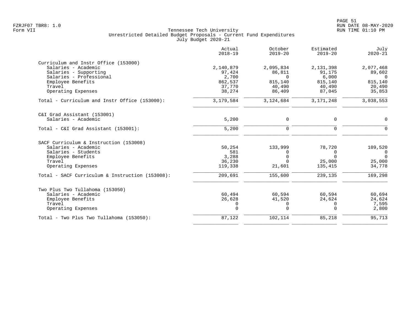|                                                 | Actual<br>$2018 - 19$ | October<br>$2019 - 20$ | Estimated<br>$2019 - 20$ | July<br>$2020 - 21$ |
|-------------------------------------------------|-----------------------|------------------------|--------------------------|---------------------|
| Curriculum and Instr Office (153000)            |                       |                        |                          |                     |
| Salaries - Academic                             | 2,140,879             | 2,095,834              | 2,131,398                | 2,077,468           |
| Salaries - Supporting                           | 97,424                | 86,811                 | 91,175                   | 89,602              |
| Salaries - Professional                         | 2,700                 | $\Omega$               | 6,000                    | $\Omega$            |
| Employee Benefits                               | 862,537               | 815,140                | 815,140                  | 815,140             |
| Travel                                          | 37,770                | 40,490                 | 40,490                   | 20,490              |
| Operating Expenses                              | 38,274                | 86,409                 | 87,045                   | 35,853              |
| Total - Curriculum and Instr Office (153000):   | 3,179,584             | 3,124,684              | 3, 171, 248              | 3,038,553           |
| C&I Grad Assistant (153001)                     |                       |                        |                          |                     |
| Salaries - Academic                             | 5,200                 | 0                      | 0                        | $\Omega$            |
|                                                 |                       |                        |                          |                     |
| Total - C&I Grad Assistant (153001):            | 5,200                 | $\Omega$               | $\Omega$                 | $\Omega$            |
| SACF Curriculum & Instruction (153008)          |                       |                        |                          |                     |
| Salaries - Academic                             | 50,254                | 133,999                | 78,720                   | 109,520             |
| Salaries - Students                             | 581                   | 0                      | $\Omega$                 | $\Omega$            |
| Employee Benefits                               | 3,288                 | $\Omega$               | $\Omega$                 | $\Omega$            |
| Travel                                          | 36,230                | $\Omega$               | 25,000                   | 25,000              |
| Operating Expenses                              | 119,338               | 21,601                 | 135,415                  | 34,778              |
| Total - SACF Curriculum & Instruction (153008): | 209,691               | 155,600                | 239,135                  | 169,298             |
| Two Plus Two Tullahoma (153050)                 |                       |                        |                          |                     |
| Salaries - Academic                             | 60,494                | 60,594                 | 60,594                   | 60,694              |
| Employee Benefits                               | 26,628                | 41,520                 | 24,624                   | 24,624              |
| Travel                                          | 0                     | 0                      | 0                        | 7,595               |
| Operating Expenses                              | $\mathbf 0$           | $\Omega$               | $\Omega$                 | 2,800               |
| Total - Two Plus Two Tullahoma (153050):        | 87,122                | 102,114                | 85,218                   | 95,713              |
|                                                 |                       |                        |                          |                     |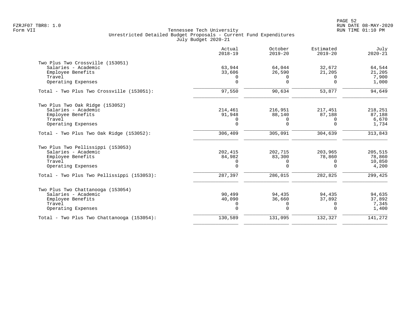|                                            | Actual<br>$2018 - 19$ | October<br>$2019 - 20$ | Estimated<br>$2019 - 20$ | July<br>$2020 - 21$ |
|--------------------------------------------|-----------------------|------------------------|--------------------------|---------------------|
| Two Plus Two Crossville (153051)           |                       |                        |                          |                     |
| Salaries - Academic                        | 63,944                | 64,044                 | 32,672                   | 64,544              |
| Employee Benefits                          | 33,606                | 26,590                 | 21,205                   | 21,205              |
| Travel<br>Operating Expenses               | 0<br>$\Omega$         | $\Omega$<br>$\Omega$   | $\Omega$<br>$\Omega$     | 7,900<br>1,000      |
| Total - Two Plus Two Crossville (153051):  | 97,550                | 90,634                 | 53,877                   | 94,649              |
| Two Plus Two Oak Ridge (153052)            |                       |                        |                          |                     |
| Salaries - Academic                        | 214,461               | 216,951                | 217,451                  | 218,251             |
| Employee Benefits                          | 91,948                | 88,140                 | 87,188                   | 87,188              |
| Travel                                     | 0                     | 0                      | $\Omega$                 | 6,670               |
| Operating Expenses                         | $\mathbf 0$           | $\Omega$               | $\Omega$                 | 1,734               |
| Total - Two Plus Two Oak Ridge (153052):   | 306,409               | 305,091                | 304,639                  | 313,843             |
| Two Plus Two Pellissippi (153053)          |                       |                        |                          |                     |
| Salaries - Academic                        | 202,415               | 202,715                | 203,965                  | 205,515             |
| Employee Benefits                          | 84,982                | 83,300                 | 78,860                   | 78,860              |
| Travel                                     | 0                     | 0                      | $\Omega$                 | 10,850              |
| Operating Expenses                         | $\Omega$              | $\Omega$               | $\cap$                   | 4,200               |
| Total - Two Plus Two Pellissippi (153053): | 287,397               | 286,015                | 282,825                  | 299,425             |
| Two Plus Two Chattanooga (153054)          |                       |                        |                          |                     |
| Salaries - Academic                        | 90,499                | 94,435                 | 94,435                   | 94,635              |
| Employee Benefits                          | 40,090                | 36,660                 | 37,892                   | 37,892              |
| Travel                                     | 0                     | $\mathbf 0$            | 0                        | 7,345               |
| Operating Expenses                         | $\mathbf 0$           | $\Omega$               | $\Omega$                 | 1,400               |
| Total - Two Plus Two Chattanooga (153054): | 130,589               | 131,095                | 132,327                  | 141,272             |
|                                            |                       |                        |                          |                     |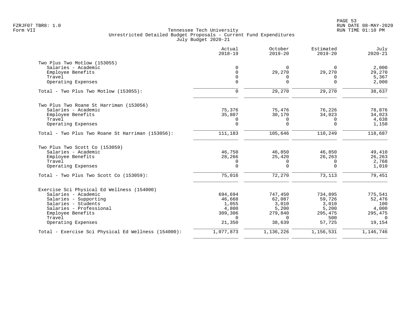|                                                     | Actual<br>$2018 - 19$ | October<br>$2019 - 20$ | Estimated<br>$2019 - 20$ | July<br>$2020 - 21$ |
|-----------------------------------------------------|-----------------------|------------------------|--------------------------|---------------------|
| Two Plus Two Motlow (153055)                        |                       |                        |                          |                     |
| Salaries - Academic                                 | $\mathbf 0$           | $\Omega$               | 0                        | 2,000               |
| Employee Benefits                                   | $\Omega$              | 29,270                 | 29,270                   | 29,270              |
| Travel                                              | $\Omega$              | <sup>0</sup>           | 0                        | 5,367               |
| Operating Expenses                                  | $\mathbf 0$           | $\Omega$               | $\Omega$                 | 2,000               |
| Total - Two Plus Two Motlow (153055):               | $\mathbf 0$           | 29,270                 | 29,270                   | 38,637              |
| Two Plus Two Roane St Harriman (153056)             |                       |                        |                          |                     |
| Salaries - Academic                                 | 75,376                | 75,476                 | 76,226                   | 78,876              |
| Employee Benefits                                   | 35,807                | 30,170                 | 34,023                   | 34,023              |
| Travel                                              | 0                     | 0                      | 0                        | 4,638               |
| Operating Expenses                                  | $\mathbf 0$           | $\Omega$               | $\Omega$                 | 1,150               |
| Total - Two Plus Two Roane St Harriman (153056):    | 111,183               | 105,646                | 110,249                  | 118,687             |
| Two Plus Two Scott Co (153059)                      |                       |                        |                          |                     |
| Salaries - Academic                                 | 46,750                | 46,850                 | 46,850                   | 49,410              |
| Employee Benefits                                   | 28,266                | 25,420                 | 26,263                   | 26,263              |
| Travel                                              | 0                     | 0                      | 0                        | 2,768               |
| Operating Expenses                                  | $\mathbf 0$           | $\Omega$               | $\Omega$                 | 1,010               |
| Total - Two Plus Two Scott Co (153059):             | 75,016                | 72,270                 | 73,113                   | 79,451              |
| Exercise Sci Physical Ed Wellness (154000)          |                       |                        |                          |                     |
| Salaries - Academic                                 | 694,694               | 747,450                | 734,895                  | 775,541             |
| Salaries - Supporting                               | 46,668                | 62,087                 | 59,726                   | 52,476              |
| Salaries - Students                                 | 1,055                 | 3,010                  | 3,010                    | 100                 |
| Salaries - Professional                             | 4,800                 | 5,200                  | 5,200                    | 4,000               |
| Employee Benefits                                   | 309,306               | 279,840                | 295,475                  | 295,475             |
| Travel                                              | $\Omega$              | $\Omega$               | 500                      | $\Omega$            |
| Operating Expenses                                  | 21,350                | 38,639                 | 57,725                   | 19,154              |
| Total - Exercise Sci Physical Ed Wellness (154000): | 1,077,873             | 1,136,226              | 1,156,531                | 1,146,746           |
|                                                     |                       |                        |                          |                     |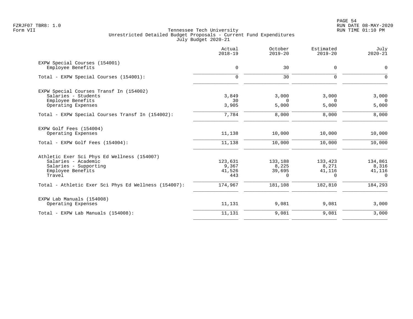|                                                      | Actual<br>$2018 - 19$ | October<br>$2019 - 20$ | Estimated<br>$2019 - 20$ | July<br>$2020 - 21$     |
|------------------------------------------------------|-----------------------|------------------------|--------------------------|-------------------------|
| EXPW Special Courses (154001)                        |                       |                        |                          |                         |
| Employee Benefits                                    | 0                     | 30                     | $\mathbf 0$              | $\mathbf 0$             |
| Total - EXPW Special Courses (154001):               | $\mathbf 0$           | 30                     | $\mathbf 0$              | 0                       |
| EXPW Special Courses Transf In (154002)              |                       |                        |                          |                         |
| Salaries - Students                                  | 3,849                 | 3,000                  | 3,000                    | 3,000                   |
| Employee Benefits<br>Operating Expenses              | 30<br>3,905           | $\Omega$<br>5,000      | $\Omega$<br>5,000        | $\overline{0}$<br>5,000 |
|                                                      |                       |                        |                          |                         |
| Total - EXPW Special Courses Transf In (154002):     | 7,784                 | 8,000                  | 8,000                    | 8,000                   |
| EXPW Golf Fees (154004)                              |                       |                        |                          |                         |
| Operating Expenses                                   | 11,138                | 10,000                 | 10,000                   | 10,000                  |
| Total - EXPW Golf Fees (154004):                     | 11,138                | 10,000                 | 10,000                   | 10,000                  |
| Athletic Exer Sci Phys Ed Wellness (154007)          |                       |                        |                          |                         |
| Salaries - Academic                                  | 123,631               | 133,188                | 133,423                  | 134,861                 |
| Salaries - Supporting<br>Employee Benefits           | 9,367<br>41,526       | 8,225<br>39,695        | 8,271<br>41,116          | 8,316<br>41,116         |
| Travel                                               | 443                   | $\Omega$               | $\Omega$                 | $\Omega$                |
| Total - Athletic Exer Sci Phys Ed Wellness (154007): | 174,967               | 181,108                | 182,810                  | 184,293                 |
| EXPW Lab Manuals (154008)                            |                       |                        |                          |                         |
| Operating Expenses                                   | 11,131                | 9,081                  | 9,081                    | 3,000                   |
| Total - EXPW Lab Manuals (154008):                   | 11,131                | 9,081                  | 9,081                    | 3,000                   |
|                                                      |                       |                        |                          |                         |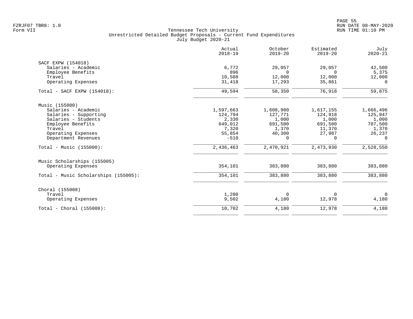|                                      | Actual<br>$2018 - 19$ | October<br>$2019 - 20$ | Estimated<br>$2019 - 20$ | July<br>$2020 - 21$ |
|--------------------------------------|-----------------------|------------------------|--------------------------|---------------------|
| SACF EXPW (154018)                   |                       |                        |                          |                     |
| Salaries - Academic                  | 6,772                 | 29,057                 | 29,057                   | 42,500              |
| Employee Benefits                    | 896                   | $\Omega$               | $\Omega$                 | 5,375               |
| Travel                               | 10,508                | 12,000                 | 12,000                   | 12,000              |
| Operating Expenses                   | 31,418                | 17,293                 | 35,861                   | $\Omega$            |
| Total - SACF EXPW (154018):          | 49,594                | 58,350                 | 76,918                   | 59,875              |
| Music (155000)                       |                       |                        |                          |                     |
| Salaries - Academic                  | 1,597,663             | 1,608,980              | 1,617,155                | 1,666,496           |
| Salaries - Supporting                | 124,794               | 127,771                | 124,918                  | 125,947             |
| Salaries - Students                  | 2,330                 | 1,000                  | 1,000                    | 1,000               |
| Employee Benefits                    | 649,012               | 691,500                | 691,500                  | 707,500             |
| Travel                               | 7,320                 | 1,370                  | 11,370                   | 1,370               |
| Operating Expenses                   | 55,854                | 40,300                 | 27,987                   | 26,237              |
| Department Revenues                  | $-510$                | $\Omega$               | $\Omega$                 | $\Omega$            |
| Total - Music $(155000)$ :           | 2,436,463             | 2,470,921              | 2,473,930                | 2,528,550           |
| Music Scholarships (155005)          |                       |                        |                          |                     |
| Operating Expenses                   | 354,101               | 383,880                | 383,880                  | 383,880             |
| Total - Music Scholarships (155005): | 354,101               | 383,880                | 383,880                  | 383,880             |
|                                      |                       |                        |                          |                     |
| Choral (155008)                      |                       |                        |                          |                     |
| Travel                               | 1,200                 | 0                      | $\Omega$                 | $\overline{0}$      |
| Operating Expenses                   | 9,502                 | 4,180                  | 12,978                   | 4,180               |
| Total - Choral $(155008)$ :          | 10,702                | 4,180                  | 12,978                   | 4,180               |
|                                      |                       |                        |                          |                     |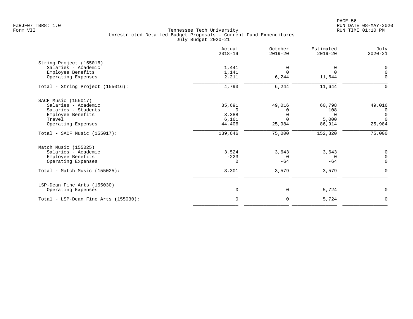|                                      | Actual<br>$2018 - 19$ | October<br>$2019 - 20$ | Estimated<br>$2019 - 20$ | July<br>$2020 - 21$ |
|--------------------------------------|-----------------------|------------------------|--------------------------|---------------------|
| String Project (155016)              |                       |                        |                          |                     |
| Salaries - Academic                  | 1,441                 | $\Omega$               | 0                        | $\mathbf 0$         |
| Employee Benefits                    | 1,141                 | $\Omega$               | $\Omega$                 | $\mathbf 0$         |
| Operating Expenses                   | 2,211                 | 6,244                  | 11,644                   | $\Omega$            |
| Total - String Project (155016):     | 4,793                 | 6,244                  | 11,644                   | ∩                   |
| SACF Music (155017)                  |                       |                        |                          |                     |
| Salaries - Academic                  | 85,691                | 49,016                 | 60,798                   | 49,016              |
| Salaries - Students                  | $\Omega$              | U                      | 108                      | 0                   |
| Employee Benefits                    | 3,388                 |                        | $\Omega$                 | $\mathbf 0$         |
| Travel                               | 6,161                 | $\Omega$               | 5,000                    | $\Omega$            |
| Operating Expenses                   | 44,406                | 25,984                 | 86,914                   | 25,984              |
| Total - SACF Music (155017):         | 139,646               | 75,000                 | 152,820                  | 75,000              |
| Match Music (155025)                 |                       |                        |                          |                     |
| Salaries - Academic                  | 3,524                 | 3,643                  | 3,643                    | 0                   |
| Employee Benefits                    | $-223$                | 0                      | $\mathbf 0$              | $\mathbf 0$         |
| Operating Expenses                   | $\Omega$              | $-64$                  | $-64$                    | $\Omega$            |
| Total - Match Music (155025):        | 3,301                 | 3,579                  | 3,579                    | $\Omega$            |
| LSP-Dean Fine Arts (155030)          |                       |                        |                          |                     |
| Operating Expenses                   | $\mathsf{O}$          | 0                      | 5,724                    | 0                   |
| Total - LSP-Dean Fine Arts (155030): | $\mathbf 0$           | 0                      | 5,724                    | $\mathbf 0$         |
|                                      |                       |                        |                          |                     |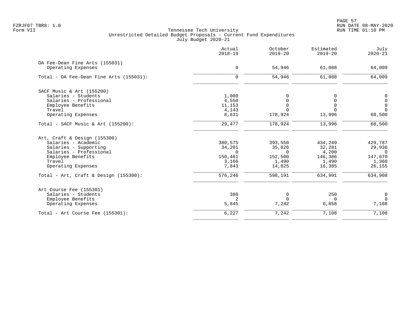PAGE 57 FZRJF07 TBR8: 1.0 RUN DATE 08-MAY-2020

|                                          | Actual<br>$2018 - 19$ | October<br>$2019 - 20$ | Estimated<br>$2019 - 20$ | July<br>$2020 - 21$ |
|------------------------------------------|-----------------------|------------------------|--------------------------|---------------------|
| OA Fee-Dean Fine Arts (155031)           |                       |                        |                          |                     |
| Operating Expenses                       | $\mathbf 0$           | 54,946                 | 61,088                   | 64,009              |
| Total - OA Fee-Dean Fine Arts (155031):  | $\Omega$              | 54,946                 | 61,088                   | 64,009              |
| SACF Music & Art (155200)                |                       |                        |                          |                     |
| Salaries - Students                      | 1,000                 |                        | O                        | 0                   |
| Salaries - Professional                  | 4,550                 |                        | $\Omega$                 | $\mathsf{O}$        |
| Employee Benefits                        | 11,153                |                        | $\mathbf 0$              | $\mathbf 0$         |
| Travel                                   | 4,143                 |                        | $\Omega$                 | $\Omega$            |
| Operating Expenses                       | 8,631                 | 178,924                | 13,996                   | 68,500              |
| Total - SACF Music & Art (155200):       | 29,477                | 178,924                | 13,996                   | 68,500              |
| Art, Craft & Design (155300)             |                       |                        |                          |                     |
| Salaries - Academic                      | 380,575               | 393,550                | 434,249                  | 429,787             |
| Salaries - Supporting                    | 34,201                | 35,826                 | 32,281                   | 29,936              |
| Salaries - Professional                  | $\Omega$              | $\Omega$               | 4,200                    | $\bigcirc$          |
| Employee Benefits                        | 150,461               | 152,500                | 146,386                  | 147,670             |
| Travel                                   | 3,166                 | 1,490                  | 1,490                    | 1,360               |
| Operating Expenses                       | 7,843                 | 14,825                 | 16,385                   | 26,155              |
| Total - Art, Craft & Design $(155300)$ : | 576,246               | 598,191                | 634,991                  | 634,908             |
| Art Course Fee (155301)                  |                       |                        |                          |                     |
| Salaries - Students                      | 380                   | 0                      | 250                      | $\mathbf 0$         |
| Employee Benefits                        | 2                     | $\Omega$               | $\mathbf 0$              | $\Omega$            |
| Operating Expenses                       | 5,845                 | 7,242                  | 6,858                    | 7,108               |
| Total - Art Course Fee $(155301)$ :      | 6,227                 | 7,242                  | 7,108                    | 7,108               |
|                                          |                       |                        |                          |                     |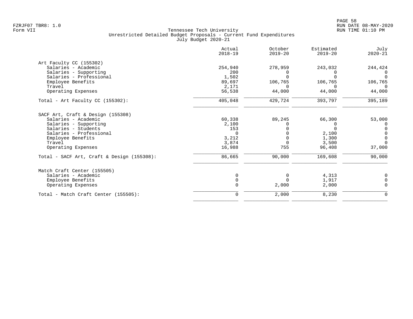|                                            | Actual<br>$2018 - 19$ | October<br>$2019 - 20$ | Estimated<br>$2019 - 20$ | July<br>$2020 - 21$ |
|--------------------------------------------|-----------------------|------------------------|--------------------------|---------------------|
| Art Faculty CC (155302)                    |                       |                        |                          |                     |
| Salaries - Academic                        | 254,940               | 278,959                | 243,032                  | 244,424             |
| Salaries - Supporting                      | 200                   |                        |                          |                     |
| Salaries - Professional                    | 1,502                 |                        | U                        | $\Omega$            |
| Employee Benefits                          | 89,697                | 106,765                | 106,765                  | 106,765             |
| Travel                                     | 2,171                 | U                      | $\Omega$                 | $\Omega$            |
| Operating Expenses                         | 56,538                | 44,000                 | 44,000                   | 44,000              |
| Total - Art Faculty CC (155302):           | 405,048               | 429,724                | 393,797                  | 395,189             |
| SACF Art, Craft & Design (155308)          |                       |                        |                          |                     |
| Salaries - Academic                        | 60,338                | 89,245                 | 66,300                   | 53,000              |
| Salaries - Supporting                      | 2,100                 |                        | 0                        | 0                   |
| Salaries - Students                        | 153                   |                        | $\Omega$                 | $\Omega$            |
| Salaries - Professional                    | $\Omega$              |                        | 2,100                    | $\Omega$            |
| Employee Benefits                          | 3,212                 |                        | 1,300                    | $\Omega$            |
| Travel                                     | 3,874                 | $\Omega$               | 3,500                    | $\Omega$            |
| Operating Expenses                         | 16,988                | 755                    | 96,408                   | 37,000              |
| Total - SACF Art, Craft & Design (155308): | 86,665                | 90,000                 | 169,608                  | 90,000              |
| Match Craft Center (155505)                |                       |                        |                          |                     |
| Salaries - Academic                        |                       | $\Omega$               | 4,313                    | 0                   |
| Employee Benefits                          |                       |                        | 1,917                    | 0                   |
| Operating Expenses                         |                       | 2,000                  | 2,000                    | $\Omega$            |
| Total - Match Craft Center (155505):       | $\mathbf 0$           | 2,000                  | 8,230                    | 0                   |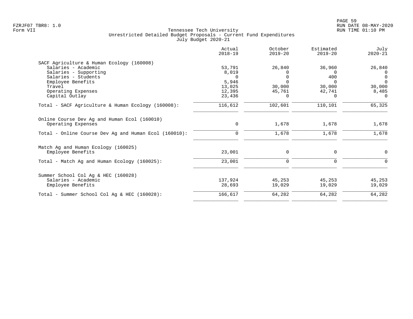|                                                                    | Actual<br>$2018 - 19$ | October<br>$2019 - 20$ | Estimated<br>$2019 - 20$ | July<br>$2020 - 21$ |
|--------------------------------------------------------------------|-----------------------|------------------------|--------------------------|---------------------|
| SACF Agriculture & Human Ecology (160008)                          |                       |                        |                          |                     |
| Salaries - Academic                                                | 53,791                | 26,840                 | 36,960                   | 26,840              |
| Salaries - Supporting                                              | 8,019                 | $\left( \right)$       | $\Omega$                 | $\Omega$            |
| Salaries - Students                                                | $\Omega$              | $\Omega$               | 400                      | $\mathbf 0$         |
| Employee Benefits                                                  | 5,946                 | $\Omega$               | $\Omega$                 | $\Omega$            |
| Travel                                                             | 13,025                | 30,000                 | 30,000                   | 30,000              |
| Operating Expenses                                                 | 12,395                | 45,761                 | 42,741                   | 8,485               |
| Capital Outlay                                                     | 23,436                | $\Omega$               | $\Omega$                 | $\Omega$            |
| Total - SACF Agriculture & Human Ecology (160008):                 | 116,612               | 102,601                | 110,101                  | 65,325              |
| Online Course Dev Ag and Human Ecol (160010)<br>Operating Expenses | 0                     | 1,678                  | 1,678                    | 1,678               |
|                                                                    | $\mathbf 0$           | 1,678                  | 1,678                    | 1,678               |
| Total - Online Course Dev Ag and Human Ecol (160010):              |                       |                        |                          |                     |
| Match Ag and Human Ecology (160025)                                |                       |                        |                          |                     |
| Employee Benefits                                                  | 23,001                | 0                      | 0                        | 0                   |
| Total - Match Ag and Human Ecology (160025):                       | 23,001                | 0                      | $\mathbf 0$              | $\Omega$            |
| Summer School Col Aq & HEC (160028)                                |                       |                        |                          |                     |
| Salaries - Academic                                                | 137,924               | 45,253                 | 45,253                   | 45,253              |
| Employee Benefits                                                  | 28,693                | 19,029                 | 19,029                   | 19,029              |
| Total - Summer School Col Aq & HEC (160028):                       | 166,617               | 64,282                 | 64,282                   | 64,282              |
|                                                                    |                       |                        |                          |                     |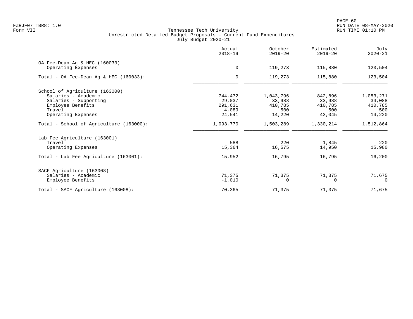|                                           | Actual<br>$2018 - 19$ | October<br>$2019 - 20$ | Estimated<br>$2019 - 20$ | July<br>$2020 - 21$ |
|-------------------------------------------|-----------------------|------------------------|--------------------------|---------------------|
| OA Fee-Dean Aq & HEC (160033)             |                       |                        |                          |                     |
| Operating Expenses                        | $\mathbf 0$           | 119,273                | 115,880                  | 123,504             |
| Total - OA Fee-Dean Aq & HEC $(160033)$ : | $\mathbf 0$           | 119,273                | 115,880                  | 123,504             |
| School of Agriculture (163000)            |                       |                        |                          |                     |
| Salaries - Academic                       | 744,472               | 1,043,796              | 842,896                  | 1,053,271           |
| Salaries - Supporting                     | 29,037                | 33,988                 | 33,988                   | 34,088              |
| Employee Benefits                         | 291,631               | 410,785                | 410,785                  | 410,785             |
| Travel                                    | 4,089                 | 500                    | 500                      | 500                 |
| Operating Expenses                        | 24,541                | 14,220                 | 42,045                   | 14,220              |
| Total - School of Agriculture (163000):   | 1,093,770             | 1,503,289              | 1,330,214                | 1,512,864           |
| Lab Fee Agriculture (163001)              |                       |                        |                          |                     |
| Travel                                    | 588                   | 220                    | 1,845                    | 220                 |
| Operating Expenses                        | 15,364                | 16,575                 | 14,950                   | 15,980              |
| Total - Lab Fee Agriculture (163001):     | 15,952                | 16,795                 | 16,795                   | 16,200              |
| SACF Agriculture (163008)                 |                       |                        |                          |                     |
| Salaries - Academic                       | 71,375                | 71,375                 | 71,375                   | 71,675              |
| Employee Benefits                         | $-1,010$              | <sup>0</sup>           | $\Omega$                 | $\Omega$            |
| Total - SACF Agriculture (163008):        | 70,365                | 71,375                 | 71,375                   | 71,675              |
|                                           |                       |                        |                          |                     |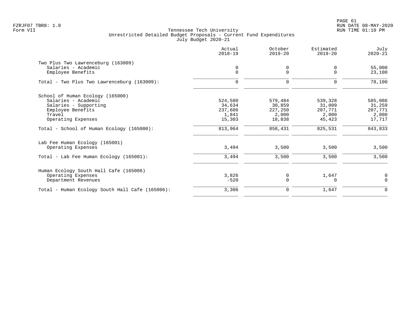|                                                 | Actual<br>$2018 - 19$ | October<br>$2019 - 20$ | Estimated<br>$2019 - 20$ | July<br>$2020 - 21$ |
|-------------------------------------------------|-----------------------|------------------------|--------------------------|---------------------|
| Two Plus Two Lawrenceburg (163009)              |                       |                        |                          |                     |
| Salaries - Academic<br>Employee Benefits        | 0<br>$\mathsf{O}$     | 0<br>$\Omega$          | 0<br>$\Omega$            | 55,000<br>23,100    |
| Total - Two Plus Two Lawrenceburg (163009):     | $\mathbf 0$           | 0                      | $\Omega$                 | 78,100              |
| School of Human Ecology (165000)                |                       |                        |                          |                     |
| Salaries - Academic                             | 524,580               | 579,484                | 539,328                  | 585,086             |
| Salaries - Supporting                           | 34,634                | 30,859                 | 31,009                   | 31,259              |
| Employee Benefits                               | 237,606               | 227,250                | 207,771                  | 207,771             |
| Travel                                          | 1,841                 | 2,000                  | 2,000                    | 2,000               |
| Operating Expenses                              | 15,303                | 18,838                 | 45,423                   | 17,717              |
| Total - School of Human Ecology (165000):       | 813,964               | 858,431                | 825,531                  | 843,833             |
| Lab Fee Human Ecology (165001)                  |                       |                        |                          |                     |
| Operating Expenses                              | 3,494                 | 3,500                  | 3,500                    | 3,500               |
| Total - Lab Fee Human Ecology (165001):         | 3,494                 | 3,500                  | 3,500                    | 3,500               |
| Human Ecology South Hall Cafe (165006)          |                       |                        |                          |                     |
| Operating Expenses                              | 3,826                 | 0                      | 1,647                    | 0                   |
| Department Revenues                             | $-520$                | $\mathbf 0$            | $\Omega$                 | $\Omega$            |
| Total - Human Ecology South Hall Cafe (165006): | 3,306                 | 0                      | 1,647                    | $\mathbf 0$         |
|                                                 |                       |                        |                          |                     |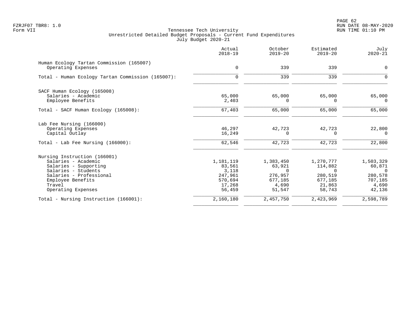PAGE 62 FZRJF07 TBR8: 1.0 RUN DATE 08-MAY-2020

|                                                                | Actual<br>$2018 - 19$ | October<br>$2019 - 20$ | Estimated<br>$2019 - 20$ | July<br>$2020 - 21$ |
|----------------------------------------------------------------|-----------------------|------------------------|--------------------------|---------------------|
| Human Ecology Tartan Commission (165007)<br>Operating Expenses | $\mathbf 0$           | 339                    | 339                      | 0                   |
|                                                                |                       |                        |                          |                     |
| Total - Human Ecology Tartan Commission (165007):              | $\mathbf 0$           | 339                    | 339                      | $\Omega$            |
| SACF Human Ecology (165008)                                    |                       |                        |                          |                     |
| Salaries - Academic                                            | 65,000                | 65,000                 | 65,000                   | 65,000              |
| Employee Benefits                                              | 2,403                 | 0                      | 0                        | 0                   |
| Total - SACF Human Ecology (165008):                           | 67,403                | 65,000                 | 65,000                   | 65,000              |
| Lab Fee Nursing (166000)                                       |                       |                        |                          |                     |
| Operating Expenses                                             | 46,297                | 42,723                 | 42,723                   | 22,800              |
| Capital Outlay                                                 | 16,249                | 0                      | $\Omega$                 | $\Omega$            |
| Total - Lab Fee Nursing (166000):                              | 62,546                | 42,723                 | 42,723                   | 22,800              |
| Nursing Instruction (166001)                                   |                       |                        |                          |                     |
| Salaries - Academic                                            | 1,181,119             | 1,383,450              | 1,270,777                | 1,503,329           |
| Salaries - Supporting                                          | 83,561                | 63,921                 | 114,882                  | 60,871              |
| Salaries - Students                                            | 3,118                 | $\Omega$               | $\Omega$                 | $\Omega$            |
| Salaries - Professional                                        | 247,961               | 276,957                | 280,519                  | 280,578             |
| Employee Benefits                                              | 570,694               | 677,185                | 677,185                  | 707,185             |
| Travel                                                         | 17,268                | 4,690                  | 21,863                   | 4,690               |
| Operating Expenses                                             | 56,459                | 51,547                 | 58,743                   | 42,136              |
| Total - Nursing Instruction (166001):                          | 2,160,180             | 2,457,750              | 2,423,969                | 2,598,789           |
|                                                                |                       |                        |                          |                     |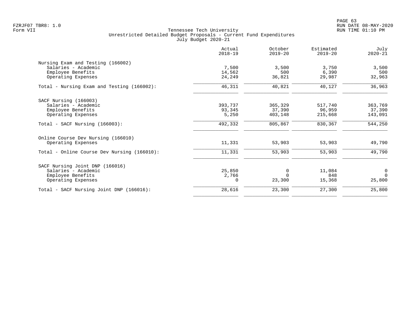|                                             | Actual<br>$2018 - 19$ | October<br>$2019 - 20$ | Estimated<br>$2019 - 20$ | July<br>$2020 - 21$ |
|---------------------------------------------|-----------------------|------------------------|--------------------------|---------------------|
| Nursing Exam and Testing (166002)           |                       |                        |                          |                     |
| Salaries - Academic                         | 7,500                 | 3,500                  | 3,750                    | 3,500               |
| Employee Benefits                           | 14,562                | 500                    | 6,390                    | 500                 |
| Operating Expenses                          | 24,249                | 36,821                 | 29,987                   | 32,963              |
| Total - Nursing Exam and Testing (166002):  | 46,311                | 40,821                 | 40,127                   | 36,963              |
| SACF Nursing (166003)                       |                       |                        |                          |                     |
| Salaries - Academic                         | 393,737               | 365,329                | 517,740                  | 363,769             |
| Employee Benefits                           | 93,345                | 37,390                 | 96,959                   | 37,390              |
| Operating Expenses                          | 5,250                 | 403,148                | 215,668                  | 143,091             |
| $Total - SACF Nursing (166003):$            | 492,332               | 805,867                | 830,367                  | 544,250             |
| Online Course Dev Nursing (166010)          |                       |                        |                          |                     |
| Operating Expenses                          | 11,331                | 53,903                 | 53,903                   | 49,790              |
| Total - Online Course Dev Nursing (166010): | 11,331                | 53,903                 | 53,903                   | 49,790              |
| SACF Nursing Joint DNP (166016)             |                       |                        |                          |                     |
| Salaries - Academic                         | 25,850                | 0                      | 11,084                   | $\mathbf 0$         |
| Employee Benefits                           | 2,766                 |                        | 848                      | $\Omega$            |
| Operating Expenses                          | $\Omega$              | 23,300                 | 15,368                   | 25,800              |
| Total - SACF Nursing Joint DNP (166016):    | 28,616                | 23,300                 | 27,300                   | 25,800              |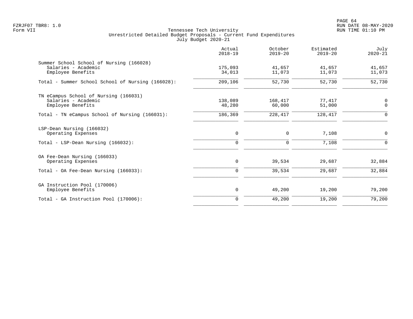PAGE 64 FZRJF07 TBR8: 1.0 RUN DATE 08-MAY-2020

|                                                   | Actual<br>$2018 - 19$ | October<br>$2019 - 20$ | Estimated<br>$2019 - 20$ | July<br>$2020 - 21$ |
|---------------------------------------------------|-----------------------|------------------------|--------------------------|---------------------|
| Summer School School of Nursing (166028)          |                       |                        |                          |                     |
| Salaries - Academic                               | 175,093               | 41,657                 | 41,657                   | 41,657              |
| Employee Benefits                                 | 34,013                | 11,073                 | 11,073                   | 11,073              |
| Total - Summer School School of Nursing (166028): | 209,106               | 52,730                 | 52,730                   | 52,730              |
| TN eCampus School of Nursing (166031)             |                       |                        |                          |                     |
| Salaries - Academic                               | 138,089               | 168,417                | 77,417                   | $\mathbf 0$         |
| Employee Benefits                                 | 48,280                | 60,000                 | 51,000                   | $\Omega$            |
| Total - TN eCampus School of Nursing (166031):    | 186,369               | 228,417                | 128,417                  | $\Omega$            |
| LSP-Dean Nursing (166032)                         |                       |                        |                          |                     |
| Operating Expenses                                | $\mathbf 0$           | $\mathbf 0$            | 7,108                    | $\mathbf 0$         |
| Total - LSP-Dean Nursing (166032):                | 0                     | 0                      | 7,108                    | 0                   |
| OA Fee-Dean Nursing (166033)                      |                       |                        |                          |                     |
| Operating Expenses                                | 0                     | 39,534                 | 29,687                   | 32,884              |
| Total - OA Fee-Dean Nursing $(166033)$ :          | $\mathbf 0$           | 39,534                 | 29,687                   | 32,884              |
| GA Instruction Pool (170006)                      |                       |                        |                          |                     |
| Employee Benefits                                 | 0                     | 49,200                 | 19,200                   | 79,200              |
| Total - GA Instruction Pool (170006):             | $\Omega$              | 49,200                 | 19,200                   | 79,200              |
|                                                   |                       |                        |                          |                     |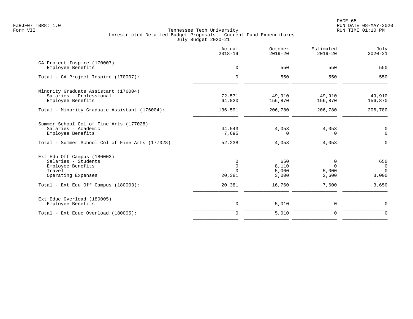|                                                  | Actual<br>$2018 - 19$   | October<br>$2019 - 20$ | Estimated<br>$2019 - 20$ | July<br>$2020 - 21$           |
|--------------------------------------------------|-------------------------|------------------------|--------------------------|-------------------------------|
| GA Project Inspire (170007)<br>Employee Benefits | $\mathbf 0$             | 550                    | 550                      | 550                           |
| Total - GA Project Inspire (170007):             | $\Omega$                | 550                    | 550                      | 550                           |
| Minority Graduate Assistant (176004)             |                         |                        |                          |                               |
| Salaries - Professional<br>Employee Benefits     | 72,571<br>64,020        | 49,910<br>156,870      | 49,910<br>156,870        | 49,910<br>156,870             |
| Total - Minority Graduate Assistant (176004):    | 136,591                 | 206,780                | 206,780                  | 206,780                       |
| Summer School Col of Fine Arts (177028)          |                         |                        |                          |                               |
| Salaries - Academic<br>Employee Benefits         | 44,543<br>7,695         | 4,053<br>0             | 4,053<br>0               | 0<br>$\mathbf 0$              |
| Total - Summer School Col of Fine Arts (177028): | 52,238                  | 4,053                  | 4,053                    | 0                             |
| Ext Edu Off Campus (180003)                      |                         |                        |                          |                               |
| Salaries - Students                              | 0                       | 650                    | 0                        | 650                           |
| Employee Benefits<br>Travel                      | $\mathbf 0$<br>$\Omega$ | 8,110<br>5,000         | $\Omega$<br>5,000        | $\mathbf 0$<br>$\overline{0}$ |
| Operating Expenses                               | 20,381                  | 3,000                  | 2,600                    | 3,000                         |
| Total - Ext Edu Off Campus (180003):             | 20,381                  | 16,760                 | 7,600                    | 3,650                         |
| Ext Educ Overload (180005)                       |                         |                        |                          |                               |
| Employee Benefits                                | $\mathbf 0$             | 5,010                  | 0                        | 0                             |
| Total - Ext Educ Overload (180005):              | $\mathbf 0$             | 5,010                  | $\mathbf 0$              | $\mathbf 0$                   |
|                                                  |                         |                        |                          |                               |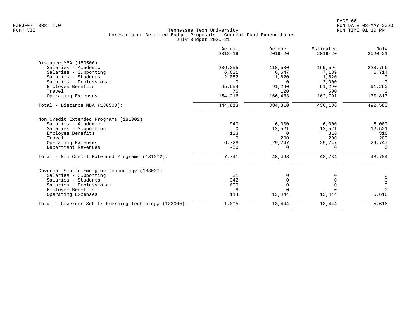|                                                       | Actual<br>$2018 - 19$ | October<br>$2019 - 20$ | Estimated<br>$2019 - 20$ | July<br>$2020 - 21$                  |
|-------------------------------------------------------|-----------------------|------------------------|--------------------------|--------------------------------------|
| Distance MBA (180500)                                 |                       |                        |                          |                                      |
| Salaries - Academic                                   | 236,255               | 118,500                | 169,596                  | 223,766                              |
| Salaries - Supporting                                 | 6,631                 | 6,647                  | 7,189                    | 6,714                                |
| Salaries - Students                                   | 2,082                 | 1,820                  | 1,820                    | $\Omega$                             |
| Salaries - Professional                               | $\Omega$              | 0                      | 3,000                    | $\Omega$                             |
| Employee Benefits                                     | 45,554                | 91,290                 | 91,290                   | 91,290                               |
| Travel                                                | 75                    | 120                    | 500                      | $\Omega$                             |
| Operating Expenses                                    | 154,216               | 166,433                | 162,791                  | 170,813                              |
| Total - Distance MBA (180500):                        | 444,813               | 384,810                | 436,186                  | 492,583                              |
| Non Credit Extended Programs (181002)                 |                       |                        |                          |                                      |
| Salaries - Academic                                   | 940                   | 6,000                  | 6,000                    | 6,000                                |
| Salaries - Supporting                                 | $\Omega$              | 12,521                 | 12,521                   | 12,521                               |
| Employee Benefits                                     | 123                   | $\Omega$               | 316                      | 316                                  |
| Travel                                                | $\Omega$              | 200                    | 200                      | 200                                  |
| Operating Expenses                                    | 6,728                 | 29,747                 | 29,747                   | 29,747                               |
| Department Revenues                                   | $-50$                 | $\Omega$               | 0                        | $\Omega$                             |
| Total - Non Credit Extended Programs (181002):        | 7,741                 | 48,468                 | 48,784                   | 48,784                               |
| Governor Sch fr Emerging Technology (183000)          |                       |                        |                          |                                      |
| Salaries - Supporting                                 | 31                    |                        |                          | 0                                    |
| Salaries - Students                                   | 342                   |                        |                          | $\begin{matrix} 0 \\ 0 \end{matrix}$ |
| Salaries - Professional                               | 600                   | $\Omega$               |                          |                                      |
| Employee Benefits                                     | 8                     | $\cap$                 |                          | $\Omega$                             |
| Operating Expenses                                    | 114                   | 13,444                 | 13,444                   | 5,616                                |
| Total - Governor Sch fr Emerging Technology (183000): | 1,095                 | 13,444                 | 13,444                   | 5,616                                |
|                                                       |                       |                        |                          |                                      |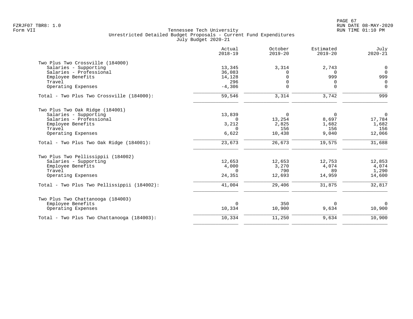|                                             | Actual<br>$2018 - 19$ | October<br>$2019 - 20$ | Estimated<br>$2019 - 20$ | July<br>$2020 - 21$ |
|---------------------------------------------|-----------------------|------------------------|--------------------------|---------------------|
| Two Plus Two Crossville (184000)            |                       |                        |                          |                     |
| Salaries - Supporting                       | 13,345                | 3,314                  | 2,743                    | $\mathbf 0$         |
| Salaries - Professional                     | 36,083                | $\Omega$               | $\Omega$                 | $\Omega$            |
| Employee Benefits                           | 14,128                | $\Omega$               | 999                      | 999                 |
| Travel                                      | 296                   | $\Omega$               | $\Omega$                 | $\Omega$            |
| Operating Expenses                          | $-4,306$              | $\Omega$               | $\Omega$                 | $\Omega$            |
| Total - Two Plus Two Crossville (184000):   | 59,546                | 3,314                  | 3,742                    | 999                 |
| Two Plus Two Oak Ridge (184001)             |                       |                        |                          |                     |
| Salaries - Supporting                       | 13,839                | $\overline{0}$         | $\mathbf 0$              | $\overline{0}$      |
| Salaries - Professional                     | $\Omega$              | 13,254                 | 8,697                    | 17,784              |
| Employee Benefits                           | 3,212                 | 2,825                  | 1,682                    | 1,682               |
| Travel                                      | $\Omega$              | 156                    | 156                      | 156                 |
| Operating Expenses                          | 6,622                 | 10,438                 | 9,040                    | 12,066              |
| Total - Two Plus Two Oak Ridge (184001):    | 23,673                | 26,673                 | 19,575                   | 31,688              |
| Two Plus Two Pellissippii (184002)          |                       |                        |                          |                     |
| Salaries - Supporting                       | 12,653                | 12,653                 | 12,753                   | 12,853              |
| Employee Benefits                           | 4,000                 | 3,270                  | 4,074                    | 4,074               |
| Travel                                      | $\Omega$              | 790                    | 89                       | 1,290               |
| Operating Expenses                          | 24,351                | 12,693                 | 14,959                   | 14,600              |
| Total - Two Plus Two Pellissippii (184002): | 41,004                | 29,406                 | 31,875                   | 32,817              |
| Two Plus Two Chattanooga (184003)           |                       |                        |                          |                     |
| Employee Benefits                           | $\mathbf 0$           | 350                    | $\Omega$                 | $\overline{0}$      |
| Operating Expenses                          | 10,334                | 10,900                 | 9,634                    | 10,900              |
| Total - Two Plus Two Chattanooga (184003):  | 10,334                | 11,250                 | 9,634                    | 10,900              |
|                                             |                       |                        |                          |                     |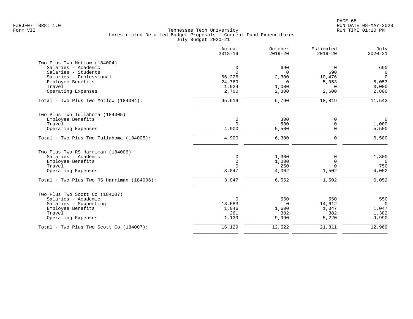| Actual<br>$2018 - 19$ | October<br>$2019 - 20$                                                                                                    | Estimated<br>$2019 - 20$                                                                 | July<br>$2020 - 21$                                                                       |
|-----------------------|---------------------------------------------------------------------------------------------------------------------------|------------------------------------------------------------------------------------------|-------------------------------------------------------------------------------------------|
|                       |                                                                                                                           |                                                                                          |                                                                                           |
| $\mathbf 0$           | 690                                                                                                                       | $\overline{0}$                                                                           | 690                                                                                       |
|                       | $\Omega$                                                                                                                  |                                                                                          | $\overline{0}$                                                                            |
| 66,226                | 2,300                                                                                                                     | 10,476                                                                                   | $\overline{0}$                                                                            |
|                       | $\overline{0}$                                                                                                            |                                                                                          | 5,053                                                                                     |
|                       |                                                                                                                           | $\Omega$                                                                                 | 3,000                                                                                     |
|                       |                                                                                                                           |                                                                                          | 2,800                                                                                     |
| 95,619                | 6,790                                                                                                                     | 18,819                                                                                   | 11,543                                                                                    |
|                       |                                                                                                                           |                                                                                          |                                                                                           |
|                       |                                                                                                                           |                                                                                          | $\mathsf{O}$                                                                              |
|                       |                                                                                                                           |                                                                                          | 1,000                                                                                     |
| 4,900                 | 5,500                                                                                                                     | $\mathbf 0$                                                                              | 5,500                                                                                     |
| 4,900                 | 6,300                                                                                                                     | $\Omega$                                                                                 | 6,500                                                                                     |
|                       |                                                                                                                           |                                                                                          |                                                                                           |
|                       |                                                                                                                           | <sup>0</sup>                                                                             | 1,300                                                                                     |
|                       |                                                                                                                           |                                                                                          | $\overline{0}$                                                                            |
| $\Omega$              |                                                                                                                           | $\Omega$                                                                                 | 750                                                                                       |
| 3,047                 | 4,002                                                                                                                     | 1,502                                                                                    | 4,002                                                                                     |
| 3,047                 | 6,552                                                                                                                     | 1,502                                                                                    | 6,052                                                                                     |
|                       |                                                                                                                           |                                                                                          |                                                                                           |
|                       |                                                                                                                           |                                                                                          | 550                                                                                       |
|                       |                                                                                                                           |                                                                                          | $\Omega$                                                                                  |
|                       |                                                                                                                           |                                                                                          | 1,047                                                                                     |
|                       |                                                                                                                           |                                                                                          | 1,382                                                                                     |
| 1,139                 | 9,990                                                                                                                     | 5,220                                                                                    | 9,990                                                                                     |
| 16,129                | 12,522                                                                                                                    | 21,811                                                                                   | 12,969                                                                                    |
|                       | $\Omega$<br>24,769<br>1,924<br>2,700<br>0<br>$\Omega$<br>$\mathbf 0$<br>$\mathbf 0$<br>$\Omega$<br>13,683<br>1,046<br>261 | 1,000<br>2,800<br>300<br>500<br>1,300<br>1,000<br>250<br>550<br>$\Omega$<br>1,600<br>382 | 690<br>5,053<br>2,600<br>0<br>$\mathbf 0$<br>$\mathbf 0$<br>550<br>14,612<br>1,047<br>382 |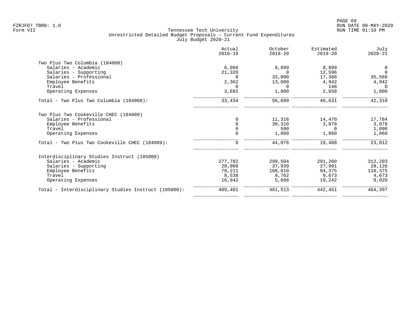| Actual<br>$2018 - 19$ | October<br>$2019 - 20$ | Estimated<br>$2019 - 20$ | July<br>$2020 - 21$      |
|-----------------------|------------------------|--------------------------|--------------------------|
|                       |                        |                          |                          |
| 6,060                 | 8,899                  |                          | 0                        |
| 21,320                | $\Omega$               | 12,596                   | $\Omega$                 |
| $\Omega$              | 33,000                 |                          | 35,568                   |
| 2,362                 | 13,000                 | 4,942                    | 4,942                    |
| $\Omega$              | $\Omega$               | 148                      | $\Omega$                 |
| 3,692                 | 1,800                  | 2,658                    | 1,800                    |
| 33,434                | 56,699                 | 46,631                   | 42,310                   |
|                       |                        |                          |                          |
| $\Omega$              | 11,316                 | 14,470                   | 17,784                   |
| $\Omega$              | 30,310                 | 3,078                    | 3,078                    |
|                       |                        | $\Omega$                 | 1,090                    |
|                       |                        |                          | 1,860                    |
| 0                     | 44,076                 | 19,408                   | 23,812                   |
|                       |                        |                          |                          |
| 277,782               | 299,504                | 291,260                  | 312,203                  |
| 28,008                | 37,939                 | 27,901                   | 28,126                   |
| 78,211                | 108,610                | 94,375                   | 110,375                  |
| 8,538                 | 9,762                  | 9,673                    | 4,673                    |
| 16,942                | 5,698                  | 19,242                   | 9,020                    |
| 409,481               | 461,513                | 442,451                  | 464,397                  |
|                       | $\Omega$<br>$\Omega$   | 590<br>1,860             | 8,899<br>17,388<br>1,860 |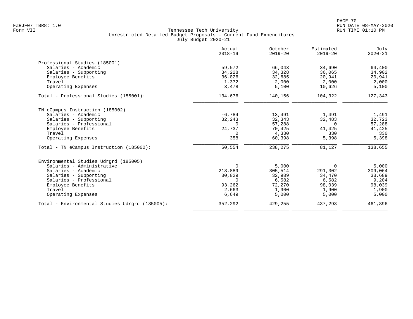|                                                | Actual<br>$2018 - 19$ | October<br>$2019 - 20$ | Estimated<br>$2019 - 20$ | July<br>$2020 - 21$ |
|------------------------------------------------|-----------------------|------------------------|--------------------------|---------------------|
| Professional Studies (185001)                  |                       |                        |                          |                     |
| Salaries - Academic                            | 59,572                | 66,043                 | 34,690                   | 64,400              |
| Salaries - Supporting                          | 34,228                | 34,328                 | 36,065                   | 34,902              |
| Employee Benefits                              | 36,026                | 32,685                 | 20,941                   | 20,941              |
| Travel                                         | 1,372                 | 2,000                  | 2,000                    | 2,000               |
| Operating Expenses                             | 3,478                 | 5,100                  | 10,626                   | 5,100               |
| Total - Professional Studies (185001):         | 134,676               | 140,156                | 104,322                  | 127, 343            |
| TN eCampus Instruction (185002)                |                       |                        |                          |                     |
| Salaries - Academic                            | $-6,784$              | 13,491                 | 1,491                    | 1,491               |
| Salaries - Supporting                          | 32,243                | 32,343                 | 32,483                   | 32,723              |
| Salaries - Professional                        | $\Omega$              | 57,288                 | $\Omega$                 | 57,288              |
| Employee Benefits                              | 24,737                | 70,425                 | 41,425                   | 41,425              |
| Travel                                         | 0                     | 4,330                  | 330                      | 330                 |
| Operating Expenses                             | 358                   | 60,398                 | 5,398                    | 5,398               |
| Total - TN eCampus Instruction (185002):       | 50,554                | 238,275                | 81,127                   | 138,655             |
| Environmental Studies Udrgrd (185005)          |                       |                        |                          |                     |
| Salaries - Administrative                      | $\overline{0}$        | 5,000                  | 0                        | 5,000               |
| Salaries - Academic                            | 218,889               | 305,514                | 291,302                  | 309,064             |
| Salaries - Supporting                          | 30,829                | 32,989                 | 34,470                   | 33,689              |
| Salaries - Professional                        | $\Omega$              | 6,582                  | 6,582                    | 9,204               |
| Employee Benefits                              | 93,262                | 72,270                 | 98,039                   | 98,039              |
| Travel                                         | 2,663                 | 1,900                  | 1,900                    | 1,900               |
| Operating Expenses                             | 6,649                 | 5,000                  | 5,000                    | 5,000               |
| Total - Environmental Studies Udrgrd (185005): | 352,292               | 429,255                | 437,293                  | 461,896             |
|                                                |                       |                        |                          |                     |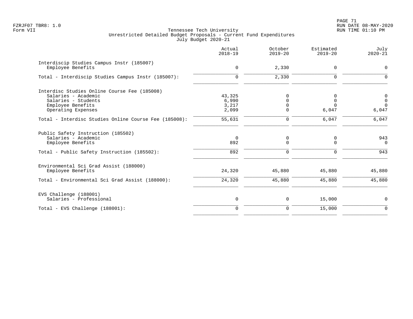PAGE 71 FZRJF07 TBR8: 1.0 RUN DATE 08-MAY-2020

|                                                                | Actual<br>$2018 - 19$ | October<br>$2019 - 20$ | Estimated<br>$2019 - 20$ | July<br>$2020 - 21$ |
|----------------------------------------------------------------|-----------------------|------------------------|--------------------------|---------------------|
| Interdiscip Studies Campus Instr (185007)<br>Employee Benefits | $\mathbf 0$           | 2,330                  | 0                        | $\mathbf 0$         |
| Total - Interdiscip Studies Campus Instr (185007):             | $\mathbf 0$           | 2,330                  | 0                        | $\Omega$            |
| Interdisc Studies Online Course Fee (185008)                   |                       |                        |                          |                     |
| Salaries - Academic                                            | 43,325                | 0                      | 0                        | 0                   |
| Salaries - Students                                            | 6,990                 |                        | 0                        | $\mathbf 0$         |
| Employee Benefits                                              | 3,217                 |                        |                          | $\Omega$            |
| Operating Expenses                                             | 2,099                 | $\Omega$               | 6,047                    | 6,047               |
| Total - Interdisc Studies Online Course Fee (185008):          | 55,631                | $\Omega$               | $6,047$                  | 6,047               |
| Public Safety Instruction (185502)                             |                       |                        |                          |                     |
| Salaries - Academic                                            | $\Omega$              | 0                      | 0                        | 943                 |
| Employee Benefits                                              | 892                   | 0                      | $\Omega$                 | $\Omega$            |
| Total - Public Safety Instruction (185502):                    | 892                   | $\mathbf 0$            | $\Omega$                 | 943                 |
| Environmental Sci Grad Assist (188000)                         |                       |                        |                          |                     |
| Employee Benefits                                              | 24,320                | 45,880                 | 45,880                   | 45,880              |
| Total - Environmental Sci Grad Assist (188000):                | 24,320                | 45,880                 | 45,880                   | 45,880              |
| EVS Challenge (188001)                                         |                       |                        |                          |                     |
| Salaries - Professional                                        | 0                     | 0                      | 15,000                   | 0                   |
| Total - EVS Challenge (188001):                                | $\Omega$              | 0                      | 15,000                   | $\Omega$            |
|                                                                |                       |                        |                          |                     |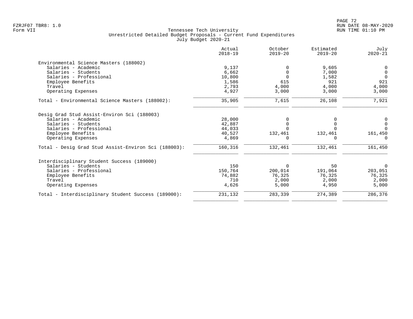|                                                      | Actual<br>$2018 - 19$ | October<br>$2019 - 20$ | Estimated<br>$2019 - 20$ | July<br>$2020 - 21$ |
|------------------------------------------------------|-----------------------|------------------------|--------------------------|---------------------|
| Environmental Science Masters (188002)               |                       |                        |                          |                     |
| Salaries - Academic                                  | 9,137                 | $\Omega$               | 9,605                    | 0                   |
| Salaries - Students                                  | 6,662                 | $\Omega$               | 7,000                    | $\overline{0}$      |
| Salaries - Professional                              | 10,800                | $\Omega$               | 1,582                    | $\Omega$            |
| Employee Benefits                                    | 1,586                 | 615                    | 921                      | 921                 |
| Travel                                               | 2,793                 | 4,000                  | 4,000                    | 4,000               |
| Operating Expenses                                   | 4,927                 | 3,000                  | 3,000                    | 3,000               |
| Total - Environmental Science Masters (188002):      | 35,905                | 7,615                  | 26,108                   | 7,921               |
| Desig Grad Stud Assist-Environ Sci (188003)          |                       |                        |                          |                     |
| Salaries - Academic                                  | 28,000                | O                      |                          | 0                   |
| Salaries - Students                                  | 42,887                | $\Omega$               |                          | $\mathbf 0$         |
| Salaries - Professional                              | 44,033                |                        |                          | $\Omega$            |
| Employee Benefits                                    | 40,527                | 132,461                | 132,461                  | 161,450             |
| Operating Expenses                                   | 4,869                 |                        |                          | $\Omega$            |
| Total - Desig Grad Stud Assist-Environ Sci (188003): | 160,316               | 132,461                | 132,461                  | 161,450             |
| Interdisciplinary Student Success (189000)           |                       |                        |                          |                     |
| Salaries - Students                                  | 150                   | $\mathbf 0$            | 50                       | $\overline{0}$      |
| Salaries - Professional                              | 150,764               | 200,014                | 191,064                  | 203,051             |
| Employee Benefits                                    | 74,882                | 76,325                 | 76,325                   | 76,325              |
| Travel                                               | 710                   | 2,000                  | 2,000                    | 2,000               |
| Operating Expenses                                   | 4,626                 | 5,000                  | 4,950                    | 5,000               |
| Total - Interdisciplinary Student Success (189000):  | 231,132               | 283,339                | 274,389                  | 286,376             |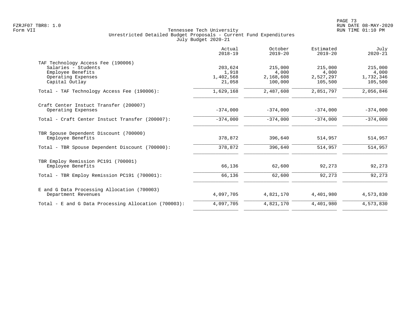| Actual<br>$2018 - 19$                   | October<br>$2019 - 20$                   | Estimated<br>$2019 - 20$                 | July<br>$2020 - 21$                      |
|-----------------------------------------|------------------------------------------|------------------------------------------|------------------------------------------|
| 203,624<br>1,918<br>1,402,568<br>21,058 | 215,000<br>4,000<br>2,168,608<br>100,000 | 215,000<br>4,000<br>2,527,297<br>105,500 | 215,000<br>4,000<br>1,732,346<br>105,500 |
| 1,629,168                               | 2,487,608                                | 2,851,797                                | 2,056,846                                |
| $-374,000$                              | $-374,000$                               | $-374,000$                               | $-374,000$                               |
| $-374,000$                              | $-374,000$                               | $-374,000$                               | $-374,000$                               |
| 378,872                                 | 396,640                                  | 514,957                                  | 514,957                                  |
| 378,872                                 | 396,640                                  | 514,957                                  | 514,957                                  |
| 66,136                                  | 62,600                                   | 92,273                                   | 92,273                                   |
| 66,136                                  | 62,600                                   | 92,273                                   | 92,273                                   |
| 4,097,705                               | 4,821,170                                | 4,401,980                                | 4,573,830                                |
| 4,097,705                               | 4,821,170                                | 4,401,980                                | 4,573,830                                |
|                                         |                                          |                                          |                                          |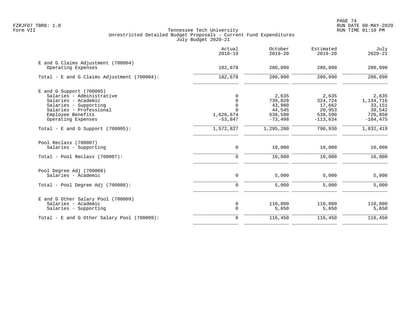|                                                                                                                                                         | Actual<br>$2018 - 19$                          | October<br>$2019 - 20$                          | Estimated<br>$2019 - 20$                        | July<br>$2020 - 21$                               |
|---------------------------------------------------------------------------------------------------------------------------------------------------------|------------------------------------------------|-------------------------------------------------|-------------------------------------------------|---------------------------------------------------|
| E and G Claims Adjustment (700004)<br>Operating Expenses                                                                                                | 102,678                                        | 280,090                                         | 280,090                                         | 280,090                                           |
| Total - E and G Claims Adjustment (700004):                                                                                                             | 102,678                                        | 280,090                                         | 280,090                                         | 280,090                                           |
| $E$ and G Support (700005)<br>Salaries - Administrative<br>Salaries - Academic<br>Salaries - Supporting<br>Salaries - Professional<br>Employee Benefits | 0<br>0<br>$\mathsf 0$<br>$\Omega$<br>1,626,674 | 2,635<br>739,028<br>43,980<br>44,545<br>538,590 | 2,635<br>324,724<br>17,662<br>20,953<br>538,590 | 2,635<br>1,134,716<br>33,151<br>39,542<br>726,850 |
| Operating Expenses<br>Total - E and G Support $(700005)$ :                                                                                              | $-53,847$<br>1,572,827                         | $-73,498$<br>1,295,280                          | $-113,634$<br>790,930                           | $-104, 475$<br>1,832,419                          |
| Pool Reclass (700007)<br>Salaries - Supporting                                                                                                          | $\mathbf 0$                                    | 10,000                                          | 10,000                                          | 10,000                                            |
| Total - Pool Reclass (700007):                                                                                                                          | $\Omega$                                       | 10,000                                          | 10,000                                          | 10,000                                            |
| Pool Degree Adj (700008)<br>Salaries - Academic                                                                                                         | 0                                              | 5,000                                           | 5,000                                           | 5,000                                             |
| Total - Pool Degree Adj (700008):                                                                                                                       | $\mathbf 0$                                    | 5,000                                           | 5,000                                           | 5,000                                             |
| E and G Other Salary Pool (700009)<br>Salaries - Academic<br>Salaries - Supporting                                                                      | 0<br>$\mathbf 0$                               | 110,800<br>5,650                                | 110,800<br>5,650                                | 110,800<br>5,650                                  |
| Total - E and G Other Salary Pool (700009):                                                                                                             | $\mathbf 0$                                    | 116,450                                         | 116,450                                         | 116,450                                           |
|                                                                                                                                                         |                                                |                                                 |                                                 |                                                   |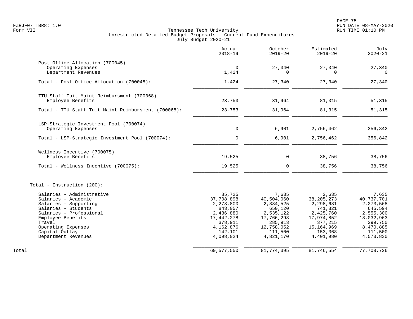|                                                                                                                                                                                                                           | Actual<br>$2018 - 19$                                                                                                   | October<br>$2019 - 20$                                                                                                  | Estimated<br>$2019 - 20$                                                                                                    | July<br>$2020 - 21$                                                                                                    |
|---------------------------------------------------------------------------------------------------------------------------------------------------------------------------------------------------------------------------|-------------------------------------------------------------------------------------------------------------------------|-------------------------------------------------------------------------------------------------------------------------|-----------------------------------------------------------------------------------------------------------------------------|------------------------------------------------------------------------------------------------------------------------|
| Post Office Allocation (700045)<br>Operating Expenses<br>Department Revenues                                                                                                                                              | $\mathbf 0$<br>1,424                                                                                                    | 27,340<br>$\Omega$                                                                                                      | 27,340<br>$\Omega$                                                                                                          | 27,340<br>0                                                                                                            |
| Total - Post Office Allocation (700045):                                                                                                                                                                                  | 1,424                                                                                                                   | 27,340                                                                                                                  | 27,340                                                                                                                      | 27,340                                                                                                                 |
| TTU Staff Tuit Maint Reimbursment (700068)<br>Employee Benefits                                                                                                                                                           | 23,753                                                                                                                  | 31,964                                                                                                                  | 81,315                                                                                                                      | 51,315                                                                                                                 |
| Total - TTU Staff Tuit Maint Reimbursment (700068):                                                                                                                                                                       | 23,753                                                                                                                  | 31,964                                                                                                                  | 81,315                                                                                                                      | 51,315                                                                                                                 |
| LSP-Strategic Investment Pool (700074)<br>Operating Expenses                                                                                                                                                              | $\mathbf 0$                                                                                                             | 6,901                                                                                                                   | 2,756,462                                                                                                                   | 356,842                                                                                                                |
| Total - LSP-Strategic Investment Pool (700074):                                                                                                                                                                           | $\Omega$                                                                                                                | 6,901                                                                                                                   | 2,756,462                                                                                                                   | 356,842                                                                                                                |
| Wellness Incentive (700075)<br>Employee Benefits                                                                                                                                                                          | 19,525                                                                                                                  | $\mathbf 0$                                                                                                             | 38,756                                                                                                                      | 38,756                                                                                                                 |
| Total - Wellness Incentive (700075):                                                                                                                                                                                      | 19,525                                                                                                                  | $\Omega$                                                                                                                | 38,756                                                                                                                      | 38,756                                                                                                                 |
| Total - Instruction (200):                                                                                                                                                                                                |                                                                                                                         |                                                                                                                         |                                                                                                                             |                                                                                                                        |
| Salaries - Administrative<br>Salaries - Academic<br>Salaries - Supporting<br>Salaries - Students<br>Salaries - Professional<br>Employee Benefits<br>Travel<br>Operating Expenses<br>Capital Outlay<br>Department Revenues | 85,725<br>37,708,898<br>2,278,800<br>843,057<br>2,436,880<br>17,442,278<br>378,911<br>4,162,876<br>142,101<br>4,098,024 | 7,635<br>40,504,060<br>2,334,525<br>650,120<br>2,535,122<br>17,766,298<br>285,913<br>12,758,052<br>111,500<br>4,821,170 | 2,635<br>38, 205, 273<br>2,298,681<br>741,821<br>2,425,760<br>17,974,852<br>377,215<br>15, 164, 969<br>153,368<br>4,401,980 | 7,635<br>40,737,701<br>2,273,568<br>645,594<br>2,555,300<br>18,032,963<br>299,750<br>8,470,885<br>111,500<br>4,573,830 |
| Total                                                                                                                                                                                                                     | 69,577,550                                                                                                              | 81,774,395                                                                                                              | 81,746,554                                                                                                                  | 77,708,726                                                                                                             |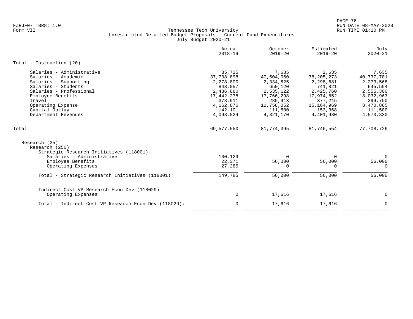|                                                                                                                                                                                                                          | Actual<br>$2018 - 19$                                                                                                   | October<br>$2019 - 20$                                                                                                  | Estimated<br>$2019 - 20$                                                                                                     | July<br>$2020 - 21$                                                                                                    |
|--------------------------------------------------------------------------------------------------------------------------------------------------------------------------------------------------------------------------|-------------------------------------------------------------------------------------------------------------------------|-------------------------------------------------------------------------------------------------------------------------|------------------------------------------------------------------------------------------------------------------------------|------------------------------------------------------------------------------------------------------------------------|
| Total - Instruction $(20)$ :                                                                                                                                                                                             |                                                                                                                         |                                                                                                                         |                                                                                                                              |                                                                                                                        |
| Salaries - Administrative<br>Salaries - Academic<br>Salaries - Supporting<br>Salaries - Students<br>Salaries - Professional<br>Employee Benefits<br>Travel<br>Operating Expense<br>Capital Outlay<br>Department Revenues | 85,725<br>37,708,898<br>2,278,800<br>843,057<br>2,436,880<br>17,442,278<br>378,911<br>4,162,876<br>142,101<br>4,098,024 | 7,635<br>40,504,060<br>2,334,525<br>650,120<br>2,535,122<br>17,766,298<br>285,913<br>12,758,052<br>111,500<br>4,821,170 | 2,635<br>38, 205, 273<br>2,298,681<br>741,821<br>2,425,760<br>17,974,852<br>377, 215<br>15, 164, 969<br>153,368<br>4,401,980 | 7,635<br>40,737,701<br>2,273,568<br>645,594<br>2,555,300<br>18,032,963<br>299,750<br>8,470,885<br>111,500<br>4,573,830 |
| Total                                                                                                                                                                                                                    | 69,577,550                                                                                                              | 81,774,395                                                                                                              | 81,746,554                                                                                                                   | 77,708,726                                                                                                             |
| Research (25)<br>Research (250)<br>Strategic Research Initiatives (118001)<br>Salaries - Administrative<br>Employee Benefits<br>Operating Expenses                                                                       | 100,129<br>22,371<br>27,285                                                                                             | $\Omega$<br>56,000                                                                                                      | $\Omega$<br>56,000<br>$\Omega$                                                                                               | $\mathbf 0$<br>56,000<br>$\Omega$                                                                                      |
| Total - Strategic Research Initiatives (118001):                                                                                                                                                                         | 149,785                                                                                                                 | 56,000                                                                                                                  | 56,000                                                                                                                       | 56,000                                                                                                                 |
| Indirect Cost VP Research Econ Dev (118029)<br>Operating Expenses                                                                                                                                                        | 0                                                                                                                       | 17,616                                                                                                                  | 17,616                                                                                                                       | 0                                                                                                                      |
| Total - Indirect Cost VP Research Econ Dev (118029):                                                                                                                                                                     | $\mathbf 0$                                                                                                             | 17,616                                                                                                                  | 17,616                                                                                                                       | $\mathbf 0$                                                                                                            |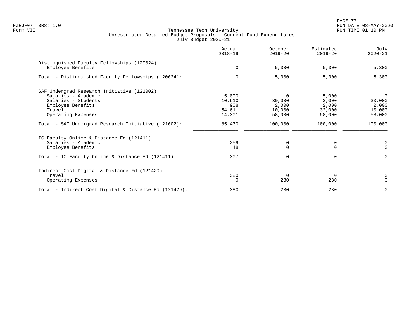PAGE 77 FZRJF07 TBR8: 1.0 RUN DATE 08-MAY-2020

|                                                                 | Actual<br>$2018 - 19$ | October<br>$2019 - 20$ | Estimated<br>$2019 - 20$ | July<br>$2020 - 21$ |
|-----------------------------------------------------------------|-----------------------|------------------------|--------------------------|---------------------|
| Distinguished Faculty Fellowships (120024)<br>Employee Benefits | $\mathbf 0$           | 5,300                  | 5,300                    | 5,300               |
| Total - Distinguished Faculty Fellowships (120024):             | $\mathbf 0$           | 5,300                  | 5,300                    | 5,300               |
| SAF Undergrad Research Initiative (121002)                      |                       |                        |                          |                     |
| Salaries - Academic                                             | 5,000                 | $\Omega$               | 5,000                    | 0                   |
| Salaries - Students                                             | 10,610                | 30,000                 | 3,000                    | 30,000              |
| Employee Benefits                                               | 908                   | 2,000                  | 2,000                    | 2,000               |
| Travel                                                          | 54,611                | 10,000                 | 32,000                   | 10,000              |
| Operating Expenses                                              | 14,301                | 58,000                 | 58,000                   | 58,000              |
| Total - SAF Undergrad Research Initiative (121002):             | 85,430                | 100,000                | 100,000                  | 100,000             |
| IC Faculty Online & Distance Ed (121411)                        |                       |                        |                          |                     |
| Salaries - Academic                                             | 259                   | 0                      | 0                        | 0                   |
| Employee Benefits                                               | 48                    | $\Omega$               | $\Omega$                 | $\Omega$            |
| Total - IC Faculty Online & Distance Ed (121411):               | 307                   | 0                      | 0                        |                     |
| Indirect Cost Digital & Distance Ed (121429)                    |                       |                        |                          |                     |
| Travel                                                          | 380                   | $\Omega$               | $\Omega$                 | 0                   |
| Operating Expenses                                              | $\Omega$              | 230                    | 230                      | $\Omega$            |
| Total - Indirect Cost Digital & Distance Ed (121429):           | 380                   | 230                    | 230                      | $\Omega$            |
|                                                                 |                       |                        |                          |                     |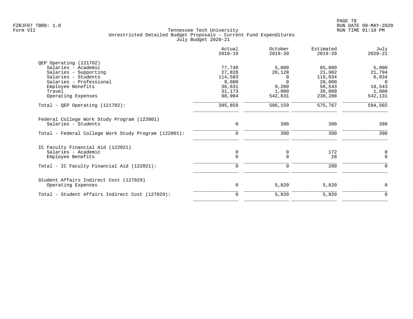|                                                                    | Actual<br>$2018 - 19$ | October<br>$2019 - 20$ | Estimated<br>$2019 - 20$ | July<br>$2020 - 21$ |
|--------------------------------------------------------------------|-----------------------|------------------------|--------------------------|---------------------|
| OEP Operating (121702)                                             |                       |                        |                          |                     |
| Salaries - Academic                                                | 77,740                | 5,000                  | 85,000                   | 5,000               |
| Salaries - Supporting                                              | 27,828                | 28,128                 | 21,902                   | 21,794              |
| Salaries - Students                                                | 114,583               | 0                      | 116,034                  | 6,034               |
| Salaries - Professional                                            | 9,000                 | $\Omega$               | 20,000                   | $\Omega$            |
| Employee Benefits                                                  | 36,631                | 9,200                  | 58,543                   | 18,543              |
| Travel                                                             | 31,173                | 1,000                  | 36,000                   | 1,000               |
| Operating Expenses                                                 | 98,904                | 542,831                | 238,288                  | 542,131             |
| Total - QEP Operating $(121702)$ :                                 | 395,859               | 586,159                | 575,767                  | 594,502             |
| Federal College Work Study Program (122001)<br>Salaries - Students | $\mathbf 0$           | 390                    | 390                      | 390                 |
|                                                                    |                       |                        |                          |                     |
| Total - Federal College Work Study Program (122001):               | $\mathbf 0$           | 390                    | 390                      | 390                 |
| IC Faculty Financial Aid (122021)                                  |                       |                        |                          |                     |
| Salaries - Academic                                                | 0                     | 0                      | 172                      | 0                   |
| Employee Benefits                                                  | $\mathbf 0$           | $\Omega$               | 28                       | $\mathbf 0$         |
| Total - IC Faculty Financial Aid (122021):                         | $\mathbf 0$           | $\mathbf 0$            | 200                      | $\Omega$            |
| Student Affairs Indirect Cost (127029)                             |                       |                        |                          |                     |
| Operating Expenses                                                 | $\mathbf 0$           | 5,820                  | 5,820                    | $\mathbf 0$         |
| Total - Student Affairs Indirect Cost (127029):                    | 0                     | 5,820                  | 5,820                    | 0                   |
|                                                                    |                       |                        |                          |                     |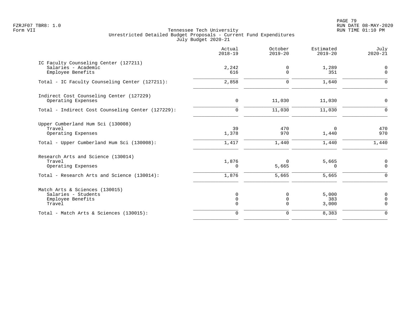PAGE 79 FZRJF07 TBR8: 1.0 RUN DATE 08-MAY-2020

|                                                                                                                   | Actual<br>$2018 - 19$            | October<br>$2019 - 20$     | Estimated<br>$2019 - 20$ | July<br>$2020 - 21$              |
|-------------------------------------------------------------------------------------------------------------------|----------------------------------|----------------------------|--------------------------|----------------------------------|
| IC Faculty Counseling Center (127211)<br>Salaries - Academic<br>Employee Benefits                                 | 2,242<br>616                     | 0<br>$\Omega$              | 1,289<br>351             | $\mathbf 0$<br>$\mathsf{O}$      |
| Total - IC Faculty Counseling Center (127211):                                                                    | 2,858                            | $\mathbf 0$                | 1,640                    | $\mathbf 0$                      |
| Indirect Cost Counseling Center (127229)<br>Operating Expenses                                                    | $\mathbf 0$                      | 11,030                     | 11,030                   | $\mathsf{O}$                     |
| Total - Indirect Cost Counseling Center (127229):                                                                 | $\mathbf 0$                      | 11,030                     | 11,030                   | $\mathbf 0$                      |
| Upper Cumberland Hum Sci (130008)<br>Travel<br>Operating Expenses                                                 | 39<br>1,378                      | 470<br>970                 | 0<br>1,440               | 470<br>970                       |
| Total - Upper Cumberland Hum Sci (130008):                                                                        | 1,417                            | 1,440                      | 1,440                    | 1,440                            |
| Research Arts and Science (130014)<br>Travel<br>Operating Expenses<br>Total - Research Arts and Science (130014): | 1,876<br>0<br>1,876              | $\Omega$<br>5,665<br>5,665 | 5,665<br>0<br>5,665      | 0<br>$\mathsf{O}$<br>$\mathbf 0$ |
|                                                                                                                   |                                  |                            |                          |                                  |
| Match Arts & Sciences (130015)<br>Salaries - Students<br>Employee Benefits<br>Travel                              | 0<br>$\mathsf{O}$<br>$\mathbf 0$ | 0<br>0<br>$\mathbf 0$      | 5,000<br>383<br>3,000    | 0<br>$\mathbf 0$<br>$\mathbf 0$  |
| Total - Match Arts & Sciences (130015):                                                                           | $\mathbf 0$                      | $\mathbf 0$                | 8,383                    | $\mathbf 0$                      |
|                                                                                                                   |                                  |                            |                          |                                  |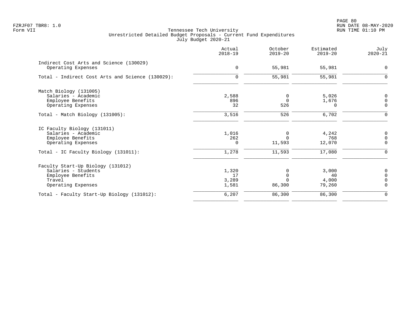|                                                  | Actual<br>$2018 - 19$ | October<br>$2019 - 20$ | Estimated<br>$2019 - 20$ | July<br>$2020 - 21$ |
|--------------------------------------------------|-----------------------|------------------------|--------------------------|---------------------|
| Indirect Cost Arts and Science (130029)          |                       |                        |                          | $\Omega$            |
| Operating Expenses                               | $\mathbf 0$           | 55,981                 | 55,981                   |                     |
| Total - Indirect Cost Arts and Science (130029): | $\mathbf 0$           | 55,981                 | 55,981                   | $\Omega$            |
| Match Biology (131005)                           |                       |                        |                          |                     |
| Salaries - Academic                              | 2,588                 | $\Omega$               | 5,026                    | $\mathbf 0$         |
| Employee Benefits                                | 896                   | $\Omega$               | 1,676                    | $\Omega$            |
| Operating Expenses                               | 32                    | 526                    | $\Omega$                 | $\mathbf 0$         |
| Total - Match Biology (131005):                  | 3,516                 | 526                    | 6,702                    | $\Omega$            |
| IC Faculty Biology (131011)                      |                       |                        |                          |                     |
| Salaries - Academic                              | 1,016                 | 0                      | 4,242                    | $\mathbf 0$         |
| Employee Benefits                                | 262                   |                        | 768                      | $\mathbf 0$         |
| Operating Expenses                               | 0                     | 11,593                 | 12,070                   | $\mathbf 0$         |
| Total - IC Faculty Biology (131011):             | 1,278                 | 11,593                 | 17,080                   | $\Omega$            |
| Faculty Start-Up Biology (131012)                |                       |                        |                          |                     |
| Salaries - Students                              | 1,320                 |                        | 3,000                    | 0                   |
| Employee Benefits                                | 17                    |                        | 40                       | $\Omega$            |
| Travel                                           | 3,289                 |                        | 4,000                    | $\mathbf 0$         |
| Operating Expenses                               | 1,581                 | 86,300                 | 79,260                   | $\overline{0}$      |
| Total - Faculty Start-Up Biology (131012):       | 6,207                 | 86,300                 | 86,300                   | $\mathbf 0$         |
|                                                  |                       |                        |                          |                     |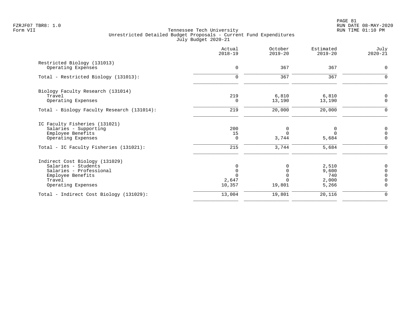|                                            | Actual<br>$2018 - 19$ | October<br>$2019 - 20$ | Estimated<br>$2019 - 20$ | July<br>$2020 - 21$ |
|--------------------------------------------|-----------------------|------------------------|--------------------------|---------------------|
| Restricted Biology (131013)                |                       |                        |                          |                     |
| Operating Expenses                         | $\mathbf 0$           | 367                    | 367                      | $\Omega$            |
| Total - Restricted Biology (131013):       | $\Omega$              | 367                    | 367                      | O                   |
| Biology Faculty Research (131014)          |                       |                        |                          |                     |
| Travel                                     | 219                   | 6,810                  | 6,810                    | $\Omega$            |
| Operating Expenses                         | $\Omega$              | 13,190                 | 13,190                   | $\mathbf 0$         |
| Total - Biology Faculty Research (131014): | 219                   | 20,000                 | 20,000                   | $\Omega$            |
| IC Faculty Fisheries (131021)              |                       |                        |                          |                     |
| Salaries - Supporting                      | 200                   | 0                      | 0                        | $\mathbf 0$         |
| Employee Benefits                          | 15                    | $\Omega$               | $\Omega$                 | $\Omega$            |
| Operating Expenses                         | 0                     | 3,744                  | 5,684                    | $\Omega$            |
| Total - IC Faculty Fisheries (131021):     | 215                   | 3,744                  | 5,684                    | $\Omega$            |
| Indirect Cost Biology (131029)             |                       |                        |                          |                     |
| Salaries - Students                        |                       |                        | 2,510                    | $\Omega$            |
| Salaries - Professional                    |                       | $\Omega$               | 9,600                    | $\Omega$            |
| Employee Benefits                          |                       |                        | 740                      | $\Omega$            |
| Travel                                     | 2,647                 |                        | 2,000                    | $\Omega$            |
| Operating Expenses                         | 10,357                | 19,801                 | 5,266                    | $\Omega$            |
| Total - Indirect Cost Biology (131029):    | 13,004                | 19,801                 | 20,116                   | $\mathbf 0$         |
|                                            |                       |                        |                          |                     |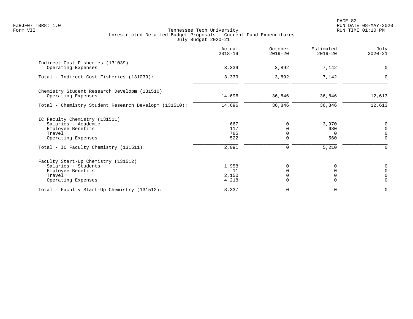PAGE 82 FZRJF07 TBR8: 1.0 RUN DATE 08-MAY-2020

|                                                                                                                 | Actual<br>$2018 - 19$         | October<br>$2019 - 20$                          | Estimated<br>$2019 - 20$        | July<br>$2020 - 21$                                    |
|-----------------------------------------------------------------------------------------------------------------|-------------------------------|-------------------------------------------------|---------------------------------|--------------------------------------------------------|
| Indirect Cost Fisheries (131039)<br>Operating Expenses                                                          | 3,339                         | 3,892                                           | 7,142                           | 0                                                      |
| Total - Indirect Cost Fisheries (131039):                                                                       | 3,339                         | 3,892                                           | 7,142                           | $\Omega$                                               |
| Chemistry Student Research Developm (131510)<br>Operating Expenses                                              | 14,696                        | 36,846                                          | 36,846                          | 12,613                                                 |
| Total - Chemistry Student Research Developm (131510):                                                           | 14,696                        | 36,846                                          | 36,846                          | 12,613                                                 |
| IC Faculty Chemistry (131511)<br>Salaries - Academic<br>Employee Benefits<br>Travel<br>Operating Expenses       | 667<br>117<br>785<br>522      | $\Omega$<br>$\Omega$<br>$\Omega$<br>$\mathbf 0$ | 3,970<br>680<br>$\Omega$<br>560 | 0<br>$\mathsf{O}\xspace$<br>$\mathsf 0$<br>$\mathbf 0$ |
| Total - IC Faculty Chemistry (131511):                                                                          | 2,091                         | $\mathbf 0$                                     | 5,210                           | $\Omega$                                               |
| Faculty Start-Up Chemistry (131512)<br>Salaries - Students<br>Employee Benefits<br>Travel<br>Operating Expenses | 1,958<br>11<br>2,150<br>4,218 | 0<br>$\Omega$<br>0<br>0                         | O<br>0<br>$\Omega$              | 0<br>$\mathsf{O}\xspace$<br>$\mathbf 0$<br>$\Omega$    |
| Total - Faculty Start-Up Chemistry (131512):                                                                    | 8,337                         | 0                                               | 0                               | 0                                                      |
|                                                                                                                 |                               |                                                 |                                 |                                                        |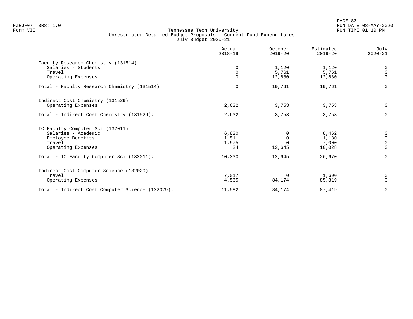| Actual<br>$2018 - 19$ | October<br>$2019 - 20$ | Estimated<br>$2019 - 20$ | July<br>$2020 - 21$ |
|-----------------------|------------------------|--------------------------|---------------------|
|                       |                        |                          |                     |
| 0                     | 1,120                  | 1,120                    | $\overline{0}$      |
| $\mathbf 0$           | 5,761                  | 5,761                    | $\Omega$            |
|                       |                        | 12,880                   | $\mathbf 0$         |
| $\mathbf 0$           | 19,761                 | 19,761                   | $\Omega$            |
|                       |                        |                          |                     |
| 2,632                 | 3,753                  | 3,753                    | 0                   |
| 2,632                 | 3,753                  | 3,753                    | $\mathbf 0$         |
|                       |                        |                          |                     |
| 6,820                 | $\Omega$               | 8,462                    | 0                   |
| 1,511                 | $\overline{0}$         | 1,180                    | $\mathsf{O}$        |
| 1,975                 | $\Omega$               | 7,000                    | $\Omega$            |
| 24                    | 12,645                 | 10,028                   | $\Omega$            |
| 10,330                | 12,645                 | 26,670                   | $\Omega$            |
|                       |                        |                          |                     |
|                       | $\Omega$               |                          | 0                   |
| 4,565                 | 84,174                 | 85,819                   | $\Omega$            |
| 11,582                | 84,174                 | 87,419                   | $\mathbf 0$         |
|                       | $\mathbf 0$<br>7,017   | 12,880                   | 1,600               |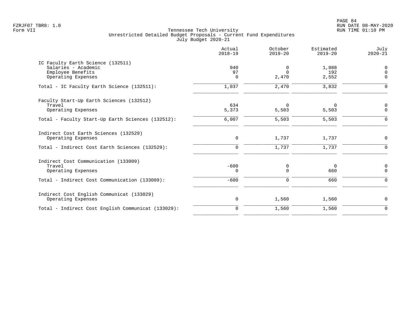|                                                                                                               | Actual<br>$2018 - 19$      | October<br>$2019 - 20$ | Estimated<br>$2019 - 20$ | July<br>$2020 - 21$                 |
|---------------------------------------------------------------------------------------------------------------|----------------------------|------------------------|--------------------------|-------------------------------------|
| IC Faculty Earth Science (132511)<br>Salaries - Academic<br>Employee Benefits<br>Operating Expenses           | 940<br>97<br>0             | 0<br>$\Omega$<br>2,470 | 1,088<br>192<br>2,552    | $\mathbf 0$<br>$\Omega$<br>$\Omega$ |
| Total - IC Faculty Earth Science (132511):                                                                    | 1,037                      | 2,470                  | 3,832                    | $\Omega$                            |
| Faculty Start-Up Earth Sciences (132512)<br>Travel<br>Operating Expenses                                      | 634<br>5,373               | $\Omega$<br>5,503      | $\Omega$<br>5,503        | 0<br>$\Omega$                       |
| Total - Faculty Start-Up Earth Sciences (132512):                                                             | 6,007                      | 5,503                  | 5,503                    | $\Omega$                            |
| Indirect Cost Earth Sciences (132529)<br>Operating Expenses<br>Total - Indirect Cost Earth Sciences (132529): | $\mathbf 0$<br>$\mathbf 0$ | 1,737<br>1,737         | 1,737<br>1,737           | $\Omega$<br>$\Omega$                |
| Indirect Cost Communication (133009)                                                                          |                            |                        |                          |                                     |
| Travel<br>Operating Expenses                                                                                  | $-600$<br>$\Omega$         | 0<br>$\Omega$          | $\overline{0}$<br>660    | $\mathbf 0$<br>$\Omega$             |
| Total - Indirect Cost Communication (133009):                                                                 | $-600$                     | 0                      | 660                      | $\Omega$                            |
| Indirect Cost English Communicat (133029)<br>Operating Expenses                                               | 0                          | 1,560                  | 1,560                    | 0                                   |
| Total - Indirect Cost English Communicat (133029):                                                            | $\mathbf 0$                | 1,560                  | 1,560                    | $\Omega$                            |
|                                                                                                               |                            |                        |                          |                                     |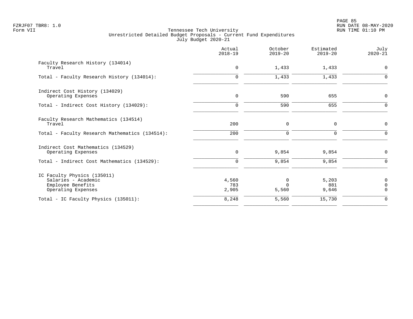|                                                                                               | Actual<br>$2018 - 19$ | October<br>$2019 - 20$           | Estimated<br>$2019 - 20$ | July<br>$2020 - 21$                       |
|-----------------------------------------------------------------------------------------------|-----------------------|----------------------------------|--------------------------|-------------------------------------------|
| Faculty Research History (134014)<br>Travel                                                   | 0                     | 1,433                            | 1,433                    | $\mathbf 0$                               |
| Total - Faculty Research History (134014):                                                    | $\Omega$              | 1,433                            | 1,433                    | $\Omega$                                  |
| Indirect Cost History (134029)<br>Operating Expenses                                          | $\mathbf 0$           | 590                              | 655                      | 0                                         |
| Total - Indirect Cost History (134029):                                                       | $\mathbf 0$           | 590                              | 655                      | $\mathbf 0$                               |
| Faculty Research Mathematics (134514)<br>Travel                                               | 200                   | 0                                | $\mathbf 0$              | 0                                         |
| Total - Faculty Research Mathematics (134514):                                                | 200                   | $\mathbf 0$                      | $\Omega$                 | $\Omega$                                  |
| Indirect Cost Mathematics (134529)<br>Operating Expenses                                      | 0                     | 9,854                            | 9,854                    | $\mathbf 0$                               |
| Total - Indirect Cost Mathematics (134529):                                                   | $\mathbf 0$           | 9,854                            | 9,854                    | $\Omega$                                  |
| IC Faculty Physics (135011)<br>Salaries - Academic<br>Employee Benefits<br>Operating Expenses | 4,560<br>783<br>2,905 | $\mathbf 0$<br>$\Omega$<br>5,560 | 5,203<br>881<br>9,646    | $\mathbf 0$<br>$\mathbf 0$<br>$\mathbf 0$ |
| Total - IC Faculty Physics (135011):                                                          | 8,248                 | 5,560                            | 15,730                   | $\mathbf 0$                               |
|                                                                                               |                       |                                  |                          |                                           |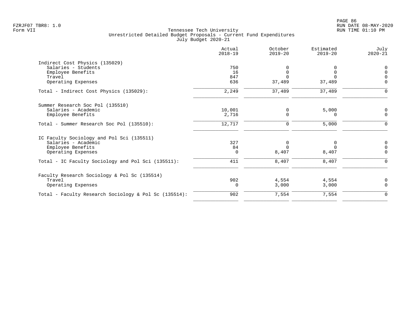| Actual<br>$2018 - 19$ | October<br>$2019 - 20$ | Estimated<br>$2019 - 20$ | July<br>$2020 - 21$ |
|-----------------------|------------------------|--------------------------|---------------------|
|                       |                        |                          |                     |
| 750                   |                        |                          | 0                   |
| 16                    | $\Omega$               |                          | $\overline{0}$      |
| 847                   |                        |                          | $\mathbf 0$         |
| 636                   | 37,489                 | 37,489                   | $\mathbf 0$         |
| 2,249                 | 37,489                 | 37,489                   | $\Omega$            |
|                       |                        |                          |                     |
|                       | $\Omega$               |                          | 0                   |
| 2,716                 | $\Omega$               | 0                        | $\mathbf 0$         |
| 12,717                | 0                      | 5,000                    | $\mathbf 0$         |
|                       |                        |                          |                     |
| 327                   | 0                      | 0                        | 0                   |
| 84                    | $\Omega$               |                          | $\mathbf 0$         |
| $\mathbf 0$           | 8,407                  | 8,407                    | $\mathbf 0$         |
| 411                   | 8,407                  | 8,407                    | $\mathbf 0$         |
|                       |                        |                          |                     |
| 902                   | 4,554                  | 4,554                    | 0                   |
| 0                     | 3,000                  | 3,000                    | $\Omega$            |
| 902                   | 7,554                  | 7,554                    | $\mathbf 0$         |
|                       | 10,001                 |                          | 5,000               |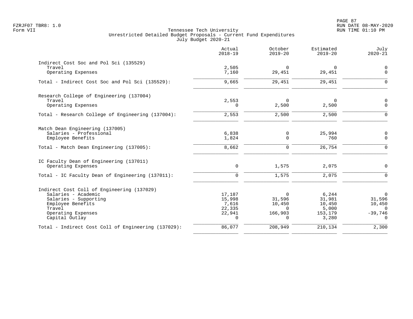|                                                     | Actual<br>$2018 - 19$ | October<br>$2019 - 20$ | Estimated<br>$2019 - 20$ | July<br>$2020 - 21$ |
|-----------------------------------------------------|-----------------------|------------------------|--------------------------|---------------------|
| Indirect Cost Soc and Pol Sci (135529)              |                       |                        |                          |                     |
| Travel                                              | 2,505                 | $\Omega$               | $\mathbf 0$              | $\mathbf 0$         |
| Operating Expenses                                  | 7,160                 | 29,451                 | 29,451                   | $\Omega$            |
| Total - Indirect Cost Soc and Pol Sci (135529):     | 9,665                 | 29,451                 | 29,451                   | $\Omega$            |
| Research College of Engineering (137004)            |                       |                        |                          |                     |
| Travel                                              | 2,553                 | $\Omega$               | $\mathbf 0$              | $\mathbf 0$         |
| Operating Expenses                                  | 0                     | 2,500                  | 2,500                    | $\mathbf 0$         |
| Total - Research College of Engineering (137004):   | 2,553                 | 2,500                  | 2,500                    | $\mathbf 0$         |
| Match Dean Engineering (137005)                     |                       |                        |                          |                     |
| Salaries - Professional                             | 6,838                 | 0                      | 25,994                   | 0                   |
| Employee Benefits                                   | 1,824                 | $\mathbf 0$            | 760                      | $\mathbf 0$         |
| Total - Match Dean Engineering (137005):            | 8,662                 | $\Omega$               | 26,754                   | $\Omega$            |
| IC Faculty Dean of Engineering (137011)             |                       |                        |                          |                     |
| Operating Expenses                                  | $\mathbf 0$           | 1,575                  | 2,075                    | $\mathbf 0$         |
| Total - IC Faculty Dean of Engineering (137011):    | $\mathbf 0$           | 1,575                  | 2,075                    | $\mathbf 0$         |
| Indirect Cost Coll of Engineering (137029)          |                       |                        |                          |                     |
| Salaries - Academic                                 | 17,187                | $\Omega$               | 6,244                    | $\Omega$            |
| Salaries - Supporting                               | 15,998                | 31,596                 | 31,981                   | 31,596              |
| Employee Benefits                                   | 7,616                 | 10,450                 | 10,450                   | 10,450              |
| Travel                                              | 22,335                | $\Omega$               | 5,000                    | $\Omega$            |
| Operating Expenses                                  | 22,941                | 166,903                | 153,179                  | $-39,746$           |
| Capital Outlay                                      | $\cap$                | $\cap$                 | 3,280                    | $\Omega$            |
| Total - Indirect Cost Coll of Engineering (137029): | 86,077                | 208,949                | 210,134                  | 2,300               |
|                                                     |                       |                        |                          |                     |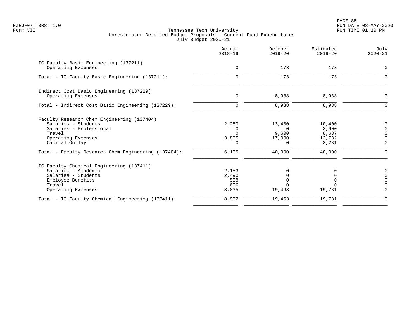PAGE 88 FZRJF07 TBR8: 1.0 RUN DATE 08-MAY-2020

|                                                                                                                                                | Actual<br>$2018 - 19$                  | October<br>$2019 - 20$                            | Estimated<br>$2019 - 20$                    | July<br>$2020 - 21$                               |
|------------------------------------------------------------------------------------------------------------------------------------------------|----------------------------------------|---------------------------------------------------|---------------------------------------------|---------------------------------------------------|
| IC Faculty Basic Engineering (137211)<br>Operating Expenses                                                                                    | 0                                      | 173                                               | 173                                         | 0                                                 |
| Total - IC Faculty Basic Engineering (137211):                                                                                                 | $\mathbf 0$                            | 173                                               | 173                                         | $\Omega$                                          |
| Indirect Cost Basic Engineering (137229)<br>Operating Expenses                                                                                 | 0                                      | 8,938                                             | 8,938                                       | 0                                                 |
| Total - Indirect Cost Basic Engineering (137229):                                                                                              | $\mathbf 0$                            | 8,938                                             | 8,938                                       | $\overline{0}$                                    |
| Faculty Research Chem Engineering (137404)<br>Salaries - Students<br>Salaries - Professional<br>Travel<br>Operating Expenses<br>Capital Outlay | 2,280<br>$\Omega$<br>3,855<br>$\Omega$ | 13,400<br>$\Omega$<br>9,600<br>17,000<br>$\Omega$ | 10,400<br>3,900<br>8,687<br>13,732<br>3,281 | 0<br>$\Omega$<br>$\Omega$<br>$\Omega$<br>$\Omega$ |
| Total - Faculty Research Chem Engineering (137404):                                                                                            | 6,135                                  | 40,000                                            | 40,000                                      | 0                                                 |
| IC Faculty Chemical Engineering (137411)<br>Salaries - Academic<br>Salaries - Students<br>Employee Benefits<br>Travel<br>Operating Expenses    | 2,153<br>2,490<br>558<br>696<br>3,035  | 19,463                                            | 19,781                                      | 0<br>$\Omega$<br>$\Omega$<br>$\Omega$<br>$\Omega$ |
| Total - IC Faculty Chemical Engineering (137411):                                                                                              | 8,932                                  | 19,463                                            | 19,781                                      | $\mathbf 0$                                       |
|                                                                                                                                                |                                        |                                                   |                                             |                                                   |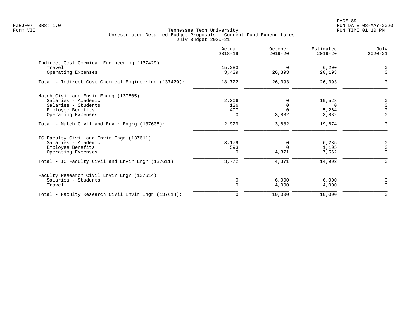|                                                       | Actual<br>$2018 - 19$ | October<br>$2019 - 20$ | Estimated<br>$2019 - 20$ | July<br>$2020 - 21$ |
|-------------------------------------------------------|-----------------------|------------------------|--------------------------|---------------------|
| Indirect Cost Chemical Engineering (137429)<br>Travel |                       | $\Omega$               |                          | $\Omega$            |
| Operating Expenses                                    | 15,283<br>3,439       | 26,393                 | 6,200<br>20,193          | $\Omega$            |
| Total - Indirect Cost Chemical Engineering (137429):  | 18,722                | 26,393                 | 26,393                   | O                   |
| Match Civil and Envir Engrg (137605)                  |                       |                        |                          |                     |
| Salaries - Academic                                   | 2,306                 |                        | 10,528                   | 0                   |
| Salaries - Students                                   | 126                   | $\Omega$               | $\Omega$                 | $\Omega$            |
| Employee Benefits                                     | 497                   | $\Omega$               | 5,264                    | $\Omega$            |
| Operating Expenses                                    | $\Omega$              | 3,882                  | 3,882                    | $\Omega$            |
| Total - Match Civil and Envir Engrg (137605):         | 2,929                 | 3,882                  | 19,674                   | $\mathbf 0$         |
| IC Faculty Civil and Envir Engr (137611)              |                       |                        |                          |                     |
| Salaries - Academic                                   | 3,179                 | $\Omega$               | 6,235                    | $\mathbf 0$         |
| Employee Benefits                                     | 593                   | $\Omega$               | 1,105                    | $\Omega$            |
| Operating Expenses                                    | $\Omega$              | 4,371                  | 7,562                    | $\Omega$            |
| Total - IC Faculty Civil and Envir Engr (137611):     | 3,772                 | 4,371                  | 14,902                   | $\mathbf 0$         |
| Faculty Research Civil Envir Engr (137614)            |                       |                        |                          |                     |
| Salaries - Students                                   | 0                     | 6.000                  | 6.000                    | 0                   |
| Travel                                                | $\Omega$              | 4,000                  | 4,000                    | $\Omega$            |
| Total - Faculty Research Civil Envir Engr (137614):   | 0                     | 10,000                 | 10,000                   | $\mathbf 0$         |
|                                                       |                       |                        |                          |                     |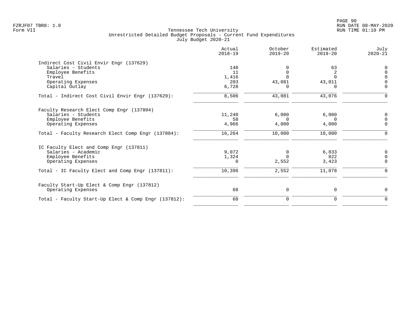|                                                      | Actual<br>$2018 - 19$ | October<br>$2019 - 20$ | Estimated<br>$2019 - 20$ | July<br>$2020 - 21$ |
|------------------------------------------------------|-----------------------|------------------------|--------------------------|---------------------|
| Indirect Cost Civil Envir Engr (137629)              |                       |                        |                          |                     |
| Salaries - Students                                  | 148                   |                        | 63                       |                     |
| Employee Benefits                                    | 11                    |                        | 2                        |                     |
| Travel                                               | 1,416                 |                        | $\Omega$                 |                     |
| Operating Expenses                                   | 203                   | 43,081                 | 43,011                   |                     |
| Capital Outlay                                       | 6,728                 |                        |                          | $\Omega$            |
| Total - Indirect Cost Civil Envir Engr (137629):     | 8,506                 | 43,081                 | 43,076                   | $\mathbf 0$         |
| Faculty Research Elect Comp Engr (137804)            |                       |                        |                          |                     |
| Salaries - Students                                  | 11,240                | 6,000                  | 6,000                    | $\Omega$            |
| Employee Benefits                                    | 58                    | $\Omega$               | $\Omega$                 |                     |
| Operating Expenses                                   | 4,966                 | 4,000                  | 4,000                    | $\Omega$            |
| Total - Faculty Research Elect Comp Engr (137804):   | 16,264                | 10,000                 | 10,000                   |                     |
| IC Faculty Elect and Comp Engr (137811)              |                       |                        |                          |                     |
| Salaries - Academic                                  | 9,072                 | 0                      | 6,833                    | $\Omega$            |
| Employee Benefits                                    | 1,324                 | $\Omega$               | 822                      | $\Omega$            |
| Operating Expenses                                   | $\Omega$              | 2,552                  | 3,423                    | $\Omega$            |
| Total - IC Faculty Elect and Comp Engr (137811):     | 10,396                | 2,552                  | 11,078                   | $\Omega$            |
| Faculty Start-Up Elect & Comp Engr (137812)          |                       |                        |                          |                     |
| Operating Expenses                                   | 68                    | 0                      | 0                        | $\Omega$            |
| Total - Faculty Start-Up Elect & Comp Engr (137812): | 68                    | 0                      | 0                        | $\mathbf 0$         |
|                                                      |                       |                        |                          |                     |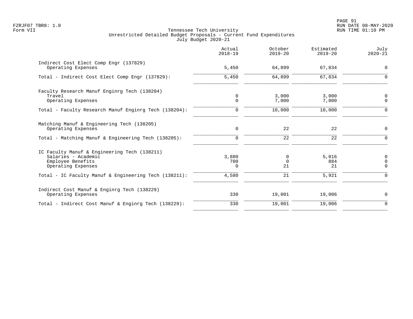|                                                                                                                | Actual<br>$2018 - 19$    | October<br>$2019 - 20$ | Estimated<br>$2019 - 20$ | July<br>$2020 - 21$             |
|----------------------------------------------------------------------------------------------------------------|--------------------------|------------------------|--------------------------|---------------------------------|
| Indirect Cost Elect Comp Engr (137829)<br>Operating Expenses                                                   | 5,450                    | 64,899                 | 67,834                   | $\mathbf 0$                     |
| Total - Indirect Cost Elect Comp Engr (137829):                                                                | 5,450                    | 64,899                 | 67,834                   | $\Omega$                        |
| Faculty Research Manuf Enginrg Tech (138204)<br>Travel<br>Operating Expenses                                   | $\mathbf 0$<br>$\Omega$  | 3,000<br>7,000         | 3,000<br>7,000           | $\mathbf 0$<br>$\Omega$         |
| Total - Faculty Research Manuf Enginrg Tech (138204):                                                          | 0                        | 10,000                 | 10,000                   | $\Omega$                        |
| Matching Manuf & Engineering Tech (138205)<br>Operating Expenses                                               | $\mathsf{O}$             | 22                     | 22                       | $\mathsf{O}$                    |
| Total - Matching Manuf & Engineering Tech (138205):                                                            | $\mathbf 0$              | 22                     | 22                       | $\mathbf 0$                     |
| IC Faculty Manuf & Engineering Tech (138211)<br>Salaries - Academic<br>Employee Benefits<br>Operating Expenses | 3,880<br>700<br>$\Omega$ | 0<br>$\Omega$<br>21    | 5,016<br>884<br>21       | 0<br>$\mathbf 0$<br>$\mathbf 0$ |
| Total - IC Faculty Manuf & Engineering Tech (138211):                                                          | 4,580                    | 21                     | 5,921                    | $\Omega$                        |
| Indirect Cost Manuf & Enginrg Tech (138229)<br>Operating Expenses                                              | 330                      | 19,001                 | 19,006                   | 0                               |
| Total - Indirect Cost Manuf & Enginrg Tech (138229):                                                           | 330                      | 19,001                 | 19,006                   | $\mathbf 0$                     |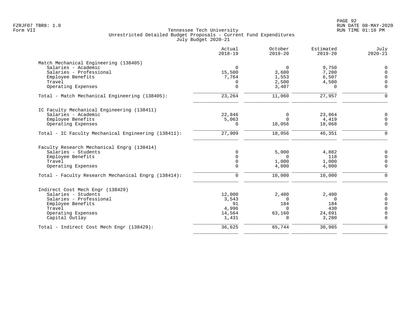|                                                     | Actual<br>$2018 - 19$ | October<br>$2019 - 20$ | Estimated<br>$2019 - 20$ | July<br>$2020 - 21$ |
|-----------------------------------------------------|-----------------------|------------------------|--------------------------|---------------------|
| Match Mechanical Engineering (138405)               |                       |                        |                          |                     |
| Salaries - Academic                                 | $\mathbf 0$           | $\overline{0}$         | 9,750                    | 0                   |
| Salaries - Professional                             | 15,500                | 3,600                  | 7,200                    | $\Omega$            |
| Employee Benefits                                   | 7,764                 | 1,553                  | 6,507                    | $\Omega$            |
| Travel                                              | 0                     | 2,500                  | 4,500                    | $\Omega$            |
| Operating Expenses                                  | $\Omega$              | 3,407                  | $\Omega$                 | $\mathbf 0$         |
| Total - Match Mechanical Engineering (138405):      | 23,264                | 11,060                 | 27,957                   | $\mathbf 0$         |
| IC Faculty Mechanical Engineering (138411)          |                       |                        |                          |                     |
| Salaries - Academic                                 | 22,846                | 0                      | 23,864                   | $\mathbf 0$         |
| Employee Benefits                                   | 5,063                 | $\Omega$               | 4,419                    | $\mathbf 0$         |
| Operating Expenses                                  | $\Omega$              | 18,056                 | 18,068                   | $\Omega$            |
| Total - IC Faculty Mechanical Engineering (138411): | 27,909                | 18,056                 | 46,351                   | $\Omega$            |
| Faculty Research Mechanical Engrg (138414)          |                       |                        |                          |                     |
| Salaries - Students                                 | $\Omega$              | 5,000                  | 4,882                    | 0                   |
| Employee Benefits                                   | $\Omega$              | $\Omega$               | 118                      | $\Omega$            |
| Travel                                              | $\mathbf 0$           | 1,000                  | 1,000                    | $\Omega$            |
| Operating Expenses                                  | $\Omega$              | 4,000                  | 4,000                    | $\mathbf 0$         |
| Total - Faculty Research Mechanical Engrg (138414): | $\mathbf 0$           | 10,000                 | 10,000                   | $\mathbf 0$         |
| Indirect Cost Mech Engr (138429)                    |                       |                        |                          |                     |
| Salaries - Students                                 | 12,000                | 2,400                  | 2,400                    | 0                   |
| Salaries - Professional                             | 3,543                 | $\Omega$               | $\Omega$                 | $\Omega$            |
| Employee Benefits                                   | 91                    | 184                    | 184                      | $\Omega$            |
| Travel                                              | 4,996                 | $\Omega$               | 430                      | $\Omega$            |
| Operating Expenses                                  | 14,564                | 63,160                 | 24,691                   | $\Omega$            |
| Capital Outlay                                      | 1,431                 | $\Omega$               | 3,280                    | $\Omega$            |
| Total - Indirect Cost Mech Engr (138429):           | 36,625                | 65,744                 | 30,985                   | $\Omega$            |
|                                                     |                       |                        |                          |                     |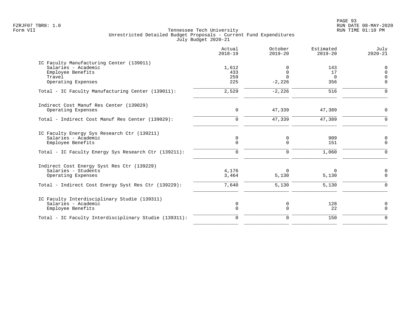|                                                                                                                                                 | Actual<br>$2018 - 19$      | October<br>$2019 - 20$              | Estimated<br>$2019 - 20$     | July<br>$2020 - 21$       |
|-------------------------------------------------------------------------------------------------------------------------------------------------|----------------------------|-------------------------------------|------------------------------|---------------------------|
| IC Faculty Manufacturing Center (139011)<br>Salaries - Academic<br>Employee Benefits<br>Travel<br>Operating Expenses                            | 1,612<br>433<br>259<br>225 | 0<br>$\Omega$<br>$\cap$<br>$-2,226$ | 143<br>17<br>$\Omega$<br>356 | 0<br>$\cap$<br>$\Omega$   |
| Total - IC Faculty Manufacturing Center (139011):                                                                                               | 2,529                      | $-2,226$                            | 516                          | n                         |
| Indirect Cost Manuf Res Center (139029)<br>Operating Expenses                                                                                   | $\mathbf 0$                | 47,339                              | 47,389                       | $\Omega$                  |
| Total - Indirect Cost Manuf Res Center (139029):                                                                                                | 0                          | 47,339                              | 47,389                       | $\Omega$                  |
| IC Faculty Energy Sys Research Ctr (139211)<br>Salaries - Academic<br>Employee Benefits<br>Total - IC Faculty Energy Sys Research Ctr (139211): | 0<br>$\Omega$<br>$\Omega$  | 0<br>$\Omega$<br>$\Omega$           | 909<br>151<br>1,060          | 0<br>$\Omega$<br>$\Omega$ |
| Indirect Cost Energy Syst Res Ctr (139229)<br>Salaries - Students<br>Operating Expenses<br>Total - Indirect Cost Energy Syst Res Ctr (139229):  | 4,176<br>3,464<br>7,640    | $\Omega$<br>5,130<br>5,130          | $\Omega$<br>5,130<br>5,130   | $\Omega$<br>$\Omega$      |
| IC Faculty Interdisciplinary Studie (139311)<br>Salaries - Academic<br>Employee Benefits                                                        | 0<br>$\Omega$              | 0<br>$\Omega$                       | 128<br>22                    | 0<br>$\Omega$             |
| Total - IC Faculty Interdisciplinary Studie (139311):                                                                                           | $\Omega$                   | $\mathbf 0$                         | 150                          | $\Omega$                  |
|                                                                                                                                                 |                            |                                     |                              |                           |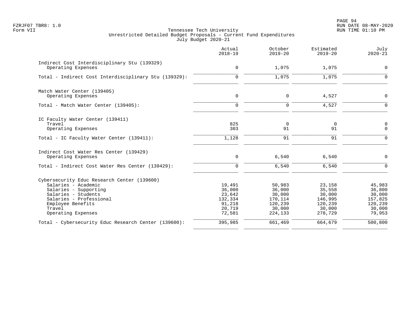PAGE 94 FZRJF07 TBR8: 1.0 RUN DATE 08-MAY-2020

|                                                                                                                                                                                                    | Actual<br>$2018 - 19$                                               | October<br>$2019 - 20$                                                | Estimated<br>$2019 - 20$                                              | July<br>$2020 - 21$                                                  |
|----------------------------------------------------------------------------------------------------------------------------------------------------------------------------------------------------|---------------------------------------------------------------------|-----------------------------------------------------------------------|-----------------------------------------------------------------------|----------------------------------------------------------------------|
| Indirect Cost Interdisciplinary Stu (139329)<br>Operating Expenses                                                                                                                                 | $\mathbf 0$                                                         | 1,075                                                                 | 1,075                                                                 | $\mathbf 0$                                                          |
| Total - Indirect Cost Interdisciplinary Stu (139329):                                                                                                                                              | $\mathbf 0$                                                         | 1,075                                                                 | 1,075                                                                 | $\Omega$                                                             |
| Match Water Center (139405)<br>Operating Expenses                                                                                                                                                  | $\mathbf 0$                                                         | $\Omega$                                                              | 4,527                                                                 | $\mathbf 0$                                                          |
| Total - Match Water Center (139405):                                                                                                                                                               | $\mathbf 0$                                                         | $\mathbf 0$                                                           | 4,527                                                                 | $\Omega$                                                             |
| IC Faculty Water Center (139411)<br>Travel<br>Operating Expenses                                                                                                                                   | 825<br>303                                                          | $\overline{0}$<br>91                                                  | $\mathbf 0$<br>91                                                     | $\mathsf{O}$<br>$\mathbf 0$                                          |
| Total - IC Faculty Water Center (139411):                                                                                                                                                          | 1,128                                                               | 91                                                                    | 91                                                                    | $\mathbf 0$                                                          |
| Indirect Cost Water Res Center (139429)<br>Operating Expenses                                                                                                                                      | 0                                                                   | 6,540                                                                 | 6,540                                                                 | $\Omega$                                                             |
| Total - Indirect Cost Water Res Center (139429):                                                                                                                                                   | $\Omega$                                                            | 6,540                                                                 | 6,540                                                                 | $\Omega$                                                             |
| Cybersecurity Educ Research Center (139600)<br>Salaries - Academic<br>Salaries - Supporting<br>Salaries - Students<br>Salaries - Professional<br>Employee Benefits<br>Travel<br>Operating Expenses | 19,491<br>36,000<br>23,642<br>132,334<br>91,218<br>20,719<br>72,581 | 50,983<br>36,000<br>30,000<br>170,114<br>120,239<br>30,000<br>224,133 | 23,158<br>35,558<br>30,000<br>146,995<br>120,239<br>30,000<br>278,729 | 45,983<br>36,800<br>30,000<br>157,825<br>120,239<br>30,000<br>79,953 |
| Total - Cybersecurity Educ Research Center (139600):                                                                                                                                               | 395,985                                                             | 661,469                                                               | 664,679                                                               | 500,800                                                              |
|                                                                                                                                                                                                    |                                                                     |                                                                       |                                                                       |                                                                      |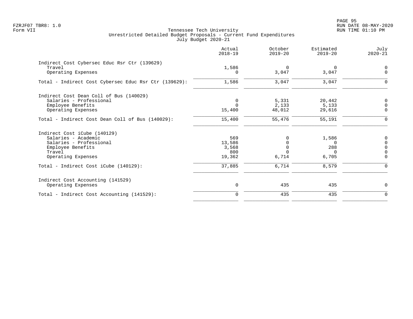PAGE 95 FZRJF07 TBR8: 1.0 RUN DATE 08-MAY-2020

|                                                       | Actual<br>$2018 - 19$ | October<br>$2019 - 20$ | Estimated<br>$2019 - 20$ | July<br>$2020 - 21$ |
|-------------------------------------------------------|-----------------------|------------------------|--------------------------|---------------------|
| Indirect Cost Cybersec Educ Rsr Ctr (139629)          |                       |                        |                          |                     |
| Travel                                                | 1,586                 | $\overline{0}$         | 0                        | $\mathbf 0$         |
| Operating Expenses                                    | $\Omega$              | 3,047                  | 3,047                    | $\Omega$            |
| Total - Indirect Cost Cybersec Educ Rsr Ctr (139629): | 1,586                 | 3,047                  | 3,047                    | $\mathbf 0$         |
| Indirect Cost Dean Coll of Bus (140029)               |                       |                        |                          |                     |
| Salaries - Professional                               | 0                     | 5,331                  | 20,442                   | 0                   |
| Employee Benefits                                     | $\Omega$              | 2,133                  | 5,133                    | $\Omega$            |
| Operating Expenses                                    | 15,400                | 48,012                 | 29,616                   | 0                   |
| Total - Indirect Cost Dean Coll of Bus (140029):      | 15,400                | 55,476                 | 55,191                   | $\mathbf 0$         |
| Indirect Cost iCube (140129)                          |                       |                        |                          |                     |
| Salaries - Academic                                   | 569                   | $\Omega$               | 1,586                    | 0                   |
| Salaries - Professional                               | 13,586                | $\mathbf 0$            | $\Omega$                 | $\mathbf 0$         |
| Employee Benefits                                     | 3,568                 | $\Omega$               | 288                      | $\Omega$            |
| Travel                                                | 800                   | $\Omega$               | $\Omega$                 | $\Omega$            |
| Operating Expenses                                    | 19,362                | 6,714                  | 6,705                    | $\Omega$            |
| Total - Indirect Cost iCube (140129):                 | 37,885                | 6,714                  | 8,579                    | $\Omega$            |
| Indirect Cost Accounting (141529)                     |                       |                        |                          |                     |
| Operating Expenses                                    | $\mathbf 0$           | 435                    | 435                      | $\Omega$            |
| Total - Indirect Cost Accounting (141529):            | $\mathbf 0$           | 435                    | 435                      | $\mathbf 0$         |
|                                                       |                       |                        |                          |                     |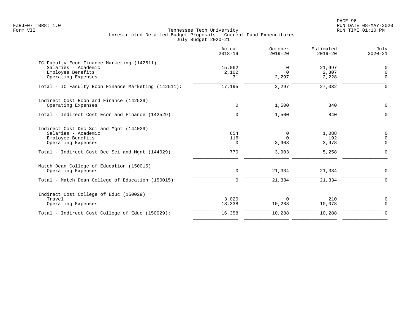PAGE 96 FZRJF07 TBR8: 1.0 RUN DATE 08-MAY-2020

|                                                                                                                                                               | Actual<br>$2018 - 19$  | October<br>$2019 - 20$           | Estimated<br>$2019 - 20$       | July<br>$2020 - 21$                            |
|---------------------------------------------------------------------------------------------------------------------------------------------------------------|------------------------|----------------------------------|--------------------------------|------------------------------------------------|
| IC Faculty Econ Finance Marketing (142511)<br>Salaries - Academic<br>Employee Benefits<br>Operating Expenses                                                  | 15,062<br>2,102<br>31  | $\mathbf 0$<br>$\Omega$<br>2,297 | 21,997<br>2,807<br>2,228       | 0<br>$\mathbf 0$<br>$\Omega$                   |
| Total - IC Faculty Econ Finance Marketing (142511):                                                                                                           | 17,195                 | 2,297                            | 27,032                         | $\Omega$                                       |
| Indirect Cost Econ and Finance (142529)<br>Operating Expenses                                                                                                 | $\mathbf 0$            | 1,500                            | 840                            | $\mathbf 0$                                    |
| Total - Indirect Cost Econ and Finance (142529):                                                                                                              | $\mathbf 0$            | 1,500                            | 840                            | $\mathbf 0$                                    |
| Indirect Cost Dec Sci and Mgnt (144029)<br>Salaries - Academic<br>Employee Benefits<br>Operating Expenses<br>Total - Indirect Cost Dec Sci and Mgnt (144029): | 654<br>116<br>0<br>770 | 0<br>$\Omega$<br>3,903<br>3,903  | 1,088<br>192<br>3,978<br>5,258 | 0<br>$\mathbf 0$<br>$\mathbf 0$<br>$\mathbf 0$ |
| Match Dean College of Education (150015)<br>Operating Expenses<br>Total - Match Dean College of Education (150015):                                           | 0<br>$\mathbf 0$       | 21,334<br>21,334                 | 21,334<br>21,334               | 0<br>$\mathbf 0$                               |
| Indirect Cost College of Educ (150029)<br>Travel<br>Operating Expenses                                                                                        | 3,020<br>13,338        | $\Omega$<br>10,288               | 210<br>10,078                  | 0<br>$\mathbf 0$                               |
| Total - Indirect Cost College of Educ (150029):                                                                                                               | 16,358                 | 10,288                           | 10,288                         | $\mathbf 0$                                    |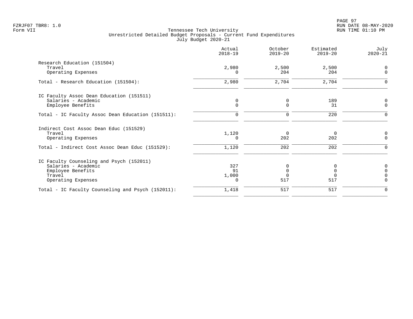|                                                   | Actual<br>$2018 - 19$ | October<br>$2019 - 20$ | Estimated<br>$2019 - 20$ | July<br>$2020 - 21$ |
|---------------------------------------------------|-----------------------|------------------------|--------------------------|---------------------|
| Research Education (151504)<br>Travel             | 2,980                 | 2,500                  | 2,500                    | $\Omega$            |
| Operating Expenses                                |                       | 204                    | 204                      | $\Omega$            |
| Total - Research Education (151504):              | 2,980                 | 2,704                  | 2,704                    | $\Omega$            |
| IC Faculty Assoc Dean Education (151511)          |                       |                        |                          |                     |
| Salaries - Academic<br>Employee Benefits          | 0<br>$\mathbf 0$      | 0<br>0                 | 189<br>31                | 0<br>$\mathbf 0$    |
| Total - IC Faculty Assoc Dean Education (151511): | 0                     | 0                      | 220                      | $\Omega$            |
| Indirect Cost Assoc Dean Educ (151529)            |                       |                        |                          |                     |
| Travel<br>Operating Expenses                      | 1,120<br>$\Omega$     | $\Omega$<br>202        | $\overline{0}$<br>202    | 0<br>$\Omega$       |
| Total - Indirect Cost Assoc Dean Educ (151529):   | 1,120                 | 202                    | 202                      | $\Omega$            |
| IC Faculty Counseling and Psych (152011)          |                       |                        |                          |                     |
| Salaries - Academic<br>Employee Benefits          | 327<br>91             | <sup>0</sup>           | 0<br>$\Omega$            | $\Omega$            |
| Travel                                            | 1,000                 |                        | $\Omega$                 |                     |
| Operating Expenses                                | $\Omega$              | 517                    | 517                      | $\Omega$            |
| Total - IC Faculty Counseling and Psych (152011): | 1,418                 | 517                    | 517                      | $\Omega$            |
|                                                   |                       |                        |                          |                     |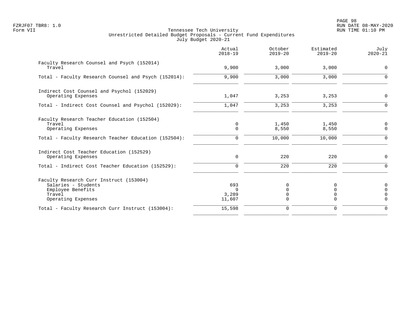PAGE 98 FZRJF07 TBR8: 1.0 RUN DATE 08-MAY-2020

|                                                                                                                     | Actual<br>$2018 - 19$       | October<br>$2019 - 20$ | Estimated<br>$2019 - 20$ | July<br>$2020 - 21$                           |
|---------------------------------------------------------------------------------------------------------------------|-----------------------------|------------------------|--------------------------|-----------------------------------------------|
| Faculty Research Counsel and Psych (152014)<br>Travel                                                               | 9,900                       | 3,000                  | 3,000                    | $\mathbf 0$                                   |
| Total - Faculty Research Counsel and Psych (152014):                                                                | 9,900                       | 3,000                  | 3,000                    | $\Omega$                                      |
| Indirect Cost Counsel and Psychol (152029)<br>Operating Expenses                                                    | 1,047                       | 3,253                  | 3,253                    | 0                                             |
| Total - Indirect Cost Counsel and Psychol (152029):                                                                 | 1,047                       | 3,253                  | 3,253                    | $\Omega$                                      |
| Faculty Research Teacher Education (152504)<br>Travel<br>Operating Expenses                                         | 0<br>$\Omega$               | 1,450<br>8,550         | 1,450<br>8,550           | 0<br>$\Omega$                                 |
| Total - Faculty Research Teacher Education (152504):                                                                | $\mathbf 0$                 | 10,000                 | 10,000                   | $\Omega$                                      |
| Indirect Cost Teacher Education (152529)<br>Operating Expenses                                                      | 0                           | 220                    | 220                      | $\mathbf 0$                                   |
| Total - Indirect Cost Teacher Education (152529):                                                                   | $\Omega$                    | 220                    | 220                      | $\Omega$                                      |
| Faculty Research Curr Instruct (153004)<br>Salaries - Students<br>Employee Benefits<br>Travel<br>Operating Expenses | 693<br>9<br>3,289<br>11,607 | 0<br>O                 | 0<br>U<br>0<br>0         | $\mathbf 0$<br>$\Omega$<br>$\cap$<br>$\Omega$ |
| Total - Faculty Research Curr Instruct (153004):                                                                    | 15,598                      | 0                      | $\mathbf 0$              | $\Omega$                                      |
|                                                                                                                     |                             |                        |                          |                                               |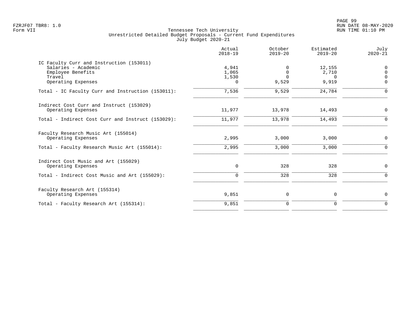| Actual<br>$2018 - 19$               | October<br>$2019 - 20$                    | Estimated<br>$2019 - 20$             | July<br>$2020 - 21$              |
|-------------------------------------|-------------------------------------------|--------------------------------------|----------------------------------|
| 4,941<br>1,065<br>1,530<br>$\Omega$ | $\Omega$<br>$\Omega$<br>$\Omega$<br>9,529 | 12,155<br>2,710<br>$\Omega$<br>9,919 | $\Omega$<br>$\Omega$<br>$\Omega$ |
| 7,536                               | 9,529                                     | 24,784                               | $\Omega$                         |
| 11,977                              | 13,978                                    | 14,493                               | $\Omega$                         |
| 11,977                              | 13,978                                    | 14,493                               | $\Omega$                         |
| 2,995                               | 3,000                                     | 3,000                                | 0                                |
| 2,995                               | 3,000                                     | 3,000                                | $\Omega$                         |
| 0                                   | 328                                       | 328                                  | 0                                |
| $\mathbf 0$                         | 328                                       | 328                                  | $\Omega$                         |
| 9,851                               | 0                                         | $\mathbf 0$                          | 0                                |
| 9,851                               | $\mathbf 0$                               | $\Omega$                             | $\Omega$                         |
|                                     |                                           |                                      |                                  |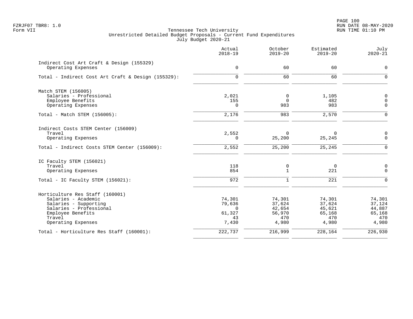|                                                    | Actual<br>$2018 - 19$ | October<br>$2019 - 20$ | Estimated<br>$2019 - 20$ | July<br>$2020 - 21$ |
|----------------------------------------------------|-----------------------|------------------------|--------------------------|---------------------|
| Indirect Cost Art Craft & Design (155329)          |                       |                        |                          |                     |
| Operating Expenses                                 | $\mathbf 0$           | 60                     | 60                       | 0                   |
| Total - Indirect Cost Art Craft & Design (155329): | $\mathbf 0$           | 60                     | 60                       | $\Omega$            |
| Match STEM (156005)                                |                       |                        |                          |                     |
| Salaries - Professional                            | 2,021                 | 0                      | 1,105                    | $\mathsf{O}$        |
| Employee Benefits                                  | 155                   | $\Omega$               | 482                      | $\overline{0}$      |
| Operating Expenses                                 | $\Omega$              | 983                    | 983                      | $\Omega$            |
| Total - Match STEM (156005):                       | 2,176                 | 983                    | 2,570                    | $\Omega$            |
| Indirect Costs STEM Center (156009)                |                       |                        |                          |                     |
| Travel                                             | 2,552                 | $\Omega$               | $\Omega$                 | $\mathbf 0$         |
| Operating Expenses                                 | 0                     | 25,200                 | 25,245                   | $\mathsf{O}$        |
| Total - Indirect Costs STEM Center (156009):       | 2,552                 | 25,200                 | 25,245                   | $\Omega$            |
| IC Faculty STEM (156021)                           |                       |                        |                          |                     |
| Travel                                             | 118                   | 0                      | $\Omega$                 | $\overline{0}$      |
| Operating Expenses                                 | 854                   | $\mathbf{1}$           | 221                      | $\Omega$            |
| Total - IC Faculty STEM (156021):                  | 972                   | $\mathbf 1$            | 221                      | $\Omega$            |
| Horticulture Res Staff (160001)                    |                       |                        |                          |                     |
| Salaries - Academic                                | 74,301                | 74,301                 | 74,301                   | 74,301              |
| Salaries - Supporting                              | 79,636                | 37,624                 | 37,624                   | 37,124              |
| Salaries - Professional                            | $\Omega$              | 42,654                 | 45,621                   | 44,887              |
| Employee Benefits<br>Travel                        | 61,327<br>43          | 56,970<br>470          | 65,168<br>470            | 65,168<br>470       |
| Operating Expenses                                 | 7,430                 | 4,980                  | 4,980                    | 4,980               |
| Total - Horticulture Res Staff (160001):           | 222,737               | 216,999                | 228,164                  | 226,930             |
|                                                    |                       |                        |                          |                     |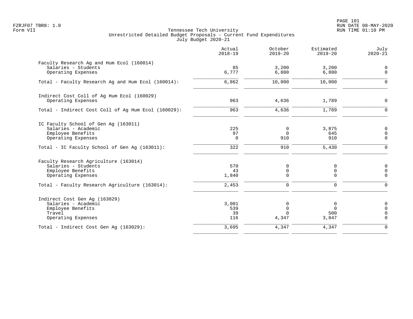PAGE 101 FZRJF07 TBR8: 1.0 RUN DATE 08-MAY-2020

|                                                                                                           | Actual<br>$2018 - 19$     | October<br>$2019 - 20$                | Estimated<br>$2019 - 20$        | July<br>$2020 - 21$                                    |
|-----------------------------------------------------------------------------------------------------------|---------------------------|---------------------------------------|---------------------------------|--------------------------------------------------------|
| Faculty Research Ag and Hum Ecol (160014)<br>Salaries - Students<br>Operating Expenses                    | 85<br>6,777               | 3,200<br>6,800                        | 3,200<br>6,800                  | $\mathbf 0$<br>$\mathbf 0$                             |
| Total - Faculty Research Ag and Hum Ecol (160014):                                                        | 6,862                     | 10,000                                | 10,000                          | $\Omega$                                               |
| Indirect Cost Coll of Ag Hum Ecol (160029)<br>Operating Expenses                                          | 963                       | 4,636                                 | 1,789                           | $\mathsf{O}\xspace$                                    |
| Total - Indirect Cost Coll of Ag Hum Ecol (160029):                                                       | 963                       | 4,636                                 | 1,789                           | $\mathbf 0$                                            |
| IC Faculty School of Gen Aq (163011)<br>Salaries - Academic<br>Employee Benefits<br>Operating Expenses    | 225<br>97<br>$\mathbf 0$  | 0<br>$\Omega$<br>910                  | 3,875<br>645<br>910             | 0<br>$\mathsf 0$<br>$\mathbf 0$                        |
| Total - IC Faculty School of Gen Ag (163011):                                                             | 322                       | 910                                   | 5,430                           | $\Omega$                                               |
| Faculty Research Agriculture (163014)<br>Salaries - Students<br>Employee Benefits<br>Operating Expenses   | 570<br>43<br>1,840        | 0<br>$\mathsf 0$<br>$\Omega$          | 0<br>$\mathbf 0$<br>$\mathbf 0$ | $\mathsf{O}\xspace$<br>0<br>$\mathbf 0$                |
| Total - Faculty Research Agriculture (163014):                                                            | 2,453                     | $\mathbf 0$                           | $\mathbf 0$                     | $\mathbf 0$                                            |
| Indirect Cost Gen Aq (163029)<br>Salaries - Academic<br>Employee Benefits<br>Travel<br>Operating Expenses | 3,001<br>539<br>39<br>116 | 0<br>$\mathsf 0$<br>$\Omega$<br>4,347 | 0<br>$\Omega$<br>500<br>3,847   | $\mathsf{O}$<br>$\mathbf 0$<br>$\mathbf 0$<br>$\Omega$ |
| Total - Indirect Cost Gen Aq (163029):                                                                    | 3,695                     | 4,347                                 | 4,347                           | $\mathbf 0$                                            |
|                                                                                                           |                           |                                       |                                 |                                                        |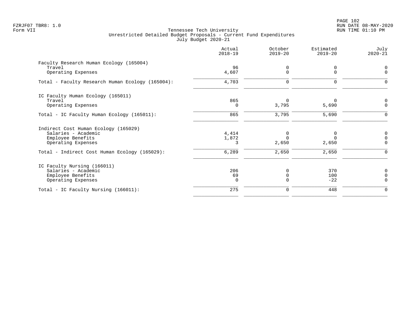PAGE 102 FZRJF07 TBR8: 1.0 RUN DATE 08-MAY-2020

| Actual<br>$2018 - 19$ | October<br>$2019 - 20$ | Estimated<br>$2019 - 20$ | July<br>$2020 - 21$ |
|-----------------------|------------------------|--------------------------|---------------------|
|                       |                        |                          |                     |
| 4,607                 | <sup>n</sup>           | 0<br>U                   | $\Omega$            |
| 4,703                 | 0                      | 0                        |                     |
|                       |                        |                          |                     |
| 865                   | $\Omega$               |                          |                     |
| 0                     | 3,795                  | 5,690                    | $\Omega$            |
| 865                   | 3,795                  | 5,690                    | $\Omega$            |
|                       |                        |                          |                     |
| 4,414                 |                        | 0                        | 0                   |
| 1,872                 |                        | $\Omega$                 | $\Omega$            |
| 3                     | 2,650                  | 2,650                    | $\Omega$            |
| 6,289                 | 2,650                  | 2,650                    | $\Omega$            |
|                       |                        |                          |                     |
| 206                   | $\Omega$               | 370                      |                     |
| 69                    |                        | 100                      |                     |
| $\Omega$              | $\Omega$               | $-22$                    | $\Omega$            |
| 275                   | 0                      | 448                      | $\Omega$            |
|                       | 96                     | $\Omega$                 |                     |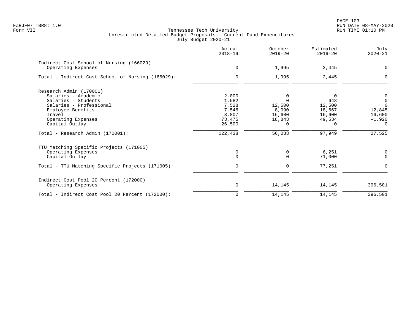|                                                                | Actual<br>$2018 - 19$ | October<br>$2019 - 20$ | Estimated<br>$2019 - 20$ | July<br>$2020 - 21$ |
|----------------------------------------------------------------|-----------------------|------------------------|--------------------------|---------------------|
| Indirect Cost School of Nursing (166029)<br>Operating Expenses | $\mathbf 0$           | 1,995                  | 2,445                    | $\Omega$            |
|                                                                |                       |                        |                          |                     |
| Total - Indirect Cost School of Nursing (166029):              | $\Omega$              | 1,995                  | 2,445                    | ∩                   |
| Research Admin (170001)                                        |                       |                        |                          |                     |
| Salaries - Academic                                            | 2,000                 | 0                      | $\Omega$                 | 0                   |
| Salaries - Students                                            | 1,582                 | $\Omega$               | 648                      | $\mathbf 0$         |
| Salaries - Professional                                        | 7,528                 | 12,500                 | 12,500                   | $\Omega$            |
| Employee Benefits                                              | 7,546                 | 8,090                  | 18,667                   | 12,845              |
| Travel                                                         | 3,807                 | 16,600                 | 16,600                   | 16,600              |
| Operating Expenses                                             | 73,475                | 18,843                 | 49,534                   | $-1,920$            |
| Capital Outlay                                                 | 26,500                | 0                      | 0                        | 0                   |
| Total - Research Admin (170001):                               | 122,438               | 56,033                 | 97,949                   | 27,525              |
| TTU Matching Specific Projects (171005)                        |                       |                        |                          |                     |
| Operating Expenses                                             | 0                     | 0                      | 6,251                    | 0                   |
| Capital Outlay                                                 | $\mathbf 0$           | $\Omega$               | 71,000                   | $\Omega$            |
| Total - TTU Matching Specific Projects (171005):               | $\mathbf 0$           | 0                      | 77,251                   | $\Omega$            |
| Indirect Cost Pool 20 Percent (172000)                         |                       |                        |                          |                     |
| Operating Expenses                                             | 0                     | 14,145                 | 14,145                   | 396,501             |
| Total - Indirect Cost Pool 20 Percent (172000):                | $\mathbf 0$           | 14,145                 | 14,145                   | 396,501             |
|                                                                |                       |                        |                          |                     |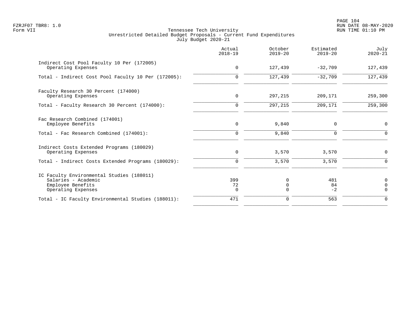|                                                                                                             | Actual<br>$2018 - 19$ | October<br>$2019 - 20$           | Estimated<br>$2019 - 20$ | July<br>$2020 - 21$          |
|-------------------------------------------------------------------------------------------------------------|-----------------------|----------------------------------|--------------------------|------------------------------|
| Indirect Cost Pool Faculty 10 Per (172005)<br>Operating Expenses                                            | $\mathbf 0$           | 127,439                          | $-32,709$                | 127,439                      |
| Total - Indirect Cost Pool Faculty 10 Per (172005):                                                         | $\mathbf 0$           | 127,439                          | $-32,709$                | 127,439                      |
| Faculty Research 30 Percent (174000)<br>Operating Expenses                                                  | 0                     | 297,215                          | 209,171                  | 259,300                      |
| Total - Faculty Research 30 Percent (174000):                                                               | $\mathbf 0$           | 297,215                          | 209,171                  | 259,300                      |
| Fac Research Combined (174001)<br>Employee Benefits                                                         | $\mathbf 0$           | 9,840                            | 0                        | 0                            |
| Total - Fac Research Combined (174001):                                                                     | $\mathbf 0$           | 9,840                            | $\mathbf 0$              | $\Omega$                     |
| Indirect Costs Extended Programs (180029)<br>Operating Expenses                                             | 0                     | 3,570                            | 3,570                    | 0                            |
| Total - Indirect Costs Extended Programs (180029):                                                          | $\mathbf 0$           | 3,570                            | 3,570                    | $\Omega$                     |
| IC Faculty Environmental Studies (188011)<br>Salaries - Academic<br>Employee Benefits<br>Operating Expenses | 399<br>72<br>0        | $\Omega$<br>$\Omega$<br>$\Omega$ | 481<br>84<br>$-2$        | 0<br>$\mathbf 0$<br>$\Omega$ |
| Total - IC Faculty Environmental Studies (188011):                                                          | 471                   | 0                                | 563                      | $\Omega$                     |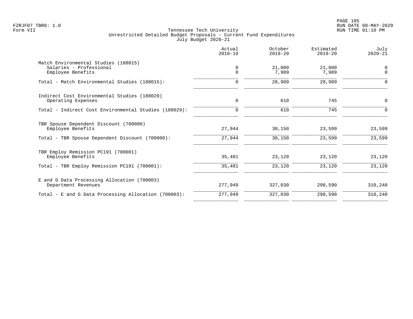|                                                                                      | Actual<br>$2018 - 19$ | October<br>$2019 - 20$ | Estimated<br>$2019 - 20$ | July<br>$2020 - 21$     |
|--------------------------------------------------------------------------------------|-----------------------|------------------------|--------------------------|-------------------------|
| Match Environmental Studies (188015)<br>Salaries - Professional<br>Employee Benefits | 0<br>$\Omega$         | 21,000<br>7,989        | 21,000<br>7,989          | $\mathbf 0$<br>$\Omega$ |
| Total - Match Environmental Studies (188015):                                        | 0                     | 28,989                 | 28,989                   | O                       |
| Indirect Cost Environmental Studies (188029)<br>Operating Expenses                   | 0                     | 610                    | 745                      | 0                       |
| Total - Indirect Cost Environmental Studies (188029):                                | $\Omega$              | 610                    | 745                      | n                       |
| TBR Spouse Dependent Discount (700000)<br>Employee Benefits                          | 27,944                | 30,150                 | 23,599                   | 23,599                  |
| Total - TBR Spouse Dependent Discount (700000):                                      | 27,944                | 30,150                 | 23,599                   | 23,599                  |
| TBR Employ Remission PC191 (700001)<br>Employee Benefits                             | 35,481                | 23,120                 | 23,120                   | 23,120                  |
| Total - TBR Employ Remission PC191 (700001):                                         | 35,481                | 23,120                 | 23,120                   | 23,120                  |
| E and G Data Processing Allocation (700003)<br>Department Revenues                   | 277,949               | 327,030                | 298,590                  | 310,240                 |
| Total - E and G Data Processing Allocation (700003):                                 | 277,949               | 327,030                | 298,590                  | 310,240                 |
|                                                                                      |                       |                        |                          |                         |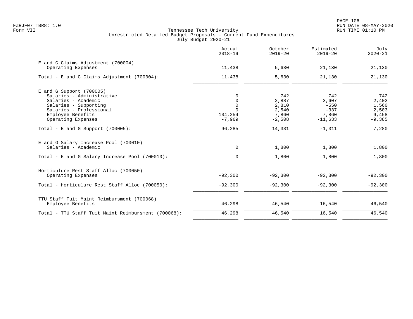|                                                                                                         | Actual<br>$2018 - 19$                  | October<br>$2019 - 20$     | Estimated<br>$2019 - 20$     | July<br>$2020 - 21$        |
|---------------------------------------------------------------------------------------------------------|----------------------------------------|----------------------------|------------------------------|----------------------------|
| E and G Claims Adjustment (700004)<br>Operating Expenses                                                | 11,438                                 | 5,630                      | 21,130                       | 21,130                     |
| Total - E and G Claims Adjustment $(700004)$ :                                                          | 11,438                                 | 5,630                      | 21,130                       | 21,130                     |
| $E$ and G Support (700005)<br>Salaries - Administrative<br>Salaries - Academic<br>Salaries - Supporting | $\Omega$<br>$\mathbf 0$<br>$\mathbf 0$ | 742<br>2,887<br>2,810      | 742<br>2,607<br>$-550$       | 742<br>2,402<br>1,560      |
| Salaries - Professional<br>Employee Benefits<br>Operating Expenses                                      | $\Omega$<br>104,254<br>$-7,969$        | 2,540<br>7,860<br>$-2,508$ | $-337$<br>7,860<br>$-11,633$ | 2,503<br>9,458<br>$-9,385$ |
| Total - E and G Support $(700005)$ :                                                                    | 96,285                                 | 14,331                     | $-1,311$                     | 7,280                      |
| E and G Salary Increase Pool (700010)<br>Salaries - Academic                                            | $\mathbf 0$                            | 1,800                      | 1,800                        | 1,800                      |
| Total - E and G Salary Increase Pool (700010):                                                          | $\mathbf 0$                            | 1,800                      | 1,800                        | 1,800                      |
| Horticulure Rest Staff Alloc (700050)<br>Operating Expenses                                             | $-92,300$                              | $-92,300$                  | $-92,300$                    | $-92,300$                  |
| Total - Horticulure Rest Staff Alloc (700050):                                                          | $-92,300$                              | $-92,300$                  | $-92,300$                    | $-92,300$                  |
| TTU Staff Tuit Maint Reimbursment (700068)<br>Employee Benefits                                         | 46,298                                 | 46,540                     | 16,540                       | 46,540                     |
| Total - TTU Staff Tuit Maint Reimbursment (700068):                                                     | 46,298                                 | 46,540                     | 16,540                       | 46,540                     |
|                                                                                                         |                                        |                            |                              |                            |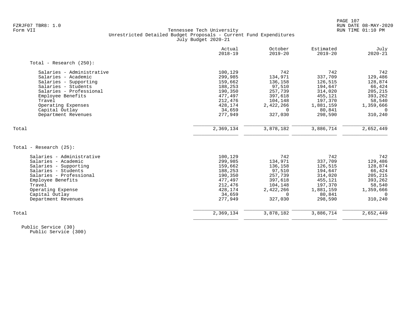|                            | Actual<br>$2018 - 19$ | October<br>$2019 - 20$ | Estimated<br>$2019 - 20$ | July<br>$2020 - 21$ |
|----------------------------|-----------------------|------------------------|--------------------------|---------------------|
| Total - Research $(250)$ : |                       |                        |                          |                     |
| Salaries - Administrative  | 100,129               | 742                    | 742                      | 742                 |
| Salaries - Academic        | 299,985               | 134,971                | 337,709                  | 129,486             |
| Salaries - Supporting      | 159,662               | 136,158                | 126,515                  | 128,874             |
| Salaries - Students        | 188,253               | 97,510                 | 194,647                  | 66,424              |
| Salaries - Professional    | 190,350               | 257,739                | 314,020                  | 205,215             |
| Employee Benefits          | 477,497               | 397,618                | 455,121                  | 393,262             |
| Travel                     | 212,476               | 104,148                | 197,370                  | 58,540              |
| Operating Expenses         | 428,174               | 2,422,266              | 1,881,159                | 1,359,666           |
| Capital Outlay             | 34,659                | $\Omega$               | 80,841                   | $\Omega$            |
| Department Revenues        | 277,949               | 327,030                | 298,590                  | 310,240             |
| Total                      | 2,369,134             | 3,878,182              | 3,886,714                | 2,652,449           |
|                            |                       |                        |                          |                     |
| Total - Research (25):     |                       |                        |                          |                     |
| Salaries - Administrative  | 100,129               | 742                    | 742                      | 742                 |
| Salaries - Academic        | 299,985               | 134,971                | 337,709                  | 129,486             |
| Salaries - Supporting      | 159,662               | 136,158                | 126,515                  | 128,874             |
| Salaries - Students        | 188,253               | 97,510                 | 194,647                  | 66,424              |
| Salaries - Professional    | 190,350               | 257,739                | 314,020                  | 205,215             |
| Employee Benefits          | 477,497               | 397,618                | 455,121                  | 393,262             |
| Travel                     | 212,476               | 104,148                | 197,370                  | 58,540              |
| Operating Expense          | 428,174               | 2,422,266              | 1,881,159                | 1,359,666           |
| Capital Outlay             | 34,659                | $\Omega$               | 80,841                   | $\Omega$            |
| Department Revenues        | 277,949               | 327,030                | 298,590                  | 310,240             |
| Total                      | 2,369,134             | 3,878,182              | 3,886,714                | 2,652,449           |
|                            |                       |                        |                          |                     |

 Public Service (30) Public Service (300)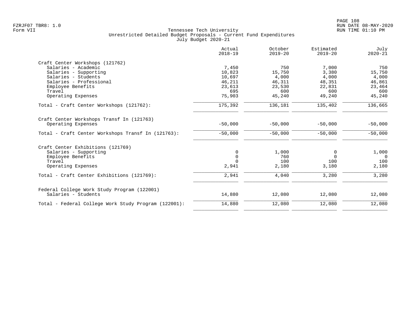|                                                      | Actual<br>$2018 - 19$ | October<br>$2019 - 20$ | Estimated<br>$2019 - 20$ | July<br>$2020 - 21$ |
|------------------------------------------------------|-----------------------|------------------------|--------------------------|---------------------|
| Craft Center Workshops (121762)                      |                       |                        |                          |                     |
| Salaries - Academic                                  | 7,450                 | 750                    | 7,000                    | 750                 |
| Salaries - Supporting                                | 10,823                | 15,750                 | 3,380                    | 15,750              |
| Salaries - Students                                  | 10,697                | 4,000                  | 4,000                    | 4,000               |
| Salaries - Professional                              | 46,211                | 46,311                 | 48,351                   | 46,861              |
| Employee Benefits                                    | 23,613                | 23,530                 | 22,831                   | 23,464              |
| Travel                                               | 695                   | 600                    | 600                      | 600                 |
| Operating Expenses                                   | 75,903                | 45,240                 | 49,240                   | 45,240              |
| Total - Craft Center Workshops (121762):             | 175,392               | 136,181                | 135,402                  | 136,665             |
| Craft Center Workshops Transf In (121763)            |                       |                        |                          |                     |
| Operating Expenses                                   | $-50,000$             | $-50,000$              | $-50,000$                | $-50,000$           |
| Total - Craft Center Workshops Transf In (121763):   | $-50,000$             | $-50,000$              | $-50,000$                | $-50,000$           |
| Craft Center Exhibitions (121769)                    |                       |                        |                          |                     |
| Salaries - Supporting                                | 0                     | 1,000                  | 0                        | 1,000               |
| Employee Benefits                                    | $\mathbf 0$           | 760                    | $\Omega$                 | $\overline{0}$      |
| Travel                                               | $\Omega$              | 100                    | 100                      | 100                 |
| Operating Expenses                                   | 2,941                 | 2,180                  | 3,180                    | 2,180               |
| Total - Craft Center Exhibitions (121769):           | 2,941                 | 4,040                  | 3,280                    | 3,280               |
| Federal College Work Study Program (122001)          |                       |                        |                          |                     |
| Salaries - Students                                  | 14,880                | 12,080                 | 12,080                   | 12,080              |
| Total - Federal College Work Study Program (122001): | 14,880                | 12,080                 | 12,080                   | 12,080              |
|                                                      |                       |                        |                          |                     |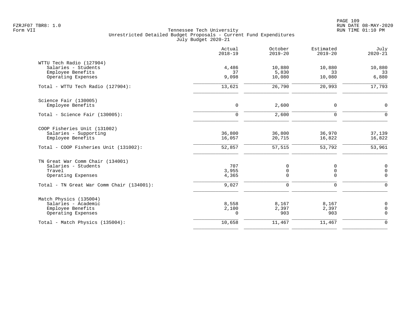|                                           | Actual<br>$2018 - 19$ | October<br>$2019 - 20$ | Estimated<br>$2019 - 20$ | July<br>$2020 - 21$     |
|-------------------------------------------|-----------------------|------------------------|--------------------------|-------------------------|
| WTTU Tech Radio (127904)                  |                       |                        |                          |                         |
| Salaries - Students                       | 4,486                 | 10,880                 | 10,880                   | 10,880                  |
| Employee Benefits<br>Operating Expenses   | 37<br>9,098           | 5,830<br>10,080        | 33<br>10,080             | 33<br>6,880             |
|                                           |                       |                        |                          |                         |
| Total - WTTU Tech Radio (127904):         | 13,621                | 26,790                 | 20,993                   | 17,793                  |
| Science Fair (130005)                     |                       |                        |                          |                         |
| Employee Benefits                         | 0                     | 2,600                  | 0                        | $\mathbf 0$             |
| Total - Science Fair (130005):            | $\mathbf 0$           | 2,600                  | $\mathbf 0$              | $\Omega$                |
| COOP Fisheries Unit (131002)              |                       |                        |                          |                         |
| Salaries - Supporting                     | 36,800                | 36,800                 | 36,970                   | 37,139                  |
| Employee Benefits                         | 16,057                | 20,715                 | 16,822                   | 16,822                  |
| Total - COOP Fisheries Unit (131002):     | 52,857                | 57,515                 | 53,792                   | 53,961                  |
| TN Great War Comm Chair (134001)          |                       |                        |                          |                         |
| Salaries - Students                       | 707                   | 0                      | 0                        | $\mathbf 0$             |
| Travel                                    | 3,955                 | 0<br>0                 | 0<br>$\mathbf 0$         | $\mathbf 0$<br>$\Omega$ |
| Operating Expenses                        | 4,365                 |                        |                          |                         |
| Total - TN Great War Comm Chair (134001): | 9,027                 | $\mathbf 0$            | $\mathbf 0$              | $\Omega$                |
| Match Physics (135004)                    |                       |                        |                          |                         |
| Salaries - Academic                       | 8,558                 | 8,167                  | 8,167                    | 0                       |
| Employee Benefits<br>Operating Expenses   | 2,100<br>$\Omega$     | 2,397<br>903           | 2,397<br>903             | $\mathbf 0$<br>$\Omega$ |
|                                           |                       |                        |                          |                         |
| Total - Match Physics (135004):           | 10,658                | 11,467                 | 11,467                   | $\overline{0}$          |
|                                           |                       |                        |                          |                         |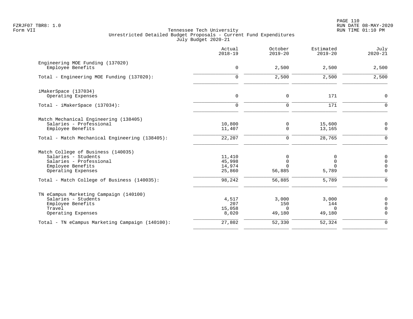PAGE 110 FZRJF07 TBR8: 1.0 RUN DATE 08-MAY-2020

|                                                       | Actual<br>$2018 - 19$ | October<br>$2019 - 20$ | Estimated<br>$2019 - 20$ | July<br>$2020 - 21$         |
|-------------------------------------------------------|-----------------------|------------------------|--------------------------|-----------------------------|
| Engineering MOE Funding (137020)<br>Employee Benefits | $\mathbf 0$           | 2,500                  | 2,500                    | 2,500                       |
| Total - Engineering MOE Funding (137020):             | $\Omega$              | 2,500                  | 2,500                    | 2,500                       |
| iMakerSpace (137034)                                  |                       |                        |                          |                             |
| Operating Expenses                                    | $\mathbf 0$           | $\mathbf 0$            | 171                      | $\mathbf 0$                 |
| Total - iMakerSpace (137034):                         | $\mathbf 0$           | $\mathbf 0$            | 171                      | $\Omega$                    |
| Match Mechanical Engineering (138405)                 |                       |                        |                          |                             |
| Salaries - Professional<br>Employee Benefits          | 10,800<br>11,407      | 0<br>$\mathbf 0$       | 15,600<br>13,165         | $\mathbf 0$<br>$\mathsf{O}$ |
| Total - Match Mechanical Engineering (138405):        | 22,207                | $\mathbf 0$            | 28,765                   | $\mathbf 0$                 |
| Match College of Business (140035)                    |                       |                        |                          |                             |
| Salaries - Students                                   | 11,410                | 0                      | $\Omega$                 | 0                           |
| Salaries - Professional                               | 45,998                | $\Omega$               | $\Omega$                 | $\Omega$                    |
| Employee Benefits<br>Operating Expenses               | 14,974<br>25,860      | $\Omega$<br>56,885     | $\Omega$<br>5,789        | $\mathbf 0$<br>$\Omega$     |
| Total - Match College of Business (140035):           | 98,242                | 56,885                 | 5,789                    | $\Omega$                    |
| TN eCampus Marketing Campaign (140100)                |                       |                        |                          |                             |
| Salaries - Students                                   | 4,517                 | 3,000                  | 3,000                    | 0                           |
| Employee Benefits                                     | 207                   | 150                    | 144                      | $\Omega$                    |
| Travel<br>Operating Expenses                          | 15,058<br>8,020       | $\Omega$<br>49,180     | $\Omega$<br>49,180       | 0<br>$\Omega$               |
| Total - TN eCampus Marketing Campaign (140100):       | 27,802                | 52,330                 | 52,324                   | $\mathbf 0$                 |
|                                                       |                       |                        |                          |                             |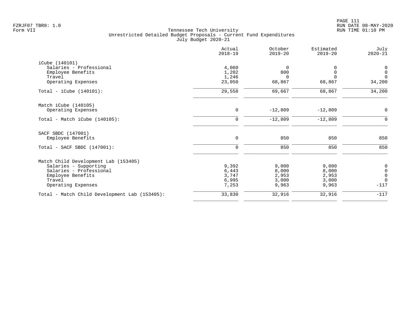| Actual<br>$2018 - 19$ | October<br>$2019 - 20$            | Estimated<br>$2019 - 20$ | July<br>$2020 - 21$                       |
|-----------------------|-----------------------------------|--------------------------|-------------------------------------------|
|                       |                                   |                          |                                           |
| 4,060                 | $\overline{0}$                    |                          | 0                                         |
| 1,202                 | 800                               | <sup>0</sup>             | $\mathsf{O}$                              |
|                       | $\Omega$                          | $\cap$                   | $\Omega$                                  |
|                       |                                   |                          | 34,200                                    |
| 29,558                | 69,667                            | 68,867                   | 34,200                                    |
|                       |                                   |                          |                                           |
| $\mathbf 0$           | $-12,809$                         | $-12,809$                | $\mathbf 0$                               |
| $\mathbf 0$           | $-12,809$                         | $-12,809$                | 0                                         |
|                       |                                   |                          |                                           |
| 0                     | 850                               | 850                      | 850                                       |
| $\mathbf 0$           | 850                               | 850                      | 850                                       |
|                       |                                   |                          |                                           |
|                       |                                   |                          |                                           |
|                       |                                   |                          | $\begin{matrix} 0 \\ 0 \\ 0 \end{matrix}$ |
| 3,747                 | 2,953                             | 2,953                    |                                           |
| 6,995                 | 3,000                             | 3,000                    | $\mathbf 0$                               |
| 7,253                 | 9,963                             | 9,963                    | $-117$                                    |
| 33,830                | 32,916                            | 32,916                   | $-117$                                    |
|                       | 1,246<br>23,050<br>9,392<br>6,443 | 68,867<br>9,000<br>8,000 | 68,867<br>9,000<br>8,000                  |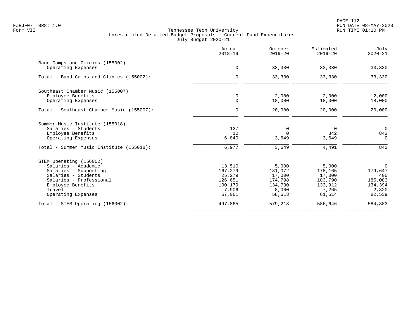|                                           | Actual<br>$2018 - 19$ | October<br>$2019 - 20$ | Estimated<br>$2019 - 20$ | July<br>$2020 - 21$ |
|-------------------------------------------|-----------------------|------------------------|--------------------------|---------------------|
| Band Camps and Clinics (155002)           |                       |                        |                          |                     |
| Operating Expenses                        | 0                     | 33,330                 | 33,330                   | 33,330              |
| Total - Band Camps and Clinics (155002):  | $\mathbf 0$           | 33,330                 | 33,330                   | 33,330              |
| Southeast Chamber Music (155007)          |                       |                        |                          |                     |
| Employee Benefits                         | $\mathbf 0$           | 2,000                  | 2,000                    | 2,000               |
| Operating Expenses                        | $\mathbf 0$           | 18,000                 | 18,000                   | 18,000              |
| Total - Southeast Chamber Music (155007): | $\mathbf 0$           | 20,000                 | 20,000                   | 20,000              |
| Summer Music Institute (155018)           |                       |                        |                          |                     |
| Salaries - Students                       | 127                   | 0                      | $\mathbf 0$              | $\overline{0}$      |
| Employee Benefits                         | 10                    | $\Omega$               | 842                      | 842                 |
| Operating Expenses                        | 6,840                 | 3,649                  | 3,649                    | $\Omega$            |
| Total - Summer Music Institute (155018):  | 6,977                 | 3,649                  | 4,491                    | 842                 |
| STEM Operating (156002)                   |                       |                        |                          |                     |
| Salaries - Academic                       | 13,510                | 5,000                  | 5,000                    | $\overline{0}$      |
| Salaries - Supporting                     | 167,279               | 181,072                | 178,165                  | 179,647             |
| Salaries - Students                       | 25,279                | 17,000                 | 17,000                   | 400                 |
| Salaries - Professional                   | 126,651               | 174,798                | 183,790                  | 185,083             |
| Employee Benefits                         | 100,179               | 134,730                | 133,912                  | 134,394             |
| Travel                                    | 7,906                 | 8,000                  | 7,265                    | 2,820               |
| Operating Expenses                        | 57,061                | 58,613                 | 61,514                   | 82,539              |
| Total - STEM Operating (156002):          | 497,865               | 579,213                | 586,646                  | 584,883             |
|                                           |                       |                        |                          |                     |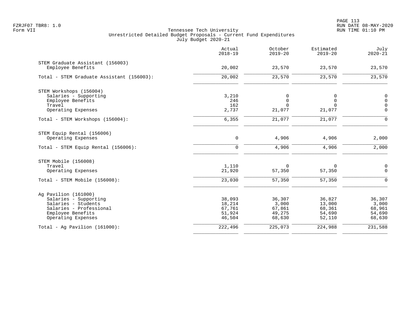|                                                       | Actual<br>$2018 - 19$ | October<br>$2019 - 20$ | Estimated<br>$2019 - 20$ | July<br>$2020 - 21$ |
|-------------------------------------------------------|-----------------------|------------------------|--------------------------|---------------------|
| STEM Graduate Assistant (156003)<br>Employee Benefits | 20,002                | 23,570                 | 23,570                   | 23,570              |
|                                                       |                       |                        |                          |                     |
| Total - STEM Graduate Assistant (156003):             | 20,002                | 23,570                 | 23,570                   | 23,570              |
| STEM Workshops (156004)                               |                       |                        |                          |                     |
| Salaries - Supporting                                 | 3,210                 | 0                      | 0                        | $\mathbf 0$         |
| Employee Benefits                                     | 246                   | $\mathbf 0$            | $\overline{0}$           | $\mathbf 0$         |
| Travel                                                | 162                   | $\Omega$               | $\Omega$                 | $\mathbf 0$         |
| Operating Expenses                                    | 2,737                 | 21,077                 | 21,077                   | $\overline{0}$      |
| Total - STEM Workshops (156004):                      | 6,355                 | 21,077                 | 21,077                   | $\mathbf 0$         |
| STEM Equip Rental (156006)                            |                       |                        |                          |                     |
| Operating Expenses                                    | $\mathsf 0$           | 4,906                  | 4,906                    | 2,000               |
| Total - STEM Equip Rental (156006):                   | $\mathbf 0$           | 4,906                  | 4,906                    | 2,000               |
| STEM Mobile (156008)                                  |                       |                        |                          |                     |
| Travel                                                | 1,110                 | $\Omega$               | 0                        | $\mathsf 0$         |
| Operating Expenses                                    | 21,920                | 57,350                 | 57,350                   | $\mathbf 0$         |
| Total - STEM Mobile (156008):                         | 23,030                | 57,350                 | 57,350                   | $\mathbf 0$         |
| Ag Pavilion (161000)                                  |                       |                        |                          |                     |
| Salaries - Supporting                                 | 38,093                | 36,307                 | 36,827                   | 36,307              |
| Salaries - Students                                   | 18,214                | 3,000                  | 13,000                   | 3,000               |
| Salaries - Professional                               | 67,761                | 67,861                 | 68,361                   | 68,961              |
| Employee Benefits                                     | 51,924                | 49,275                 | 54,690                   | 54,690              |
| Operating Expenses                                    | 46,504                | 68,630                 | 52,110                   | 68,630              |
| Total - Aq Pavilion $(161000)$ :                      | 222,496               | 225,073                | 224,988                  | 231,588             |
|                                                       |                       |                        |                          |                     |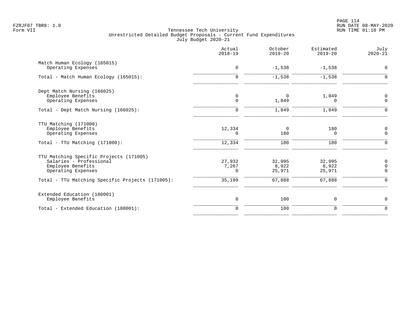|                                                                                                                                                                   | Actual<br>$2018 - 19$          | October<br>$2019 - 20$              | Estimated<br>$2019 - 20$            | July<br>$2020 - 21$                                         |
|-------------------------------------------------------------------------------------------------------------------------------------------------------------------|--------------------------------|-------------------------------------|-------------------------------------|-------------------------------------------------------------|
| Match Human Ecology (165015)<br>Operating Expenses                                                                                                                | $\mathbf 0$                    | $-1,538$                            | $-1,538$                            | $\mathbf 0$                                                 |
| Total - Match Human Ecology (165015):                                                                                                                             | $\mathbf 0$                    | $-1,538$                            | $-1,538$                            | $\mathbf 0$                                                 |
| Dept Match Nursing (166025)<br>Employee Benefits<br>Operating Expenses                                                                                            | 0<br>$\mathbf 0$               | 0<br>1,849                          | 1,849<br>$\Omega$                   | 0<br>$\mathbf 0$                                            |
| Total - Dept Match Nursing (166025):                                                                                                                              | $\mathbf 0$                    | 1,849                               | 1,849                               | $\Omega$                                                    |
| TTU Matching (171000)<br>Employee Benefits<br>Operating Expenses<br>Total - TTU Matching (171000):                                                                | 12,334<br>$\Omega$<br>12,334   | 0<br>180<br>180                     | 180<br>0<br>180                     | 0<br>$\overline{0}$<br>$\Omega$                             |
| TTU Matching Specific Projects (171005)<br>Salaries - Professional<br>Employee Benefits<br>Operating Expenses<br>Total - TTU Matching Specific Projects (171005): | 27,932<br>7,267<br>0<br>35,199 | 32,995<br>8,922<br>25,971<br>67,888 | 32,995<br>8,922<br>25,971<br>67,888 | $\mathbf 0$<br>$\overline{0}$<br>$\mathbf 0$<br>$\mathbf 0$ |
| Extended Education (180001)<br>Employee Benefits                                                                                                                  | $\mathbf 0$                    | 100                                 | $\mathbf 0$                         | 0                                                           |
| Total - Extended Education (180001):                                                                                                                              | $\Omega$                       | 100                                 | $\mathbf 0$                         | $\mathbf 0$                                                 |
|                                                                                                                                                                   |                                |                                     |                                     |                                                             |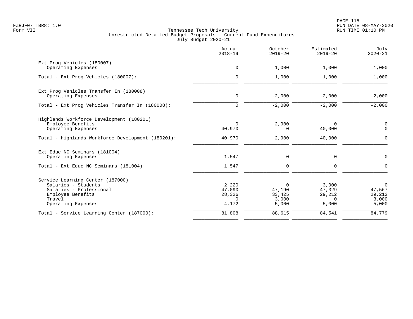PAGE 115 FZRJF07 TBR8: 1.0 RUN DATE 08-MAY-2020

|                                                              | Actual<br>$2018 - 19$ | October<br>$2019 - 20$ | Estimated<br>$2019 - 20$ | July<br>$2020 - 21$ |
|--------------------------------------------------------------|-----------------------|------------------------|--------------------------|---------------------|
| Ext Prog Vehicles (180007)<br>Operating Expenses             | $\mathbf 0$           | 1,000                  | 1,000                    | 1,000               |
| Total - Ext Prog Vehicles (180007):                          | $\mathbf 0$           | 1,000                  | 1,000                    | 1,000               |
|                                                              |                       |                        |                          |                     |
| Ext Prog Vehicles Transfer In (180008)<br>Operating Expenses | $\mathbf 0$           | $-2,000$               | $-2,000$                 | $-2,000$            |
| Total - Ext Prog Vehicles Transfer In (180008):              | $\mathbf 0$           | $-2,000$               | $-2,000$                 | $-2,000$            |
| Highlands Workforce Development (180201)                     |                       |                        |                          |                     |
| Employee Benefits<br>Operating Expenses                      | $\Omega$<br>40,970    | 2,900<br>$\Omega$      | $\Omega$<br>40,000       | 0<br>$\mathbf 0$    |
| Total - Highlands Workforce Development (180201):            | 40,970                | 2,900                  | 40,000                   | $\mathbf 0$         |
| Ext Educ NC Seminars (181004)                                |                       |                        |                          |                     |
| Operating Expenses                                           | 1,547                 | 0                      | $\mathbf 0$              | 0                   |
| Total - Ext Educ NC Seminars (181004):                       | 1,547                 | $\mathbf 0$            | $\mathbf 0$              | $\mathbf 0$         |
| Service Learning Center (187000)                             |                       |                        |                          |                     |
| Salaries - Students                                          | 2,220                 | $\Omega$               | 3,000                    | $\overline{0}$      |
| Salaries - Professional<br>Employee Benefits                 | 47,090<br>28,326      | 47,190<br>33,425       | 47,329<br>29,212         | 47,567<br>29,212    |
| Travel                                                       | $\Omega$              | 3,000                  | $\Omega$                 | 3,000               |
| Operating Expenses                                           | 4,172                 | 5,000                  | 5,000                    | 5,000               |
| Total - Service Learning Center (187000):                    | 81,808                | 88,615                 | 84,541                   | 84,779              |
|                                                              |                       |                        |                          |                     |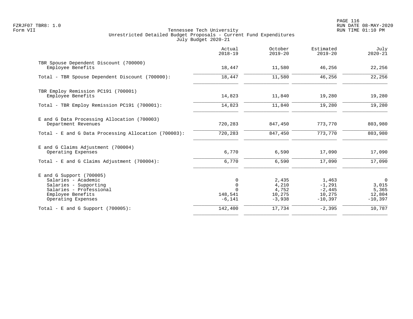PAGE 116 FZRJF07 TBR8: 1.0 RUN DATE 08-MAY-2020

|                                                                                                                                                  | Actual<br>$2018 - 19$                               | October<br>$2019 - 20$                        | Estimated<br>$2019 - 20$                             | July<br>$2020 - 21$                                  |
|--------------------------------------------------------------------------------------------------------------------------------------------------|-----------------------------------------------------|-----------------------------------------------|------------------------------------------------------|------------------------------------------------------|
| TBR Spouse Dependent Discount (700000)<br>Employee Benefits                                                                                      | 18,447                                              | 11,580                                        | 46,256                                               | 22,256                                               |
| Total - TBR Spouse Dependent Discount (700000):                                                                                                  | 18,447                                              | 11,580                                        | 46,256                                               | 22,256                                               |
| TBR Employ Remission PC191 (700001)<br>Employee Benefits                                                                                         | 14,823                                              | 11,840                                        | 19,280                                               | 19,280                                               |
| Total - TBR Employ Remission PC191 (700001):                                                                                                     | 14,823                                              | 11,840                                        | 19,280                                               | 19,280                                               |
| E and G Data Processing Allocation (700003)<br>Department Revenues                                                                               | 720,283                                             | 847,450                                       | 773,770                                              | 803,980                                              |
| Total - E and G Data Processing Allocation (700003):                                                                                             | 720,283                                             | 847,450                                       | 773,770                                              | 803,980                                              |
| E and G Claims Adjustment (700004)<br>Operating Expenses                                                                                         | 6,770                                               | 6,590                                         | 17,090                                               | 17,090                                               |
| Total - E and G Claims Adjustment $(700004)$ :                                                                                                   | 6,770                                               | 6,590                                         | 17,090                                               | 17,090                                               |
| $E$ and G Support (700005)<br>Salaries - Academic<br>Salaries - Supporting<br>Salaries - Professional<br>Employee Benefits<br>Operating Expenses | 0<br>$\mathbf 0$<br>$\Omega$<br>148,541<br>$-6,141$ | 2,435<br>4,210<br>4,752<br>10,275<br>$-3,938$ | 1,463<br>$-1,291$<br>$-2,445$<br>10,275<br>$-10,397$ | $\mathbf 0$<br>3,015<br>5,365<br>12,804<br>$-10,397$ |
| Total - E and G Support $(700005)$ :                                                                                                             | 142,400                                             | 17,734                                        | $-2,395$                                             | 10,787                                               |
|                                                                                                                                                  |                                                     |                                               |                                                      |                                                      |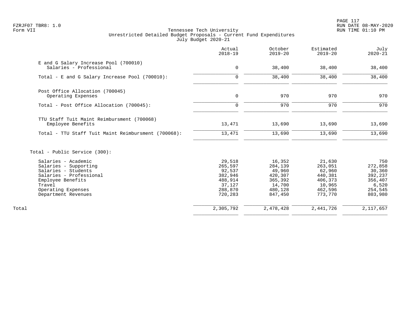| E and G Salary Increase Pool (700010)<br>Salaries - Professional<br>$\mathsf{O}$<br>38,400<br>38,400<br>38,400<br>38,400<br>Total - E and G Salary Increase Pool (700010):<br>$\mathbf 0$<br>Post Office Allocation (700045)<br>$\mathbf 0$<br>970<br>970<br>Operating Expenses<br>970<br>970<br>$\mathbf 0$<br>Total - Post Office Allocation (700045):<br>TTU Staff Tuit Maint Reimbursment (700068)<br>13,471<br>13,690<br>Employee Benefits<br>13,690<br>13,471<br>13,690<br>13,690<br>Total - TTU Staff Tuit Maint Reimbursment (700068):<br>Total - Public Service (300):<br>Salaries - Academic<br>29,518<br>16,352<br>21,630<br>Salaries - Supporting<br>265,597<br>284,139<br>263,051<br>Salaries - Students<br>92,537<br>49,960<br>62,960<br>Salaries - Professional<br>382,946<br>420,307<br>440,381<br>Employee Benefits<br>488,914<br>365,392<br>406,373<br>Travel<br>37,127<br>14,700<br>10,965<br>Operating Expenses<br>288,870<br>462,596<br>480,128<br>773,770<br>Department Revenues<br>720,283<br>847,450<br>2,305,792<br>2,478,428<br>2,441,726<br>Total | Actual<br>$2018 - 19$ | October<br>$2019 - 20$ | Estimated<br>$2019 - 20$ | July<br>$2020 - 21$                                                           |
|------------------------------------------------------------------------------------------------------------------------------------------------------------------------------------------------------------------------------------------------------------------------------------------------------------------------------------------------------------------------------------------------------------------------------------------------------------------------------------------------------------------------------------------------------------------------------------------------------------------------------------------------------------------------------------------------------------------------------------------------------------------------------------------------------------------------------------------------------------------------------------------------------------------------------------------------------------------------------------------------------------------------------------------------------------------------------|-----------------------|------------------------|--------------------------|-------------------------------------------------------------------------------|
|                                                                                                                                                                                                                                                                                                                                                                                                                                                                                                                                                                                                                                                                                                                                                                                                                                                                                                                                                                                                                                                                              |                       |                        |                          | 38,400                                                                        |
|                                                                                                                                                                                                                                                                                                                                                                                                                                                                                                                                                                                                                                                                                                                                                                                                                                                                                                                                                                                                                                                                              |                       |                        |                          | 38,400                                                                        |
|                                                                                                                                                                                                                                                                                                                                                                                                                                                                                                                                                                                                                                                                                                                                                                                                                                                                                                                                                                                                                                                                              |                       |                        |                          | 970                                                                           |
|                                                                                                                                                                                                                                                                                                                                                                                                                                                                                                                                                                                                                                                                                                                                                                                                                                                                                                                                                                                                                                                                              |                       |                        |                          | 970                                                                           |
|                                                                                                                                                                                                                                                                                                                                                                                                                                                                                                                                                                                                                                                                                                                                                                                                                                                                                                                                                                                                                                                                              |                       |                        |                          | 13,690                                                                        |
|                                                                                                                                                                                                                                                                                                                                                                                                                                                                                                                                                                                                                                                                                                                                                                                                                                                                                                                                                                                                                                                                              |                       |                        |                          | 13,690                                                                        |
|                                                                                                                                                                                                                                                                                                                                                                                                                                                                                                                                                                                                                                                                                                                                                                                                                                                                                                                                                                                                                                                                              |                       |                        |                          |                                                                               |
|                                                                                                                                                                                                                                                                                                                                                                                                                                                                                                                                                                                                                                                                                                                                                                                                                                                                                                                                                                                                                                                                              |                       |                        |                          | 750<br>272,858<br>30,360<br>392,237<br>356,407<br>6,520<br>254,545<br>803,980 |
|                                                                                                                                                                                                                                                                                                                                                                                                                                                                                                                                                                                                                                                                                                                                                                                                                                                                                                                                                                                                                                                                              |                       |                        |                          | 2,117,657                                                                     |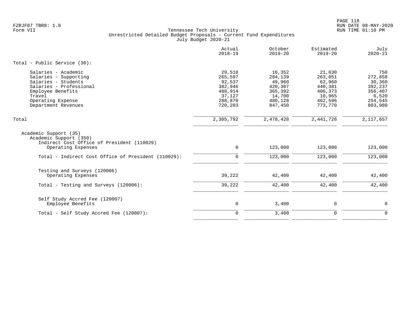|                                                                                                                                                                           | Actual<br>$2018 - 19$                                                             | October<br>$2019 - 20$                                                            | Estimated<br>$2019 - 20$                                                          | July<br>$2020 - 21$                                                           |
|---------------------------------------------------------------------------------------------------------------------------------------------------------------------------|-----------------------------------------------------------------------------------|-----------------------------------------------------------------------------------|-----------------------------------------------------------------------------------|-------------------------------------------------------------------------------|
| Total - Public Service (30):                                                                                                                                              |                                                                                   |                                                                                   |                                                                                   |                                                                               |
| Salaries - Academic<br>Salaries - Supporting<br>Salaries - Students<br>Salaries - Professional<br>Employee Benefits<br>Travel<br>Operating Expense<br>Department Revenues | 29,518<br>265,597<br>92,537<br>382,946<br>488,914<br>37,127<br>288,870<br>720,283 | 16,352<br>284,139<br>49,960<br>420,307<br>365,392<br>14,700<br>480,128<br>847,450 | 21,630<br>263,051<br>62,960<br>440,381<br>406,373<br>10,965<br>462,596<br>773,770 | 750<br>272,858<br>30,360<br>392,237<br>356,407<br>6,520<br>254,545<br>803,980 |
| Total                                                                                                                                                                     | 2,305,792                                                                         | 2,478,428                                                                         | 2,441,726                                                                         | 2,117,657                                                                     |
| Academic Support (35)<br>Academic Support (350)<br>Indirect Cost Office of President (110029)<br>Operating Expenses                                                       | $\mathbf 0$                                                                       | 123,000                                                                           | 123,000                                                                           | 123,000                                                                       |
| Total - Indirect Cost Office of President (110029):                                                                                                                       | $\mathbf 0$                                                                       | 123,000                                                                           | 123,000                                                                           | 123,000                                                                       |
| Testing and Surveys (120006)<br>Operating Expenses<br>Total - Testing and Surveys (120006):                                                                               | 39,222<br>39,222                                                                  | 42,400<br>42,400                                                                  | 42,400<br>42,400                                                                  | 42,400<br>42,400                                                              |
| Self Study Accred Fee (120007)<br>Employee Benefits                                                                                                                       | $\mathbf 0$                                                                       | 3,400                                                                             | $\mathbf 0$                                                                       | $\mathbf 0$                                                                   |
| Total - Self Study Accred Fee (120007):                                                                                                                                   | $\mathbf 0$                                                                       | 3,400                                                                             | $\mathbf 0$                                                                       | $\mathbf 0$                                                                   |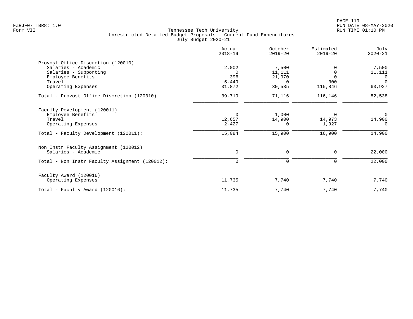|                                                | Actual<br>$2018 - 19$ | October<br>$2019 - 20$ | Estimated<br>$2019 - 20$ | July<br>$2020 - 21$ |
|------------------------------------------------|-----------------------|------------------------|--------------------------|---------------------|
| Provost Office Discretion (120010)             |                       |                        |                          |                     |
| Salaries - Academic                            | 2,002                 | 7,500                  |                          | 7,500               |
| Salaries - Supporting                          | - 0                   | 11,111                 |                          | 11,111              |
| Employee Benefits                              | 396                   | 21,970                 | $\Omega$                 | 0                   |
| Travel                                         | 5,449                 | $\Omega$               | 300                      | $\Omega$            |
| Operating Expenses                             | 31,872                | 30,535                 | 115,846                  | 63,927              |
| Total - Provost Office Discretion (120010):    | 39,719                | 71,116                 | 116,146                  | 82,538              |
| Faculty Development (120011)                   |                       |                        |                          |                     |
| Employee Benefits                              | 0                     | 1,000                  | 0                        | $\mathbf 0$         |
| Travel                                         | 12,657                | 14,900                 | 14,973                   | 14,900              |
| Operating Expenses                             | 2,427                 | $\Omega$               | 1,927                    | $\Omega$            |
| Total - Faculty Development (120011):          | 15,084                | 15,900                 | 16,900                   | 14,900              |
| Non Instr Faculty Assignment (120012)          |                       |                        |                          |                     |
| Salaries - Academic                            | 0                     | 0                      | 0                        | 22,000              |
| Total - Non Instr Faculty Assignment (120012): | $\mathbf 0$           | 0                      | 0                        | 22,000              |
| Faculty Award (120016)                         |                       |                        |                          |                     |
| Operating Expenses                             | 11,735                | 7,740                  | 7,740                    | 7,740               |
| Total - Faculty Award (120016):                | 11,735                | 7,740                  | 7,740                    | 7,740               |
|                                                |                       |                        |                          |                     |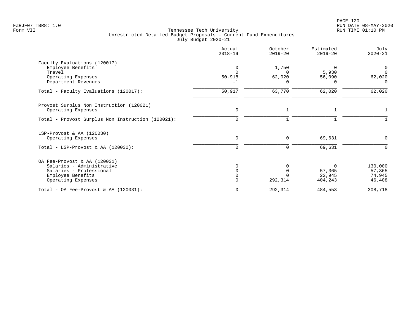|                                                   | Actual<br>$2018 - 19$ | October<br>$2019 - 20$ | Estimated<br>$2019 - 20$ | July<br>$2020 - 21$ |
|---------------------------------------------------|-----------------------|------------------------|--------------------------|---------------------|
| Faculty Evaluations (120017)                      |                       |                        |                          |                     |
| Employee Benefits                                 | $\Omega$              | 1,750                  |                          |                     |
| Travel                                            |                       |                        | 5,930                    | $\Omega$            |
| Operating Expenses                                | 50,918                | 62,020                 | 56,090                   | 62,020              |
| Department Revenues                               | $-1$                  | $\Omega$               | $\Omega$                 | $\Omega$            |
| Total - Faculty Evaluations (120017):             | 50,917                | 63,770                 | 62,020                   | 62,020              |
| Provost Surplus Non Instruction (120021)          |                       |                        |                          |                     |
| Operating Expenses                                | $\mathbf 0$           | 1                      |                          |                     |
| Total - Provost Surplus Non Instruction (120021): | $\mathbf 0$           | $\mathbf{1}$           |                          |                     |
| LSP-Provost & AA (120030)                         |                       |                        |                          |                     |
| Operating Expenses                                | $\mathbf 0$           | 0                      | 69,631                   | 0                   |
| Total - LSP-Provost & AA $(120030)$ :             | $\Omega$              | $\Omega$               | 69,631                   | $\Omega$            |
| OA Fee-Provost & AA (120031)                      |                       |                        |                          |                     |
| Salaries - Administrative                         | ∩                     |                        | $\Omega$                 | 130,000             |
| Salaries - Professional                           |                       | $\Omega$               | 57,365                   | 57,365              |
| Employee Benefits                                 |                       |                        | 22,945                   | 74,945              |
| Operating Expenses                                | $\Omega$              |                        |                          | 46,408              |
| Total - OA Fee-Provost & AA $(120031)$ :          | $\mathbf 0$           | 292,314                | 484,553                  | 308,718             |
|                                                   |                       | 292,314                | 404,243                  |                     |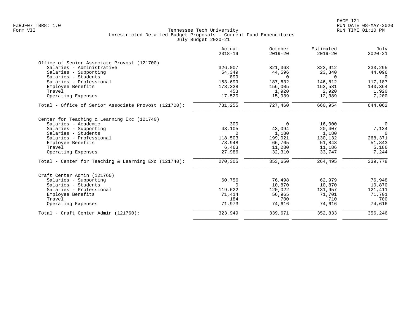|                                                      | Actual<br>$2018 - 19$ | October<br>$2019 - 20$ | Estimated<br>$2019 - 20$ | July<br>$2020 - 21$ |
|------------------------------------------------------|-----------------------|------------------------|--------------------------|---------------------|
| Office of Senior Associate Provost (121700)          |                       |                        |                          |                     |
| Salaries - Administrative                            | 326,007               | 321,368                | 322,912                  | 333,295             |
| Salaries - Supporting                                | 54,349                | 44,596                 | 23,340                   | 44,096              |
| Salaries - Students                                  | 899                   | $\Omega$               | $\Omega$                 | $\Omega$            |
| Salaries - Professional                              | 153,699               | 187,632                | 146,812                  | 117,187             |
| Employee Benefits                                    | 178,328               | 156,005                | 152,581                  | 140,364             |
| Travel                                               | 453                   | 1,920                  | 2,920                    | 1,920               |
| Operating Expenses                                   | 17,520                | 15,939                 | 12,389                   | 7,200               |
| Total - Office of Senior Associate Provost (121700): | 731,255               | 727,460                | 660,954                  | 644,062             |
| Center for Teaching & Learning Exc (121740)          |                       |                        |                          |                     |
| Salaries - Academic                                  | 300                   | $\mathbf 0$            | 16,000                   | $\mathbf 0$         |
| Salaries - Supporting                                | 43,105                | 43,094                 | 20,407                   | 7,134               |
| Salaries - Students                                  | $\Omega$              | 1,180                  | 1,180                    | $\overline{0}$      |
| Salaries - Professional                              | 118,503               | 199,021                | 130,132                  | 268,371             |
| Employee Benefits                                    | 73,948                | 66,765                 | 51,843                   | 51,843              |
| Travel                                               | 6,463                 | 11,280                 | 11,186                   | 5,186               |
| Operating Expenses                                   | 27,986                | 32,310                 | 33,747                   | 7,244               |
| Total - Center for Teaching & Learning Exc (121740): | 270,305               | 353,650                | 264,495                  | 339,778             |
| Craft Center Admin (121760)                          |                       |                        |                          |                     |
| Salaries - Supporting                                | 60,756                | 76,498                 | 62,979                   | 76,948              |
| Salaries - Students                                  | 0                     | 10,870                 | 10,870                   | 10,870              |
| Salaries - Professional                              | 119,622               | 120,022                | 131,957                  | 121,411             |
| Employee Benefits                                    | 71,414                | 56,965                 | 71,701                   | 71,701              |
| Travel                                               | 184                   | 700                    | 710                      | 700                 |
| Operating Expenses                                   | 71,973                | 74,616                 | 74,616                   | 74,616              |
| Total - Craft Center Admin (121760):                 | 323,949               | 339,671                | 352,833                  | 356,246             |
|                                                      |                       |                        |                          |                     |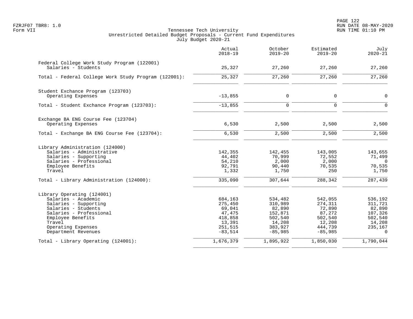|                                                                                                                                                                                                          | Actual<br>$2018 - 19$                                                               | October<br>$2019 - 20$                                                               | Estimated<br>$2019 - 20$                                                            | July<br>$2020 - 21$                                                               |
|----------------------------------------------------------------------------------------------------------------------------------------------------------------------------------------------------------|-------------------------------------------------------------------------------------|--------------------------------------------------------------------------------------|-------------------------------------------------------------------------------------|-----------------------------------------------------------------------------------|
| Federal College Work Study Program (122001)<br>Salaries - Students                                                                                                                                       | 25,327                                                                              | 27,260                                                                               | 27,260                                                                              | 27,260                                                                            |
| Total - Federal College Work Study Program (122001):                                                                                                                                                     | 25,327                                                                              | 27,260                                                                               | 27,260                                                                              | 27,260                                                                            |
| Student Exchance Program (123703)<br>Operating Expenses                                                                                                                                                  | $-13,855$                                                                           | $\mathbf 0$                                                                          | 0                                                                                   | $\mathbf 0$                                                                       |
| Total - Student Exchance Program (123703):                                                                                                                                                               | $-13,855$                                                                           | $\mathbf 0$                                                                          | 0                                                                                   | $\Omega$                                                                          |
| Exchange BA ENG Course Fee (123704)<br>Operating Expenses                                                                                                                                                | 6,530                                                                               | 2,500                                                                                | 2,500                                                                               | 2,500                                                                             |
| Total - Exchange BA ENG Course Fee (123704):                                                                                                                                                             | 6,530                                                                               | 2,500                                                                                | 2,500                                                                               | 2,500                                                                             |
| Library Administration (124000)<br>Salaries - Administrative<br>Salaries - Supporting<br>Salaries - Professional<br>Employee Benefits<br>Travel                                                          | 142,355<br>44,402<br>54,210<br>92,791<br>1,332                                      | 142,455<br>70,999<br>2,000<br>90,440<br>1,750                                        | 143,005<br>72,552<br>2,000<br>70,535<br>250                                         | 143,655<br>71,499<br>$\overline{0}$<br>70,535<br>1,750                            |
| Total - Library Administration (124000):                                                                                                                                                                 | 335,090                                                                             | 307,644                                                                              | 288,342                                                                             | 287,439                                                                           |
| Library Operating (124001)<br>Salaries - Academic<br>Salaries - Supporting<br>Salaries - Students<br>Salaries - Professional<br>Employee Benefits<br>Travel<br>Operating Expenses<br>Department Revenues | 684,163<br>275,450<br>69,041<br>47,475<br>418,858<br>13,391<br>251,515<br>$-83,514$ | 534,482<br>310,989<br>82,890<br>152,871<br>502,540<br>14,208<br>383,927<br>$-85,985$ | 542,055<br>274,311<br>72,890<br>87,272<br>502,540<br>12,208<br>444,739<br>$-85,985$ | 536,192<br>311,721<br>82,890<br>107,326<br>502,540<br>14,208<br>235,167<br>$\cap$ |
| Total - Library Operating (124001):                                                                                                                                                                      | 1,676,379                                                                           | 1,895,922                                                                            | 1,850,030                                                                           | 1,790,044                                                                         |
|                                                                                                                                                                                                          |                                                                                     |                                                                                      |                                                                                     |                                                                                   |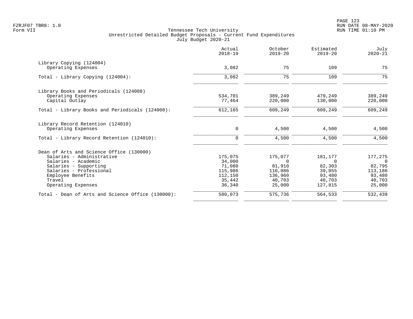| Actual<br>$2018 - 19$ | October<br>$2019 - 20$                 | Estimated<br>$2019 - 20$          | July<br>$2020 - 21$               |
|-----------------------|----------------------------------------|-----------------------------------|-----------------------------------|
|                       |                                        |                                   |                                   |
| 3,082                 | 75                                     | 109                               | 75                                |
| 3,082                 | 75                                     | 109                               | 75                                |
|                       |                                        |                                   |                                   |
|                       |                                        |                                   | 389,249                           |
| 77,464                | 220,000                                | 130,000                           | 220,000                           |
| 612,165               | 609,249                                | 609,249                           | 609,249                           |
|                       |                                        |                                   |                                   |
| 0                     | 4,500                                  | 4,500                             | 4,500                             |
| $\mathbf 0$           | 4,500                                  | 4,500                             | 4,500                             |
|                       |                                        |                                   |                                   |
|                       |                                        |                                   | 177,275                           |
|                       |                                        |                                   | $\overline{0}$                    |
|                       |                                        |                                   | 82,795                            |
| 115,986               | 116,086                                | 39,055                            | 113,186                           |
| 112,150               | 136,960                                | 93,480                            | 93,480                            |
| 35,442                | 40,703                                 | 40,703                            | 40,703                            |
| 36,340                | 25,000                                 | 127,815                           | 25,000                            |
| 580,073               | 575,736                                | 564,533                           | 532,439                           |
|                       | 534,701<br>175,075<br>34,000<br>71,080 | 389,249<br>175,077<br>0<br>81,910 | 479,249<br>181,177<br>0<br>82,303 |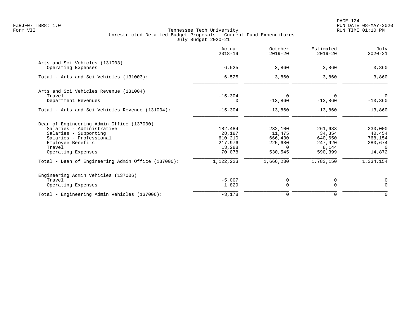| Actual<br>$2018 - 19$ | October<br>$2019 - 20$                            | Estimated<br>$2019 - 20$ | July<br>$2020 - 21$                  |
|-----------------------|---------------------------------------------------|--------------------------|--------------------------------------|
|                       |                                                   |                          |                                      |
|                       |                                                   |                          | 3,860                                |
| 6,525                 | 3,860                                             | 3,860                    | 3,860                                |
|                       |                                                   |                          |                                      |
|                       | 0                                                 | 0                        | $\Omega$                             |
| $\Omega$              | $-13,860$                                         | $-13,860$                | $-13,860$                            |
| $-15,304$             | $-13,860$                                         | $-13,860$                | $-13,860$                            |
|                       |                                                   |                          |                                      |
| 182,484               | 232,100                                           | 261,683                  | 230,000                              |
| 28,187                | 11,475                                            | 34,354                   | 40,454                               |
| 610,210               | 666,430                                           | 640,650                  | 768,154                              |
|                       | 225,680                                           |                          | 280,674                              |
|                       | $\Omega$                                          |                          | $\Omega$                             |
|                       |                                                   |                          | 14,872                               |
| 1,122,223             | 1,666,230                                         | 1,783,150                | 1,334,154                            |
|                       |                                                   |                          |                                      |
| $-5,007$              | 0                                                 | 0                        | 0                                    |
| 1,829                 | $\mathbf 0$                                       | $\Omega$                 | $\Omega$                             |
| $-3,178$              | $\mathbf 0$                                       | 0                        | $\mathbf 0$                          |
|                       | 6,525<br>$-15,304$<br>217,976<br>13,288<br>70,078 | 3,860<br>530,545         | 3,860<br>247,920<br>8,144<br>590,399 |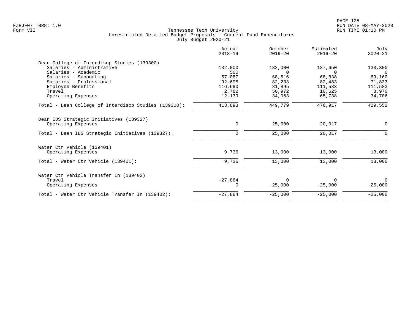|                                                      | Actual<br>$2018 - 19$ | October<br>$2019 - 20$ | Estimated<br>$2019 - 20$ | July<br>$2020 - 21$ |
|------------------------------------------------------|-----------------------|------------------------|--------------------------|---------------------|
| Dean College of Interdiscp Studies (139300)          |                       |                        |                          |                     |
| Salaries - Administrative                            | 132,000               | 132,000                | 137,650                  | 133,300             |
| Salaries - Academic                                  | 500                   | $\Omega$               | $\Omega$                 | $\Omega$            |
| Salaries - Supporting                                | 57,087                | 68,616                 | 68,838                   | 69,160              |
| Salaries - Professional                              | 92,695                | 82,233                 | 82,483                   | 71,833              |
| Employee Benefits                                    | 116,690               | 81,895                 | 111,583                  | 111,583             |
| Travel                                               | 2,782                 | 50,972                 | 10,625                   | 8,970               |
| Operating Expenses                                   | 12,139                | 34,063                 | 65,738                   | 34,706              |
| Total - Dean College of Interdiscp Studies (139300): | 413,893               | 449,779                | 476,917                  | 429,552             |
| Dean IDS Strategic Initiatives (139327)              |                       |                        |                          |                     |
| Operating Expenses                                   | 0                     | 25,000                 | 20,017                   | 0                   |
| Total - Dean IDS Strategic Initiatives (139327):     | 0                     | 25,000                 | 20,017                   | $\Omega$            |
| Water Ctr Vehicle (139401)                           |                       |                        |                          |                     |
| Operating Expenses                                   | 9,736                 | 13,000                 | 13,000                   | 13,000              |
| Total - Water Ctr Vehicle (139401):                  | 9,736                 | 13,000                 | 13,000                   | 13,000              |
| Water Ctr Vehicle Transfer In (139402)               |                       |                        |                          |                     |
| Travel                                               | $-27,884$             | $\Omega$               | 0                        | $\Omega$            |
| Operating Expenses                                   | $\Omega$              | $-25,000$              | $-25,000$                | $-25,000$           |
| Total - Water Ctr Vehicle Transfer In (139402):      | $-27,884$             | $-25,000$              | $-25,000$                | $-25,000$           |
|                                                      |                       |                        |                          |                     |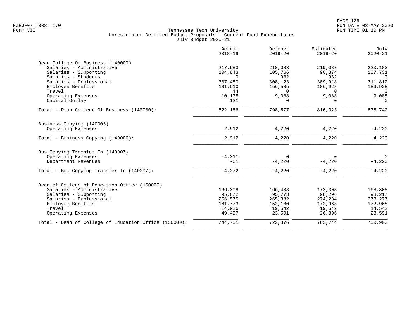|                                                       | Actual<br>$2018 - 19$ | October<br>$2019 - 20$ | Estimated<br>$2019 - 20$ | July<br>$2020 - 21$ |
|-------------------------------------------------------|-----------------------|------------------------|--------------------------|---------------------|
| Dean College Of Business (140000)                     |                       |                        |                          |                     |
| Salaries - Administrative                             | 217,983               | 218,083                | 219,083                  | 220,183             |
| Salaries - Supporting                                 | 104,843               | 105,766                | 90,374                   | 107,731             |
| Salaries - Students                                   | $\Omega$              | 932                    | 932                      | $\Omega$            |
| Salaries - Professional                               | 307,480               | 308,123                | 309,918                  | 311,812             |
| Employee Benefits                                     | 181,510               | 156,585                | 186,928                  | 186,928             |
| Travel                                                | 44                    | $\Omega$               | $\Omega$                 | $\Omega$            |
| Operating Expenses                                    | 10,175                | 9,088                  | 9,088                    | 9,088               |
| Capital Outlay                                        | 121                   | $\Omega$               | $\Omega$                 | $\Omega$            |
| Total - Dean College Of Business (140000):            | 822,156               | 798,577                | 816,323                  | 835,742             |
| Business Copying (140006)                             |                       |                        |                          |                     |
| Operating Expenses                                    | 2,912                 | 4,220                  | 4,220                    | 4,220               |
| Total - Business Copying (140006):                    | 2,912                 | 4,220                  | 4,220                    | 4,220               |
| Bus Copying Transfer In (140007)                      |                       |                        |                          |                     |
| Operating Expenses                                    | $-4,311$              | $\Omega$               | $\Omega$                 | $\Omega$            |
| Department Revenues                                   | $-61$                 | $-4,220$               | $-4,220$                 | $-4,220$            |
| Total - Bus Copying Transfer In (140007):             | $-4,372$              | $-4,220$               | $-4,220$                 | $-4,220$            |
|                                                       |                       |                        |                          |                     |
| Dean of College of Education Office (150000)          |                       |                        |                          |                     |
| Salaries - Administrative                             | 166,308               | 166,408                | 172,308                  | 168,308             |
| Salaries - Supporting                                 | 95,672                | 95,773                 | 98,296                   | 98,217              |
| Salaries - Professional                               | 256,575               | 265,382                | 274,234                  | 273, 277            |
| Employee Benefits                                     | 161,773               | 152,180                | 172,968                  | 172,968             |
| Travel                                                | 14,926                | 19,542                 | 19,542                   | 14,542              |
| Operating Expenses                                    | 49,497                | 23,591                 | 26,396                   | 23,591              |
| Total - Dean of College of Education Office (150000): | 744,751               | 722,876                | 763,744                  | 750,903             |
|                                                       |                       |                        |                          |                     |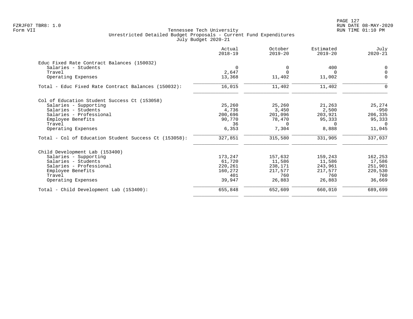PAGE 127 FZRJF07 TBR8: 1.0 RUN DATE 08-MAY-2020

|                                                       | Actual<br>$2018 - 19$ | October<br>$2019 - 20$ | Estimated<br>$2019 - 20$ | July<br>$2020 - 21$ |
|-------------------------------------------------------|-----------------------|------------------------|--------------------------|---------------------|
| Educ Fixed Rate Contract Balances (150032)            |                       |                        |                          |                     |
| Salaries - Students                                   | $\Omega$              | $\Omega$               | 400                      | 0                   |
| Travel                                                | 2,647                 | $\Omega$               |                          | $\overline{0}$      |
| Operating Expenses                                    | 13,368                | 11,402                 | 11,002                   | $\mathbf 0$         |
| Total - Educ Fixed Rate Contract Balances (150032):   | 16,015                | 11,402                 | 11,402                   | $\Omega$            |
| Col of Education Student Success Ct (153058)          |                       |                        |                          |                     |
| Salaries - Supporting                                 | 25,260                | 25,260                 | 21,263                   | 25,274              |
| Salaries - Students                                   | 4,736                 | 3,450                  | 2,500                    | $-950$              |
| Salaries - Professional                               | 200,696               | 201,096                | 203,921                  | 206,335             |
| Employee Benefits                                     | 90,770                | 78,470                 | 95,333                   | 95,333              |
| Travel                                                | 36                    | $\Omega$               | $\Omega$                 | $\cap$              |
| Operating Expenses                                    | 6,353                 | 7,304                  | 8,888                    | 11,045              |
| Total - Col of Education Student Success Ct (153058): | 327,851               | 315,580                | 331,905                  | 337,037             |
| Child Development Lab (153400)                        |                       |                        |                          |                     |
| Salaries - Supporting                                 | 173,247               | 157,632                | 159,243                  | 162,253             |
| Salaries - Students                                   | 61,720                | 11,586                 | 11,586                   | 17,586              |
| Salaries - Professional                               | 220,261               | 238,171                | 243,961                  | 251,901             |
| Employee Benefits                                     | 160,272               | 217,577                | 217,577                  | 220,530             |
| Travel                                                | 401                   | 760                    | 760                      | 760                 |
| Operating Expenses                                    | 39,947                | 26,883                 | 26,883                   | 36,669              |
| Total - Child Development Lab (153400):               | 655,848               | 652,609                | 660,010                  | 689,699             |
|                                                       |                       |                        |                          |                     |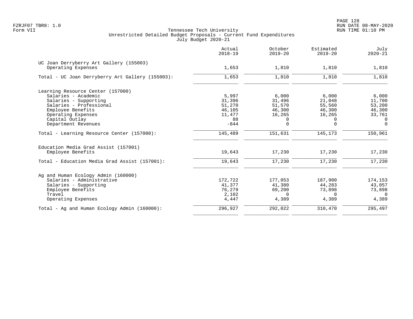|                                                               | Actual<br>$2018 - 19$ | October<br>$2019 - 20$ | Estimated<br>$2019 - 20$ | July<br>$2020 - 21$ |
|---------------------------------------------------------------|-----------------------|------------------------|--------------------------|---------------------|
| UC Joan Derryberry Art Gallery (155003)<br>Operating Expenses | 1,653                 | 1,810                  | 1,810                    | 1,810               |
| Total - UC Joan Derryberry Art Gallery (155003):              | 1,653                 | 1,810                  | 1,810                    | 1,810               |
| Learning Resource Center (157000)                             |                       |                        |                          |                     |
| Salaries - Academic                                           | 5,997                 | 6,000                  | 6,000                    | 6,000               |
| Salaries - Supporting                                         | 31,396                | 31,496                 | 21,048                   | 11,700              |
| Salaries - Professional                                       | 51,270                | 51,570                 | 55,560                   | 53,200              |
| Employee Benefits                                             | 46,105                | 46,300                 | 46,300                   | 46,300              |
| Operating Expenses                                            | 11,477                | 16,265                 | 16,265                   | 33,761              |
| Capital Outlay                                                | 88                    | 0                      | 0                        | $\Omega$            |
| Department Revenues                                           | $-844$                | $\Omega$               | $\Omega$                 | $\Omega$            |
| Total - Learning Resource Center (157000):                    | 145,489               | 151,631                | 145,173                  | 150,961             |
| Education Media Grad Assist (157001)<br>Employee Benefits     | 19,643                | 17,230                 | 17,230                   | 17,230              |
|                                                               |                       |                        |                          |                     |
| Total - Education Media Grad Assist (157001):                 | 19,643                | 17,230                 | 17,230                   | 17,230              |
| Ag and Human Ecology Admin (160000)                           |                       |                        |                          |                     |
| Salaries - Administrative                                     | 172,722               | 177,053                | 187,900                  | 174,153             |
| Salaries - Supporting                                         | 41,377                | 41,380                 | 44,283                   | 43,057              |
| Employee Benefits                                             | 76,279                | 69,200                 | 73,898                   | 73,898              |
| Travel                                                        | 2,102                 | $\Omega$               | $\Omega$                 | $\Omega$            |
| Operating Expenses                                            | 4,447                 | 4,389                  | 4,389                    | 4,389               |
| Total - Ag and Human Ecology Admin (160000):                  | 296,927               | 292,022                | 310,470                  | 295,497             |
|                                                               |                       |                        |                          |                     |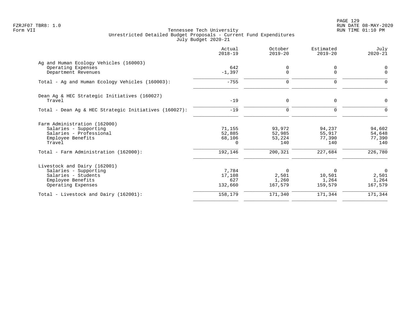|                                                       | Actual<br>$2018 - 19$ | October<br>$2019 - 20$ | Estimated<br>$2019 - 20$ | July<br>$2020 - 21$  |
|-------------------------------------------------------|-----------------------|------------------------|--------------------------|----------------------|
| Ag and Human Ecology Vehicles (160003)                |                       |                        |                          |                      |
| Operating Expenses<br>Department Revenues             | 642<br>$-1,397$       | 0<br>$\Omega$          | 0<br>$\Omega$            | $\Omega$<br>$\Omega$ |
| Total - Ag and Human Ecology Vehicles (160003):       | $-755$                | 0                      | 0                        | O                    |
| Dean Ag & HEC Strategic Initiatives (160027)          |                       |                        |                          |                      |
| Travel                                                | $-19$                 | 0                      | 0                        | $\Omega$             |
| Total - Dean Ag & HEC Strategic Initiatives (160027): | $-19$                 | $\Omega$               | $\Omega$                 |                      |
| Farm Administration (162000)                          |                       |                        |                          |                      |
| Salaries - Supporting                                 | 71,155                | 93,972                 | 94,237                   | 94,602               |
| Salaries - Professional<br>Employee Benefits          | 52,885<br>68,106      | 52,985<br>53,224       | 55,917<br>77,390         | 54,648<br>77,390     |
| Travel                                                | $\Omega$              | 140                    | 140                      | 140                  |
| Total - Farm Administration (162000):                 | 192,146               | 200,321                | 227,684                  | 226,780              |
| Livestock and Dairy (162001)                          |                       |                        |                          |                      |
| Salaries - Supporting                                 | 7,784                 | $\Omega$               | $\Omega$                 | $\Omega$             |
| Salaries - Students                                   | 17,108                | 2,501                  | 10,501                   | 2,501                |
| Employee Benefits<br>Operating Expenses               | 627<br>132,660        | 1,260<br>167,579       | 1,264<br>159,579         | 1,264<br>167,579     |
| Total - Livestock and Dairy (162001):                 | 158,179               | 171,340                | 171,344                  | 171,344              |
|                                                       |                       |                        |                          |                      |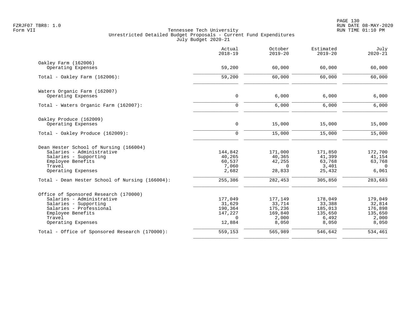|                                                 | Actual<br>$2018 - 19$ | October<br>$2019 - 20$ | Estimated<br>$2019 - 20$ | July<br>$2020 - 21$ |
|-------------------------------------------------|-----------------------|------------------------|--------------------------|---------------------|
| Oakley Farm (162006)                            |                       |                        |                          |                     |
| Operating Expenses                              | 59,200                | 60,000                 | 60,000                   | 60,000              |
| Total - Oakley Farm $(162006)$ :                | 59,200                | 60,000                 | 60,000                   | 60,000              |
| Waters Organic Farm (162007)                    |                       |                        |                          |                     |
| Operating Expenses                              | $\mathbf 0$           | 6,000                  | 6,000                    | 6,000               |
| Total - Waters Organic Farm (162007):           | $\Omega$              | 6,000                  | 6,000                    | 6,000               |
| Oakley Produce (162009)                         |                       |                        |                          |                     |
| Operating Expenses                              | $\mathbf 0$           | 15,000                 | 15,000                   | 15,000              |
| Total - Oakley Produce (162009):                | $\mathbf 0$           | 15,000                 | 15,000                   | 15,000              |
| Dean Hester School of Nursing (166004)          |                       |                        |                          |                     |
| Salaries - Administrative                       | 144,842               | 171,000                | 171,850                  | 172,700             |
| Salaries - Supporting                           | 40,265                | 40,365                 | 41,399                   | 41,154              |
| Employee Benefits<br>Travel                     | 60,537                | 42,255<br>$\Omega$     | 63,768                   | 63,768<br>$\Omega$  |
| Operating Expenses                              | 7,060<br>2,682        | 28,833                 | 3,401<br>25,432          | 6,061               |
| Total - Dean Hester School of Nursing (166004): | 255,386               | 282,453                | 305,850                  | 283,683             |
| Office of Sponsored Research (170000)           |                       |                        |                          |                     |
| Salaries - Administrative                       | 177,049               | 177,149                | 178,049                  | 179,049             |
| Salaries - Supporting                           | 31,629                | 33,714                 | 33,388                   | 32,814              |
| Salaries - Professional                         | 190,364               | 175,236                | 185,013                  | 176,898             |
| Employee Benefits                               | 147,227               | 169,840                | 135,650                  | 135,650             |
| Travel<br>Operating Expenses                    | $\Omega$<br>12,884    | 2,000<br>8,050         | 6,492<br>8,050           | 2,000<br>8,050      |
| Total - Office of Sponsored Research (170000):  | 559,153               | 565,989                | 546,642                  | 534,461             |
|                                                 |                       |                        |                          |                     |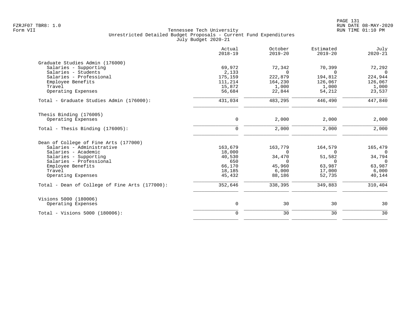|                                                | Actual<br>$2018 - 19$ | October<br>$2019 - 20$ | Estimated<br>$2019 - 20$ | July<br>$2020 - 21$ |
|------------------------------------------------|-----------------------|------------------------|--------------------------|---------------------|
| Graduate Studies Admin (176000)                |                       |                        |                          |                     |
| Salaries - Supporting                          | 69,972                | 72,342                 | 70,399                   | 72,292              |
| Salaries - Students                            | 2,133                 | $\Omega$               | $\Omega$                 | $\Omega$            |
| Salaries - Professional                        | 175,159               | 222,879                | 194,812                  | 224,944             |
| Employee Benefits                              | 111,214               | 164,230                | 126,067                  | 126,067             |
| Travel                                         | 15,872                | 1,000                  | 1,000                    | 1,000               |
| Operating Expenses                             | 56,684                | 22,844                 | 54,212                   | 23,537              |
| Total - Graduate Studies Admin (176000):       | 431,034               | 483,295                | 446,490                  | 447,840             |
| Thesis Binding (176005)                        |                       |                        |                          |                     |
| Operating Expenses                             | $\mathsf{O}$          | 2,000                  | 2,000                    | 2,000               |
| Total - Thesis Binding $(176005)$ :            | $\mathbf 0$           | 2,000                  | 2,000                    | 2,000               |
| Dean of College of Fine Arts (177000)          |                       |                        |                          |                     |
| Salaries - Administrative                      | 163,679               | 163,779                | 164,579                  | 165,479             |
| Salaries - Academic                            | 18,000                | $\Omega$               | $\Omega$                 | $\overline{0}$      |
| Salaries - Supporting                          | 40,530                | 34,470                 | 51,582                   | 34,794              |
| Salaries - Professional                        | 650                   | $\Omega$               | 0                        | $\overline{0}$      |
| Employee Benefits                              | 66,170                | 45,960                 | 63,987                   | 63,987              |
| Travel                                         | 18,185                | 6,000                  | 17,000                   | 6,000               |
| Operating Expenses                             | 45,432                | 88,186                 | 52,735                   | 40,144              |
| Total - Dean of College of Fine Arts (177000): | 352,646               | 338,395                | 349,883                  | 310,404             |
| Visions 5000 (180006)                          |                       |                        |                          |                     |
| Operating Expenses                             | $\mathsf{O}$          | 30                     | 30                       | 30                  |
| Total - Visions 5000 (180006):                 | $\mathbf 0$           | 30                     | 30                       | 30                  |
|                                                |                       |                        |                          |                     |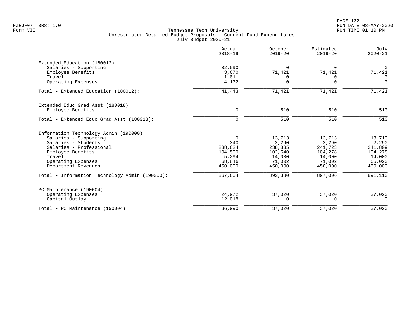|                                                | Actual<br>$2018 - 19$ | October<br>$2019 - 20$ | Estimated<br>$2019 - 20$ | July<br>$2020 - 21$ |
|------------------------------------------------|-----------------------|------------------------|--------------------------|---------------------|
| Extended Education (180012)                    |                       |                        |                          |                     |
| Salaries - Supporting                          | 32,590                | $\Omega$               | $\Omega$                 | $\Omega$            |
| Employee Benefits                              | 3,670                 | 71,421                 | 71,421                   | 71,421              |
| Travel                                         | 1,011                 | 0                      | 0                        | $\Omega$            |
| Operating Expenses                             | 4,172                 | $\Omega$               | $\Omega$                 | $\Omega$            |
| Total - Extended Education (180012):           | 41,443                | 71,421                 | 71,421                   | 71,421              |
| Extended Educ Grad Asst (180018)               |                       |                        |                          |                     |
| Employee Benefits                              | $\mathbf 0$           | 510                    | 510                      | 510                 |
| Total - Extended Educ Grad Asst (180018):      | $\mathbf 0$           | 510                    | 510                      | 510                 |
| Information Technology Admin (190000)          |                       |                        |                          |                     |
| Salaries - Supporting                          | $\Omega$              | 13,713                 | 13,713                   | 13,713              |
| Salaries - Students                            | 340                   | 2,290                  | 2,290                    | 2,290               |
| Salaries - Professional                        | 238,624               | 238,835                | 241,723                  | 241,809             |
| Employee Benefits                              | 104,500               | 102,540                | 104,278                  | 104,278             |
| Travel                                         | 5,294                 | 14,000                 | 14,000                   | 14,000              |
| Operating Expenses                             | 68,846                | 71,002                 | 71,002                   | 65,020              |
| Department Revenues                            | 450,000               | 450,000                | 450,000                  | 450,000             |
| Total - Information Technology Admin (190000): | 867,604               | 892,380                | 897,006                  | 891,110             |
| PC Maintenance (190004)                        |                       |                        |                          |                     |
| Operating Expenses                             | 24,972                | 37,020                 | 37,020                   | 37,020              |
| Capital Outlay                                 | 12,018                | $\Omega$               | $\Omega$                 | $\mathbf 0$         |
| Total - PC Maintenance (190004):               | 36,990                | 37,020                 | 37,020                   | 37,020              |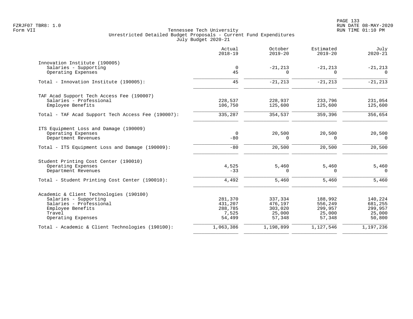|                                                    | Actual<br>$2018 - 19$   | October<br>$2019 - 20$ | Estimated<br>$2019 - 20$ | July<br>$2020 - 21$    |
|----------------------------------------------------|-------------------------|------------------------|--------------------------|------------------------|
| Innovation Institute (190005)                      |                         |                        |                          |                        |
| Salaries - Supporting<br>Operating Expenses        | $\mathbf 0$<br>45       | $-21, 213$<br>$\Omega$ | $-21, 213$<br>$\Omega$   | $-21, 213$<br>$\Omega$ |
| Total - Innovation Institute (190005):             | 45                      | $-21, 213$             | $-21, 213$               | $-21, 213$             |
| TAF Acad Support Tech Access Fee (190007)          |                         |                        |                          |                        |
| Salaries - Professional<br>Employee Benefits       | 228,537<br>106,750      | 228,937<br>125,600     | 233,796<br>125,600       | 231,054<br>125,600     |
| Total - TAF Acad Support Tech Access Fee (190007): | 335,287                 | 354,537                | 359,396                  | 356,654                |
| ITS Equipment Loss and Damage (190009)             |                         |                        |                          |                        |
| Operating Expenses<br>Department Revenues          | $\overline{0}$<br>$-80$ | 20,500<br>$\Omega$     | 20,500<br>$\Omega$       | 20,500<br>$\Omega$     |
| Total - ITS Equipment Loss and Damage (190009):    | $-80$                   | 20,500                 | 20,500                   | 20,500                 |
| Student Printing Cost Center (190010)              |                         |                        |                          |                        |
| Operating Expenses<br>Department Revenues          | 4,525<br>$-33$          | 5,460<br>$\Omega$      | 5,460<br>0               | 5,460<br>$\mathbf 0$   |
| Total - Student Printing Cost Center (190010):     | 4,492                   | 5,460                  | 5,460                    | 5,460                  |
| Academic & Client Technologies (190100)            |                         |                        |                          |                        |
| Salaries - Supporting                              | 281,370                 | 337,334                | 188,992                  | 140,224                |
| Salaries - Professional                            | 431,207                 | 476,197                | 556,249                  | 681,255                |
| Employee Benefits<br>Travel                        | 288,785                 | 303,020                | 299,957                  | 299,957                |
| Operating Expenses                                 | 7,525<br>54,499         | 25,000<br>57,348       | 25,000<br>57,348         | 25,000<br>50,800       |
| Total - Academic & Client Technologies (190100):   | 1,063,386               | 1,198,899              | 1,127,546                | 1,197,236              |
|                                                    |                         |                        |                          |                        |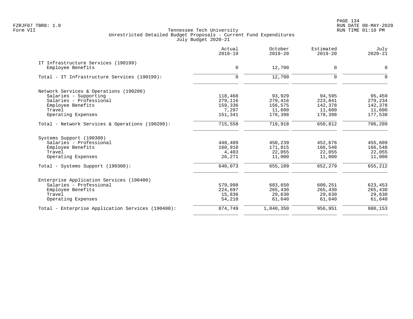PAGE 134 FZRJF07 TBR8: 1.0 RUN DATE 08-MAY-2020

|                                                          | Actual<br>$2018 - 19$ | October<br>$2019 - 20$ | Estimated<br>$2019 - 20$ | July<br>$2020 - 21$ |
|----------------------------------------------------------|-----------------------|------------------------|--------------------------|---------------------|
| IT Infrastructure Services (190199)<br>Employee Benefits | $\mathbf 0$           | 12,700                 | 0                        | 0                   |
|                                                          |                       |                        |                          |                     |
| Total - IT Infrastructure Services (190199):             | $\mathbf 0$           | 12,700                 | $\mathbf 0$              | $\mathbf 0$         |
| Network Services & Operations (190200)                   |                       |                        |                          |                     |
| Salaries - Supporting                                    | 118,468               | 93,929                 | 94,595                   | 95,459              |
| Salaries - Professional                                  | 279,116               | 279,416                | 223,841                  | 279,234             |
| Employee Benefits                                        | 159,336               | 156,575                | 142,378                  | 142,378             |
| Travel                                                   | 7,297                 | 11,600                 | 11,600                   | 11,600              |
| Operating Expenses                                       | 151,341               | 178,398                | 178,398                  | 177,538             |
| Total - Network Services & Operations (190200):          | 715,558               | 719,918                | 650,812                  | 706, 209            |
| Systems Support (190300)                                 |                       |                        |                          |                     |
| Salaries - Professional                                  | 448,489               | 450,239                | 452,676                  | 455,609             |
| Employee Benefits                                        | 160,910               | 171,815                | 166,548                  | 166,548             |
| Travel                                                   | 4,403                 | 22,055                 | 22,055                   | 22,055              |
| Operating Expenses                                       | 26,271                | 11,000                 | 11,000                   | 11,000              |
| Total - Systems Support (190300):                        | 640,073               | 655,109                | 652,279                  | 655,212             |
| Enterprise Application Services (190400)                 |                       |                        |                          |                     |
| Salaries - Professional                                  | 579,998               | 683,650                | 600,251                  | 623,453             |
| Employee Benefits                                        | 224,697               | 265,430                | 265,430                  | 265,430             |
| Travel                                                   | 15,836                | 29,630                 | 29,630                   | 29,630              |
| Operating Expenses                                       | 54,218                | 61,640                 | 61,640                   | 61,640              |
| Total - Enterprise Application Services (190400):        | 874,749               | 1,040,350              | 956,951                  | 980,153             |
|                                                          |                       |                        |                          |                     |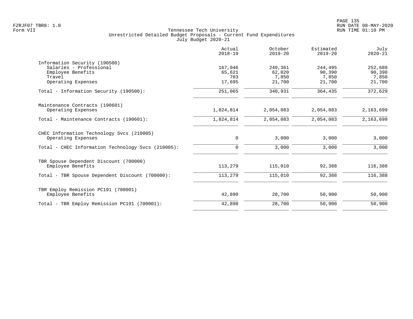|                                                    | Actual<br>$2018 - 19$ | October<br>$2019 - 20$ | Estimated<br>$2019 - 20$ | July<br>$2020 - 21$ |
|----------------------------------------------------|-----------------------|------------------------|--------------------------|---------------------|
| Information Security (190500)                      |                       |                        |                          |                     |
| Salaries - Professional                            | 167,046               | 249,361                | 244,495                  | 252,689             |
| Employee Benefits<br>Travel                        | 65,621<br>703         | 62,020<br>7,850        | 90,390<br>7,850          | 90,390<br>7,850     |
| Operating Expenses                                 | 17,695                | 21,700                 | 21,700                   | 21,700              |
| Total - Information Security (190500):             | 251,065               | 340,931                | 364,435                  | 372,629             |
| Maintenance Contracts (190601)                     |                       |                        |                          |                     |
| Operating Expenses                                 | 1,824,814             | 2,054,083              | 2,054,083                | 2,163,699           |
| Total - Maintenance Contracts (190601):            | 1,824,814             | 2,054,083              | 2,054,083                | 2,163,699           |
| CHEC Information Technology Svcs (210005)          |                       |                        |                          |                     |
| Operating Expenses                                 | $\mathsf{O}$          | 3,000                  | 3,000                    | 3,000               |
| Total - CHEC Information Technology Svcs (210005): | 0                     | 3,000                  | 3,000                    | 3,000               |
| TBR Spouse Dependent Discount (700000)             |                       |                        |                          |                     |
| Employee Benefits                                  | 113,279               | 115,010                | 92,388                   | 116,388             |
| Total - TBR Spouse Dependent Discount (700000):    | 113,279               | 115,010                | 92,388                   | 116,388             |
| TBR Employ Remission PC191 (700001)                |                       |                        |                          |                     |
| Employee Benefits                                  | 42,890                | 28,700                 | 50,900                   | 50,900              |
| Total - TBR Employ Remission PC191 (700001):       | 42,890                | 28,700                 | 50,900                   | 50,900              |
|                                                    |                       |                        |                          |                     |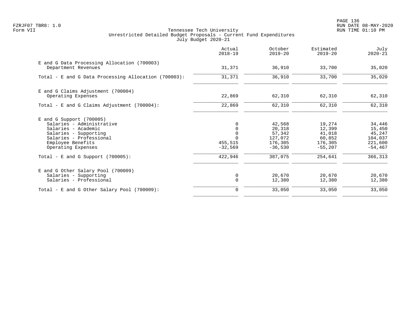PAGE 136 FZRJF07 TBR8: 1.0 RUN DATE 08-MAY-2020

|                                                                                                                                                                                                                       | Actual<br>$2018 - 19$                                           | October<br>$2019 - 20$                                                   | Estimated<br>$2019 - 20$                                                | July<br>$2020 - 21$                                                       |
|-----------------------------------------------------------------------------------------------------------------------------------------------------------------------------------------------------------------------|-----------------------------------------------------------------|--------------------------------------------------------------------------|-------------------------------------------------------------------------|---------------------------------------------------------------------------|
| E and G Data Processing Allocation (700003)<br>Department Revenues                                                                                                                                                    | 31,371                                                          | 36,910                                                                   | 33,700                                                                  | 35,020                                                                    |
| Total - E and G Data Processing Allocation (700003):                                                                                                                                                                  | 31,371                                                          | 36,910                                                                   | 33,700                                                                  | 35,020                                                                    |
| E and G Claims Adjustment (700004)<br>Operating Expenses                                                                                                                                                              | 22,869                                                          | 62,310                                                                   | 62,310                                                                  | 62,310                                                                    |
| Total - E and G Claims Adjustment (700004):                                                                                                                                                                           | 22,869                                                          | 62,310                                                                   | 62,310                                                                  | 62,310                                                                    |
| $E$ and G Support (700005)<br>Salaries - Administrative<br>Salaries - Academic<br>Salaries - Supporting<br>Salaries - Professional<br>Employee Benefits<br>Operating Expenses<br>Total - E and G Support $(700005)$ : | $\Omega$<br>0<br>$\mathbf 0$<br>455,515<br>$-32,569$<br>422,946 | 42,568<br>20,318<br>57,342<br>127,072<br>176,305<br>$-36,530$<br>387,075 | 19,274<br>12,399<br>41,018<br>60,852<br>176,305<br>$-55,207$<br>254,641 | 34,446<br>15,450<br>45,247<br>104,037<br>221,600<br>$-54, 467$<br>366,313 |
| E and G Other Salary Pool (700009)<br>Salaries - Supporting<br>Salaries - Professional                                                                                                                                | 0<br>$\mathbf 0$                                                | 20,670<br>12,380                                                         | 20,670<br>12,380                                                        | 20,670<br>12,380<br>33,050                                                |
| Total - E and G Other Salary Pool (700009):                                                                                                                                                                           | 0                                                               | 33,050                                                                   | 33,050                                                                  |                                                                           |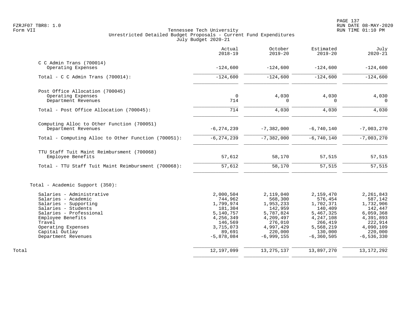|                                                                                                                                                                                                                           | Actual<br>$2018 - 19$                                                                                                    | October<br>$2019 - 20$                                                                                                      | Estimated<br>$2019 - 20$                                                                                                    | July<br>$2020 - 21$                                                                                                         |
|---------------------------------------------------------------------------------------------------------------------------------------------------------------------------------------------------------------------------|--------------------------------------------------------------------------------------------------------------------------|-----------------------------------------------------------------------------------------------------------------------------|-----------------------------------------------------------------------------------------------------------------------------|-----------------------------------------------------------------------------------------------------------------------------|
| $C$ C Admin Trans (700014)<br>Operating Expenses                                                                                                                                                                          | $-124,600$                                                                                                               | $-124,600$                                                                                                                  | $-124,600$                                                                                                                  | $-124,600$                                                                                                                  |
| Total - C C Admin Trans $(700014)$ :                                                                                                                                                                                      | $-124,600$                                                                                                               | $-124,600$                                                                                                                  | $-124,600$                                                                                                                  | $-124,600$                                                                                                                  |
| Post Office Allocation (700045)                                                                                                                                                                                           |                                                                                                                          |                                                                                                                             |                                                                                                                             |                                                                                                                             |
| Operating Expenses<br>Department Revenues                                                                                                                                                                                 | $\Omega$<br>714                                                                                                          | 4,030<br>O                                                                                                                  | 4,030<br>$\Omega$                                                                                                           | 4,030<br>$\Omega$                                                                                                           |
| Total - Post Office Allocation (700045):                                                                                                                                                                                  | 714                                                                                                                      | 4,030                                                                                                                       | 4,030                                                                                                                       | 4,030                                                                                                                       |
| Computing Alloc to Other Function (700051)<br>Department Revenues                                                                                                                                                         | $-6, 274, 239$                                                                                                           | $-7,382,000$                                                                                                                | $-6,740,140$                                                                                                                | $-7,003,270$                                                                                                                |
| Total - Computing Alloc to Other Function (700051):                                                                                                                                                                       | $-6, 274, 239$                                                                                                           | $-7,382,000$                                                                                                                | $-6,740,140$                                                                                                                | $-7,003,270$                                                                                                                |
| TTU Staff Tuit Maint Reimbursment (700068)<br>Employee Benefits                                                                                                                                                           | 57,612                                                                                                                   | 58,170                                                                                                                      | 57,515                                                                                                                      | 57,515                                                                                                                      |
| Total - TTU Staff Tuit Maint Reimbursment (700068):                                                                                                                                                                       | 57,612                                                                                                                   | 58,170                                                                                                                      | 57,515                                                                                                                      | 57,515                                                                                                                      |
| Total - Academic Support (350):                                                                                                                                                                                           |                                                                                                                          |                                                                                                                             |                                                                                                                             |                                                                                                                             |
| Salaries - Administrative<br>Salaries - Academic<br>Salaries - Supporting<br>Salaries - Students<br>Salaries - Professional<br>Employee Benefits<br>Travel<br>Operating Expenses<br>Capital Outlay<br>Department Revenues | 2,000,504<br>744,962<br>1,799,974<br>181,304<br>5,140,757<br>4,256,349<br>146,569<br>3,715,073<br>89,691<br>$-5,878,084$ | 2,119,040<br>568,300<br>1,953,233<br>142,959<br>5,787,824<br>4,209,497<br>276,010<br>4,997,429<br>220,000<br>$-6, 999, 155$ | 2,159,470<br>576,454<br>1,702,371<br>140,409<br>5,467,325<br>4,247,108<br>266,419<br>5,568,219<br>130,000<br>$-6, 360, 505$ | 2,261,843<br>587,142<br>1,732,906<br>142,447<br>6,059,368<br>4,391,893<br>222,914<br>4,090,109<br>220,000<br>$-6, 536, 330$ |
| Total                                                                                                                                                                                                                     | 12,197,099                                                                                                               | 13, 275, 137                                                                                                                | 13,897,270                                                                                                                  | 13, 172, 292                                                                                                                |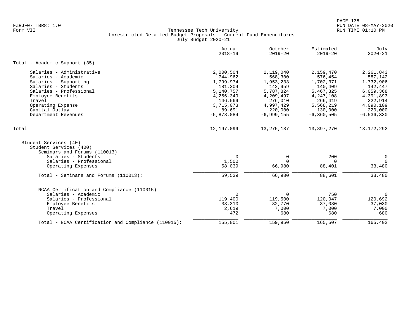|                                                                                                                                                         | Actual<br>$2018 - 19$       | October<br>$2019 - 20$         | Estimated<br>$2019 - 20$  | July<br>$2020 - 21$               |
|---------------------------------------------------------------------------------------------------------------------------------------------------------|-----------------------------|--------------------------------|---------------------------|-----------------------------------|
| Total - Academic Support (35):                                                                                                                          |                             |                                |                           |                                   |
| Salaries - Administrative                                                                                                                               | 2,000,504                   | 2,119,040                      | 2,159,470                 | 2,261,843                         |
| Salaries - Academic                                                                                                                                     | 744,962                     | 568,300                        | 576,454                   | 587,142                           |
| Salaries - Supporting                                                                                                                                   | 1,799,974                   | 1,953,233                      | 1,702,371                 | 1,732,906                         |
| Salaries - Students                                                                                                                                     | 181,304                     | 142,959                        | 140,409                   | 142,447                           |
| Salaries - Professional                                                                                                                                 | 5,140,757                   | 5,787,824                      | 5,467,325                 | 6,059,368                         |
| Employee Benefits                                                                                                                                       | 4,256,349                   | 4,209,497                      | 4,247,108                 | 4,391,893                         |
| Travel                                                                                                                                                  | 146,569                     | 276,010                        | 266,419                   | 222,914                           |
| Operating Expense                                                                                                                                       | 3,715,073                   | 4,997,429                      | 5,568,219                 | 4,090,109                         |
| Capital Outlay                                                                                                                                          | 89,691                      | 220,000                        | 130,000                   | 220,000                           |
| Department Revenues                                                                                                                                     | $-5,878,084$                | $-6,999,155$                   | $-6, 360, 505$            | $-6, 536, 330$                    |
| Total                                                                                                                                                   | 12,197,099                  | 13, 275, 137                   | 13,897,270                | 13, 172, 292                      |
| Student Services (40)<br>Student Services (400)<br>Seminars and Forums (110013)<br>Salaries - Students<br>Salaries - Professional<br>Operating Expenses | $\Omega$<br>1,500<br>58,039 | $\Omega$<br>$\Omega$<br>66,980 | 200<br>$\Omega$<br>88,401 | $\mathbf 0$<br>$\Omega$<br>33,480 |
| Total - Seminars and Forums (110013):                                                                                                                   | 59,539                      | 66,980                         | 88,601                    | 33,480                            |
| NCAA Certification and Compliance (110015)                                                                                                              |                             |                                |                           |                                   |
| Salaries - Academic                                                                                                                                     | $\Omega$                    | $\Omega$                       | 750                       | $\Omega$                          |
| Salaries - Professional                                                                                                                                 | 119,400                     | 119,500                        | 120,047                   | 120,692                           |
| Employee Benefits                                                                                                                                       | 33,310                      | 32,770                         | 37,030                    | 37,030                            |
| Travel                                                                                                                                                  | 2,619                       | 7,000                          | 7,000                     | 7,000                             |
| Operating Expenses                                                                                                                                      | 472                         | 680                            | 680                       | 680                               |
| Total - NCAA Certification and Compliance (110015):                                                                                                     | 155,801                     | 159,950                        | 165,507                   | 165,402                           |
|                                                                                                                                                         |                             |                                |                           |                                   |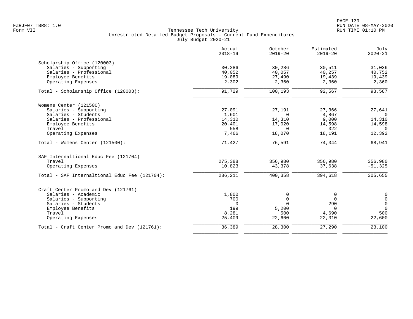|                                               | Actual<br>$2018 - 19$ | October<br>$2019 - 20$ | Estimated<br>$2019 - 20$ | July<br>$2020 - 21$ |
|-----------------------------------------------|-----------------------|------------------------|--------------------------|---------------------|
| Scholarship Office (120003)                   |                       |                        |                          |                     |
| Salaries - Supporting                         | 30,286                | 30,286                 | 30,511                   | 31,036              |
| Salaries - Professional                       | 40,052                | 40,057                 | 40,257                   | 40,752              |
| Employee Benefits                             | 19,089                | 27,490                 | 19,439                   | 19,439              |
| Operating Expenses                            | 2,302                 | 2,360                  | 2,360                    | 2,360               |
| Total - Scholarship Office (120003):          | 91,729                | 100,193                | 92,567                   | 93,587              |
| Womens Center (121500)                        |                       |                        |                          |                     |
| Salaries - Supporting                         | 27,091                | 27,191                 | 27,366                   | 27,641              |
| Salaries - Students                           | 1,601                 | $\Omega$               | 4,867                    | $\Omega$            |
| Salaries - Professional                       | 14,310                | 14,310                 | 9,000                    | 14,310              |
| Employee Benefits                             | 20,401                | 17,020                 | 14,598                   | 14,598              |
| Travel                                        | 558                   | $\Omega$               | 322                      | $\Omega$            |
| Operating Expenses                            | 7,466                 | 18,070                 | 18,191                   | 12,392              |
| Total - Womens Center (121500):               | 71,427                | 76,591                 | 74,344                   | 68,941              |
| SAF Internaltional Educ Fee (121704)          |                       |                        |                          |                     |
| Travel                                        | 275,388               | 356,980                | 356,980                  | 356,980             |
| Operating Expenses                            | 10,823                | 43,378                 | 37,638                   | $-51,325$           |
| Total - SAF Internaltional Educ Fee (121704): | 286,211               | 400,358                | 394,618                  | 305,655             |
| Craft Center Promo and Dev (121761)           |                       |                        |                          |                     |
| Salaries - Academic                           | 1,800                 | 0                      | 0                        | $\overline{0}$      |
| Salaries - Supporting                         | 700                   | $\mathbf 0$            | $\Omega$                 | $\mathsf{O}$        |
| Salaries - Students                           | $\Omega$              | $\Omega$               | 290                      | $\mathbf 0$         |
| Employee Benefits                             | 199                   | 5,200                  | $\Omega$                 | $\Omega$            |
| Travel                                        | 8,281                 | 500                    | 4,690                    | 500                 |
| Operating Expenses                            | 25,409                | 22,600                 | 22,310                   | 22,600              |
| Total - Craft Center Promo and Dev (121761):  | 36,389                | 28,300                 | 27,290                   | 23,100              |
|                                               |                       |                        |                          |                     |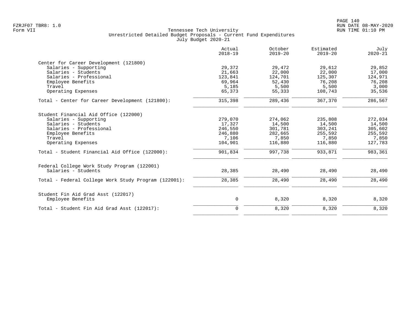|                                                      | Actual<br>$2018 - 19$ | October<br>$2019 - 20$ | Estimated<br>$2019 - 20$ | July<br>$2020 - 21$ |
|------------------------------------------------------|-----------------------|------------------------|--------------------------|---------------------|
| Center for Career Development (121800)               |                       |                        |                          |                     |
| Salaries - Supporting                                | 29,372                | 29,472                 | 29,612                   | 29,852              |
| Salaries - Students                                  | 21,663                | 22,000                 | 22,000                   | 17,000              |
| Salaries - Professional                              | 123,841               | 124,701                | 125,307                  | 124,971             |
| Employee Benefits                                    | 69,964                | 52,430                 | 76,208                   | 76,208              |
| Travel                                               | 5,185                 | 5,500                  | 5,500                    | 3,000               |
| Operating Expenses                                   | 65,373                | 55,333                 | 108,743                  | 35,536              |
| Total - Center for Career Development (121800):      | 315,398               | 289,436                | 367,370                  | 286,567             |
| Student Financial Aid Office (122000)                |                       |                        |                          |                     |
| Salaries - Supporting                                | 279,070               | 274,062                | 235,808                  | 272,034             |
| Salaries - Students                                  | 17,327                | 14,500                 | 14,500                   | 14,500              |
| Salaries - Professional                              | 246,550               | 301,781                | 303,241                  | 305,602             |
| Employee Benefits                                    | 246,880               | 282,665                | 255,592                  | 255,592             |
| Travel                                               | 7,106                 | 7,850                  | 7,850                    | 7,850               |
| Operating Expenses                                   | 104,901               | 116,880                | 116,880                  | 127,783             |
| Total - Student Financial Aid Office (122000):       | 901,834               | 997,738                | 933,871                  | 983,361             |
| Federal College Work Study Program (122001)          |                       |                        |                          |                     |
| Salaries - Students                                  | 28,385                | 28,490                 | 28,490                   | 28,490              |
| Total - Federal College Work Study Program (122001): | 28,385                | 28,490                 | 28,490                   | 28,490              |
| Student Fin Aid Grad Asst (122017)                   |                       |                        |                          |                     |
| Employee Benefits                                    | 0                     | 8,320                  | 8,320                    | 8,320               |
| Total - Student Fin Aid Grad Asst (122017):          | $\mathbf 0$           | 8,320                  | 8,320                    | 8,320               |
|                                                      |                       |                        |                          |                     |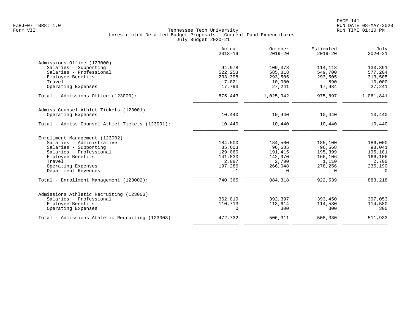|                                                  | Actual<br>$2018 - 19$ | October<br>$2019 - 20$ | Estimated<br>$2019 - 20$ | July<br>$2020 - 21$ |
|--------------------------------------------------|-----------------------|------------------------|--------------------------|---------------------|
| Admissions Office (123000)                       |                       |                        |                          |                     |
| Salaries - Supporting                            | 94,978                | 109,378                | 114,118                  | 133,891             |
| Salaries - Professional                          | 522,253               | 585,818                | 549,700                  | 577,204             |
| Employee Benefits                                | 233,398               | 293,505                | 293,505                  | 313,505             |
| Travel                                           | 7,021                 | 10,000                 | 590                      | 10,000              |
| Operating Expenses                               | 17,793                | 27,241                 | 17,984                   | 27,241              |
| Total - Admissions Office (123000):              | 875,443               | 1,025,942              | 975,897                  | 1,061,841           |
| Admiss Counsel Athlet Tickets (123001)           |                       |                        |                          |                     |
| Operating Expenses                               | 10,440                | 10,440                 | 10,440                   | 10,440              |
| Total - Admiss Counsel Athlet Tickets (123001):  | 10,440                | 10,440                 | 10,440                   | 10,440              |
| Enrollment Management (123002)                   |                       |                        |                          |                     |
| Salaries - Administrative                        | 184,500               | 184,500                | 185,100                  | 186,000             |
| Salaries - Supporting                            | 85,603                | 96,685                 | 96,568                   | 98,041              |
| Salaries - Professional                          | 129,060               | 191,415                | 195,399                  | 195,181             |
| Employee Benefits                                | 141,830               | 142,970                | 166,106                  | 166,106             |
| Travel                                           | 2,087                 | 2,700                  | 1,110                    | 2,700               |
| Operating Expenses                               | 197,286               | 266,048                | 278,256                  | 235,190             |
| Department Revenues                              | $-1$                  | $\Omega$               | $\Omega$                 | $\Omega$            |
| Total - Enrollment Management (123002):          | 740,365               | 884,318                | 922,539                  | 883,218             |
| Admissions Athletic Recruiting (123003)          |                       |                        |                          |                     |
| Salaries - Professional                          | 362,019               | 392,397                | 393,450                  | 397,053             |
| Employee Benefits                                | 110,713               | 113,614                | 114,580                  | 114,580             |
| Operating Expenses                               | $\mathbf 0$           | 300                    | 300                      | 300                 |
| Total - Admissions Athletic Recruiting (123003): | 472,732               | 506,311                | 508,330                  | 511,933             |
|                                                  |                       |                        |                          |                     |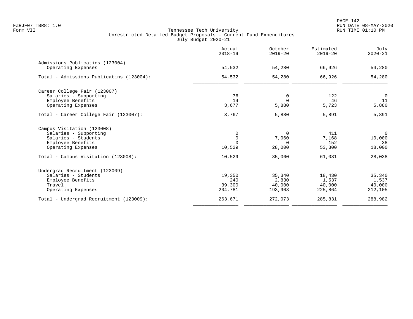|                                          | Actual<br>$2018 - 19$ | October<br>$2019 - 20$ | Estimated<br>$2019 - 20$ | July<br>$2020 - 21$ |
|------------------------------------------|-----------------------|------------------------|--------------------------|---------------------|
| Admissions Publicatins (123004)          |                       |                        |                          |                     |
| Operating Expenses                       | 54,532                | 54,280                 | 66,926                   | 54,280              |
| Total - Admissions Publicatins (123004): | 54,532                | 54,280                 | 66,926                   | 54,280              |
| Career College Fair (123007)             |                       |                        |                          |                     |
| Salaries - Supporting                    | 76                    | 0                      | 122                      | $\overline{0}$      |
| Employee Benefits                        | 14                    | $\Omega$               | 46                       | 11                  |
| Operating Expenses                       | 3,677                 | 5,880                  | 5,723                    | 5,880               |
| Total - Career College Fair (123007):    | 3,767                 | 5,880                  | 5,891                    | 5,891               |
| Campus Visitation (123008)               |                       |                        |                          |                     |
| Salaries - Supporting                    | 0                     | $\Omega$               | 411                      | $\mathbf 0$         |
| Salaries - Students                      | $\mathsf 0$           | 7,060                  | 7,168                    | 10,000              |
| Employee Benefits                        | $\Omega$              | $\Omega$               | 152                      | 38                  |
| Operating Expenses                       | 10,529                | 28,000                 | 53,300                   | 18,000              |
| Total - Campus Visitation (123008):      | 10,529                | 35,060                 | 61,031                   | 28,038              |
| Undergrad Recruitment (123009)           |                       |                        |                          |                     |
| Salaries - Students                      | 19,350                | 35,340                 | 18,430                   | 35,340              |
| Employee Benefits                        | 240                   | 2,830                  | 1,537                    | 1,537               |
| Travel                                   | 39,300                | 40,000                 | 40,000                   | 40,000              |
| Operating Expenses                       | 204,781               | 193,903                | 225,864                  | 212,105             |
| Total - Undergrad Recruitment (123009):  | 263,671               | 272,073                | 285,831                  | 288,982             |
|                                          |                       |                        |                          |                     |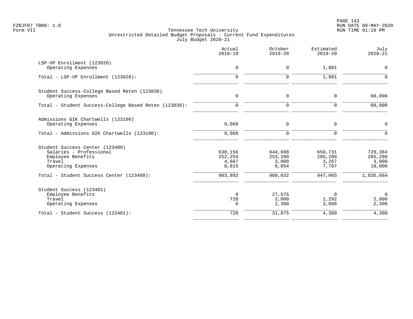|                                                                                                                 | Actual<br>$2018 - 19$                | October<br>$2019 - 20$               | Estimated<br>$2019 - 20$             | July<br>$2020 - 21$                   |
|-----------------------------------------------------------------------------------------------------------------|--------------------------------------|--------------------------------------|--------------------------------------|---------------------------------------|
| LSP-VP Enrollment (123028)<br>Operating Expenses                                                                | 0                                    | 0                                    | 1,801                                | $\mathbf 0$                           |
| Total - LSP-VP Enrollment (123028):                                                                             | $\Omega$                             | 0                                    | 1,801                                | $\Omega$                              |
| Student Success-College Based Reten (123030)<br>Operating Expenses                                              | $\mathbf 0$                          | 0                                    | 0                                    | 60,000                                |
| Total - Student Success-College Based Reten (123030):                                                           | $\mathbf 0$                          | $\mathbf 0$                          | $\mathbf 0$                          | 60,000                                |
| Admissions GIK Chartwells (123100)<br>Operating Expenses                                                        | 9,968                                | 0                                    | 0                                    | $\mathbf 0$                           |
| Total - Admissions GIK Chartwells (123100):                                                                     | 9,968                                | 0                                    | $\mathbf 0$                          | $\mathbf 0$                           |
| Student Success Center (123400)<br>Salaries - Professional<br>Employee Benefits<br>Travel<br>Operating Expenses | 638,156<br>252,254<br>4,667<br>8,815 | 644,698<br>253,280<br>3,000<br>8,054 | 650,731<br>285,280<br>3,267<br>7,787 | 729,384<br>285,280<br>3,000<br>18,000 |
| Total - Student Success Center (123400):                                                                        | 903,892                              | 909,032                              | 947,065                              | 1,035,664                             |
| Student Success (123401)<br>Employee Benefits<br>Travel<br>Operating Expenses                                   | $\mathbf 0$<br>720<br>0              | 27,575<br>2,000<br>2,300             | 0<br>1,292<br>3,008                  | $\mathbf 0$<br>2,000<br>2,300         |
| Total - Student Success (123401):                                                                               | 720                                  | 31,875                               | 4,300                                | 4,300                                 |
|                                                                                                                 |                                      |                                      |                                      |                                       |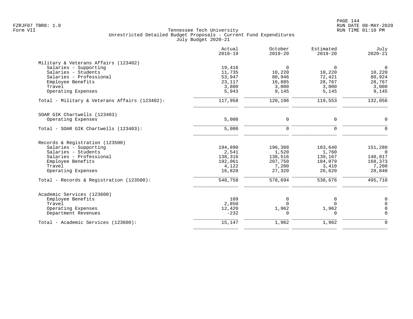| Actual<br>$2018 - 19$ | October<br>$2019 - 20$                            | Estimated<br>$2019 - 20$          | July<br>$2020 - 21$                           |
|-----------------------|---------------------------------------------------|-----------------------------------|-----------------------------------------------|
|                       |                                                   |                                   |                                               |
| 19,416                | $\Omega$                                          | $\mathbf 0$                       | $\mathbf 0$                                   |
| 11,735                | 10,220                                            | 10,220                            | 10,220                                        |
| 53,947                | 80,946                                            | 72,421                            | 80,924                                        |
| 23,117                | 16,885                                            | 28,767                            | 28,767                                        |
|                       |                                                   |                                   | 3,000                                         |
|                       |                                                   |                                   | 9,145                                         |
| 117,958               | 120,196                                           | 119,553                           | 132,056                                       |
|                       |                                                   |                                   |                                               |
|                       |                                                   |                                   | $\mathbf 0$                                   |
|                       |                                                   |                                   |                                               |
| 5,000                 | $\mathsf{O}$                                      | 0                                 | $\overline{0}$                                |
|                       |                                                   |                                   |                                               |
| 194,890               | 196,388                                           | 183,640                           | 151,280                                       |
| 2,541                 | 1,520                                             | 1,760                             | $\Omega$                                      |
| 138,316               | 138,516                                           | 139,167                           | 140,017                                       |
| 192,061               | 207,750                                           | 184,079                           | 168,373                                       |
| 4,122                 | 7,200                                             | 3,410                             | 7,200                                         |
| 16,828                | 27,320                                            | 26,620                            | 28,840                                        |
| 548,758               | 578,694                                           | 538,676                           | 495,710                                       |
|                       |                                                   |                                   |                                               |
|                       |                                                   |                                   | 0                                             |
|                       | $\Omega$                                          |                                   | $\Omega$                                      |
|                       |                                                   |                                   | 0                                             |
| $-232$                | $\Omega$                                          | $\Omega$                          | $\Omega$                                      |
|                       |                                                   |                                   |                                               |
|                       | 3,800<br>5,943<br>5,000<br>109<br>2,850<br>12,420 | 3,000<br>9,145<br>0<br>0<br>1,962 | 3,000<br>5,145<br>0<br>0<br>$\Omega$<br>1,962 |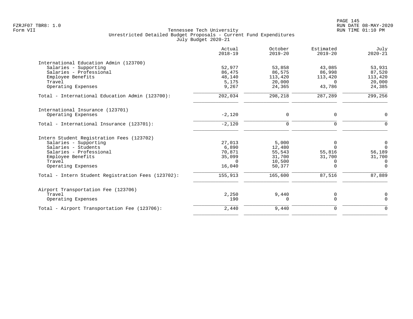|                                                    | Actual<br>$2018 - 19$ | October<br>$2019 - 20$ | Estimated<br>$2019 - 20$ | July<br>$2020 - 21$ |
|----------------------------------------------------|-----------------------|------------------------|--------------------------|---------------------|
| International Education Admin (123700)             |                       |                        |                          |                     |
| Salaries - Supporting                              | 52,977                | 53,858                 | 43,085                   | 53,931              |
| Salaries - Professional                            | 86,475                | 86,575                 | 86,998                   | 87,520              |
| Employee Benefits                                  | 48,140                | 113,420                | 113,420                  | 113,420             |
| Travel                                             | 5,175                 | 20,000                 | $\Omega$                 | 20,000              |
| Operating Expenses                                 | 9,267                 | 24,365                 | 43,786                   | 24,385              |
| Total - International Education Admin (123700):    | 202,034               | 298,218                | 287,289                  | 299,256             |
| International Insurance (123701)                   |                       |                        |                          |                     |
| Operating Expenses                                 | $-2,120$              | $\Omega$               | 0                        | $\Omega$            |
|                                                    |                       |                        |                          |                     |
| Total - International Insurance (123701):          | $-2,120$              | $\Omega$               | $\Omega$                 | $\Omega$            |
| Intern Student Registration Fees (123702)          |                       |                        |                          |                     |
| Salaries - Supporting                              | 27,013                | 5,000                  | 0                        | $\mathbf 0$         |
| Salaries - Students                                | 6,890                 | 12,480                 | $\Omega$                 | $\Omega$            |
| Salaries - Professional                            | 70,871                | 55,543                 | 55,816                   | 56,189              |
| Employee Benefits                                  | 35,099                | 31,700                 | 31,700                   | 31,700              |
| Travel                                             | $\Omega$              | 10,500                 | $\Omega$                 | $\Omega$            |
| Operating Expenses                                 | 16,040                | 50,377                 | $\Omega$                 | $\Omega$            |
| Total - Intern Student Registration Fees (123702): | 155,913               | 165,600                | 87,516                   | 87,889              |
|                                                    |                       |                        |                          |                     |
| Airport Transportation Fee (123706)<br>Travel      | 2,250                 | 9,440                  |                          |                     |
| Operating Expenses                                 | 190                   | 0                      | 0<br>$\Omega$            | 0<br>$\Omega$       |
|                                                    |                       |                        |                          |                     |
| Total - Airport Transportation Fee (123706):       | 2,440                 | 9,440                  | $\mathbf 0$              | $\Omega$            |
|                                                    |                       |                        |                          |                     |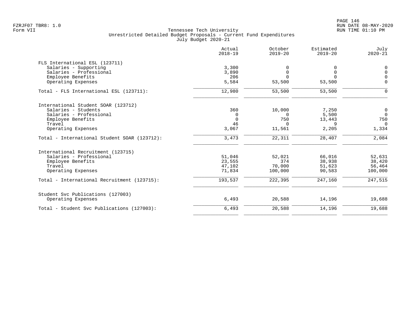| 3,300   |                                                             |                                                                  |                                                             |
|---------|-------------------------------------------------------------|------------------------------------------------------------------|-------------------------------------------------------------|
|         |                                                             |                                                                  |                                                             |
|         | 0                                                           | 0                                                                | $\mathbf 0$                                                 |
| 3,890   | $\mathsf 0$                                                 | $\mathbf 0$                                                      | $\Omega$                                                    |
| 206     | $\Omega$                                                    | $\Omega$                                                         | $\Omega$                                                    |
| 5,584   | 53,500                                                      | 53,500                                                           | $\mathbf 0$                                                 |
| 12,980  | 53,500                                                      | 53,500                                                           | $\mathbf 0$                                                 |
|         |                                                             |                                                                  |                                                             |
|         |                                                             |                                                                  | $\mathbf 0$                                                 |
|         |                                                             |                                                                  | $\overline{0}$                                              |
|         |                                                             |                                                                  | 750                                                         |
|         |                                                             |                                                                  | $\Omega$                                                    |
| 3,067   | 11,561                                                      | 2,205                                                            | 1,334                                                       |
| 3,473   | 22,311                                                      | 28,407                                                           | 2,084                                                       |
|         |                                                             |                                                                  |                                                             |
|         |                                                             |                                                                  | 52,631                                                      |
|         |                                                             |                                                                  | 38,420                                                      |
|         |                                                             |                                                                  | 56,464                                                      |
| 71,834  | 100,000                                                     | 90,583                                                           | 100,000                                                     |
| 193,537 | 222,395                                                     | 247,160                                                          | 247,515                                                     |
|         |                                                             |                                                                  |                                                             |
| 6,493   | 20,588                                                      | 14,196                                                           | 19,688                                                      |
| 6,493   | 20,588                                                      | 14,196                                                           | 19,688                                                      |
|         | 360<br>0<br>$\mathbf 0$<br>46<br>51,046<br>23,555<br>47,102 | 10,000<br>$\Omega$<br>750<br>$\Omega$<br>52,021<br>374<br>70,000 | 7,250<br>5,500<br>13,443<br>9<br>66,016<br>38,938<br>51,623 |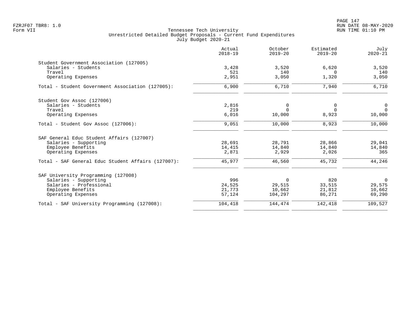PAGE 147 FZRJF07 TBR8: 1.0 RUN DATE 08-MAY-2020

| $2018 - 19$ | $2019 - 20$                                 | $2019 - 20$                                                  | July<br>$2020 - 21$                         |
|-------------|---------------------------------------------|--------------------------------------------------------------|---------------------------------------------|
|             |                                             |                                                              |                                             |
| 3,428       | 3,520                                       | 6,620                                                        | 3,520                                       |
| 521         | 140                                         | $\Omega$                                                     | 140                                         |
| 2,951       |                                             | 1,320                                                        | 3,050                                       |
| 6,900       | 6,710                                       | 7,940                                                        | 6,710                                       |
|             |                                             |                                                              |                                             |
| 2,816       | 0                                           | 0                                                            | $\overline{0}$                              |
| 219         | $\Omega$                                    | $\Omega$                                                     | $\Omega$                                    |
| 6,016       | 10,000                                      | 8,923                                                        | 10,000                                      |
| 9,051       | 10,000                                      | 8,923                                                        | 10,000                                      |
|             |                                             |                                                              |                                             |
|             |                                             |                                                              | 29,041                                      |
|             |                                             |                                                              | 14,840                                      |
| 2,871       | 2,929                                       | 2,026                                                        | 365                                         |
| 45,977      | 46,560                                      | 45,732                                                       | 44,246                                      |
|             |                                             |                                                              |                                             |
|             |                                             |                                                              | $\overline{0}$                              |
|             |                                             |                                                              | 29,575                                      |
|             |                                             |                                                              | 10,662                                      |
| 57,124      | 104,297                                     | 86,271                                                       | 69,290                                      |
| 104,418     | 144,474                                     | 142,418                                                      | 109,527                                     |
|             | 28,691<br>14,415<br>996<br>24,525<br>21,773 | 3,050<br>28,791<br>14,840<br>$\mathbf 0$<br>29,515<br>10,662 | 28,866<br>14,840<br>820<br>33,515<br>21,812 |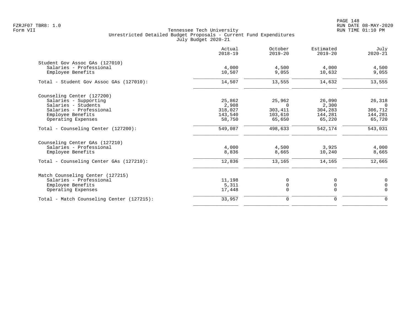PAGE 148 FZRJF07 TBR8: 1.0 RUN DATE 08-MAY-2020

|                                           | Actual<br>$2018 - 19$ | October<br>$2019 - 20$ | Estimated<br>$2019 - 20$ | July<br>$2020 - 21$ |
|-------------------------------------------|-----------------------|------------------------|--------------------------|---------------------|
| Student Gov Assoc GAs (127010)            |                       |                        |                          |                     |
| Salaries - Professional                   | 4,000                 | 4,500                  | 4,000                    | 4,500               |
| Employee Benefits                         | 10,507                | 9,055                  | 10,632                   | 9,055               |
| Total - Student Gov Assoc GAs (127010):   | 14,507                | 13,555                 | 14,632                   | 13,555              |
| Counseling Center (127200)                |                       |                        |                          |                     |
| Salaries - Supporting                     | 25,862                | 25,962                 | 26,090                   | 26,318              |
| Salaries - Students                       | 2,908                 | $\Omega$               | 2,300                    | $\Omega$            |
| Salaries - Professional                   | 318,027               | 303,411                | 304,283                  | 306,712             |
| Employee Benefits                         | 143,540               | 103,610                | 144,281                  | 144,281             |
| Operating Expenses                        | 58,750                | 65,650                 | 65,220                   | 65,720              |
| Total - Counseling Center (127200):       | 549,087               | 498,633                | 542,174                  | 543,031             |
| Counseling Center GAs (127210)            |                       |                        |                          |                     |
| Salaries - Professional                   | 4,000                 | 4,500                  | 3,925                    | 4,000               |
| Employee Benefits                         | 8,836                 | 8,665                  | 10,240                   | 8,665               |
| Total - Counseling Center GAs (127210):   | 12,836                | 13,165                 | 14,165                   | 12,665              |
| Match Counseling Center (127215)          |                       |                        |                          |                     |
| Salaries - Professional                   | 11,198                | 0                      |                          | $\overline{0}$      |
| Employee Benefits                         | 5,311                 | $\mathsf 0$            | $\mathbf 0$              | $\mathbf 0$         |
| Operating Expenses                        | 17,448                | $\Omega$               | $\Omega$                 | $\Omega$            |
| Total - Match Counseling Center (127215): | 33,957                | $\mathbf 0$            | $\mathbf 0$              | $\mathbf 0$         |
|                                           |                       |                        |                          |                     |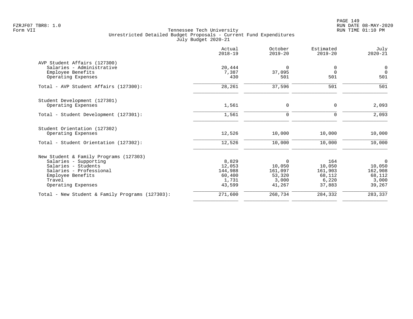|                                                    | Actual<br>$2018 - 19$ | October<br>$2019 - 20$ | Estimated<br>$2019 - 20$ | July<br>$2020 - 21$ |
|----------------------------------------------------|-----------------------|------------------------|--------------------------|---------------------|
| AVP Student Affairs (127300)                       |                       |                        |                          |                     |
| Salaries - Administrative                          | 20,444                | $\Omega$               | 0                        | $\overline{0}$      |
| Employee Benefits<br>Operating Expenses            | 7,387<br>430          | 37,095<br>501          | $\Omega$<br>501          | $\Omega$<br>501     |
|                                                    |                       |                        |                          |                     |
| Total - AVP Student Affairs (127300):              | 28,261                | 37,596                 | 501                      | 501                 |
| Student Development (127301)                       |                       |                        |                          |                     |
| Operating Expenses                                 | 1,561                 | 0                      | $\mathbf 0$              | 2,093               |
| Total - Student Development (127301):              | 1,561                 | $\mathbf 0$            | $\Omega$                 | 2,093               |
| Student Orientation (127302)                       |                       |                        |                          |                     |
| Operating Expenses                                 | 12,526                | 10,000                 | 10,000                   | 10,000              |
| Total - Student Orientation (127302):              | 12,526                | 10,000                 | 10,000                   | 10,000              |
| New Student & Family Programs (127303)             |                       |                        |                          |                     |
| Salaries - Supporting                              | 8,829                 | $\mathbf 0$            | 164                      | $\mathbf 0$         |
| Salaries - Students                                | 12,053                | 10,050                 | 10,050                   | 10,050              |
| Salaries - Professional                            | 144,988               | 161,097                | 161,903                  | 162,908             |
| Employee Benefits<br>Travel                        | 60,400<br>1,731       | 53,320<br>3,000        | 68,112<br>6,220          | 68,112<br>3,000     |
| Operating Expenses                                 | 43,599                | 41,267                 | 37,883                   | 39,267              |
| Total - New Student & Family Programs $(127303)$ : | 271,600               | 268,734                | 284,332                  | 283,337             |
|                                                    |                       |                        |                          |                     |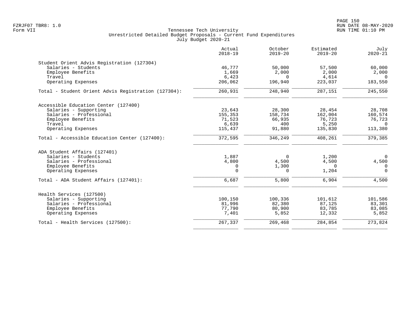| Actual<br>$2018 - 19$ | October<br>$2019 - 20$                                                                     | Estimated<br>$2019 - 20$                                                                       | July<br>$2020 - 21$                                                                   |
|-----------------------|--------------------------------------------------------------------------------------------|------------------------------------------------------------------------------------------------|---------------------------------------------------------------------------------------|
|                       |                                                                                            |                                                                                                |                                                                                       |
| 46,777                | 50,000                                                                                     | 57,500                                                                                         | 60,000                                                                                |
| 1,669                 | 2,000                                                                                      | 2,000                                                                                          | 2,000                                                                                 |
| 6,423                 | $\Omega$                                                                                   | 4,614                                                                                          | $\Omega$                                                                              |
| 206,062               | 196,940                                                                                    | 223,037                                                                                        | 183,550                                                                               |
| 260,931               | 248,940                                                                                    | 287,151                                                                                        | 245,550                                                                               |
|                       |                                                                                            |                                                                                                |                                                                                       |
|                       |                                                                                            |                                                                                                | 28,708                                                                                |
|                       |                                                                                            |                                                                                                | 160,574                                                                               |
|                       |                                                                                            |                                                                                                | 76,723                                                                                |
|                       | 400                                                                                        |                                                                                                | $\Omega$                                                                              |
| 115,437               | 91,880                                                                                     | 135,830                                                                                        | 113,380                                                                               |
| 372,595               | 346,249                                                                                    | 408,261                                                                                        | 379,385                                                                               |
|                       |                                                                                            |                                                                                                |                                                                                       |
|                       |                                                                                            |                                                                                                | $\overline{0}$                                                                        |
|                       |                                                                                            |                                                                                                | 4,500                                                                                 |
|                       |                                                                                            | $\Omega$                                                                                       | $\Omega$                                                                              |
| $\Omega$              | $\Omega$                                                                                   | 1,204                                                                                          | $\Omega$                                                                              |
| 6,687                 | 5,800                                                                                      | 6,904                                                                                          | 4,500                                                                                 |
|                       |                                                                                            |                                                                                                |                                                                                       |
|                       |                                                                                            |                                                                                                | 101,586                                                                               |
|                       |                                                                                            |                                                                                                | 83,301                                                                                |
|                       |                                                                                            |                                                                                                | 83,085                                                                                |
| 7,401                 | 5,852                                                                                      | 12,332                                                                                         | 5,852                                                                                 |
| 267,337               | 269,468                                                                                    | 284,854                                                                                        | 273,824                                                                               |
|                       | 23,643<br>155,353<br>71,523<br>6,639<br>1,887<br>4,800<br>0<br>100,150<br>81,996<br>77,790 | 28,300<br>158,734<br>66,935<br>$\overline{0}$<br>4,500<br>1,300<br>100,336<br>82,380<br>80,900 | 28,454<br>162,004<br>76,723<br>5,250<br>1,200<br>4,500<br>101,612<br>87,125<br>83,785 |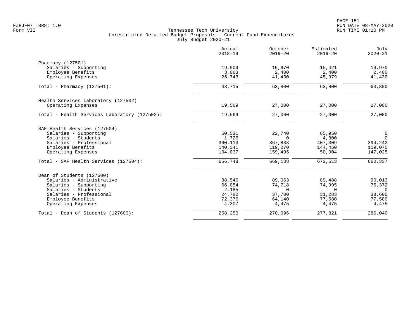|                                              | Actual<br>$2018 - 19$ | October<br>$2019 - 20$ | Estimated<br>$2019 - 20$ | July<br>$2020 - 21$ |
|----------------------------------------------|-----------------------|------------------------|--------------------------|---------------------|
| Pharmacy (127501)                            |                       |                        |                          |                     |
| Salaries - Supporting                        | 19,909                | 19,970                 | 15,421                   | 19,970              |
| Employee Benefits                            | 3,063                 | 2,400                  | 2,400                    | 2,400               |
| Operating Expenses                           | 25,743                | 41,430                 | 45,979                   | 41,430              |
| Total - Pharmacy $(127501)$ :                | 48,715                | 63,800                 | 63,800                   | 63,800              |
| Health Services Laboratory (127502)          |                       |                        |                          |                     |
| Operating Expenses                           | 19,569                | 27,000                 | 27,000                   | 27,000              |
| Total - Health Services Laboratory (127502): | 19,569                | 27,000                 | 27,000                   | 27,000              |
| SAF Health Services (127504)                 |                       |                        |                          |                     |
| Salaries - Supporting                        | 50,531                | 22,740                 | 65,950                   | 0                   |
| Salaries - Students                          | 1,726                 | $\Omega$               | 4,800                    | $\Omega$            |
| Salaries - Professional                      | 360,113               | 367,833                | 407,309                  | 394,242             |
| Employee Benefits                            | 140,341               | 119,070                | 144,450                  | 119,070             |
| Operating Expenses                           | 104,037               | 159,495                | 50,004                   | 147,025             |
| Total - SAF Health Services (127504):        | 656,748               | 669,138                | 672,513                  | 660,337             |
| Dean of Students (127600)                    |                       |                        |                          |                     |
| Salaries - Administrative                    | 88,546                | 89,063                 | 89,488                   | 90,013              |
| Salaries - Supporting                        | 66,054                | 74,718                 | 74,995                   | 75,372              |
| Salaries - Students                          | 2,185                 | $\Omega$               | $\mathbf 0$              | $\overline{0}$      |
| Salaries - Professional                      | 24,782                | 37,700                 | 31,283                   | 38,600              |
| Employee Benefits                            | 72,376                | 64,140                 | 77,580                   | 77,580              |
| Operating Expenses                           | 4,307                 | 4,475                  | 4,475                    | 4,475               |
| Total - Dean of Students (127600):           | 258,250               | 270,096                | 277,821                  | 286,040             |
|                                              |                       |                        |                          |                     |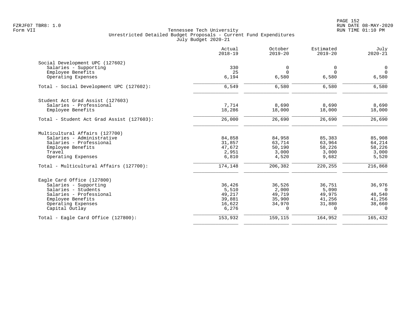|                                           | Actual<br>$2018 - 19$ | October<br>$2019 - 20$ | Estimated<br>$2019 - 20$ | July<br>$2020 - 21$ |
|-------------------------------------------|-----------------------|------------------------|--------------------------|---------------------|
| Social Development UPC (127602)           |                       |                        |                          |                     |
| Salaries - Supporting                     | 330                   | 0                      | 0                        | 0                   |
| Employee Benefits                         | 25                    | $\Omega$               | $\Omega$                 | $\Omega$            |
| Operating Expenses                        | 6,194                 | 6,580                  | 6,580                    | 6,580               |
| Total - Social Development UPC (127602):  | 6,549                 | 6,580                  | 6,580                    | 6,580               |
| Student Act Grad Assist (127603)          |                       |                        |                          |                     |
| Salaries - Professional                   | 7,714                 | 8,690                  | 8,690                    | 8,690               |
| Employee Benefits                         | 18,286                | 18,000                 | 18,000                   | 18,000              |
| Total - Student Act Grad Assist (127603): | 26,000                | 26,690                 | 26,690                   | 26,690              |
| Multicultural Affairs (127700)            |                       |                        |                          |                     |
| Salaries - Administrative                 | 84,858                | 84,958                 | 85,383                   | 85,908              |
| Salaries - Professional                   | 31,857                | 63,714                 | 63,964                   | 64,214              |
| Employee Benefits                         | 47,672                | 50,190                 | 58,226                   | 58,226              |
| Travel                                    | 2,951                 | 3,000                  | 3,000                    | 3,000               |
| Operating Expenses                        | 6,810                 | 4,520                  | 9,682                    | 5,520               |
| Total - Multicultural Affairs (127700):   | 174,148               | 206,382                | 220,255                  | 216,868             |
| Eagle Card Office (127800)                |                       |                        |                          |                     |
| Salaries - Supporting                     | 36,426                | 36,526                 | 36,751                   | 36,976              |
| Salaries - Students                       | 5,510                 | 2,000                  | 5,090                    | $\Omega$            |
| Salaries - Professional                   | 49,217                | 49,719                 | 49,975                   | 48,540              |
| Employee Benefits                         | 39,881                | 35,900                 | 41,256                   | 41,256              |
| Operating Expenses                        | 16,622                | 34,970                 | 31,880                   | 38,660              |
| Capital Outlay                            | 6,276                 | 0                      | $\Omega$                 | $\Omega$            |
| Total - Eagle Card Office (127800):       | 153,932               | 159,115                | 164,952                  | 165,432             |
|                                           |                       |                        |                          |                     |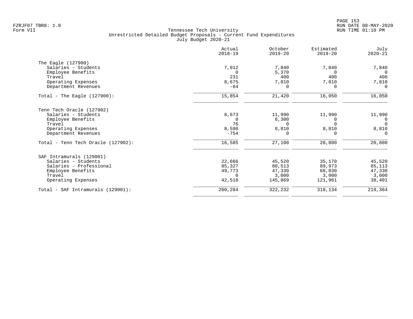| Actual<br>$2018 - 19$ | October<br>$2019 - 20$            | Estimated<br>$2019 - 20$                                       | July<br>$2020 - 21$                 |
|-----------------------|-----------------------------------|----------------------------------------------------------------|-------------------------------------|
|                       |                                   |                                                                |                                     |
|                       |                                   |                                                                | 7,840                               |
|                       |                                   | $\Omega$                                                       | $\Omega$                            |
| 231                   | 400                               | 400                                                            | 400                                 |
| 8,675                 | 7,810                             | 7,810                                                          | 7,810                               |
| $-64$                 | $\Omega$                          | $\Omega$                                                       | $\Omega$                            |
| 15,854                | 21,420                            | 16,050                                                         | 16,050                              |
|                       |                                   |                                                                |                                     |
|                       |                                   |                                                                | 11,990                              |
| $\Omega$              |                                   | $\Omega$                                                       | $\Omega$                            |
| 76                    | $\Omega$                          | $\Omega$                                                       | $\Omega$                            |
|                       |                                   | 8,810                                                          | 8,810                               |
| $-754$                | 0                                 | 0                                                              | $\Omega$                            |
| 16,585                | 27,100                            | 20,800                                                         | 20,800                              |
|                       |                                   |                                                                |                                     |
|                       |                                   |                                                                | 45,520                              |
| 85,327                |                                   |                                                                | 85,113                              |
| 49,773                | 47,330                            | 68,030                                                         | 47,330                              |
| $\Omega$              | 3,000                             | 3,000                                                          | 3,000                               |
| 42,518                | 145,869                           | 121,961                                                        | 38,401                              |
| 200,284               | 322,232                           | 318,134                                                        | 219,364                             |
|                       | 7,012<br>8,673<br>8,590<br>22,666 | 7,840<br>5,370<br>11,990<br>6,300<br>8,810<br>45,520<br>80,513 | 7,840<br>11,990<br>35,170<br>89,973 |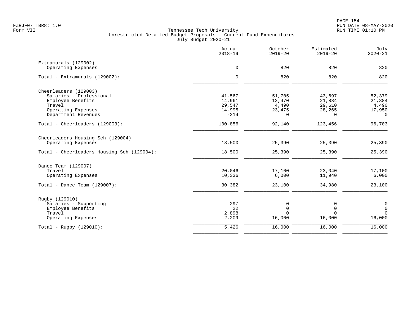|                                            | Actual<br>$2018 - 19$ | October<br>$2019 - 20$ | Estimated<br>$2019 - 20$ | July<br>$2020 - 21$ |
|--------------------------------------------|-----------------------|------------------------|--------------------------|---------------------|
| Extramurals (129002)                       |                       |                        |                          |                     |
| Operating Expenses                         | $\mathsf{O}$          | 820                    | 820                      | 820                 |
| Total - Extramurals (129002):              | $\mathbf 0$           | 820                    | 820                      | 820                 |
| Cheerleaders (129003)                      |                       |                        |                          |                     |
| Salaries - Professional                    | 41,567                | 51,705                 | 43,697                   | 52,379              |
| Employee Benefits                          | 14,961                | 12,470                 | 21,884                   | 21,884              |
| Travel                                     | 29,547                | 4,490                  | 29,610                   | 4,490               |
| Operating Expenses                         | 14,995                | 23,475                 | 28,265                   | 17,950              |
| Department Revenues                        | $-214$                | 0                      | $\Omega$                 | $\mathbf 0$         |
| Total - Cheerleaders (129003):             | 100,856               | 92,140                 | 123,456                  | 96,703              |
| Cheerleaders Housing Sch (129004)          |                       |                        |                          |                     |
| Operating Expenses                         | 18,500                | 25,390                 | 25,390                   | 25,390              |
| Total - Cheerleaders Housing Sch (129004): | 18,500                | 25,390                 | 25,390                   | 25,390              |
| Dance Team (129007)                        |                       |                        |                          |                     |
| Travel                                     | 20,046                | 17,100                 | 23,040                   | 17,100              |
| Operating Expenses                         | 10,336                | 6,000                  | 11,940                   | 6,000               |
| Total - Dance Team $(129007)$ :            | 30,382                | 23,100                 | 34,980                   | 23,100              |
| Rugby (129010)                             |                       |                        |                          |                     |
| Salaries - Supporting                      | 297                   | 0                      | 0                        | $\mathsf{O}$        |
| Employee Benefits                          | 22                    | $\mathbf 0$            | $\Omega$                 | $\mathbf 0$         |
| Travel                                     | 2,898                 | $\Omega$               | $\cap$                   | $\mathbf 0$         |
| Operating Expenses                         | 2,209                 | 16,000                 | 16,000                   | 16,000              |
| Total - Rugby $(129010)$ :                 | 5,426                 | 16,000                 | 16,000                   | 16,000              |
|                                            |                       |                        |                          |                     |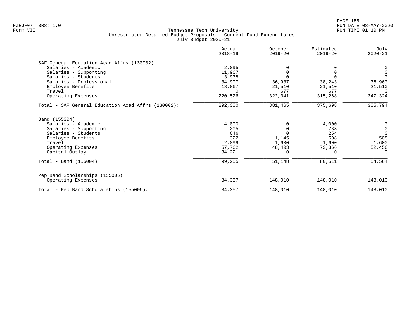| Actual<br>$2018 - 19$ | October<br>$2019 - 20$            | Estimated<br>$2019 - 20$  | July<br>$2020 - 21$ |
|-----------------------|-----------------------------------|---------------------------|---------------------|
|                       |                                   |                           |                     |
|                       |                                   |                           |                     |
| 11,967                |                                   |                           | 0                   |
|                       |                                   |                           | $\Omega$            |
| 34,907                |                                   | 38,243                    | 36,960              |
|                       |                                   |                           | 21,510              |
| $\Omega$              | 677                               | 677                       | $\Omega$            |
| 220,526               | 322,341                           | 315,268                   | 247,324             |
| 292,300               | 381,465                           | 375,698                   | 305,794             |
|                       |                                   |                           |                     |
|                       |                                   | 4,000                     | $\mathbf 0$         |
| 205                   | $\Omega$                          | 783                       | $\mathbf 0$         |
| 646                   |                                   | 254                       | $\Omega$            |
| 322                   |                                   | 508                       | 508                 |
| 2,099                 | 1,600                             | 1,600                     | 1,600               |
| 57,762                | 48,403                            | 73,366                    | 52,456              |
| 34,221                | 0                                 | $\Omega$                  | $\Omega$            |
| 99,255                | 51,148                            | 80,511                    | 54,564              |
|                       |                                   |                           |                     |
| 84,357                | 148,010                           | 148,010                   | 148,010             |
| 84,357                | 148,010                           | 148,010                   | 148,010             |
|                       | 2,095<br>3,938<br>18,867<br>4,000 | 36,937<br>21,510<br>1,145 | 21,510              |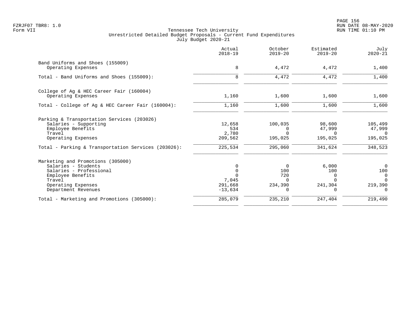en and the state of the state of the state of the state of the state of the state of the state  $156$ FZRJF07 TBR8: 1.0 RUN DATE 08-MAY-2020

|                                                     | Actual<br>$2018 - 19$ | October<br>$2019 - 20$ | Estimated<br>$2019 - 20$ | July<br>$2020 - 21$ |
|-----------------------------------------------------|-----------------------|------------------------|--------------------------|---------------------|
| Band Uniforms and Shoes (155009)                    |                       |                        |                          |                     |
| Operating Expenses                                  | 8                     | 4,472                  | 4,472                    | 1,400               |
| Total - Band Uniforms and Shoes (155009):           | 8                     | 4,472                  | 4,472                    | 1,400               |
| College of Ag & HEC Career Fair (160004)            |                       |                        |                          |                     |
| Operating Expenses                                  | 1,160                 | 1,600                  | 1,600                    | 1,600               |
| Total - College of Ag & HEC Career Fair (160004):   | 1,160                 | 1,600                  | 1,600                    | 1,600               |
| Parking & Transportation Services (203026)          |                       |                        |                          |                     |
| Salaries - Supporting                               | 12,658                | 100,035                | 98,600                   | 105,499             |
| Employee Benefits                                   | 534                   | $\Omega$               | 47,999                   | 47,999              |
| Travel                                              | 2,780                 | $\Omega$               | $\Omega$                 | $\Omega$            |
| Operating Expenses                                  | 209,562               | 195,025                | 195,025                  | 195,025             |
| Total - Parking & Transportation Services (203026): | 225,534               | 295,060                | 341,624                  | 348,523             |
| Marketing and Promotions (305000)                   |                       |                        |                          |                     |
| Salaries - Students                                 | $\Omega$              | 0                      | 6,000                    | $\Omega$            |
| Salaries - Professional                             |                       | 100                    | 100                      | 100                 |
| Employee Benefits                                   |                       | 720                    | $\Omega$                 | $\Omega$            |
| Travel                                              | 7,045                 | $\Omega$               | $\Omega$                 | $\Omega$            |
| Operating Expenses                                  | 291,668               | 234,390                | 241,304<br>$\Omega$      | 219,390             |
| Department Revenues                                 | $-13,634$             | 0                      |                          | $\Omega$            |
| Total - Marketing and Promotions (305000):          | 285,079               | 235,210                | 247,404                  | 219,490             |
|                                                     |                       |                        |                          |                     |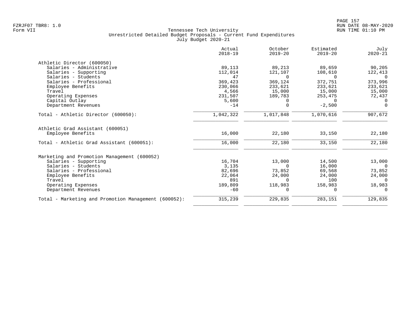|                                                       | Actual<br>$2018 - 19$ | October<br>$2019 - 20$ | Estimated<br>$2019 - 20$ | July<br>$2020 - 21$ |
|-------------------------------------------------------|-----------------------|------------------------|--------------------------|---------------------|
| Athletic Director (600050)                            |                       |                        |                          |                     |
| Salaries - Administrative                             | 89,113                | 89,213                 | 89,659                   | 90,205              |
| Salaries - Supporting                                 | 112,014               | 121,107                | 108,610                  | 122,413             |
| Salaries - Students                                   | 47                    | $\Omega$               | $\Omega$                 | $\Omega$            |
| Salaries - Professional                               | 369,423               | 369,124                | 372,751                  | 373,996             |
| Employee Benefits                                     | 230,066               | 233,621                | 233,621                  | 233,621             |
| Travel                                                | 4,566                 | 15,000                 | 15,000                   | 15,000              |
| Operating Expenses                                    | 231,507               | 189,783                | 253,475                  | 72,437              |
| Capital Outlay                                        | 5,600                 | 0                      | $\Omega$                 | 0                   |
| Department Revenues                                   | $-14$                 | 0                      | $-2,500$                 | $\mathbf 0$         |
| Total - Athletic Director (600050):                   | 1,042,322             | 1,017,848              | 1,070,616                | 907,672             |
| Athletic Grad Assistant (600051)<br>Employee Benefits | 16,000                | 22,180                 | 33,150                   | 22,180              |
| Total - Athletic Grad Assistant (600051):             | 16,000                | 22,180                 | 33,150                   | 22,180              |
| Marketing and Promotion Management (600052)           |                       |                        |                          |                     |
| Salaries - Supporting                                 | 16,704                | 13,000                 | 14,500                   | 13,000              |
| Salaries - Students                                   | 3,135                 | $\Omega$               | 16,000                   | $\Omega$            |
| Salaries - Professional                               | 82,696                | 73,852                 | 69,568                   | 73,852              |
| Employee Benefits                                     | 22,064                | 24,000                 | 24,000                   | 24,000              |
| Travel                                                | 891                   | <sup>n</sup>           | 100                      | $\Omega$            |
| Operating Expenses                                    | 189,809               | 118,983                | 158,983                  | 18,983              |
| Department Revenues                                   | $-60$                 | 0                      | $\Omega$                 | $\Omega$            |
| Total - Marketing and Promotion Management (600052):  | 315,239               | 229,835                | 283,151                  | 129,835             |
|                                                       |                       |                        |                          |                     |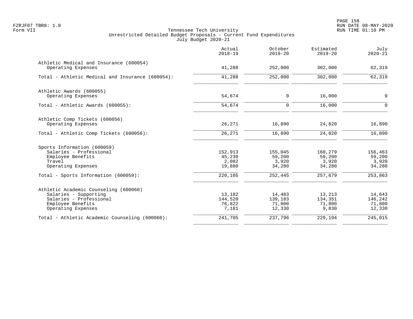|                                                                                                                                      | Actual<br>$2018 - 19$                | October<br>$2019 - 20$                | Estimated<br>$2019 - 20$             | July<br>$2020 - 21$                   |
|--------------------------------------------------------------------------------------------------------------------------------------|--------------------------------------|---------------------------------------|--------------------------------------|---------------------------------------|
| Athletic Medical and Insurance (600054)<br>Operating Expenses                                                                        | 41,288                               | 252,000                               | 302,000                              | 62,319                                |
| Total - Athletic Medical and Insurance (600054):                                                                                     | 41,288                               | 252,000                               | 302,000                              | 62,319                                |
| Athletic Awards (600055)<br>Operating Expenses                                                                                       | 54,674                               | $\mathbf 0$                           | 16,000                               | 0                                     |
| Total - Athletic Awards (600055):                                                                                                    | 54,674                               | $\Omega$                              | 16,000                               | $\Omega$                              |
| Athletic Comp Tickets (600056)<br>Operating Expenses                                                                                 | 26,271                               | 16,890                                | 24,820                               | 16,890                                |
| Total - Athletic Comp Tickets (600056):                                                                                              | 26,271                               | 16,890                                | 24,820                               | 16,890                                |
| Sports Information (600059)<br>Salaries - Professional<br>Employee Benefits<br>Travel<br>Operating Expenses                          | 152,913<br>45,230<br>2,082<br>19,880 | 155,045<br>59,200<br>3,920<br>34,280  | 160,279<br>59,200<br>3,920<br>34,280 | 156,463<br>59,200<br>3,920<br>34,280  |
| Total - Sports Information (600059):                                                                                                 | 220,105                              | 252,445                               | 257,679                              | 253,863                               |
| Athletic Academic Counseling (600060)<br>Salaries - Supporting<br>Salaries - Professional<br>Employee Benefits<br>Operating Expenses | 13,182<br>144,520<br>76,822<br>7,181 | 14,483<br>139,183<br>71,800<br>12,330 | 13,213<br>134,351<br>71,800<br>9,830 | 14,643<br>146,242<br>71,800<br>12,330 |
| Total - Athletic Academic Counseling (600060):                                                                                       | 241,705                              | 237,796                               | 229,194                              | 245,015                               |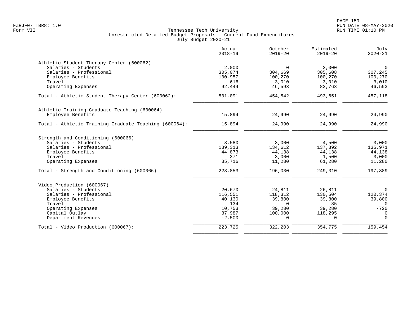|                                                       | Actual<br>$2018 - 19$ | October<br>$2019 - 20$ | Estimated<br>$2019 - 20$ | July<br>$2020 - 21$ |
|-------------------------------------------------------|-----------------------|------------------------|--------------------------|---------------------|
| Athletic Student Therapy Center (600062)              |                       |                        |                          |                     |
| Salaries - Students                                   | 2,000                 | $\Omega$               | 2,000                    | $\mathbf 0$         |
| Salaries - Professional                               | 305,074               | 304,669                | 305,608                  | 307,245             |
| Employee Benefits                                     | 100,957               | 100,270                | 100,270                  | 100,270             |
| Travel                                                | 616                   | 3,010                  | 3,010                    | 3,010               |
| Operating Expenses                                    | 92,444                | 46,593                 | 82,763                   | 46,593              |
| Total - Athletic Student Therapy Center (600062):     | 501,091               | 454,542                | 493,651                  | 457,118             |
| Athletic Training Graduate Teaching (600064)          |                       |                        |                          |                     |
| Employee Benefits                                     | 15,894                | 24,990                 | 24,990                   | 24,990              |
| Total - Athletic Training Graduate Teaching (600064): | 15,894                | 24,990                 | 24,990                   | 24,990              |
| Strength and Conditioning (600066)                    |                       |                        |                          |                     |
| Salaries - Students                                   | 3,580                 | 3,000                  | 4,500                    | 3,000               |
| Salaries - Professional                               | 139,313               | 134,612                | 137,892                  | 135,971             |
| Employee Benefits                                     | 44,873                | 44,138                 | 44,138                   | 44,138              |
| Travel                                                | 371                   | 3,000                  | 1,500                    | 3,000               |
| Operating Expenses                                    | 35,716                | 11,280                 | 61,280                   | 11,280              |
| Total - Strength and Conditioning (600066):           | 223,853               | 196,030                | 249,310                  | 197,389             |
| Video Production (600067)                             |                       |                        |                          |                     |
| Salaries - Students                                   | 20,670                | 24,811                 | 26,811                   | $\Omega$            |
| Salaries - Professional                               | 116,551               | 118,312                | 130,504                  | 120,374             |
| Employee Benefits                                     | 40,130                | 39,800                 | 39,800                   | 39,800              |
| Travel                                                | 134                   | $\Omega$               | 85                       | $\cap$              |
| Operating Expenses                                    | 10,753                | 39,280                 | 39,280                   | $-720$              |
| Capital Outlay                                        | 37,987                | 100,000                | 118,295                  | $\Omega$            |
| Department Revenues                                   | $-2,500$              | $\Omega$               | $\Omega$                 | $\Omega$            |
| Total - Video Production (600067):                    | 223,725               | 322,203                | 354,775                  | 159,454             |
|                                                       |                       |                        |                          |                     |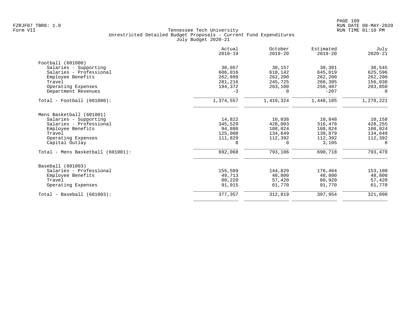|                                   | Actual<br>$2018 - 19$ | October<br>$2019 - 20$ | Estimated<br>$2019 - 20$ | July<br>$2020 - 21$ |
|-----------------------------------|-----------------------|------------------------|--------------------------|---------------------|
| Football (601000)                 |                       |                        |                          |                     |
| Salaries - Supporting             | 30,057                | 30,157                 | 30,301                   | 30,545              |
| Salaries - Professional           | 606,016               | 618,142                | 645,019                  | 625,596             |
| Employee Benefits                 | 262,899               | 262,200                | 262,200                  | 262,200             |
| Travel                            | 281,216               | 245,725                | 260,305                  | 156,030             |
| Operating Expenses                | 194,372               | 263,100                | 250,487                  | 203,850             |
| Department Revenues               | $-3$                  | 0                      | $-207$                   | $\Omega$            |
| $Total - Football (601000):$      | 1,374,557             | 1,419,324              | 1,448,105                | 1,278,221           |
| Mens Basketball (601001)          |                       |                        |                          |                     |
| Salaries - Supporting             | 14,822                | 10,038                 | 10,848                   | 10,158              |
| Salaries - Professional           | 345,529               | 428,003                | 316,470                  | 428,255             |
| Employee Benefits                 | 94,880                | 108,024                | 108,024                  | 108,024             |
| Travel                            | 125,008               | 134,649                | 139,879                  | 134,649             |
| Operating Expenses                | 111,829               | 112,392                | 112,392                  | 112,392             |
| Capital Outlay                    | 0                     | $\Omega$               | 3,105                    | $\Omega$            |
| Total - Mens Basketball (601001): | 692,068               | 793,106                | 690,718                  | 793,478             |
| Baseball (601003)                 |                       |                        |                          |                     |
| Salaries - Professional           | 155,509               | 144,829                | 176,464                  | 153,100             |
| Employee Benefits                 | 49,713                | 48,800                 | 48,800                   | 48,800              |
| Travel                            | 80,220                | 57,420                 | 80,920                   | 57,420              |
| Operating Expenses                | 91,915                | 61,770                 | 91,770                   | 61,770              |
| $Total - Baseball (601003):$      | 377,357               | 312,819                | 397,954                  | 321,090             |
|                                   |                       |                        |                          |                     |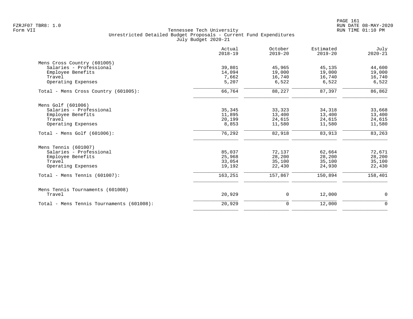|                                           | Actual<br>$2018 - 19$ | October<br>$2019 - 20$ | Estimated<br>$2019 - 20$ | July<br>$2020 - 21$ |
|-------------------------------------------|-----------------------|------------------------|--------------------------|---------------------|
| Mens Cross Country (601005)               |                       |                        |                          |                     |
| Salaries - Professional                   | 39,801                | 45,965                 | 45,135                   | 44,600              |
| Employee Benefits                         | 14,094                | 19,000                 | 19,000                   | 19,000              |
| Travel                                    | 7,662                 | 16,740                 | 16,740                   | 16,740              |
| Operating Expenses                        | 5,207                 | 6,522                  | 6,522                    | 6,522               |
| Total - Mens Cross Country (601005):      | 66,764                | 88,227                 | 87,397                   | 86,862              |
| Mens Golf (601006)                        |                       |                        |                          |                     |
| Salaries - Professional                   | 35,345                | 33,323                 | 34,318                   | 33,668              |
| Employee Benefits                         | 11,895                | 13,400                 | 13,400                   | 13,400              |
| Travel                                    | 20,199                | 24,615                 | 24,615                   | 24,615              |
| Operating Expenses                        | 8,853                 | 11,580                 | 11,580                   | 11,580              |
| Total - Mens Golf $(601006)$ :            | 76,292                | 82,918                 | 83,913                   | 83,263              |
| Mens Tennis (601007)                      |                       |                        |                          |                     |
| Salaries - Professional                   | 85,037                | 72,137                 | 62,664                   | 72,671              |
| Employee Benefits                         | 25,968                | 28,200                 | 28,200                   | 28,200              |
| Travel                                    | 33,054                | 35,100                 | 35,100                   | 35,100              |
| Operating Expenses                        | 19,192                | 22,430                 | 24,930                   | 22,430              |
| Total - Mens Tennis $(601007)$ :          | 163,251               | 157,867                | 150,894                  | 158,401             |
| Mens Tennis Tournaments (601008)          |                       |                        |                          |                     |
| Travel                                    | 20,929                | 0                      | 12,000                   | 0                   |
| Total - Mens Tennis Tournaments (601008): | 20,929                | $\mathbf 0$            | 12,000                   | $\mathbf 0$         |
|                                           |                       |                        |                          |                     |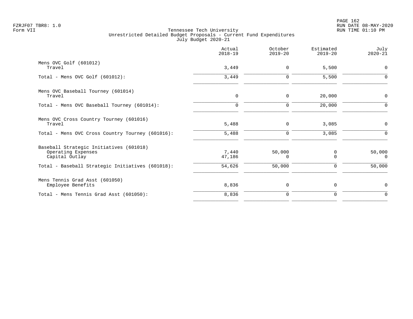|                                                                                                                                     | Actual<br>$2018 - 19$     | October<br>$2019 - 20$ | Estimated<br>$2019 - 20$        | July<br>$2020 - 21$   |
|-------------------------------------------------------------------------------------------------------------------------------------|---------------------------|------------------------|---------------------------------|-----------------------|
| Mens OVC Golf (601012)<br>Travel                                                                                                    | 3,449                     | 0                      | 5,500                           | $\Omega$              |
| Total - Mens OVC Golf $(601012)$ :                                                                                                  | 3,449                     | 0                      | 5,500                           | O                     |
| Mens OVC Baseball Tourney (601014)<br>Travel                                                                                        | 0                         | 0                      | 20,000                          | $\mathbf 0$           |
| Total - Mens OVC Baseball Tourney (601014):                                                                                         | $\Omega$                  | $\mathbf 0$            | 20,000                          | $\Omega$              |
| Mens OVC Cross Country Tourney (601016)<br>Travel                                                                                   | 5,488                     | 0                      | 3,085                           | $\mathbf 0$           |
| Total - Mens OVC Cross Country Tourney (601016):                                                                                    | 5,488                     | $\mathbf 0$            | 3,085                           | $\Omega$              |
| Baseball Strategic Initiatives (601018)<br>Operating Expenses<br>Capital Outlay<br>Total - Baseball Strategic Initiatives (601018): | 7,440<br>47,186<br>54,626 | 50,000<br>0<br>50,000  | 0<br>$\mathbf 0$<br>$\mathbf 0$ | 50,000<br>0<br>50,000 |
|                                                                                                                                     |                           |                        |                                 |                       |
| Mens Tennis Grad Asst (601050)<br>Employee Benefits                                                                                 | 8,836                     | 0                      | 0                               | $\mathbf 0$           |
| Total - Mens Tennis Grad Asst (601050):                                                                                             | 8,836                     | 0                      | 0                               | $\mathbf 0$           |
|                                                                                                                                     |                           |                        |                                 |                       |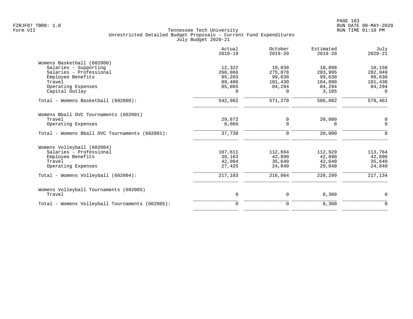|                                                 | Actual<br>$2018 - 19$ | October<br>$2019 - 20$ | Estimated<br>$2019 - 20$ | July<br>$2020 - 21$ |
|-------------------------------------------------|-----------------------|------------------------|--------------------------|---------------------|
| Womens Basketball (602000)                      |                       |                        |                          |                     |
| Salaries - Supporting                           | 12,322                | 10,038                 | 10,098                   | 10,158              |
| Salaries - Professional                         | 260,066               | 275,878                | 283,995                  | 282,949             |
| Employee Benefits                               | 95,203                | 99,630                 | 99,630                   | 99,630              |
| Travel                                          | 89,406                | 101,430                | 104,880                  | 101,430             |
| Operating Expenses                              | 85,065                | 84,294                 | 84,294                   | 84,294              |
| Capital Outlay                                  | $\Omega$              | 0                      | 3,105                    | $\Omega$            |
| Total - Womens Basketball (602000):             | 542,062               | 571,270                | 586,002                  | 578,461             |
| Womens Bball OVC Tournaments (602001)           |                       |                        |                          |                     |
| Travel                                          | 29,672                | 0                      | 20,000                   | 0                   |
| Operating Expenses                              | 8,066                 | $\Omega$               | $\Omega$                 | $\mathbf 0$         |
| Total - Womens Bball OVC Tournaments (602001):  | 37,738                | 0                      | 20,000                   | $\mathbf 0$         |
| Womens Volleyball (602004)                      |                       |                        |                          |                     |
| Salaries - Professional                         | 107,611               | 112,694                | 112,929                  | 113,764             |
| Employee Benefits                               | 39,163                | 42,890                 | 42,890                   | 42,890              |
| Travel                                          | 42,904                | 35,640                 | 42,640                   | 35,640              |
| Operating Expenses                              | 27,425                | 24,840                 | 29,840                   | 24,840              |
| Total - Womens Volleyball (602004):             | 217,103               | 216,064                | 228,299                  | 217,134             |
| Womens Volleyball Tournaments (602005)          |                       |                        |                          |                     |
| Travel                                          | 0                     | 0                      | 8,360                    | 0                   |
| Total - Womens Volleyball Tournaments (602005): | $\Omega$              | 0                      | 8,360                    | $\Omega$            |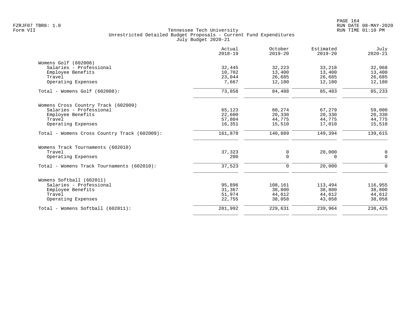|                                              | Actual<br>$2018 - 19$ | October<br>$2019 - 20$ | Estimated<br>$2019 - 20$ | July<br>$2020 - 21$ |
|----------------------------------------------|-----------------------|------------------------|--------------------------|---------------------|
| Womens Golf (602008)                         |                       |                        |                          |                     |
| Salaries - Professional                      | 32,445                | 32,223                 | 33,218                   | 32,968              |
| Employee Benefits                            | 10,702                | 13,400                 | 13,400                   | 13,400              |
| Travel                                       | 23,044                | 26,685                 | 26,685                   | 26,685              |
| Operating Expenses                           | 7,667                 | 12,180                 | 12,180                   | 12,180              |
| Total - Womens Golf (602008):                | 73,858                | 84,488                 | 85,483                   | 85,233              |
| Womens Cross Country Track (602009)          |                       |                        |                          |                     |
| Salaries - Professional                      | 65,123                | 60,274                 | 67,279                   | 59,000              |
| Employee Benefits                            | 22,600                | 20,330                 | 20,330                   | 20,330              |
| Travel                                       | 57,804                | 44,775                 | 44,775                   | 44,775              |
| Operating Expenses                           | 16,351                | 15,510                 | 17,010                   | 15,510              |
| Total - Womens Cross Country Track (602009): | 161,878               | 140,889                | 149,394                  | 139,615             |
| Womens Track Tournaments (602010)            |                       |                        |                          |                     |
| Travel                                       | 37,323                | 0                      | 20,000                   | 0                   |
| Operating Expenses                           | 200                   | $\Omega$               | $\Omega$                 | $\Omega$            |
| Total - Womens Track Tournaments (602010):   | 37,523                | $\mathbf 0$            | 20,000                   | $\Omega$            |
| Womens Softball (602011)                     |                       |                        |                          |                     |
| Salaries - Professional                      | 95,896                | 108,161                | 113,494                  | 116,955             |
| Employee Benefits                            | 31,367                | 38,800                 | 38,800                   | 38,800              |
| Travel                                       | 51,974                | 44,612                 | 44,612                   | 44,612              |
| Operating Expenses                           | 22,755                | 38,058                 | 43,058                   | 38,058              |
| Total - Womens Softball (602011):            | 201,992               | 229,631                | 239,964                  | 238,425             |
|                                              |                       |                        |                          |                     |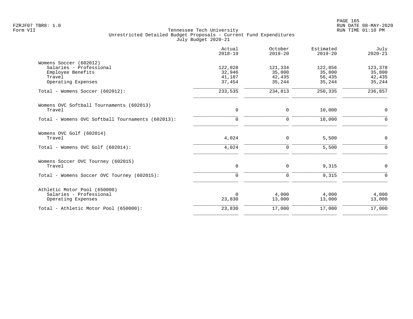|                                                   | Actual<br>$2018 - 19$ | October<br>$2019 - 20$ | Estimated<br>$2019 - 20$ | July<br>$2020 - 21$ |
|---------------------------------------------------|-----------------------|------------------------|--------------------------|---------------------|
| Womens Soccer (602012)                            |                       |                        |                          |                     |
| Salaries - Professional                           | 122,028               | 121,334                | 122,856                  | 123,378             |
| Employee Benefits                                 | 32,946                | 35,800                 | 35,800                   | 35,800              |
| Travel                                            | 41,107                | 42,435                 | 56,435                   | 42,435              |
| Operating Expenses                                | 37,454                | 35,244                 | 35,244                   | 35,244              |
| Total - Womens Soccer (602012):                   | 233,535               | 234,813                | 250,335                  | 236,857             |
| Womens OVC Softball Tournaments (602013)          |                       |                        |                          |                     |
| Travel                                            | $\mathbf 0$           | 0                      | 10,000                   | 0                   |
| Total - Womens OVC Softball Tournaments (602013): | $\mathbf 0$           | $\mathbf 0$            | 10,000                   | $\Omega$            |
| Womens OVC Golf (602014)                          |                       |                        |                          |                     |
| Travel                                            | 4,024                 | $\Omega$               | 5,500                    | $\mathbf 0$         |
| Total - Womens OVC Golf (602014):                 | 4,024                 | $\Omega$               | 5,500                    | $\Omega$            |
| Womens Soccer OVC Tourney (602015)                |                       |                        |                          |                     |
| Travel                                            | $\mathbf 0$           | 0                      | 9,315                    | $\Omega$            |
| Total - Womens Soccer OVC Tourney (602015):       | $\mathbf 0$           | $\mathbf 0$            | 9,315                    | $\Omega$            |
| Athletic Motor Pool (650000)                      |                       |                        |                          |                     |
| Salaries - Professional                           | 0                     | 4,000                  | 4,000                    | 4,000               |
| Operating Expenses                                | 23,830                | 13,000                 | 13,000                   | 13,000              |
| Total - Athletic Motor Pool (650000):             | 23,830                | 17,000                 | 17,000                   | 17,000              |
|                                                   |                       |                        |                          |                     |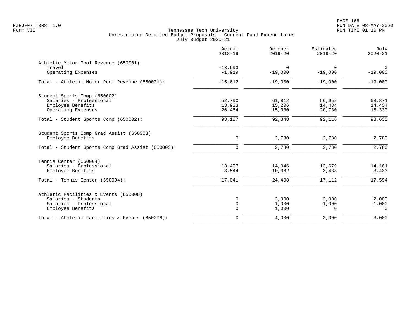|                                                   | Actual<br>$2018 - 19$ | October<br>$2019 - 20$ | Estimated<br>$2019 - 20$ | July<br>$2020 - 21$         |
|---------------------------------------------------|-----------------------|------------------------|--------------------------|-----------------------------|
| Athletic Motor Pool Revenue (650001)              |                       |                        |                          |                             |
| Travel<br>Operating Expenses                      | $-13,693$<br>$-1,919$ | $\Omega$<br>$-19,000$  | $\Omega$<br>$-19,000$    | $\overline{0}$<br>$-19,000$ |
| Total - Athletic Motor Pool Revenue (650001):     | $-15,612$             | $-19,000$              | $-19,000$                | $-19,000$                   |
| Student Sports Comp (650002)                      |                       |                        |                          |                             |
| Salaries - Professional                           | 52,790                | 61,812                 | 56,952                   | 63,871                      |
| Employee Benefits                                 | 13,933                | 15,206                 | 14,434                   | 14,434                      |
| Operating Expenses                                | 26,464                | 15,330                 | 20,730                   | 15,330                      |
| Total - Student Sports Comp (650002):             | 93,187                | 92,348                 | 92,116                   | 93,635                      |
| Student Sports Comp Grad Assist (650003)          |                       |                        |                          |                             |
| Employee Benefits                                 | 0                     | 2,780                  | 2,780                    | 2,780                       |
| Total - Student Sports Comp Grad Assist (650003): | $\Omega$              | 2,780                  | 2,780                    | 2,780                       |
| Tennis Center (650004)                            |                       |                        |                          |                             |
| Salaries - Professional                           | 13,497                | 14,046                 | 13,679                   | 14,161                      |
| Employee Benefits                                 | 3,544                 | 10,362                 | 3,433                    | 3,433                       |
| Total - Tennis Center (650004):                   | 17,041                | 24,408                 | 17,112                   | 17,594                      |
| Athletic Facilities & Events (650008)             |                       |                        |                          |                             |
| Salaries - Students                               | 0                     | 2,000                  | 2,000                    | 2,000                       |
| Salaries - Professional                           | $\mathbf 0$           | 1,000                  | 1,000                    | 1,000                       |
| Employee Benefits                                 | $\mathbf 0$           | 1,000                  | $\Omega$                 | $\Omega$                    |
| Total - Athletic Facilities & Events (650008):    | $\mathbf 0$           | 4,000                  | 3,000                    | 3,000                       |
|                                                   |                       |                        |                          |                             |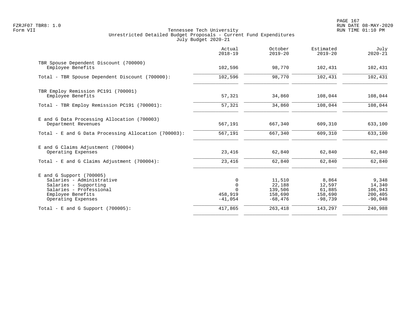PAGE 167 FZRJF07 TBR8: 1.0 RUN DATE 08-MAY-2020

|                                                                                                                                                      | Actual<br>$2018 - 19$                    | October<br>$2019 - 20$                              | Estimated<br>$2019 - 20$                          | July<br>$2020 - 21$                                |
|------------------------------------------------------------------------------------------------------------------------------------------------------|------------------------------------------|-----------------------------------------------------|---------------------------------------------------|----------------------------------------------------|
| TBR Spouse Dependent Discount (700000)<br>Employee Benefits                                                                                          | 102,596                                  | 98,770                                              | 102,431                                           | 102,431                                            |
| Total - TBR Spouse Dependent Discount (700000):                                                                                                      | 102,596                                  | 98,770                                              | 102,431                                           | 102,431                                            |
| TBR Employ Remission PC191 (700001)<br>Employee Benefits                                                                                             | 57,321                                   | 34,860                                              | 108,044                                           | 108,044                                            |
| Total - TBR Employ Remission PC191 (700001):                                                                                                         | 57,321                                   | 34,860                                              | 108,044                                           | 108,044                                            |
| E and G Data Processing Allocation (700003)<br>Department Revenues                                                                                   | 567,191                                  | 667,340                                             | 609,310                                           | 633,100                                            |
| Total - E and G Data Processing Allocation (700003):                                                                                                 | 567,191                                  | 667,340                                             | 609,310                                           | 633,100                                            |
| E and G Claims Adjustment (700004)<br>Operating Expenses                                                                                             | 23,416                                   | 62,840                                              | 62,840                                            | 62,840                                             |
| Total - E and G Claims Adjustment $(700004)$ :                                                                                                       | 23,416                                   | 62,840                                              | 62,840                                            | 62,840                                             |
| E and G Support (700005)<br>Salaries - Administrative<br>Salaries - Supporting<br>Salaries - Professional<br>Employee Benefits<br>Operating Expenses | 0<br>$\mathbf 0$<br>458,919<br>$-41,054$ | 11,510<br>22,188<br>139,506<br>158,690<br>$-68,476$ | 8,864<br>12,597<br>61,885<br>158,690<br>$-98,739$ | 9,348<br>14,340<br>106,943<br>200,405<br>$-90,048$ |
| Total - E and G Support $(700005)$ :                                                                                                                 | 417,865                                  | 263,418                                             | 143,297                                           | 240,988                                            |
|                                                                                                                                                      |                                          |                                                     |                                                   |                                                    |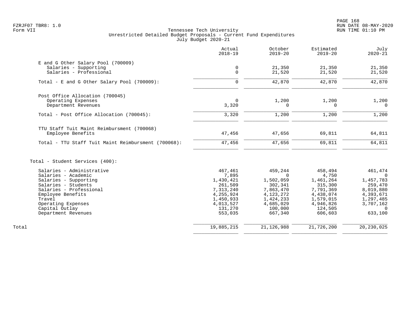|                                                     | Actual<br>$2018 - 19$      | October<br>$2019 - 20$ | Estimated<br>$2019 - 20$ | July<br>$2020 - 21$       |
|-----------------------------------------------------|----------------------------|------------------------|--------------------------|---------------------------|
| E and G Other Salary Pool (700009)                  |                            |                        |                          |                           |
| Salaries - Supporting<br>Salaries - Professional    | $\mathbf 0$<br>$\mathbf 0$ | 21,350<br>21,520       | 21,350<br>21,520         | 21,350<br>21,520          |
| Total - E and G Other Salary Pool (700009):         | $\Omega$                   | 42,870                 | 42,870                   | 42,870                    |
| Post Office Allocation (700045)                     |                            |                        |                          |                           |
| Operating Expenses<br>Department Revenues           | $\mathbf 0$<br>3,320       | 1,200<br>0             | 1,200<br>$\mathbf 0$     | 1,200<br>$\Omega$         |
| Total - Post Office Allocation (700045):            | 3,320                      | 1,200                  | 1,200                    | 1,200                     |
| TTU Staff Tuit Maint Reimbursment (700068)          |                            |                        |                          |                           |
| Employee Benefits                                   | 47,456                     | 47,656                 | 69,811                   | 64,811                    |
| Total - TTU Staff Tuit Maint Reimbursment (700068): | 47,456                     | 47,656                 | 69,811                   | 64,811                    |
| Total - Student Services (400):                     |                            |                        |                          |                           |
| Salaries - Administrative                           | 467,461                    | 459,244<br>$\Omega$    | 458,494                  | 461,474<br>$\overline{0}$ |
| Salaries - Academic<br>Salaries - Supporting        | 7,895<br>1,430,421         | 1,502,059              | 4,750<br>1,461,264       | 1,457,783                 |
| Salaries - Students                                 | 261,509                    | 302,341                | 315,300                  | 259,470                   |
| Salaries - Professional                             | 7,313,240                  | 7,863,470              | 7,791,369                | 8,019,880                 |
| Employee Benefits                                   | 4, 255, 924                | 4, 123, 272            | 4,438,074                | 4,393,671                 |
| Travel                                              | 1,450,933                  | 1,424,233              | 1,579,015                | 1,297,485                 |
| Operating Expenses                                  | 4,013,527                  | 4,685,029              | 4,946,826                | 3,707,162                 |
| Capital Outlay                                      | 131,270                    | 100,000                | 124,505                  | $\cap$                    |
| Department Revenues                                 | 553,035                    | 667,340                | 606,603                  | 633,100                   |
| Total                                               | 19,885,215                 | 21, 126, 988           | 21,726,200               | 20, 230, 025              |
|                                                     |                            |                        |                          |                           |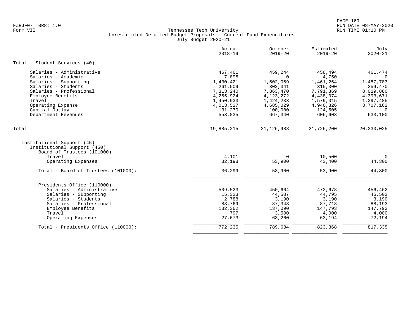|                                                                                                                         | Actual<br>$2018 - 19$ | October<br>$2019 - 20$ | Estimated<br>$2019 - 20$ | July<br>$2020 - 21$   |
|-------------------------------------------------------------------------------------------------------------------------|-----------------------|------------------------|--------------------------|-----------------------|
| Total - Student Services (40):                                                                                          |                       |                        |                          |                       |
| Salaries - Administrative                                                                                               | 467,461               | 459,244                | 458,494                  | 461,474               |
| Salaries - Academic                                                                                                     | 7,895                 | $\Omega$               | 4,750                    | $\overline{0}$        |
| Salaries - Supporting<br>Salaries - Students                                                                            | 1,430,421<br>261,509  | 1,502,059<br>302,341   | 1,461,264<br>315,300     | 1,457,783<br>259,470  |
| Salaries - Professional                                                                                                 | 7,313,240             | 7,863,470              | 7,791,369                | 8,019,880             |
| Employee Benefits                                                                                                       | 4,255,924             | 4, 123, 272            | 4,438,074                | 4,393,671             |
| Travel                                                                                                                  | 1,450,933             | 1,424,233              | 1,579,015                | 1,297,485             |
| Operating Expense                                                                                                       | 4,013,527             | 4,685,029              | 4,946,826                | 3,707,162             |
| Capital Outlay                                                                                                          | 131,270               | 100,000                | 124,505                  | $\Omega$              |
| Department Revenues                                                                                                     | 553,035               | 667,340                | 606,603                  | 633,100               |
| Total                                                                                                                   | 19,885,215            | 21, 126, 988           | 21,726,200               | 20, 230, 025          |
| Institutional Support (45)<br>Institutional Support (450)<br>Board of Trustees (101000)<br>Travel<br>Operating Expenses | 4,101<br>32,198       | $\Omega$<br>53,900     | 10,500<br>43,400         | $\mathbf 0$<br>44,300 |
| Total - Board of Trustees (101000):                                                                                     | 36,299                | 53,900                 | 53,900                   | 44,300                |
| Presidents Office (110000)                                                                                              |                       |                        |                          |                       |
| Salaries - Administrative                                                                                               | 509,523               | 450,664                | 472,678                  | 456,462               |
| Salaries - Supporting                                                                                                   | 15,323                | 44,587                 | 44,795                   | 45,503                |
| Salaries - Students                                                                                                     | 2,788                 | 3,190                  | 3,190                    | 3,190                 |
| Salaries - Professional                                                                                                 | 83,769                | 87,343                 | 87,718                   | 88,193                |
| Employee Benefits                                                                                                       | 132,362               | 137,090                | 147,793                  | 147,793               |
| Travel                                                                                                                  | 797                   | 3,500                  | 4,000                    | 4,000                 |
| Operating Expenses                                                                                                      | 27,673                | 63,260                 | 63,194                   | 72,194                |
| Total - Presidents Office (110000):                                                                                     | 772,235               | 789,634                | 823,368                  | 817,335               |
|                                                                                                                         |                       |                        |                          |                       |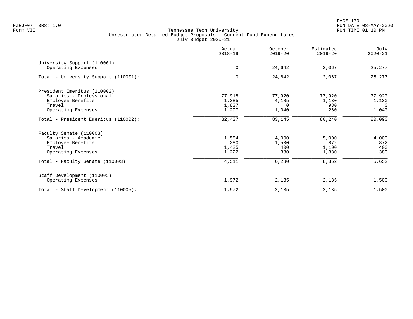PAGE 170 FZRJF07 TBR8: 1.0 RUN DATE 08-MAY-2020

|                                                   | Actual<br>$2018 - 19$ | October<br>$2019 - 20$ | Estimated<br>$2019 - 20$ | July<br>$2020 - 21$     |
|---------------------------------------------------|-----------------------|------------------------|--------------------------|-------------------------|
| University Support (110001)<br>Operating Expenses | $\mathbf 0$           | 24,642                 | 2,067                    | 25,277                  |
| Total - University Support (110001):              | $\mathbf 0$           | 24,642                 | 2,067                    | 25,277                  |
|                                                   |                       |                        |                          |                         |
| President Emeritus (110002)                       |                       |                        |                          |                         |
| Salaries - Professional                           | 77,918                | 77,920                 | 77,920                   | 77,920                  |
| Employee Benefits<br>Travel                       | 1,385<br>1,837        | 4,185<br>$\Omega$      | 1,130<br>930             | 1,130<br>$\overline{0}$ |
| Operating Expenses                                | 1,297                 | 1,040                  | 260                      | 1,040                   |
| Total - President Emeritus (110002):              | 82,437                | 83,145                 | 80,240                   | 80,090                  |
| Faculty Senate (110003)                           |                       |                        |                          |                         |
| Salaries - Academic                               | 1,584                 | 4,000                  | 5,000                    | 4,000                   |
| Employee Benefits                                 | 280                   | 1,500                  | 872                      | 872                     |
| Travel                                            | 1,425                 | 400                    | 1,100                    | 400                     |
| Operating Expenses                                | 1,222                 | 380                    | 1,880                    | 380                     |
| Total - Faculty Senate (110003):                  | 4,511                 | 6,280                  | 8,852                    | 5,652                   |
| Staff Development (110005)                        |                       |                        |                          |                         |
| Operating Expenses                                | 1,972                 | 2,135                  | 2,135                    | 1,500                   |
| Total - Staff Development (110005):               | 1,972                 | 2,135                  | 2,135                    | 1,500                   |
|                                                   |                       |                        |                          |                         |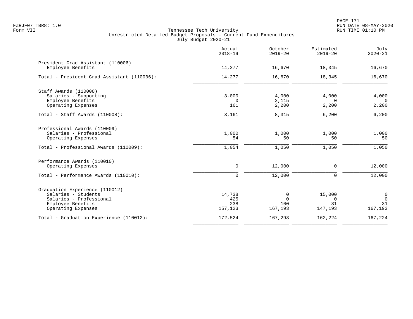|                                                        | Actual<br>$2018 - 19$ | October<br>$2019 - 20$ | Estimated<br>$2019 - 20$ | July<br>$2020 - 21$ |
|--------------------------------------------------------|-----------------------|------------------------|--------------------------|---------------------|
| President Grad Assistant (110006)<br>Employee Benefits | 14,277                | 16,670                 | 18,345                   | 16,670              |
| Total - President Grad Assistant (110006):             | 14,277                | 16,670                 | 18,345                   | 16,670              |
| Staff Awards (110008)                                  |                       |                        |                          |                     |
| Salaries - Supporting                                  | 3,000                 | 4,000                  | 4,000                    | 4,000               |
| Employee Benefits                                      | 0                     | 2,115                  | $\Omega$                 | $\Omega$            |
| Operating Expenses                                     | 161                   | 2,200                  | 2,200                    | 2,200               |
| Total - Staff Awards (110008):                         | 3,161                 | 8,315                  | 6,200                    | 6,200               |
| Professional Awards (110009)                           |                       |                        |                          |                     |
| Salaries - Professional                                | 1,000                 | 1,000                  | 1,000                    | 1,000               |
| Operating Expenses                                     | 54                    | 50                     | 50                       | 50                  |
| Total - Professional Awards (110009):                  | 1,054                 | 1,050                  | 1,050                    | 1,050               |
| Performance Awards (110010)                            |                       |                        |                          |                     |
| Operating Expenses                                     | 0                     | 12,000                 | 0                        | 12,000              |
| Total - Performance Awards (110010):                   | 0                     | 12,000                 | 0                        | 12,000              |
| Graduation Experience (110012)                         |                       |                        |                          |                     |
| Salaries - Students                                    | 14,738                | 0                      | 15,000                   | 0                   |
| Salaries - Professional                                | 425                   | $\Omega$               | $\Omega$                 | $\Omega$            |
| Employee Benefits                                      | 238                   | 100                    | 31                       | 31                  |
| Operating Expenses                                     | 157,123               | 167,193                | 147,193                  | 167,193             |
| Total - Graduation Experience (110012):                | 172,524               | 167,293                | 162,224                  | 167,224             |
|                                                        |                       |                        |                          |                     |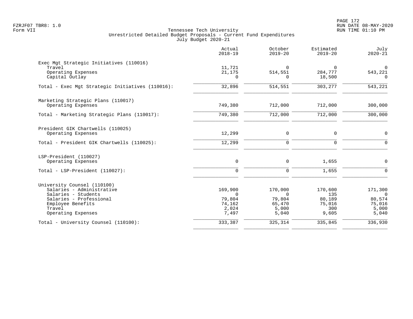PAGE 172 FZRJF07 TBR8: 1.0 RUN DATE 08-MAY-2020

|                                                                                                                                                                 | Actual<br>$2018 - 19$                                     | October<br>$2019 - 20$                                    | Estimated<br>$2019 - 20$                           | July<br>$2020 - 21$                                       |
|-----------------------------------------------------------------------------------------------------------------------------------------------------------------|-----------------------------------------------------------|-----------------------------------------------------------|----------------------------------------------------|-----------------------------------------------------------|
| Exec Mgt Strategic Initiatives (110016)<br>Travel<br>Operating Expenses<br>Capital Outlay                                                                       | 11,721<br>21,175<br>$\Omega$                              | $\Omega$<br>514,551<br>$\Omega$                           | $\Omega$<br>284,777<br>18,500                      | $\overline{0}$<br>543,221<br>$\Omega$                     |
| Total - Exec Mgt Strategic Initiatives (110016):                                                                                                                | 32,896                                                    | 514,551                                                   | 303,277                                            | 543,221                                                   |
| Marketing Strategic Plans (110017)<br>Operating Expenses<br>Total - Marketing Strategic Plans (110017):                                                         | 749,380<br>749,380                                        | 712,000<br>712,000                                        | 712,000<br>712,000                                 | 300,000<br>300,000                                        |
|                                                                                                                                                                 |                                                           |                                                           |                                                    |                                                           |
| President GIK Chartwells (110025)<br>Operating Expenses                                                                                                         | 12,299                                                    | $\mathsf{O}$                                              | $\mathbf 0$                                        | 0                                                         |
| Total - President GIK Chartwells (110025):                                                                                                                      | 12,299                                                    | $\mathbf 0$                                               | $\Omega$                                           | $\Omega$                                                  |
| LSP-President (110027)<br>Operating Expenses                                                                                                                    | $\mathbf 0$                                               | $\mathbf 0$                                               | 1,655                                              | $\mathbf 0$                                               |
| Total - LSP-President (110027):                                                                                                                                 | $\mathbf 0$                                               | $\mathbf 0$                                               | 1,655                                              | $\Omega$                                                  |
| University Counsel (110100)<br>Salaries - Administrative<br>Salaries - Students<br>Salaries - Professional<br>Employee Benefits<br>Travel<br>Operating Expenses | 169,900<br>$\Omega$<br>79,804<br>74,162<br>2,024<br>7,497 | 170,000<br>$\Omega$<br>79,804<br>65,470<br>5,000<br>5,040 | 170,600<br>135<br>80,189<br>75,016<br>300<br>9,605 | 171,300<br>$\Omega$<br>80,574<br>75,016<br>5,000<br>5,040 |
| Total - University Counsel (110100):                                                                                                                            | 333,387                                                   | 325,314                                                   | 335,845                                            | 336,930                                                   |
|                                                                                                                                                                 |                                                           |                                                           |                                                    |                                                           |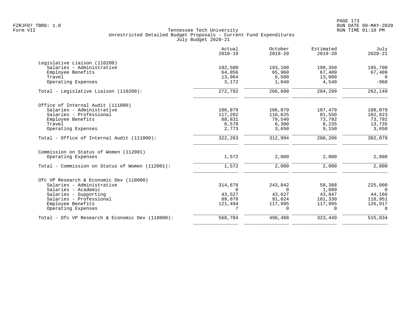|                                                  | Actual<br>$2018 - 19$ | October<br>$2019 - 20$ | Estimated<br>$2019 - 20$ | July<br>$2020 - 21$ |
|--------------------------------------------------|-----------------------|------------------------|--------------------------|---------------------|
| Legislative Liaison (110200)                     |                       |                        |                          |                     |
| Salaries - Administrative                        | 192,500               | 193,100                | 199,350                  | 195,700             |
| Employee Benefits                                | 64,056                | 65,960                 | 67,409                   | 67,409              |
| Travel                                           | 13,064                | 6,500                  | 13,000                   | $\Omega$            |
| Operating Expenses                               | 3,172                 | 1,040                  | 4,540                    | $-960$              |
| Total - Legislative Liaison (110200):            | 272,792               | 266,600                | 284,299                  | 262,149             |
| Office of Internal Audit (111000)                |                       |                        |                          |                     |
| Salaries - Administrative                        | 106,879               | 106,879                | 107,479                  | 108,079             |
| Salaries - Professional                          | 117,202               | 116,625                | 81,550                   | 102,823             |
| Employee Benefits                                | 88,831                | 79,540                 | 73,792                   | 73,792              |
| Travel                                           | 6,578                 | 6,300                  | 8,235                    | 13,735              |
| Operating Expenses                               | 2,773                 | 3,650                  | 9,150                    | 3,650               |
| Total - Office of Internal Audit (111000):       | 322,263               | 312,994                | 280,206                  | 302,079             |
| Commission on Status of Women (112001)           |                       |                        |                          |                     |
| Operating Expenses                               | 1,572                 | 2,000                  | 2,000                    | 2,000               |
| Total - Commission on Status of Women (112001):  | 1,572                 | 2,000                  | 2,000                    | 2,000               |
| Ofc VP Research & Economic Dev (118000)          |                       |                        |                          |                     |
| Salaries - Administrative                        | 314,678               | 243,842                | 58,388                   | 225,000             |
| Salaries - Academic                              | $\Omega$              | $\Omega$               | 1,889                    | $\Omega$            |
| Salaries - Supporting                            | 43,527                | 43,627                 | 43,847                   | 44,166              |
| Salaries - Professional                          | 89,078                | 91,024                 | 101,330                  | 118,951             |
| Employee Benefits                                | 121,494               | 117,995                | 117,995                  | 126,917             |
| Operating Expenses                               | 7                     | $\Omega$               | $\Omega$                 | $\Omega$            |
| Total - Ofc VP Research & Economic Dev (118000): | 568,784               | 496,488                | 323,449                  | 515,034             |
|                                                  |                       |                        |                          |                     |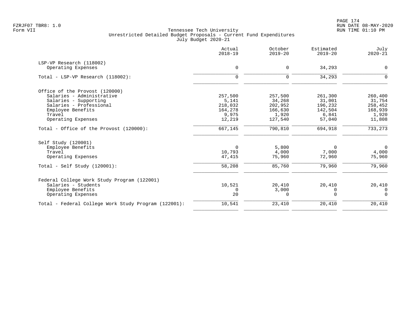| Actual<br>$2018 - 19$ | October<br>$2019 - 20$ | Estimated<br>$2019 - 20$ | July<br>$2020 - 21$ |
|-----------------------|------------------------|--------------------------|---------------------|
|                       |                        |                          |                     |
| 0                     | $\mathbf 0$            | 34,293                   | $\mathbf 0$         |
| $\mathbf 0$           | $\Omega$               | 34,293                   | $\Omega$            |
|                       |                        |                          |                     |
| 257,500               | 257,500                | 261,300                  | 260,400             |
| 5,141                 | 34,268                 | 31,001                   | 31,754              |
| 218,032               | 202,952                | 196,232                  | 258,452             |
| 164,278               | 166,630                | 142,504                  | 168,939             |
| 9,975                 | 1,920                  | 6,841                    | 1,920               |
| 12,219                | 127,540                | 57,040                   | 11,808              |
| 667,145               | 790,810                | 694,918                  | 733,273             |
|                       |                        |                          |                     |
| 0                     | 5,800                  | 0                        | $\mathbf 0$         |
| 10,793                | 4,000                  | 7,000                    | 4,000               |
| 47,415                | 75,960                 | 72,960                   | 75,960              |
| 58,208                | 85,760                 | 79,960                   | 79,960              |
|                       |                        |                          |                     |
| 10,521                | 20,410                 | 20,410                   | 20,410              |
| $\Omega$              | 3,000                  | 0                        | 0                   |
| 20                    | $\Omega$               | $\Omega$                 | $\Omega$            |
| 10,541                | 23,410                 | 20,410                   | 20,410              |
|                       |                        |                          |                     |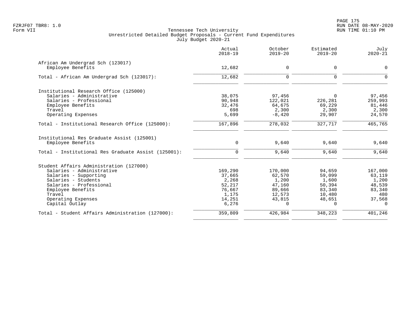|                                                                 | Actual<br>$2018 - 19$ | October<br>$2019 - 20$ | Estimated<br>$2019 - 20$ | July<br>$2020 - 21$ |
|-----------------------------------------------------------------|-----------------------|------------------------|--------------------------|---------------------|
| African Am Undergrad Sch (123017)                               |                       |                        |                          |                     |
| Employee Benefits                                               | 12,682                | 0                      | 0                        | $\mathbf 0$         |
| Total - African Am Undergrad Sch (123017):                      | 12,682                | 0                      | 0                        | $\mathbf 0$         |
| Institutional Research Office (125000)                          |                       |                        |                          |                     |
| Salaries - Administrative                                       | 38,075                | 97,456                 | $\Omega$                 | 97,456              |
| Salaries - Professional                                         | 90,948                | 122,021                | 226,281                  | 259,993             |
| Employee Benefits                                               | 32,476                | 64,675                 | 69,229                   | 81,446              |
| Travel                                                          | 698                   | 2,300                  | 2,300                    | 2,300               |
| Operating Expenses                                              | 5,699                 | $-8,420$               | 29,907                   | 24,570              |
| Total - Institutional Research Office (125000):                 | 167,896               | 278,032                | 327,717                  | 465,765             |
| Institutional Res Graduate Assist (125001)<br>Employee Benefits | $\mathbf 0$           | 9,640                  | 9,640                    | 9,640               |
|                                                                 |                       |                        |                          |                     |
| Total - Institutional Res Graduate Assist (125001):             | $\mathbf 0$           | 9,640                  | 9,640                    | 9,640               |
| Student Affairs Administration (127000)                         |                       |                        |                          |                     |
| Salaries - Administrative                                       | 169,290               | 170,000                | 94,659                   | 167,000             |
| Salaries - Supporting                                           | 37,665                | 62,570                 | 59,099                   | 63,119              |
| Salaries - Students                                             | 2,268                 | 1,200                  | 1,600                    | 1,200               |
| Salaries - Professional                                         | 52,217                | 47,160                 | 50,394                   | 48,539              |
| Employee Benefits                                               | 76,667                | 89,666                 | 83,340                   | 83,340              |
| Travel                                                          | 1,175                 | 12,573                 | 10,480                   | 480                 |
| Operating Expenses                                              | 14,251                | 43,815                 | 48,651                   | 37,568              |
| Capital Outlay                                                  | 6,276                 | $\Omega$               | $\Omega$                 | $\Omega$            |
| Total - Student Affairs Administration (127000):                | 359,809               | 426,984                | 348,223                  | 401,246             |
|                                                                 |                       |                        |                          |                     |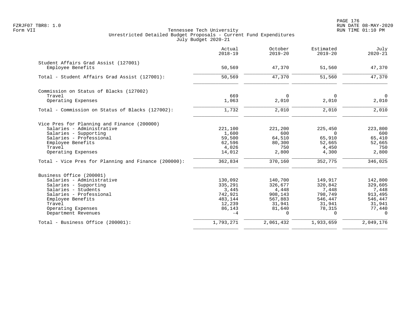|                                                      | Actual<br>$2018 - 19$ | October<br>$2019 - 20$ | Estimated<br>$2019 - 20$ | July<br>$2020 - 21$ |
|------------------------------------------------------|-----------------------|------------------------|--------------------------|---------------------|
| Student Affairs Grad Assist (127001)                 |                       |                        |                          |                     |
| Employee Benefits                                    | 50,569                | 47,370                 | 51,560                   | 47,370              |
| Total - Student Affairs Grad Assist (127001):        | 50,569                | 47,370                 | 51,560                   | 47,370              |
| Commission on Status of Blacks (127002)              |                       |                        |                          |                     |
| Travel                                               | 669                   | $\Omega$               | $\Omega$                 | $\Omega$            |
| Operating Expenses                                   | 1,063                 | 2,010                  | 2,010                    | 2,010               |
| Total - Commission on Status of Blacks (127002):     | 1,732                 | 2,010                  | 2,010                    | 2,010               |
| Vice Pres for Planning and Finance (200000)          |                       |                        |                          |                     |
| Salaries - Administrative                            | 221,100               | 221,200                | 225,450                  | 223,800             |
| Salaries - Supporting                                | 1,600                 | 600                    | 0                        | 600                 |
| Salaries - Professional                              | 59,500                | 64,510                 | 65,910                   | 65,410              |
| Employee Benefits                                    | 62,596                | 80,300                 | 52,665                   | 52,665              |
| Travel                                               | 4,026                 | 750                    | 4,450                    | 750                 |
| Operating Expenses                                   | 14,012                | 2,800                  | 4,300                    | 2,800               |
| Total - Vice Pres for Planning and Finance (200000): | 362,834               | 370,160                | 352,775                  | 346,025             |
| Business Office (200001)                             |                       |                        |                          |                     |
| Salaries - Administrative                            | 130,092               | 140,700                | 149,917                  | 142,800             |
| Salaries - Supporting                                | 335,291               | 326,677                | 320,842                  | 329,605             |
| Salaries - Students                                  | 3,445                 | 4,448                  | 7,448                    | 7,448               |
| Salaries - Professional                              | 742,921               | 908,143                | 798,749                  | 913,495             |
| Employee Benefits                                    | 483,144               | 567,883                | 546,447                  | 546,447             |
| Travel                                               | 12,239                | 31,941                 | 31,941                   | 31,941              |
| Operating Expenses                                   | 86,143                | 81,640                 | 78,315                   | 77,440              |
| Department Revenues                                  | $-4$                  | $\Omega$               | $\Omega$                 | $\Omega$            |
| Total - Business Office (200001):                    | 1,793,271             | 2,061,432              | 1,933,659                | 2,049,176           |
|                                                      |                       |                        |                          |                     |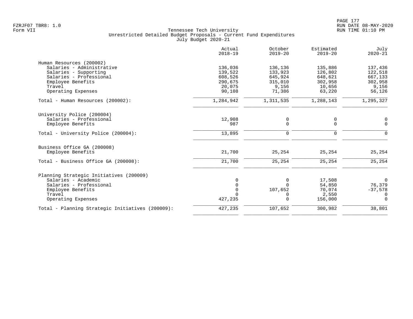|                                                  | Actual<br>$2018 - 19$ | October<br>$2019 - 20$ | Estimated<br>$2019 - 20$ | July<br>$2020 - 21$ |
|--------------------------------------------------|-----------------------|------------------------|--------------------------|---------------------|
| Human Resources (200002)                         |                       |                        |                          |                     |
| Salaries - Administrative                        | 136,036               | 136,136                | 135,886                  | 137,436             |
| Salaries - Supporting                            | 139,522               | 133,923                | 126,802                  | 122,518             |
| Salaries - Professional                          | 608,526               | 645,924                | 648,621                  | 667,133             |
| Employee Benefits                                | 290,675               | 315,010                | 302,958                  | 302,958             |
| Travel                                           | 20,075                | 9,156                  | 10,656                   | 9,156               |
| Operating Expenses                               | 90,108                | 71,386                 | 63,220                   | 56,126              |
| Total - Human Resources (200002):                | 1,284,942             | 1,311,535              | 1,288,143                | 1,295,327           |
| University Police (200004)                       |                       |                        |                          |                     |
| Salaries - Professional                          | 12,908                | 0                      | 0                        | 0                   |
| Employee Benefits                                | 987                   | 0                      | $\mathbf 0$              | $\Omega$            |
| Total - University Police (200004):              | 13,895                | 0                      | 0                        | $\Omega$            |
| Business Office GA (200008)                      |                       |                        |                          |                     |
| Employee Benefits                                | 21,700                | 25,254                 | 25,254                   | 25,254              |
| Total - Business Office GA (200008):             | 21,700                | 25,254                 | 25,254                   | 25,254              |
| Planning Strategic Initiatives (200009)          |                       |                        |                          |                     |
| Salaries - Academic                              | O                     | 0                      | 17,508                   | $\mathbf 0$         |
| Salaries - Professional                          |                       | $\Omega$               | 54,850                   | 76,379              |
| Employee Benefits                                |                       | 107,652                | 70,074                   | $-37,578$           |
| Travel                                           |                       | 0                      | 2,550                    | 0                   |
| Operating Expenses                               | 427,235               | $\Omega$               | 156,000                  | $\Omega$            |
| Total - Planning Strategic Initiatives (200009): | 427,235               | 107,652                | 300,982                  | 38,801              |
|                                                  |                       |                        |                          |                     |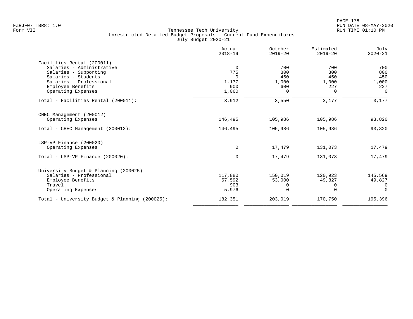|                                                | Actual<br>$2018 - 19$ | October<br>$2019 - 20$ | Estimated<br>$2019 - 20$ | July<br>$2020 - 21$ |
|------------------------------------------------|-----------------------|------------------------|--------------------------|---------------------|
| Facilities Rental (200011)                     |                       |                        |                          |                     |
| Salaries - Administrative                      | 0                     | 700                    | 700                      | 700                 |
| Salaries - Supporting                          | 775                   | 800                    | 800                      | 800                 |
| Salaries - Students                            | $\Omega$              | 450                    | 450                      | 450                 |
| Salaries - Professional<br>Employee Benefits   | 1,177<br>900          | 1,000<br>600           | 1,000<br>227             | 1,000<br>227        |
| Operating Expenses                             | 1,060                 | $\Omega$               | 0                        | $\Omega$            |
| Total - Facilities Rental (200011):            | 3,912                 | 3,550                  | 3,177                    | 3,177               |
| CHEC Management (200012)                       |                       |                        |                          |                     |
| Operating Expenses                             | 146,495               | 105,986                | 105,986                  | 93,820              |
| Total - CHEC Management (200012):              | 146,495               | 105,986                | 105,986                  | 93,820              |
| LSP-VP Finance (200020)                        |                       |                        |                          |                     |
| Operating Expenses                             | $\mathbf 0$           | 17,479                 | 131,073                  | 17,479              |
| Total - LSP-VP Finance $(200020)$ :            | $\mathbf 0$           | 17,479                 | 131,073                  | 17,479              |
| University Budget & Planning (200025)          |                       |                        |                          |                     |
| Salaries - Professional                        | 117,880               | 150,019                | 120,923                  | 145,569             |
| Employee Benefits                              | 57,592                | 53,000                 | 49,827                   | 49,827              |
| Travel                                         | 903                   | 0                      | 0                        | 0                   |
| Operating Expenses                             | 5,976                 | $\Omega$               | $\Omega$                 | $\Omega$            |
| Total - University Budget & Planning (200025): | 182,351               | 203,019                | 170,750                  | 195,396             |
|                                                |                       |                        |                          |                     |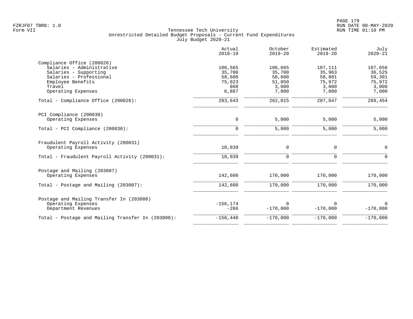|                                                   | Actual<br>$2018 - 19$ | October<br>$2019 - 20$ | Estimated<br>$2019 - 20$ | July<br>$2020 - 21$ |
|---------------------------------------------------|-----------------------|------------------------|--------------------------|---------------------|
| Compliance Office (200026)                        |                       |                        |                          |                     |
| Salaries - Administrative                         | 106,565               | 106,665                | 107,111                  | 107,656             |
| Salaries - Supporting                             | 35,700                | 35,700                 | 35,963                   | 36,525              |
| Salaries - Professional                           | 58,600                | 58,600                 | 58,801                   | 59,301              |
| Employee Benefits                                 | 75,023                | 51,050                 | 75,972                   | 75,972              |
| Travel                                            | 868                   | 3,000                  | 3,000                    | 3,000               |
| Operating Expenses                                | 6,887                 | 7,000                  | 7,000                    | 7,000               |
| Total - Compliance Office (200026):               | 283,643               | 262,015                | 287,847                  | 289,454             |
| PCI Compliance (200030)                           |                       |                        |                          |                     |
| Operating Expenses                                | $\mathbf 0$           | 5,000                  | 5,000                    | 5,000               |
| Total - PCI Compliance (200030):                  | $\Omega$              | 5,000                  | 5,000                    | 5,000               |
| Fraudulent Payroll Activity (200031)              |                       |                        |                          |                     |
| Operating Expenses                                | 10,039                | 0                      | 0                        | $\mathbf 0$         |
| Total - Fraudulent Payroll Activity (200031):     | 10,039                | $\mathbf 0$            | $\mathbf 0$              | $\Omega$            |
| Postage and Mailing (203007)                      |                       |                        |                          |                     |
| Operating Expenses                                | 142,600               | 170,000                | 170,000                  | 170,000             |
| Total - Postage and Mailing (203007):             | 142,600               | 170,000                | 170,000                  | 170,000             |
| Postage and Mailing Transfer In (203008)          |                       |                        |                          |                     |
| Operating Expenses                                | $-156, 174$           | $\Omega$               | $\Omega$                 | $\mathbf 0$         |
| Department Revenues                               | $-266$                | $-170,000$             | $-170,000$               | $-170,000$          |
| Total - Postage and Mailing Transfer In (203008): | $-156, 440$           | $-170,000$             | $-170,000$               | $-170,000$          |
|                                                   |                       |                        |                          |                     |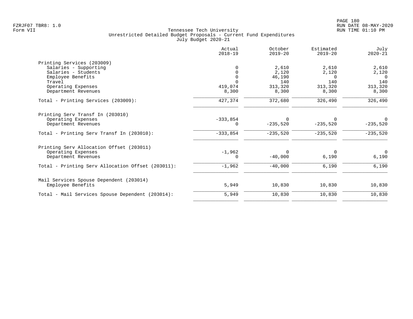|                                                   | Actual<br>$2018 - 19$ | October<br>$2019 - 20$ | Estimated<br>$2019 - 20$ | July<br>$2020 - 21$ |
|---------------------------------------------------|-----------------------|------------------------|--------------------------|---------------------|
| Printing Services (203009)                        |                       |                        |                          |                     |
| Salaries - Supporting                             | O                     | 2,610                  | 2,610                    | 2,610               |
| Salaries - Students                               | $\Omega$              | 2,120                  | 2,120                    | 2,120               |
| Employee Benefits                                 | $\Omega$              | 46,190                 | $\Omega$                 | $\Omega$            |
| Travel                                            | $\Omega$              | 140                    | 140                      | 140                 |
| Operating Expenses                                | 419,074               | 313,320                | 313,320                  | 313,320             |
| Department Revenues                               | 8,300                 | 8,300                  | 8,300                    | 8,300               |
| Total - Printing Services (203009):               | 427,374               | 372,680                | 326,490                  | 326,490             |
| Printing Serv Transf In (203010)                  |                       |                        |                          |                     |
| Operating Expenses                                | $-333,854$            | $\mathbf 0$            | 0                        | 0                   |
| Department Revenues                               | 0                     | $-235,520$             | $-235,520$               | $-235,520$          |
| Total - Printing Serv Transf In (203010):         | $-333,854$            | $-235,520$             | $-235,520$               | $-235,520$          |
| Printing Serv Allocation Offset (203011)          |                       |                        |                          |                     |
| Operating Expenses                                | $-1,962$              | $\Omega$               | $\Omega$                 | $\mathbf 0$         |
| Department Revenues                               | 0                     | $-40,000$              | 6,190                    | 6,190               |
| Total - Printing Serv Allocation Offset (203011): | $-1,962$              | $-40,000$              | 6,190                    | 6,190               |
| Mail Services Spouse Dependent (203014)           |                       |                        |                          |                     |
| Employee Benefits                                 | 5,949                 | 10,830                 | 10,830                   | 10,830              |
| Total - Mail Services Spouse Dependent (203014):  | 5,949                 | 10,830                 | 10,830                   | 10,830              |
|                                                   |                       |                        |                          |                     |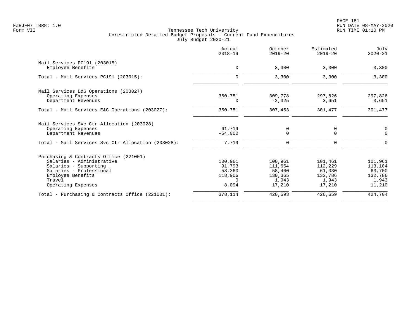| Actual<br>$2018 - 19$ | October<br>$2019 - 20$      | Estimated<br>$2019 - 20$ | July<br>$2020 - 21$     |
|-----------------------|-----------------------------|--------------------------|-------------------------|
|                       |                             |                          |                         |
| 0                     | 3,300                       | 3,300                    | 3,300                   |
| $\Omega$              | 3,300                       | 3,300                    | 3,300                   |
|                       |                             |                          |                         |
| 350,751               | 309,778                     | 297,826                  | 297,826                 |
| $\Omega$              | $-2,325$                    | 3,651                    | 3,651                   |
| 350,751               | 307,453                     | 301,477                  | 301,477                 |
|                       |                             |                          |                         |
|                       |                             |                          | $\mathbf 0$             |
| $-54,000$             | $\Omega$                    | $\Omega$                 | $\Omega$                |
| 7,719                 | 0                           | $\Omega$                 | $\Omega$                |
|                       |                             |                          |                         |
|                       |                             |                          | 101,961                 |
|                       |                             |                          | 113,104                 |
| 58,360                | 58,460                      | 61,030                   | 63,700                  |
| 118,906               | 130,365                     | 132,786                  | 132,786                 |
| $\Omega$              | 1,943                       | 1,943                    | 1,943                   |
| 8,094                 | 17,210                      | 17,210                   | 11,210                  |
| 378,114               | 420,593                     | 426,659                  | 424,704                 |
|                       | 61,719<br>100,961<br>91,793 | 0<br>100,961<br>111,654  | 0<br>101,461<br>112,229 |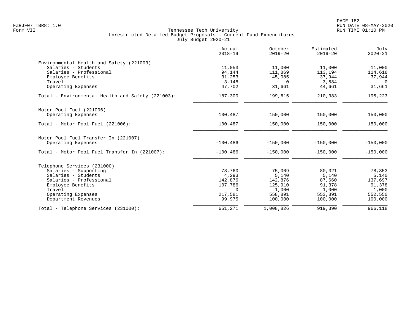|                                                   | Actual<br>$2018 - 19$ | October<br>$2019 - 20$ | Estimated<br>$2019 - 20$ | July<br>$2020 - 21$ |
|---------------------------------------------------|-----------------------|------------------------|--------------------------|---------------------|
| Environmental Health and Safety (221003)          |                       |                        |                          |                     |
| Salaries - Students                               | 11,053                | 11,000                 | 11,000                   | 11,000              |
| Salaries - Professional                           | 94,144                | 111,869                | 113,194                  | 114,618             |
| Employee Benefits                                 | 31,253                | 45,085                 | 37,944                   | 37,944              |
| Travel                                            | 3,148                 | $\Omega$               | 3,584                    | $\Omega$            |
| Operating Expenses                                | 47,702                | 31,661                 | 44,661                   | 31,661              |
| Total - Environmental Health and Safety (221003): | 187,300               | 199,615                | 210,383                  | 195,223             |
| Motor Pool Fuel (221006)                          |                       |                        |                          |                     |
| Operating Expenses                                | 100,487               | 150,000                | 150,000                  | 150,000             |
| Total - Motor Pool Fuel (221006):                 | 100,487               | 150,000                | 150,000                  | 150,000             |
| Motor Pool Fuel Transfer In (221007)              |                       |                        |                          |                     |
| Operating Expenses                                | $-100, 486$           | $-150,000$             | $-150,000$               | $-150,000$          |
| Total - Motor Pool Fuel Transfer In (221007):     | $-100, 486$           | $-150,000$             | $-150,000$               | $-150,000$          |
| Telephone Services (231000)                       |                       |                        |                          |                     |
| Salaries - Supporting                             | 78,760                | 75,009                 | 80,321                   | 78,353              |
| Salaries - Students                               | 4,293                 | 5,140                  | 5,140                    | 5,140               |
| Salaries - Professional                           | 142,876               | 142,876                | 87,660                   | 137,697             |
| Employee Benefits                                 | 107,786               | 125,910                | 91,378                   | 91,378              |
| Travel                                            | $\Omega$              | 1,000                  | 1,000                    | 1,000               |
| Operating Expenses                                | 217,581               | 558,891                | 553,891                  | 552,550             |
| Department Revenues                               | 99,975                | 100,000                | 100,000                  | 100,000             |
| Total - Telephone Services (231000):              | 651,271               | 1,008,826              | 919,390                  | 966,118             |
|                                                   |                       |                        |                          |                     |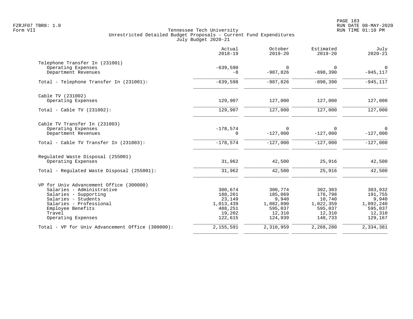|                                                  | Actual<br>$2018 - 19$ | October<br>$2019 - 20$ | Estimated<br>$2019 - 20$ | July<br>$2020 - 21$ |
|--------------------------------------------------|-----------------------|------------------------|--------------------------|---------------------|
| Telephone Transfer In (231001)                   |                       |                        |                          |                     |
| Operating Expenses<br>Department Revenues        | $-639,590$<br>$-8$    | $\Omega$<br>$-987,826$ | $\Omega$<br>$-898,390$   | 0<br>$-945, 117$    |
| Total - Telephone Transfer In (231001):          | $-639,598$            | $-987,826$             | $-898,390$               | $-945, 117$         |
| Cable TV (231002)                                |                       |                        |                          |                     |
| Operating Expenses                               | 129,907               | 127,000                | 127,000                  | 127,000             |
| Total - Cable TV $(231002)$ :                    | 129,907               | 127,000                | 127,000                  | 127,000             |
| Cable TV Transfer In (231003)                    |                       |                        |                          |                     |
| Operating Expenses<br>Department Revenues        | $-178,574$<br>0       | $\Omega$<br>$-127,000$ | $\Omega$<br>$-127,000$   | 0<br>$-127,000$     |
| Total - Cable TV Transfer In (231003):           | $-178,574$            | $-127,000$             | $-127,000$               | $-127,000$          |
| Regulated Waste Disposal (255001)                |                       |                        |                          |                     |
| Operating Expenses                               | 31,962                | 42,500                 | 25,916                   | 42,500              |
| Total - Regulated Waste Disposal (255001):       | 31,962                | 42,500                 | 25,916                   | 42,500              |
| VP for Univ Advancement Office (300000)          |                       |                        |                          |                     |
| Salaries - Administrative                        | 300,674               | 300,774                | 302,303                  | 303,932             |
| Salaries - Supporting                            | 188,261               | 185,069                | 176,798                  | 191,755             |
| Salaries - Students<br>Salaries - Professional   | 23,149<br>1,013,439   | 9,940<br>1,082,890     | 10,740<br>1,022,359      | 9,940<br>1,092,240  |
| Employee Benefits                                | 488,251               | 595,037                | 595,037                  | 595,037             |
| Travel                                           | 19,202                | 12,310                 | 12,310                   | 12,310              |
| Operating Expenses                               | 122,615               | 124,939                | 148,733                  | 129,167             |
| Total - VP for Univ Advancement Office (300000): | 2,155,591             | 2,310,959              | 2,268,280                | 2,334,381           |
|                                                  |                       |                        |                          |                     |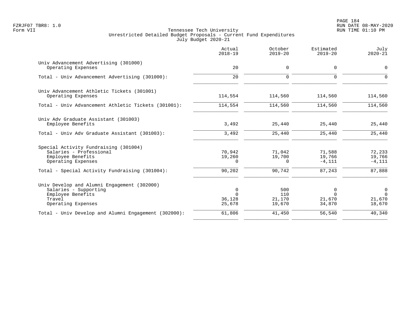PAGE 184 FZRJF07 TBR8: 1.0 RUN DATE 08-MAY-2020

|                                                                                                                           | Actual<br>$2018 - 19$                       | October<br>$2019 - 20$         | Estimated<br>$2019 - 20$          | July<br>$2020 - 21$                            |
|---------------------------------------------------------------------------------------------------------------------------|---------------------------------------------|--------------------------------|-----------------------------------|------------------------------------------------|
| Univ Advancement Advertising (301000)<br>Operating Expenses                                                               | 20                                          | 0                              | 0                                 | 0                                              |
| Total - Univ Advancement Advertising (301000):                                                                            | 20                                          | $\Omega$                       | $\Omega$                          | $\Omega$                                       |
| Univ Advancement Athletic Tickets (301001)<br>Operating Expenses                                                          | 114,554                                     | 114,560                        | 114,560                           | 114,560                                        |
| Total - Univ Advancement Athletic Tickets (301001):                                                                       | 114,554                                     | 114,560                        | 114,560                           | 114,560                                        |
| Univ Adv Graduate Assistant (301003)<br>Employee Benefits                                                                 | 3,492                                       | 25,440                         | 25,440                            | 25,440                                         |
| Total - Univ Adv Graduate Assistant (301003):                                                                             | 3,492                                       | 25,440                         | 25,440                            | 25,440                                         |
| Special Activity Fundraising (301004)<br>Salaries - Professional<br>Employee Benefits<br>Operating Expenses               | 70,942<br>19,260<br>0                       | 71,042<br>19,700<br>$\Omega$   | 71,588<br>19,766<br>$-4,111$      | 72,233<br>19,766<br>$-4,111$                   |
| Total - Special Activity Fundraising (301004):                                                                            | 90,202                                      | 90,742                         | 87,243                            | 87,888                                         |
| Univ Develop and Alumni Engagement (302000)<br>Salaries - Supporting<br>Employee Benefits<br>Travel<br>Operating Expenses | $\mathbf 0$<br>$\Omega$<br>36,128<br>25,678 | 500<br>110<br>21,170<br>19,670 | 0<br>$\Omega$<br>21,670<br>34,870 | $\overline{0}$<br>$\Omega$<br>21,670<br>18,670 |
| Total - Univ Develop and Alumni Engagement (302000):                                                                      | 61,806                                      | 41,450                         | 56,540                            | 40,340                                         |
|                                                                                                                           |                                             |                                |                                   |                                                |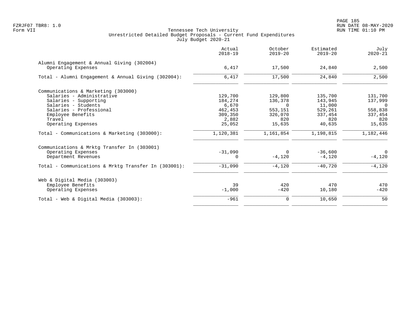| Actual<br>$2018 - 19$ | October<br>$2019 - 20$ | Estimated<br>$2019 - 20$ | July<br>$2020 - 21$ |
|-----------------------|------------------------|--------------------------|---------------------|
|                       |                        |                          |                     |
| 6,417                 | 17,500                 | 24,840                   | 2,500               |
| 6,417                 | 17,500                 | 24,840                   | 2,500               |
|                       |                        |                          |                     |
| 129,700               | 129,800                | 135,700                  | 131,700             |
| 184,274               | 136,378                | 143,945                  | 137,999             |
| 6,670                 | $\Omega$               | 11,000                   | $\overline{0}$      |
| 462,453               | 553,151                | 529,261                  | 558,838             |
| 309,350               | 326,070                | 337,454                  | 337,454             |
| 2,882                 | 820                    | 820                      | 820                 |
| 25,052                | 15,635                 | 40,635                   | 15,635              |
| 1,120,381             | 1,161,854              | 1,198,815                | 1,182,446           |
|                       |                        |                          |                     |
| $-31,090$             | $\Omega$               | $-36,600$                | $\overline{0}$      |
| 0                     | $-4,120$               | $-4,120$                 | $-4,120$            |
| $-31,090$             | $-4,120$               | $-40.720$                | $-4,120$            |
|                       |                        |                          |                     |
| 39                    | 420                    | 470                      | 470                 |
| $-1,000$              | $-420$                 | 10,180                   | $-420$              |
| $-961$                | $\mathbf 0$            | 10,650                   | 50                  |
|                       |                        |                          |                     |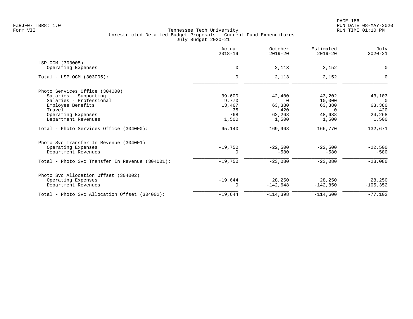| Actual<br>$2018 - 19$ | October<br>$2019 - 20$                        | Estimated<br>$2019 - 20$             | July<br>$2020 - 21$                            |
|-----------------------|-----------------------------------------------|--------------------------------------|------------------------------------------------|
|                       |                                               |                                      |                                                |
| $\mathbf 0$           | 2,113                                         | 2,152                                | $\mathbf 0$                                    |
| $\mathbf 0$           | 2,113                                         | 2,152                                | 0                                              |
|                       |                                               |                                      |                                                |
|                       |                                               |                                      | 43,103                                         |
|                       | $\Omega$                                      |                                      | $\Omega$                                       |
|                       |                                               |                                      | 63,380                                         |
| 35                    | 420                                           | $\Omega$                             | 420                                            |
|                       |                                               |                                      | 24,268                                         |
| 1,500                 | 1,500                                         | 1,500                                | 1,500                                          |
| 65,140                | 169,968                                       | 166,770                              | 132,671                                        |
|                       |                                               |                                      |                                                |
| $-19,750$             | $-22.500$                                     | $-22,500$                            | $-22,500$                                      |
| 0                     | $-580$                                        | $-580$                               | $-580$                                         |
| $-19,750$             | $-23,080$                                     | $-23,080$                            | $-23,080$                                      |
|                       |                                               |                                      |                                                |
|                       |                                               |                                      | 28,250                                         |
| 0                     | $-142,648$                                    | $-142,850$                           | $-105, 352$                                    |
| $-19,644$             | $-114,398$                                    | $-114,600$                           | $-77,102$                                      |
|                       | 39,600<br>9,770<br>13,467<br>768<br>$-19.644$ | 42,400<br>63,380<br>62,268<br>28,250 | 43,202<br>10,000<br>63,380<br>48,688<br>28,250 |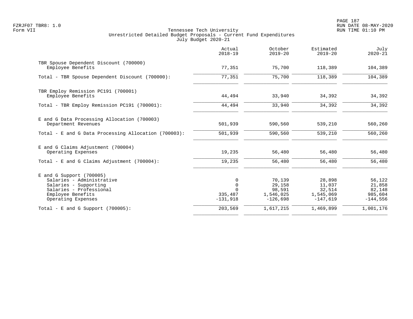PAGE 187 FZRJF07 TBR8: 1.0 RUN DATE 08-MAY-2020

|                                                                                                                                                        | Actual<br>$2018 - 19$                     | October<br>$2019 - 20$                                | Estimated<br>$2019 - 20$                              | July<br>$2020 - 21$                                 |
|--------------------------------------------------------------------------------------------------------------------------------------------------------|-------------------------------------------|-------------------------------------------------------|-------------------------------------------------------|-----------------------------------------------------|
| TBR Spouse Dependent Discount (700000)<br>Employee Benefits                                                                                            | 77,351                                    | 75,700                                                | 118,389                                               | 104,389                                             |
| Total - TBR Spouse Dependent Discount (700000):                                                                                                        | 77,351                                    | 75,700                                                | 118,389                                               | 104,389                                             |
| TBR Employ Remission PC191 (700001)<br>Employee Benefits                                                                                               | 44,494                                    | 33,940                                                | 34,392                                                | 34,392                                              |
| Total - TBR Employ Remission PC191 (700001):                                                                                                           | 44,494                                    | 33,940                                                | 34,392                                                | 34,392                                              |
| E and G Data Processing Allocation (700003)<br>Department Revenues                                                                                     | 501,939                                   | 590,560                                               | 539,210                                               | 560,260                                             |
| Total - E and G Data Processing Allocation (700003):                                                                                                   | 501,939                                   | 590,560                                               | 539,210                                               | 560,260                                             |
| E and G Claims Adjustment (700004)<br>Operating Expenses                                                                                               | 19,235                                    | 56,480                                                | 56,480                                                | 56,480                                              |
| Total - E and G Claims Adjustment $(700004)$ :                                                                                                         | 19,235                                    | 56,480                                                | 56,480                                                | 56,480                                              |
| $E$ and G Support (700005)<br>Salaries - Administrative<br>Salaries - Supporting<br>Salaries - Professional<br>Employee Benefits<br>Operating Expenses | 0<br>$\mathbf 0$<br>335,487<br>$-131,918$ | 70,139<br>29,158<br>98,591<br>1,546,025<br>$-126,698$ | 28,898<br>11,037<br>32,514<br>1,545,069<br>$-147,619$ | 56,122<br>21,858<br>82,148<br>985,604<br>$-144,556$ |
| Total - E and G Support $(700005)$ :                                                                                                                   | 203,569                                   | 1,617,215                                             | 1,469,899                                             | 1,001,176                                           |
|                                                                                                                                                        |                                           |                                                       |                                                       |                                                     |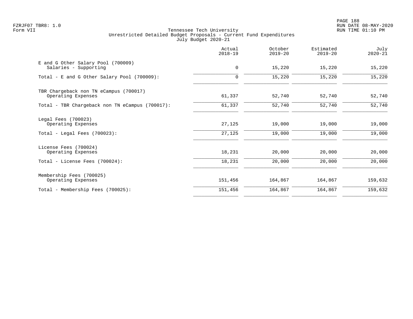PAGE 188 FZRJF07 TBR8: 1.0 RUN DATE 08-MAY-2020

|                                                                               | Actual<br>$2018 - 19$ | October<br>$2019 - 20$ | Estimated<br>$2019 - 20$ | July<br>$2020 - 21$ |
|-------------------------------------------------------------------------------|-----------------------|------------------------|--------------------------|---------------------|
| E and G Other Salary Pool (700009)<br>Salaries - Supporting                   | 0                     | 15,220                 | 15,220                   | 15,220              |
| Total - E and G Other Salary Pool (700009):                                   | $\mathbf 0$           | 15,220                 | 15,220                   | 15,220              |
| TBR Chargeback non TN eCampus (700017)<br>Operating Expenses                  | 61,337                | 52,740                 | 52,740                   | 52,740              |
| Total - TBR Chargeback non TN eCampus (700017):                               | 61,337                | 52,740                 | 52,740                   | 52,740              |
| Legal Fees (700023)<br>Operating Expenses<br>Total - Legal Fees $(700023)$ :  | 27,125<br>27,125      | 19,000<br>19,000       | 19,000<br>19,000         | 19,000<br>19,000    |
| License Fees (700024)<br>Operating Expenses<br>Total - License Fees (700024): | 18,231<br>18,231      | 20,000<br>20,000       | 20,000<br>20,000         | 20,000<br>20,000    |
| Membership Fees (700025)<br>Operating Expenses                                | 151,456               | 164,867                | 164,867                  | 159,632             |
| Total - Membership Fees (700025):                                             | 151,456               | 164,867                | 164,867                  | 159,632             |
|                                                                               |                       |                        |                          |                     |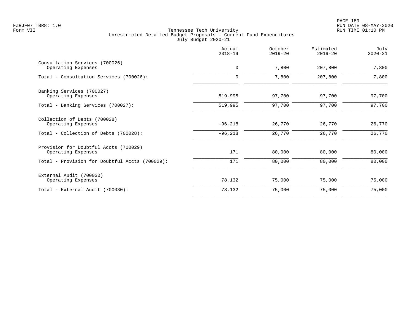PAGE 189 FZRJF07 TBR8: 1.0 RUN DATE 08-MAY-2020

|                                                             | Actual<br>$2018 - 19$ | October<br>$2019 - 20$ | Estimated<br>$2019 - 20$ | July<br>$2020 - 21$ |
|-------------------------------------------------------------|-----------------------|------------------------|--------------------------|---------------------|
| Consultation Services (700026)<br>Operating Expenses        | 0                     | 7,800                  | 207,800                  | 7,800               |
| Total - Consultation Services (700026):                     | $\mathbf 0$           | 7,800                  | 207,800                  | 7,800               |
| Banking Services (700027)<br>Operating Expenses             | 519,995               | 97,700                 | 97,700                   | 97,700              |
| Total - Banking Services (700027):                          | 519,995               | 97,700                 | 97,700                   | 97,700              |
| Collection of Debts (700028)<br>Operating Expenses          | $-96,218$             | 26,770                 | 26,770                   | 26,770              |
| Total - Collection of Debts (700028):                       | $-96,218$             | 26,770                 | 26,770                   | 26,770              |
| Provision for Doubtful Accts (700029)<br>Operating Expenses | 171                   | 80,000                 | 80,000                   | 80,000              |
| Total - Provision for Doubtful Accts (700029):              | 171                   | 80,000                 | 80,000                   | 80,000              |
| External Audit (700030)<br>Operating Expenses               | 78,132                | 75,000                 | 75,000                   | 75,000              |
| Total - External Audit (700030):                            | 78,132                | 75,000                 | 75,000                   | 75,000              |
|                                                             |                       |                        |                          |                     |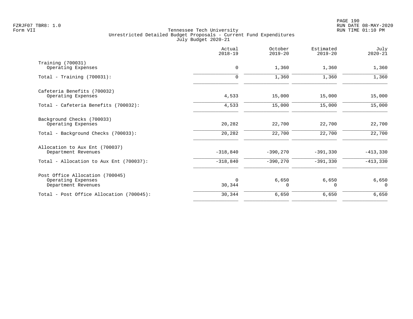|                                                                              | Actual<br>$2018 - 19$ | October<br>$2019 - 20$ | Estimated<br>$2019 - 20$ | July<br>$2020 - 21$ |
|------------------------------------------------------------------------------|-----------------------|------------------------|--------------------------|---------------------|
| Training (700031)<br>Operating Expenses                                      | $\mathbf 0$           | 1,360                  | 1,360                    | 1,360               |
| Total - Training $(700031)$ :                                                | $\mathbf 0$           | 1,360                  | 1,360                    | 1,360               |
| Cafeteria Benefits (700032)<br>Operating Expenses                            | 4,533                 | 15,000                 | 15,000                   | 15,000              |
| Total - Cafeteria Benefits (700032):                                         | 4,533                 | 15,000                 | 15,000                   | 15,000              |
| Background Checks (700033)<br>Operating Expenses                             | 20,282                | 22,700                 | 22,700                   | 22,700              |
| Total - Background Checks (700033):                                          | 20,282                | 22,700                 | 22,700                   | 22,700              |
| Allocation to Aux Ent (700037)<br>Department Revenues                        | $-318,840$            | $-390,270$             | $-391,330$               | $-413,330$          |
| Total - Allocation to Aux Ent (700037):                                      | $-318,840$            | $-390,270$             | $-391,330$               | $-413,330$          |
| Post Office Allocation (700045)<br>Operating Expenses<br>Department Revenues | $\Omega$<br>30,344    | 6,650<br>$\Omega$      | 6,650<br>$\Omega$        | $6,650$<br>$\Omega$ |
| Total - Post Office Allocation (700045):                                     | 30,344                | 6,650                  | 6,650                    | 6,650               |
|                                                                              |                       |                        |                          |                     |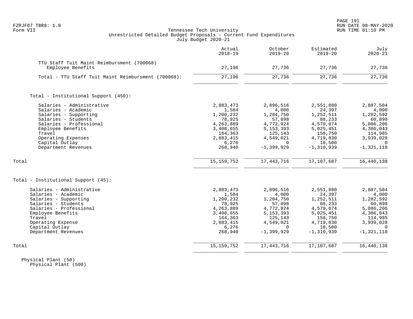# FZRJF07 TBR8: 1.0 RUN DATE 08-MAY-2020 Tennessee Tech University Unrestricted Detailed Budget Proposals - Current Fund Expenditures July Budget 2020-21

| Estimated<br>$2019 - 20$ | October<br>$2019 - 20$                                                                                                                                                                                                              | Actual<br>$2018 - 19$                                                                                                                                                                                                                       |                                                                                                                                                                                                                            |
|--------------------------|-------------------------------------------------------------------------------------------------------------------------------------------------------------------------------------------------------------------------------------|---------------------------------------------------------------------------------------------------------------------------------------------------------------------------------------------------------------------------------------------|----------------------------------------------------------------------------------------------------------------------------------------------------------------------------------------------------------------------------|
|                          |                                                                                                                                                                                                                                     |                                                                                                                                                                                                                                             | TTU Staff Tuit Maint Reimbursment (700068)                                                                                                                                                                                 |
| 27,736                   | 27,736                                                                                                                                                                                                                              | 27,196                                                                                                                                                                                                                                      | Employee Benefits                                                                                                                                                                                                          |
| 27,736                   | 27,736                                                                                                                                                                                                                              | 27,196                                                                                                                                                                                                                                      | Total - TTU Staff Tuit Maint Reimbursment (700068):                                                                                                                                                                        |
|                          |                                                                                                                                                                                                                                     |                                                                                                                                                                                                                                             | Total - Institutional Support (450):                                                                                                                                                                                       |
|                          |                                                                                                                                                                                                                                     |                                                                                                                                                                                                                                             | Salaries - Administrative                                                                                                                                                                                                  |
|                          |                                                                                                                                                                                                                                     |                                                                                                                                                                                                                                             | Salaries - Academic                                                                                                                                                                                                        |
|                          |                                                                                                                                                                                                                                     |                                                                                                                                                                                                                                             | Salaries - Supporting                                                                                                                                                                                                      |
|                          |                                                                                                                                                                                                                                     |                                                                                                                                                                                                                                             | Salaries - Students                                                                                                                                                                                                        |
|                          |                                                                                                                                                                                                                                     |                                                                                                                                                                                                                                             | Salaries - Professional                                                                                                                                                                                                    |
|                          |                                                                                                                                                                                                                                     |                                                                                                                                                                                                                                             | Employee Benefits                                                                                                                                                                                                          |
|                          |                                                                                                                                                                                                                                     |                                                                                                                                                                                                                                             | Travel                                                                                                                                                                                                                     |
|                          |                                                                                                                                                                                                                                     |                                                                                                                                                                                                                                             | Operating Expenses                                                                                                                                                                                                         |
|                          |                                                                                                                                                                                                                                     |                                                                                                                                                                                                                                             | Capital Outlay                                                                                                                                                                                                             |
| $-1, 310, 939$           | $-1, 399, 929$                                                                                                                                                                                                                      | 268,940                                                                                                                                                                                                                                     | Department Revenues                                                                                                                                                                                                        |
|                          |                                                                                                                                                                                                                                     |                                                                                                                                                                                                                                             | Total                                                                                                                                                                                                                      |
|                          |                                                                                                                                                                                                                                     |                                                                                                                                                                                                                                             |                                                                                                                                                                                                                            |
|                          |                                                                                                                                                                                                                                     |                                                                                                                                                                                                                                             | Total - Institutional Support (45):                                                                                                                                                                                        |
| 2,551,880                | 2,896,516                                                                                                                                                                                                                           | 2,883,473                                                                                                                                                                                                                                   | Salaries - Administrative                                                                                                                                                                                                  |
|                          |                                                                                                                                                                                                                                     |                                                                                                                                                                                                                                             | Salaries - Academic                                                                                                                                                                                                        |
|                          |                                                                                                                                                                                                                                     |                                                                                                                                                                                                                                             | Salaries - Supporting                                                                                                                                                                                                      |
|                          |                                                                                                                                                                                                                                     |                                                                                                                                                                                                                                             | Salaries - Students                                                                                                                                                                                                        |
|                          |                                                                                                                                                                                                                                     |                                                                                                                                                                                                                                             | Salaries - Professional                                                                                                                                                                                                    |
|                          |                                                                                                                                                                                                                                     |                                                                                                                                                                                                                                             | Employee Benefits                                                                                                                                                                                                          |
|                          |                                                                                                                                                                                                                                     |                                                                                                                                                                                                                                             | Travel                                                                                                                                                                                                                     |
|                          |                                                                                                                                                                                                                                     |                                                                                                                                                                                                                                             | Operating Expense                                                                                                                                                                                                          |
|                          |                                                                                                                                                                                                                                     |                                                                                                                                                                                                                                             | Capital Outlay                                                                                                                                                                                                             |
|                          |                                                                                                                                                                                                                                     |                                                                                                                                                                                                                                             | Department Revenues                                                                                                                                                                                                        |
| 17,107,687               | 17, 443, 716                                                                                                                                                                                                                        | 15, 159, 752                                                                                                                                                                                                                                | Total                                                                                                                                                                                                                      |
|                          | 2,551,880<br>24,397<br>1,252,511<br>88,233<br>4,579,074<br>5,025,451<br>158,750<br>4,719,830<br>18,500<br>17,107,687<br>24,397<br>1,252,511<br>88,233<br>4,579,074<br>5,025,451<br>158,750<br>4,719,830<br>18,500<br>$-1, 310, 939$ | 2,896,516<br>4,000<br>1,284,750<br>57,898<br>4,772,924<br>5, 153, 393<br>125,143<br>4,549,021<br>$\Omega$<br>17, 443, 716<br>4,000<br>1,284,750<br>57,898<br>4,772,924<br>5, 153, 393<br>125,143<br>4,549,021<br>$\Omega$<br>$-1, 399, 929$ | 2,883,473<br>1,584<br>1,200,232<br>78,925<br>4,263,889<br>3,408,655<br>164,363<br>2,883,415<br>6,276<br>15, 159, 752<br>1,584<br>1,200,232<br>78,925<br>4,263,889<br>3,408,655<br>164,363<br>2,883,415<br>6,276<br>268,940 |

 Physical Plant (50) Physical Plant (500)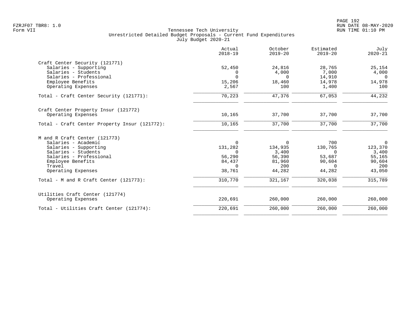|                                               | Actual<br>$2018 - 19$ | October<br>$2019 - 20$ | Estimated<br>$2019 - 20$ | July<br>$2020 - 21$ |
|-----------------------------------------------|-----------------------|------------------------|--------------------------|---------------------|
| Craft Center Security (121771)                |                       |                        |                          |                     |
| Salaries - Supporting                         | 52,450                | 24,816                 | 28,765                   | 25,154              |
| Salaries - Students                           | 0                     | 4,000                  | 7,000                    | 4,000               |
| Salaries - Professional                       | $\Omega$              | $\Omega$               | 14,910                   | $\overline{0}$      |
| Employee Benefits                             | 15,206                | 18,460                 | 14,978                   | 14,978              |
| Operating Expenses                            | 2,567                 | 100                    | 1,400                    | 100                 |
| Total - Craft Center Security (121771):       | 70,223                | 47,376                 | 67,053                   | 44,232              |
| Craft Center Property Insur (121772)          |                       |                        |                          |                     |
| Operating Expenses                            | 10,165                | 37,700                 | 37,700                   | 37,700              |
| Total - Craft Center Property Insur (121772): | 10,165                | 37,700                 | 37,700                   | 37,700              |
| M and R Craft Center (121773)                 |                       |                        |                          |                     |
| Salaries - Academic                           | $\Omega$              | $\overline{0}$         | 700                      | $\mathsf{O}$        |
| Salaries - Supporting                         | 131,282               | 134,935                | 130,765                  | 123,370             |
| Salaries - Students                           | $\Omega$              | 3,400                  | $\Omega$                 | 3,400               |
| Salaries - Professional                       | 56,290                | 56,390                 | 53,687                   | 55,165              |
| Employee Benefits                             | 84,437                | 81,960                 | 90,604                   | 90,604              |
| Travel                                        | $\Omega$              | 200                    | $\Omega$                 | 200                 |
| Operating Expenses                            | 38,761                | 44,282                 | 44,282                   | 43,050              |
| Total - M and R Craft Center (121773):        | 310,770               | 321,167                | 320,038                  | 315,789             |
| Utilities Craft Center (121774)               |                       |                        |                          |                     |
| Operating Expenses                            | 220,691               | 260,000                | 260,000                  | 260,000             |
| Total - Utilities Craft Center (121774):      | 220,691               | 260,000                | 260,000                  | 260,000             |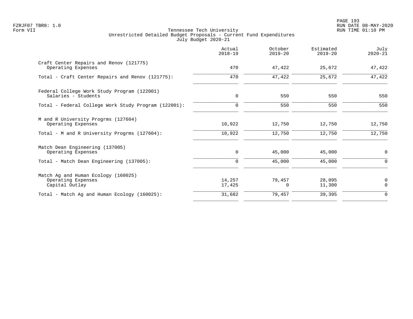|                                                                             | Actual<br>$2018 - 19$ | October<br>$2019 - 20$ | Estimated<br>$2019 - 20$ | July<br>$2020 - 21$ |
|-----------------------------------------------------------------------------|-----------------------|------------------------|--------------------------|---------------------|
| Craft Center Repairs and Renov (121775)<br>Operating Expenses               | 470                   | 47,422                 | 25,672                   | 47,422              |
| Total - Craft Center Repairs and Renov (121775):                            | 470                   | 47,422                 | 25,672                   | 47,422              |
| Federal College Work Study Program (122001)<br>Salaries - Students          | 0                     | 550                    | 550                      | 550                 |
| Total - Federal College Work Study Program (122001):                        | $\mathbf 0$           | 550                    | 550                      | 550                 |
| M and R University Progrms (127604)<br>Operating Expenses                   | 10,922                | 12,750                 | 12,750                   | 12,750              |
| Total - M and R University Progrms (127604):                                | 10,922                | 12,750                 | 12,750                   | 12,750              |
| Match Dean Engineering (137005)<br>Operating Expenses                       | 0                     | 45,000                 | 45,000                   | 0                   |
| Total - Match Dean Engineering (137005):                                    | 0                     | 45,000                 | 45,000                   | 0                   |
| Match Ag and Human Ecology (160025)<br>Operating Expenses<br>Capital Outlay | 14,257<br>17,425      | 79,457<br>$\Omega$     | 28,095<br>11,300         | 0<br>$\mathbf 0$    |
| Total - Match Ag and Human Ecology (160025):                                | 31,682                | 79,457                 | 39,395                   | 0                   |
|                                                                             |                       |                        |                          |                     |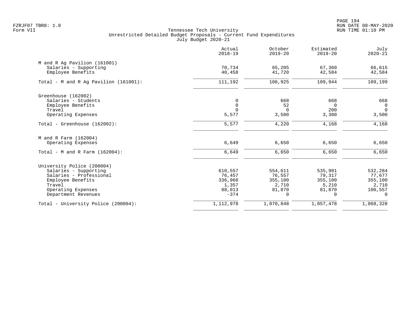PAGE 194 FZRJF07 TBR8: 1.0 RUN DATE 08-MAY-2020

|                                          | Actual<br>$2018 - 19$ | October<br>$2019 - 20$ | Estimated<br>$2019 - 20$ | July<br>$2020 - 21$ |
|------------------------------------------|-----------------------|------------------------|--------------------------|---------------------|
| M and R Ag Pavilion (161001)             |                       |                        |                          |                     |
| Salaries - Supporting                    | 70,734                | 65,205                 | 67,360                   | 66,615              |
| Employee Benefits                        | 40,458                | 41,720                 | 42,584                   | 42,584              |
| Total - M and R Aq Pavilion $(161001)$ : | 111,192               | 106,925                | 109,944                  | 109,199             |
| Greenhouse (162002)                      |                       |                        |                          |                     |
| Salaries - Students                      | 0                     | 668                    | 668                      | 668                 |
| Employee Benefits                        | $\mathbf 0$           | 52                     | $\Omega$                 | $\mathsf{O}$        |
| Travel                                   | $\Omega$              | $\overline{0}$         | 200                      | $\mathbf 0$         |
| Operating Expenses                       | 5,577                 | 3,500                  | 3,300                    | 3,500               |
| Total - Greenhouse $(162002)$ :          | 5,577                 | 4,220                  | 4,168                    | 4,168               |
| M and R Farm (162004)                    |                       |                        |                          |                     |
| Operating Expenses                       | 6,649                 | 6,650                  | 6,650                    | 6,650               |
| Total - M and R Farm $(162004)$ :        | 6,649                 | 6,650                  | 6,650                    | 6,650               |
| University Police (200004)               |                       |                        |                          |                     |
| Salaries - Supporting                    | 610,557               | 554,611                | 535,981                  | 532,284             |
| Salaries - Professional                  | 76,457                | 76,557                 | 79,317                   | 77,677              |
| Employee Benefits                        | 336,968               | 355,100                | 355,100                  | 355,100             |
| Travel                                   | 1,357                 | 2,710                  | 5,210                    | 2,710               |
| Operating Expenses                       | 88,013                | 81,870                 | 81,870                   | 100,557             |
| Department Revenues                      | $-374$                | $\mathbf 0$            | 0                        | 0                   |
| Total - University Police (200004):      | 1,112,978             | 1,070,848              | 1,057,478                | 1,068,328           |
|                                          |                       |                        |                          |                     |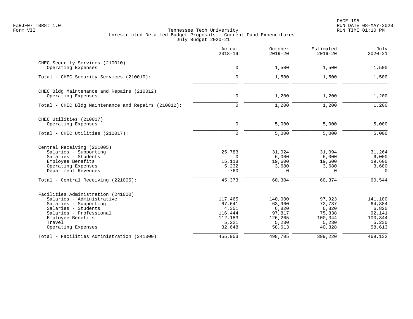|                                                     | Actual<br>$2018 - 19$ | October<br>$2019 - 20$ | Estimated<br>$2019 - 20$ | July<br>$2020 - 21$  |
|-----------------------------------------------------|-----------------------|------------------------|--------------------------|----------------------|
| CHEC Security Services (210010)                     |                       |                        |                          |                      |
| Operating Expenses                                  | $\mathbf 0$           | 1,500                  | 1,500                    | 1,500                |
| Total - CHEC Security Services (210010):            | $\mathbf 0$           | 1,500                  | 1,500                    | 1,500                |
| CHEC Bldg Maintenance and Repairs (210012)          |                       |                        |                          |                      |
| Operating Expenses                                  | $\mathsf{O}$          | 1,200                  | 1,200                    | 1,200                |
| Total - CHEC Bldg Maintenance and Repairs (210012): | $\mathbf 0$           | 1,200                  | 1,200                    | 1,200                |
| CHEC Utilities (210017)                             |                       |                        |                          |                      |
| Operating Expenses                                  | $\mathbf 0$           | 5,000                  | 5,000                    | 5,000                |
| Total - CHEC Utilities (210017):                    | $\mathbf 0$           | 5,000                  | 5,000                    | 5,000                |
| Central Receiving (221005)                          |                       |                        |                          |                      |
| Salaries - Supporting                               | 25,783                | 31,024                 | 31,094                   | 31,264               |
| Salaries - Students                                 | $\Omega$              | 6,000                  | 6,000                    | 6,000                |
| Employee Benefits                                   | 15,118                | 19,600                 | 19,600                   | 19,600               |
| Operating Expenses<br>Department Revenues           | 5,232<br>$-760$       | 3,680<br>$\Omega$      | 3,680<br>$\Omega$        | 3,680<br>$\mathbf 0$ |
|                                                     |                       |                        |                          |                      |
| Total - Central Receiving (221005):                 | 45,373                | 60,304                 | 60,374                   | 60,544               |
| Facilities Administration (241000)                  |                       |                        |                          |                      |
| Salaries - Administrative                           | 117,465               | 140,000                | 97,923                   | 141,100              |
| Salaries - Supporting                               | 67,641                | 63,960                 | 72,737                   | 64,884               |
| Salaries - Students                                 | 4,351                 | 6,820                  | 6,820                    | 6,820                |
| Salaries - Professional                             | 116,444               | 97,817                 | 75,838                   | 92,141               |
| Employee Benefits                                   | 112,183               | 126,265                | 100,344                  | 100,344              |
| Travel<br>Operating Expenses                        | 5,221<br>32,648       | 5,230<br>58,613        | 5,230<br>40,328          | 5,230<br>58,613      |
| Total - Facilities Administration (241000):         | 455,953               | 498,705                | 399,220                  | 469,132              |
|                                                     |                       |                        |                          |                      |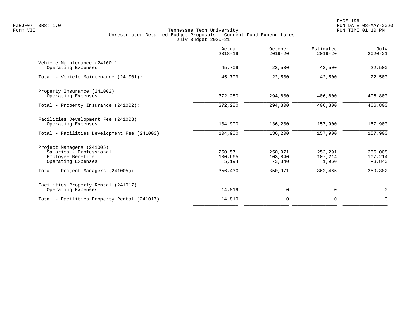|                                                                                                           | Actual<br>$2018 - 19$       | October<br>$2019 - 20$         | Estimated<br>$2019 - 20$    | July<br>$2020 - 21$            |
|-----------------------------------------------------------------------------------------------------------|-----------------------------|--------------------------------|-----------------------------|--------------------------------|
| Vehicle Maintenance (241001)<br>Operating Expenses                                                        | 45,709                      | 22,500                         | 42,500                      | 22,500                         |
| Total - Vehicle Maintenance (241001):                                                                     | 45,709                      | 22,500                         | 42,500                      | 22,500                         |
| Property Insurance (241002)<br>Operating Expenses                                                         | 372,280                     | 294,800                        | 406,800                     | 406,800                        |
| Total - Property Insurance (241002):                                                                      | 372,280                     | 294,800                        | 406,800                     | 406,800                        |
| Facilities Development Fee (241003)<br>Operating Expenses<br>Total - Facilities Development Fee (241003): | 104,900<br>104,900          | 136,200<br>136,200             | 157,900<br>157,900          | 157,900<br>157,900             |
| Project Managers (241005)<br>Salaries - Professional<br>Employee Benefits<br>Operating Expenses           | 250,571<br>100,665<br>5,194 | 250,971<br>103,840<br>$-3,840$ | 253,291<br>107,214<br>1,960 | 256,008<br>107,214<br>$-3,840$ |
| Total - Project Managers (241005):                                                                        | 356,430                     | 350,971                        | 362,465                     | 359,382                        |
| Facilities Property Rental (241017)<br>Operating Expenses                                                 | 14,819                      | 0                              | $\mathbf 0$                 | $\mathbf 0$                    |
| Total - Facilities Property Rental (241017):                                                              | 14,819                      | $\mathbf 0$                    | $\mathbf 0$                 | $\mathbf 0$                    |
|                                                                                                           |                             |                                |                             |                                |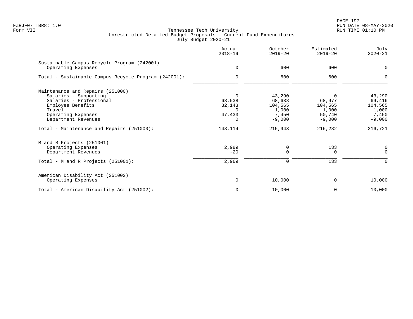|                                                                   | Actual<br>$2018 - 19$ | October<br>$2019 - 20$ | Estimated<br>$2019 - 20$ | July<br>$2020 - 21$ |
|-------------------------------------------------------------------|-----------------------|------------------------|--------------------------|---------------------|
| Sustainable Campus Recycle Program (242001)<br>Operating Expenses | $\mathbf 0$           | 600                    | 600                      | $\mathbf 0$         |
| Total - Sustainable Campus Recycle Program (242001):              | $\mathbf 0$           | 600                    | 600                      | $\mathbf 0$         |
| Maintenance and Repairs (251000)                                  |                       |                        |                          |                     |
| Salaries - Supporting                                             | $\Omega$              | 43,290                 |                          | 43,290              |
| Salaries - Professional                                           | 68,538                | 68,638                 | 68,977                   | 69,416              |
| Employee Benefits                                                 | 32,143                | 104,565                | 104,565                  | 104,565             |
| Travel                                                            | $\Omega$              | 1,000                  | 1,000                    | 1,000               |
| Operating Expenses<br>Department Revenues                         | 47,433<br>$\Omega$    | 7,450<br>$-9,000$      | 50,740<br>$-9,000$       | 7,450<br>$-9,000$   |
| Total - Maintenance and Repairs (251000):                         | 148,114               | 215,943                | 216,282                  | 216,721             |
| M and R Projects (251001)                                         |                       |                        |                          |                     |
| Operating Expenses                                                | 2,989                 | 0                      | 133                      | 0                   |
| Department Revenues                                               | $-20$                 | 0                      | 0                        | $\mathbf 0$         |
| Total - M and R Projects $(251001)$ :                             | 2,969                 | 0                      | 133                      | 0                   |
| American Disability Act (251002)                                  |                       |                        |                          |                     |
| Operating Expenses                                                | 0                     | 10,000                 | 0                        | 10,000              |
| Total - American Disability Act (251002):                         | $\Omega$              | 10,000                 | 0                        | 10,000              |
|                                                                   |                       |                        |                          |                     |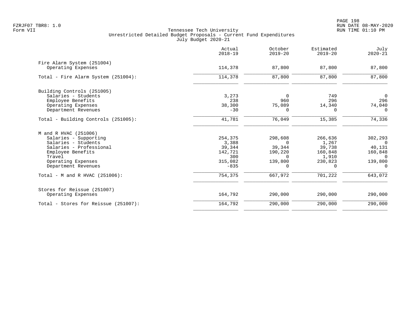|                                      | Actual<br>$2018 - 19$ | October<br>$2019 - 20$ | Estimated<br>$2019 - 20$ | July<br>$2020 - 21$ |
|--------------------------------------|-----------------------|------------------------|--------------------------|---------------------|
| Fire Alarm System (251004)           |                       |                        |                          |                     |
| Operating Expenses                   | 114,378               | 87,800                 | 87,800                   | 87,800              |
| Total - Fire Alarm System (251004):  | 114,378               | 87,800                 | 87,800                   | 87,800              |
| Building Controls (251005)           |                       |                        |                          |                     |
| Salaries - Students                  | 3,273                 | $\Omega$               | 749                      | $\overline{0}$      |
| Employee Benefits                    | 238                   | 960                    | 296                      | 296                 |
| Operating Expenses                   | 38,300                | 75,089                 | 14,340                   | 74,040              |
| Department Revenues                  | $-30$                 | $\Omega$               | <sup>0</sup>             | $\Omega$            |
| Total - Building Controls (251005):  | 41,781                | 76,049                 | 15,385                   | 74,336              |
| M and R HVAC (251006)                |                       |                        |                          |                     |
| Salaries - Supporting                | 254,375               | 298,608                | 266,636                  | 302,293             |
| Salaries - Students                  | 3,388                 | $\Omega$               | 1,267                    | $\Omega$            |
| Salaries - Professional              | 39,344                | 39,344                 | 39,738                   | 40,131              |
| Employee Benefits                    | 142,721               | 190,220                | 160,848                  | 160,848             |
| Travel                               | 300                   | $\Omega$               | 1,910                    | $\Omega$            |
| Operating Expenses                   | 315,082               | 139,800                | 230,823                  | 139,800             |
| Department Revenues                  | $-835$                | $\Omega$               | $\Omega$                 | $\Omega$            |
| Total - M and R HVAC $(251006)$ :    | 754,375               | 667,972                | 701,222                  | 643,072             |
| Stores for Reissue (251007)          |                       |                        |                          |                     |
| Operating Expenses                   | 164,792               | 290,000                | 290,000                  | 290,000             |
| Total - Stores for Reissue (251007): | 164,792               | 290,000                | 290,000                  | 290,000             |
|                                      |                       |                        |                          |                     |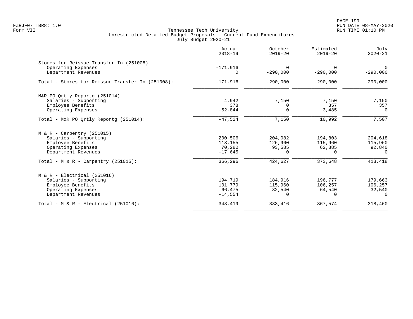|                                                  | Actual<br>$2018 - 19$  | October<br>$2019 - 20$ | Estimated<br>$2019 - 20$ | July<br>$2020 - 21$    |
|--------------------------------------------------|------------------------|------------------------|--------------------------|------------------------|
| Stores for Reissue Transfer In (251008)          |                        |                        |                          |                        |
| Operating Expenses<br>Department Revenues        | $-171,916$<br>$\Omega$ | $\Omega$<br>$-290,000$ | $\Omega$<br>$-290,000$   | $\Omega$<br>$-290,000$ |
| Total - Stores for Reissue Transfer In (251008): | $-171,916$             | $-290,000$             | $-290,000$               | $-290,000$             |
| M&R PO Ortly Reportg (251014)                    |                        |                        |                          |                        |
| Salaries - Supporting                            | 4,942                  | 7,150                  | 7,150                    | 7,150                  |
| Employee Benefits                                | 378                    | $\Omega$               | 357                      | 357                    |
| Operating Expenses                               | $-52,844$              | $\Omega$               | 3,485                    | $\Omega$               |
| Total - M&R PO Ortly Reportq (251014):           | $-47,524$              | 7,150                  | 10,992                   | 7,507                  |
| $M & R - Carpentry (251015)$                     |                        |                        |                          |                        |
| Salaries - Supporting                            | 200,506                | 204,082                | 194,803                  | 204,618                |
| Employee Benefits                                | 113,155                | 126,960                | 115,960                  | 115,960                |
| Operating Expenses                               | 70,280                 | 93,585                 | 62,885                   | 92,840                 |
| Department Revenues                              | $-17,645$              | $\Omega$               | $\Omega$                 | $\Omega$               |
| Total - M & R - Carpentry $(251015)$ :           | 366,296                | 424,627                | 373,648                  | 413,418                |
| $M & R - Electrical (251016)$                    |                        |                        |                          |                        |
| Salaries - Supporting                            | 194,719                | 184,916                | 196,777                  | 179,663                |
| Employee Benefits                                | 101,779                | 115,960                | 106,257                  | 106,257                |
| Operating Expenses                               | 66,475                 | 32,540                 | 64,540                   | 32,540                 |
| Department Revenues                              | $-14,554$              | $\Omega$               | $\Omega$                 | $\Omega$               |
| Total - $M & R - Electrical (251016)$ :          | 348,419                | 333,416                | 367,574                  | 318,460                |
|                                                  |                        |                        |                          |                        |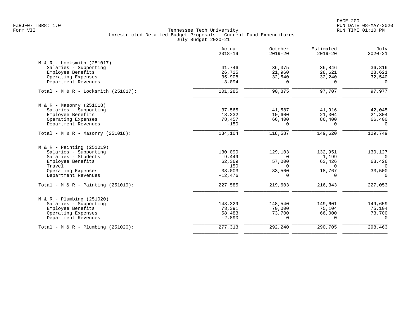|                                        | Actual<br>$2018 - 19$ | October<br>$2019 - 20$ | Estimated<br>$2019 - 20$ | July<br>$2020 - 21$ |
|----------------------------------------|-----------------------|------------------------|--------------------------|---------------------|
| $M & R - Locksmith (251017)$           |                       |                        |                          |                     |
| Salaries - Supporting                  | 41,746                | 36,375                 | 36,846                   | 36,816              |
| Employee Benefits                      | 26,725                | 21,960                 | 28,621                   | 28,621              |
| Operating Expenses                     | 35,908                | 32,540                 | 32,240                   | 32,540              |
| Department Revenues                    | $-3,094$              | $\Omega$               | $\Omega$                 | $\Omega$            |
| Total - $M & R - Locksmith (251017)$ : | 101,285               | 90,875                 | 97,707                   | 97,977              |
| $M & R - Massonry (251018)$            |                       |                        |                          |                     |
| Salaries - Supporting                  | 37,565                | 41,587                 | 41,916                   | 42,045              |
| Employee Benefits                      | 18,232                | 10,600                 | 21,304                   | 21,304              |
| Operating Expenses                     | 78,457                | 66,400                 | 86,400                   | 66,400              |
| Department Revenues                    | $-150$                | $\Omega$               | $\Omega$                 | $\Omega$            |
| Total - M & R - Masonry $(251018)$ :   | 134,104               | 118,587                | 149,620                  | 129,749             |
| $M & R - \text{Pairting} (251019)$     |                       |                        |                          |                     |
| Salaries - Supporting                  | 130,090               | 129,103                | 132,951                  | 130,127             |
| Salaries - Students                    | 9,449                 | $\Omega$               | 1,199                    | $\Omega$            |
| Employee Benefits                      | 62,369                | 57,000                 | 63,426                   | 63,426              |
| Travel                                 | 150                   | $\Omega$               | $\Omega$                 | $\Omega$            |
| Operating Expenses                     | 38,003                | 33,500                 | 18,767                   | 33,500              |
| Department Revenues                    | $-12,476$             | $\Omega$               | $\Omega$                 | $\Omega$            |
| Total - M & R - Painting $(251019)$ :  | 227,585               | 219,603                | 216,343                  | 227,053             |
| $M & R - Plumbing (251020)$            |                       |                        |                          |                     |
| Salaries - Supporting                  | 148,329               | 148,540                | 149,601                  | 149,659             |
| Employee Benefits                      | 73,391                | 70,000                 | 75,104                   | 75,104              |
| Operating Expenses                     | 58,483                | 73,700                 | 66,000                   | 73,700              |
| Department Revenues                    | $-2,890$              | $\Omega$               | $\Omega$                 | $\cap$              |
| Total - M & R - Plumbing $(251020)$ :  | 277,313               | 292,240                | 290,705                  | 298,463             |
|                                        |                       |                        |                          |                     |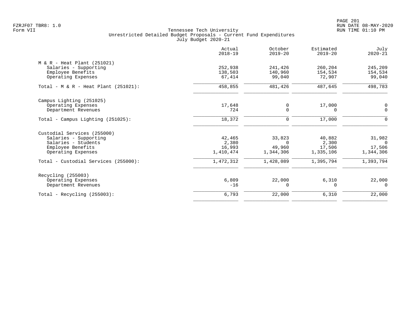PAGE 201 FZRJF07 TBR8: 1.0 RUN DATE 08-MAY-2020

| Actual<br>$2018 - 19$ | October<br>$2019 - 20$ | Estimated<br>$2019 - 20$ | July<br>$2020 - 21$ |
|-----------------------|------------------------|--------------------------|---------------------|
|                       |                        |                          |                     |
| 252,938               | 241,426                | 260,204                  | 245,209             |
| 138,503               | 140,960                | 154,534                  | 154,534             |
| 67,414                | 99,040                 | 72,907                   | 99,040              |
| 458,855               | 481,426                | 487,645                  | 498,783             |
|                       |                        |                          |                     |
| 17,648                | 0                      | 17,000                   | 0                   |
| 724                   | $\Omega$               | $\Omega$                 | $\Omega$            |
| 18,372                | 0                      | 17,000                   | 0                   |
|                       |                        |                          |                     |
| 42,465                | 33,823                 | 40,882                   | 31,982              |
| 2,380                 | $\Omega$               | 2,300                    | $\Omega$            |
| 16,993                | 49,960                 | 17,506                   | 17,506              |
| 1,410,474             | 1,344,306              | 1,335,106                | 1,344,306           |
| 1,472,312             | 1,428,089              | 1,395,794                | 1,393,794           |
|                       |                        |                          |                     |
| 6,809                 | 22,000                 | 6,310                    | 22,000              |
| $-16$                 | 0                      | $\Omega$                 | $\Omega$            |
| 6,793                 | 22,000                 | 6,310                    | 22,000              |
|                       |                        |                          |                     |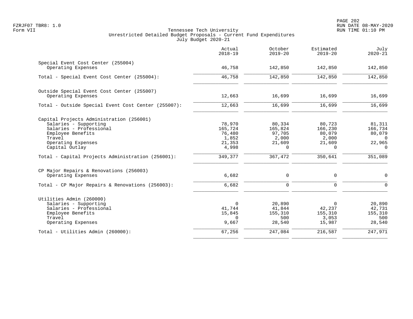|                                                                                                                                                                     | Actual<br>$2018 - 19$                                   | October<br>$2019 - 20$                                     | Estimated<br>$2019 - 20$                                   | July<br>$2020 - 21$                                           |
|---------------------------------------------------------------------------------------------------------------------------------------------------------------------|---------------------------------------------------------|------------------------------------------------------------|------------------------------------------------------------|---------------------------------------------------------------|
| Special Event Cost Center (255004)<br>Operating Expenses                                                                                                            | 46,758                                                  | 142,850                                                    | 142,850                                                    | 142,850                                                       |
| Total - Special Event Cost Center (255004):                                                                                                                         | 46,758                                                  | 142,850                                                    | 142,850                                                    | 142,850                                                       |
| Outside Special Event Cost Center (255007)<br>Operating Expenses                                                                                                    | 12,663                                                  | 16,699                                                     | 16,699                                                     | 16,699                                                        |
| Total - Outside Special Event Cost Center (255007):                                                                                                                 | 12,663                                                  | 16,699                                                     | 16,699                                                     | 16,699                                                        |
| Capital Projects Administration (256001)<br>Salaries - Supporting<br>Salaries - Professional<br>Employee Benefits<br>Travel<br>Operating Expenses<br>Capital Outlay | 78,970<br>165,724<br>76,480<br>1,852<br>21,353<br>4,998 | 80,334<br>165,824<br>97,705<br>2,000<br>21,609<br>$\Omega$ | 80,723<br>166,230<br>80,079<br>2,000<br>21,609<br>$\Omega$ | 81,311<br>166,734<br>80,079<br>$\Omega$<br>22,965<br>$\Omega$ |
| Total - Capital Projects Administration (256001):                                                                                                                   | 349,377                                                 | 367,472                                                    | 350,641                                                    | 351,089                                                       |
| CP Major Repairs & Renovations (256003)<br>Operating Expenses                                                                                                       | 6,682                                                   | 0<br>$\mathsf{O}$                                          | $\mathbf 0$<br>$\mathbf 0$                                 | 0<br>$\mathbf 0$                                              |
| Total - CP Major Repairs & Renovations (256003):                                                                                                                    | 6,682                                                   |                                                            |                                                            |                                                               |
| Utilities Admin (260000)<br>Salaries - Supporting<br>Salaries - Professional<br>Employee Benefits<br>Travel<br>Operating Expenses                                   | 0<br>41,744<br>15,845<br>$\Omega$<br>9,667              | 20,890<br>41,844<br>155,310<br>500<br>28,540               | $\Omega$<br>42,237<br>155,310<br>3,053<br>15,987           | 20,890<br>42,731<br>155,310<br>500<br>28,540                  |
| Total - Utilities Admin (260000):                                                                                                                                   | 67,256                                                  | 247,084                                                    | 216,587                                                    | 247,971                                                       |
|                                                                                                                                                                     |                                                         |                                                            |                                                            |                                                               |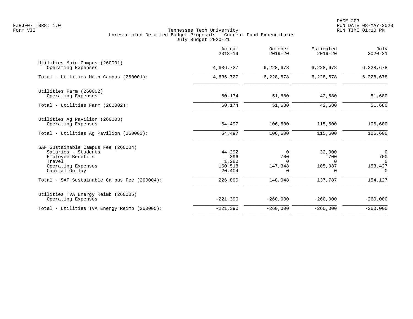|                                                                                                                                   | Actual<br>$2018 - 19$                       | October<br>$2019 - 20$                      | Estimated<br>$2019 - 20$                         | July<br>$2020 - 21$                                      |
|-----------------------------------------------------------------------------------------------------------------------------------|---------------------------------------------|---------------------------------------------|--------------------------------------------------|----------------------------------------------------------|
| Utilities Main Campus (260001)<br>Operating Expenses                                                                              | 4,636,727                                   | 6,228,678                                   | 6,228,678                                        | 6,228,678                                                |
| Total - Utilities Main Campus (260001):                                                                                           | 4,636,727                                   | 6,228,678                                   | 6,228,678                                        | 6,228,678                                                |
| Utilities Farm (260002)<br>Operating Expenses                                                                                     | 60,174                                      | 51,680                                      | 42,680                                           | 51,680                                                   |
| Total - Utilities Farm (260002):                                                                                                  | 60,174                                      | 51,680                                      | 42,680                                           | 51,680                                                   |
| Utilities Ag Pavilion (260003)<br>Operating Expenses                                                                              | 54,497                                      | 106,600                                     | 115,600                                          | 106,600                                                  |
| Total - Utilities Aq Pavilion (260003):                                                                                           | 54,497                                      | 106,600                                     | 115,600                                          | 106,600                                                  |
| SAF Sustainable Campus Fee (260004)<br>Salaries - Students<br>Employee Benefits<br>Travel<br>Operating Expenses<br>Capital Outlay | 44,292<br>396<br>1,280<br>160,518<br>20,404 | $\Omega$<br>700<br>$\Omega$<br>147,348<br>0 | 32,000<br>700<br>$\Omega$<br>105,087<br>$\Omega$ | $\overline{0}$<br>700<br>$\Omega$<br>153,427<br>$\Omega$ |
| Total - SAF Sustainable Campus Fee (260004):                                                                                      | 226,890                                     | 148,048                                     | 137,787                                          | 154,127                                                  |
| Utilities TVA Energy Reimb (260005)<br>Operating Expenses                                                                         | $-221,390$                                  | $-260,000$                                  | $-260,000$                                       | $-260,000$                                               |
| Total - Utilities TVA Energy Reimb (260005):                                                                                      | $-221,390$                                  | $-260,000$                                  | $-260,000$                                       | $-260,000$                                               |
|                                                                                                                                   |                                             |                                             |                                                  |                                                          |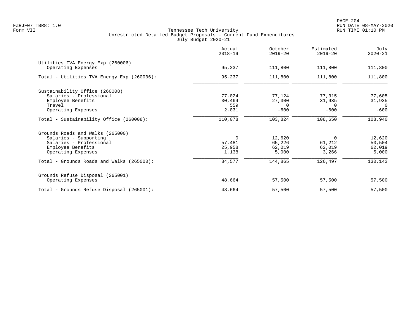|                                                                                                                                 | Actual<br>$2018 - 19$                    | October<br>$2019 - 20$                 | Estimated<br>$2019 - 20$               | July<br>$2020 - 21$                          |
|---------------------------------------------------------------------------------------------------------------------------------|------------------------------------------|----------------------------------------|----------------------------------------|----------------------------------------------|
| Utilities TVA Energy Exp (260006)<br>Operating Expenses                                                                         | 95,237                                   | 111,800                                | 111,800                                | 111,800                                      |
| Total - Utilities TVA Energy Exp (260006):                                                                                      | 95,237                                   | 111,800                                | 111,800                                | 111,800                                      |
| Sustainability Office (260008)<br>Salaries - Professional<br>Employee Benefits<br>Travel<br>Operating Expenses                  | 77,024<br>30,464<br>559<br>2,031         | 77,124<br>27,300<br>$\Omega$<br>$-600$ | 77,315<br>31,935<br>$\Omega$<br>$-600$ | 77,605<br>31,935<br>$\overline{0}$<br>$-600$ |
| Total - Sustainability Office (260008):                                                                                         | 110,078                                  | 103,824                                | 108,650                                | 108,940                                      |
| Grounds Roads and Walks (265000)<br>Salaries - Supporting<br>Salaries - Professional<br>Employee Benefits<br>Operating Expenses | $\mathbf 0$<br>57,481<br>25,958<br>1,138 | 12,620<br>65,226<br>62,019<br>5,000    | $\Omega$<br>61,212<br>62,019<br>3,266  | 12,620<br>50,504<br>62,019<br>5,000          |
| Total - Grounds Roads and Walks (265000):                                                                                       | 84,577                                   | 144,865                                | 126,497                                | 130,143                                      |
| Grounds Refuse Disposal (265001)<br>Operating Expenses                                                                          | 48,664                                   | 57,500                                 | 57,500                                 | 57,500                                       |
| Total - Grounds Refuse Disposal (265001):                                                                                       | 48,664                                   | 57,500                                 | 57,500                                 | 57,500                                       |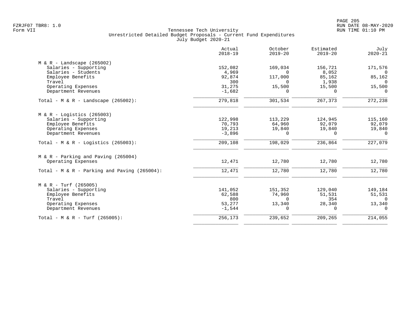|                                                 | Actual<br>$2018 - 19$ | October<br>$2019 - 20$ | Estimated<br>$2019 - 20$ | July<br>$2020 - 21$ |
|-------------------------------------------------|-----------------------|------------------------|--------------------------|---------------------|
| $M & R -$ Landscape (265002)                    |                       |                        |                          |                     |
| Salaries - Supporting                           | 152,082               | 169,034                | 156,721                  | 171,576             |
| Salaries - Students                             | 4,969                 | $\Omega$               | 8,052                    | $\Omega$            |
| Employee Benefits                               | 92,874                | 117,000                | 85,162                   | 85,162              |
| Travel                                          | 300                   | $\Omega$               | 1,938                    | $\Omega$            |
| Operating Expenses                              | 31,275                | 15,500                 | 15,500                   | 15,500              |
| Department Revenues                             | $-1,682$              | $\Omega$               | $\Omega$                 | $\Omega$            |
| Total - M & R - Landscape $(265002)$ :          | 279,818               | 301,534                | 267,373                  | 272,238             |
| $M & R -$ Logistics (265003)                    |                       |                        |                          |                     |
| Salaries - Supporting                           | 122,998               | 113,229                | 124,945                  | 115,160             |
| Employee Benefits                               | 70,793                | 64,960                 | 92,079                   | 92,079              |
| Operating Expenses                              | 19,213                | 19,840                 | 19,840                   | 19,840              |
| Department Revenues                             | $-3,896$              | $\Omega$               | $\Omega$                 | $\Omega$            |
| Total - M & R - Logistics (265003):             | 209,108               | 198,029                | 236,864                  | 227,079             |
| $M & R - \text{Parking}$ and Paving (265004)    |                       |                        |                          |                     |
| Operating Expenses                              | 12,471                | 12,780                 | 12,780                   | 12,780              |
| Total - M & R - Parking and Paving $(265004)$ : | 12,471                | 12,780                 | 12,780                   | 12,780              |
| $M & R - Turf (265005)$                         |                       |                        |                          |                     |
| Salaries - Supporting                           | 141,052               | 151,352                | 129,040                  | 149,184             |
| Employee Benefits                               | 62,588                | 74,960                 | 51,531                   | 51,531              |
| Travel                                          | 800                   | $\Omega$               | 354                      | $\Omega$            |
| Operating Expenses                              | 53,277                | 13,340                 | 28,340                   | 13,340              |
| Department Revenues                             | $-1,544$              | $\Omega$               | $\Omega$                 | $\Omega$            |
| Total - M & R - Turf (265005):                  | 256,173               | 239,652                | 209,265                  | 214,055             |
|                                                 |                       |                        |                          |                     |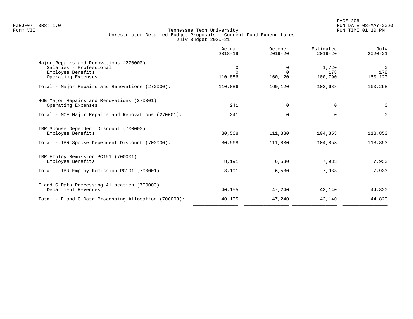|                                                                                                              | Actual<br>$2018 - 19$    | October<br>$2019 - 20$   | Estimated<br>$2019 - 20$ | July<br>$2020 - 21$        |
|--------------------------------------------------------------------------------------------------------------|--------------------------|--------------------------|--------------------------|----------------------------|
| Major Repairs and Renovations (270000)<br>Salaries - Professional<br>Employee Benefits<br>Operating Expenses | 0<br>$\Omega$<br>110,886 | 0<br>$\Omega$<br>160,120 | 1,720<br>178<br>100,790  | $\Omega$<br>178<br>160,120 |
| Total - Major Repairs and Renovations (270000):                                                              | 110,886                  | 160,120                  | 102,688                  | 160,298                    |
| MOE Major Repairs and Renovations (270001)<br>Operating Expenses                                             | 241                      | 0                        | 0                        | 0                          |
| Total - MOE Major Repairs and Renovations (270001):                                                          | 241                      | $\Omega$                 | $\Omega$                 | $\Omega$                   |
| TBR Spouse Dependent Discount (700000)<br>Employee Benefits                                                  | 80,568                   | 111,830                  | 104,853                  | 118,853                    |
| Total - TBR Spouse Dependent Discount (700000):                                                              | 80,568                   | 111,830                  | 104,853                  | 118,853                    |
| TBR Employ Remission PC191 (700001)<br>Employee Benefits                                                     | 8,191                    | 6,530                    | 7,933                    | 7,933                      |
| Total - TBR Employ Remission PC191 (700001):                                                                 | 8,191                    | 6,530                    | 7,933                    | 7,933                      |
| E and G Data Processing Allocation (700003)<br>Department Revenues                                           | 40,155                   | 47,240                   | 43,140                   | 44,820                     |
| Total - E and G Data Processing Allocation (700003):                                                         | 40,155                   | 47,240                   | 43,140                   | 44,820                     |
|                                                                                                              |                          |                          |                          |                            |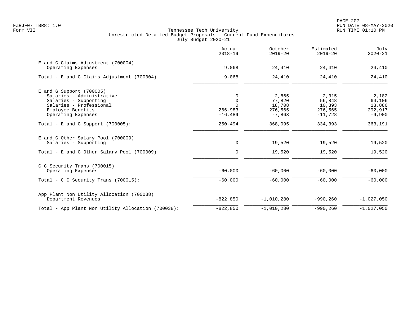|                                                                                                                                                        | Actual<br>$2018 - 19$                                     | October<br>$2019 - 20$                           | Estimated<br>$2019 - 20$                          | July<br>$2020 - 21$                              |
|--------------------------------------------------------------------------------------------------------------------------------------------------------|-----------------------------------------------------------|--------------------------------------------------|---------------------------------------------------|--------------------------------------------------|
| E and G Claims Adjustment (700004)<br>Operating Expenses                                                                                               | 9,068                                                     | 24,410                                           | 24,410                                            | 24,410                                           |
| Total - E and G Claims Adjustment (700004):                                                                                                            | 9,068                                                     | 24,410                                           | 24,410                                            | 24,410                                           |
| $E$ and G Support (700005)<br>Salaries - Administrative<br>Salaries - Supporting<br>Salaries - Professional<br>Employee Benefits<br>Operating Expenses | $\Omega$<br>$\Omega$<br>$\Omega$<br>266,983<br>$-16, 489$ | 2,865<br>77,820<br>18,708<br>276,565<br>$-7,863$ | 2,315<br>56,848<br>10,393<br>276,565<br>$-11,728$ | 2,182<br>64,106<br>13,886<br>292,917<br>$-9,900$ |
| Total - E and G Support $(700005)$ :                                                                                                                   | 250,494                                                   | 368,095                                          | 334,393                                           | 363,191                                          |
| E and G Other Salary Pool (700009)<br>Salaries - Supporting<br>Total - E and G Other Salary Pool (700009):                                             | $\mathbf 0$<br>$\mathbf 0$                                | 19,520<br>19,520                                 | 19,520<br>19,520                                  | 19,520<br>19,520                                 |
| C C Security Trans (700015)<br>Operating Expenses                                                                                                      | $-60,000$                                                 | $-60,000$                                        | $-60,000$                                         | $-60,000$                                        |
| Total - C C Security Trans $(700015)$ :                                                                                                                | $-60,000$                                                 | $-60,000$                                        | $-60,000$                                         | $-60,000$                                        |
| App Plant Non Utility Allocation (700038)<br>Department Revenues                                                                                       | $-822,850$                                                | $-1,010,280$                                     | $-990, 260$                                       | $-1,027,050$                                     |
| Total - App Plant Non Utility Allocation (700038):                                                                                                     | $-822, 850$                                               | $-1,010,280$                                     | $-990, 260$                                       | $-1,027,050$                                     |
|                                                                                                                                                        |                                                           |                                                  |                                                   |                                                  |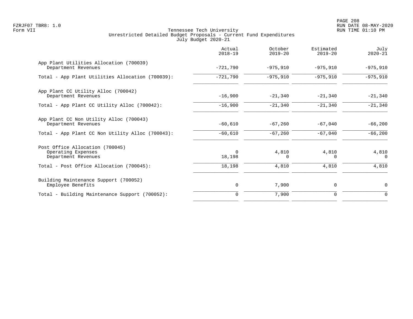PAGE 208 FZRJF07 TBR8: 1.0 RUN DATE 08-MAY-2020

|                                                                              | Actual<br>$2018 - 19$ | October<br>$2019 - 20$ | Estimated<br>$2019 - 20$ | July<br>$2020 - 21$ |
|------------------------------------------------------------------------------|-----------------------|------------------------|--------------------------|---------------------|
| App Plant Utilities Allocation (700039)<br>Department Revenues               | $-721,790$            | $-975,910$             | $-975,910$               | $-975,910$          |
| Total - App Plant Utilities Allocation (700039):                             | $-721,790$            | $-975,910$             | $-975,910$               | $-975,910$          |
| App Plant CC Utility Alloc (700042)<br>Department Revenues                   | $-16,900$             | $-21,340$              | $-21,340$                | $-21,340$           |
| Total - App Plant CC Utility Alloc (700042):                                 | $-16,900$             | $-21,340$              | $-21,340$                | $-21,340$           |
| App Plant CC Non Utility Alloc (700043)<br>Department Revenues               | $-60,610$             | $-67,260$              | $-67,040$                | $-66,200$           |
| Total - App Plant CC Non Utility Alloc (700043):                             | $-60,610$             | $-67,260$              | $-67,040$                | $-66,200$           |
| Post Office Allocation (700045)<br>Operating Expenses<br>Department Revenues | $\Omega$<br>18,198    | 4,810<br>O             | 4,810<br>0               | 4,810<br>$\Omega$   |
| Total - Post Office Allocation (700045):                                     | 18,198                | 4,810                  | 4,810                    | 4,810               |
| Building Maintenance Support (700052)<br>Employee Benefits                   | $\mathsf{O}$          | 7,900                  | 0                        | $\mathbf 0$         |
| Total - Building Maintenance Support (700052):                               | $\mathbf 0$           | 7,900                  | 0                        | 0                   |
|                                                                              |                       |                        |                          |                     |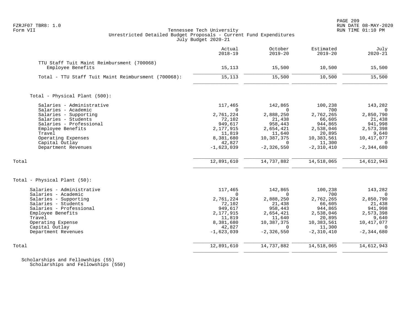# FZRJF07 TBR8: 1.0 RUN DATE 08-MAY-2020 Tennessee Tech University Unrestricted Detailed Budget Proposals - Current Fund Expenditures July Budget 2020-21

|                                                                 | Actual<br>$2018 - 19$ | October<br>$2019 - 20$ | Estimated<br>$2019 - 20$ | July<br>$2020 - 21$    |
|-----------------------------------------------------------------|-----------------------|------------------------|--------------------------|------------------------|
| TTU Staff Tuit Maint Reimbursment (700068)<br>Employee Benefits | 15,113                | 15,500                 | 10,500                   | 15,500                 |
| Total - TTU Staff Tuit Maint Reimbursment (700068):             | 15,113                | 15,500                 | 10,500                   | 15,500                 |
| Total - Physical Plant (500):                                   |                       |                        |                          |                        |
| Salaries - Administrative                                       | 117,465               | 142,865                | 100,238                  | 143,282                |
| Salaries - Academic                                             | $\cap$                | $\cap$                 | 700                      | $\Omega$               |
| Salaries - Supporting                                           | 2,761,224             | 2,888,250              | 2,762,265                | 2,850,790              |
| Salaries - Students                                             | 72,102                | 21,438                 | 66,605                   | 21,438                 |
| Salaries - Professional                                         | 949,617               | 958,443                | 944,865                  | 941,998                |
| Employee Benefits                                               | 2,177,915             | 2,654,421              | 2,538,046                | 2,573,398              |
| Travel                                                          | 11,819                | 11,640                 | 20,895                   | 9,640                  |
| Operating Expenses                                              | 8,381,680             | 10,387,375             | 10,383,561               | 10,417,077             |
| Capital Outlay                                                  | 42,827                | $\Omega$               | 11,300                   | $\Omega$               |
| Department Revenues                                             | $-1,623,039$          | $-2, 326, 550$         | $-2, 310, 410$           | $-2, 344, 680$         |
| Total                                                           | 12,891,610            | 14,737,882             | 14,518,065               | 14,612,943             |
| Total - Physical Plant (50):                                    |                       |                        |                          |                        |
| Salaries - Administrative<br>Salaries - Academic                | 117,465<br>$\Omega$   | 142,865<br>$\Omega$    | 100,238<br>700           | 143,282<br>$\Omega$    |
| Salaries - Supporting                                           | 2,761,224             | 2,888,250              | 2,762,265                | 2,850,790              |
| Salaries - Students                                             | 72,102                | 21,438                 | 66,605                   | 21,438                 |
| Salaries - Professional                                         | 949,617               | 958,443                | 944,865                  | 941,998                |
| Employee Benefits                                               | 2,177,915             | 2,654,421              | 2,538,046                | 2,573,398              |
| Travel                                                          | 11,819                | 11,640                 | 20,895                   | 9,640                  |
|                                                                 |                       |                        |                          |                        |
| Operating Expense<br>Capital Outlay                             | 8,381,680<br>42,827   | 10,387,375<br>$\Omega$ | 10,383,561<br>11,300     | 10,417,077<br>$\Omega$ |
|                                                                 |                       | $-2, 326, 550$         | $-2, 310, 410$           |                        |
| Department Revenues                                             | $-1,623,039$          |                        |                          | $-2, 344, 680$         |
| Total                                                           | 12,891,610            | 14,737,882             | 14,518,065               | 14,612,943             |
|                                                                 |                       |                        |                          |                        |

 Scholarships and Fellowships (55) Scholarships and Fellowships (550)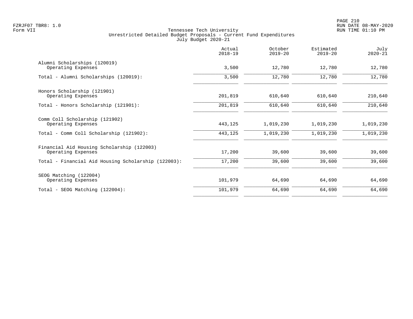|                                                                  | Actual<br>$2018 - 19$ | October<br>$2019 - 20$ | Estimated<br>$2019 - 20$ | July<br>$2020 - 21$ |
|------------------------------------------------------------------|-----------------------|------------------------|--------------------------|---------------------|
| Alumni Scholarships (120019)<br>Operating Expenses               | 3,500                 | 12,780                 | 12,780                   | 12,780              |
| Total - Alumni Scholarships (120019):                            | 3,500                 | 12,780                 | 12,780                   | 12,780              |
| Honors Scholarship (121901)<br>Operating Expenses                | 201,819               | 610,640                | 610,640                  | 210,640             |
| Total - Honors Scholarship (121901):                             | 201,819               | 610,640                | 610,640                  | 210,640             |
| Comm Coll Scholarship (121902)<br>Operating Expenses             | 443,125               | 1,019,230              | 1,019,230                | 1,019,230           |
| Total - Comm Coll Scholarship (121902):                          | 443,125               | 1,019,230              | 1,019,230                | 1,019,230           |
| Financial Aid Housing Scholarship (122003)<br>Operating Expenses | 17,200                | 39,600                 | 39,600                   | 39,600              |
| Total - Financial Aid Housing Scholarship (122003):              | 17,200                | 39,600                 | 39,600                   | 39,600              |
| SEOG Matching (122004)<br>Operating Expenses                     | 101,979               | 64,690                 | 64,690                   | 64,690              |
| Total - SEOG Matching (122004):                                  | 101,979               | 64,690                 | 64,690                   | 64,690              |
|                                                                  |                       |                        |                          |                     |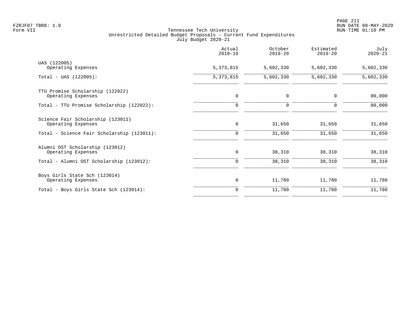|                                                         | Actual<br>$2018 - 19$ | October<br>$2019 - 20$ | Estimated<br>$2019 - 20$ | July<br>$2020 - 21$ |
|---------------------------------------------------------|-----------------------|------------------------|--------------------------|---------------------|
| UAS (122005)<br>Operating Expenses                      | 5,373,815             | 5,602,330              | 5,602,330                | 5,602,330           |
| $Total - UAS (122005):$                                 | 5, 373, 815           | 5,602,330              | 5,602,330                | 5,602,330           |
| TTU Promise Scholarship (122022)<br>Operating Expenses  | $\mathbf 0$           | $\mathbf 0$            | $\mathbf 0$              | 80,000              |
| Total - TTU Promise Scholarship (122022):               | $\mathbf 0$           | $\mathbf 0$            | $\mathbf 0$              | 80,000              |
| Science Fair Scholarship (123011)<br>Operating Expenses | 0                     | 31,650                 | 31,650                   | 31,650              |
| Total - Science Fair Scholarship (123011):              | 0                     | 31,650                 | 31,650                   | 31,650              |
| Alumni OST Scholarship (123012)<br>Operating Expenses   | $\mathbf 0$           | 38,310                 | 38,310                   | 38,310              |
| Total - Alumni OST Scholarship (123012):                | $\mathbf 0$           | 38,310                 | 38,310                   | 38,310              |
| Boys Girls State Sch (123014)<br>Operating Expenses     | 0                     | 11,780                 | 11,780                   | 11,780              |
| Total - Boys Girls State Sch (123014):                  | $\mathbf 0$           | 11,780                 | 11,780                   | 11,780              |
|                                                         |                       |                        |                          |                     |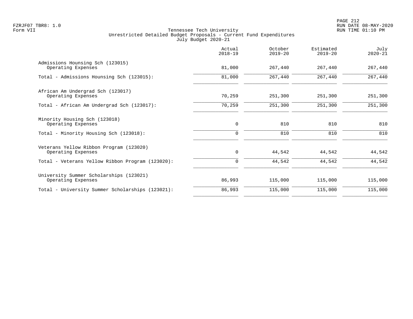|                                                               | Actual<br>$2018 - 19$ | October<br>$2019 - 20$ | Estimated<br>$2019 - 20$ | July<br>$2020 - 21$ |
|---------------------------------------------------------------|-----------------------|------------------------|--------------------------|---------------------|
| Admissions Hounsing Sch (123015)<br>Operating Expenses        | 81,000                | 267,440                | 267,440                  | 267,440             |
| Total - Admissions Hounsing Sch (123015):                     | 81,000                | 267,440                | 267,440                  | 267,440             |
| African Am Undergrad Sch (123017)<br>Operating Expenses       | 70,259                | 251,300                | 251,300                  | 251,300             |
| Total - African Am Undergrad Sch (123017):                    | 70,259                | 251,300                | 251,300                  | 251,300             |
| Minority Housing Sch (123018)<br>Operating Expenses           | $\mathbf 0$           | 810                    | 810                      | 810                 |
| Total - Minority Housing Sch (123018):                        | $\Omega$              | 810                    | 810                      | 810                 |
| Veterans Yellow Ribbon Program (123020)<br>Operating Expenses | 0                     | 44,542                 | 44,542                   | 44,542              |
| Total - Veterans Yellow Ribbon Program (123020):              | $\mathbf 0$           | 44,542                 | 44,542                   | 44,542              |
| University Summer Scholarships (123021)<br>Operating Expenses | 86,993                | 115,000                | 115,000                  | 115,000             |
| Total - University Summer Scholarships (123021):              | 86,993                | 115,000                | 115,000                  | 115,000             |
|                                                               |                       |                        |                          |                     |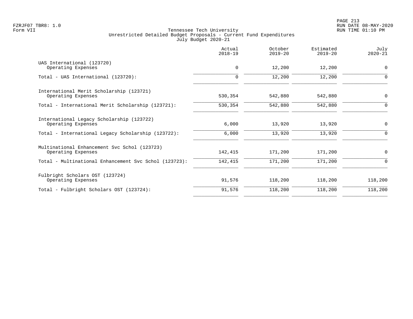|                                                                    | Actual<br>$2018 - 19$ | October<br>$2019 - 20$ | Estimated<br>$2019 - 20$ | July<br>$2020 - 21$ |
|--------------------------------------------------------------------|-----------------------|------------------------|--------------------------|---------------------|
| UAS International (123720)<br>Operating Expenses                   | $\mathbf 0$           | 12,200                 | 12,200                   | $\overline{0}$      |
| Total - UAS International (123720):                                | 0                     | 12,200                 | 12,200                   | $\Omega$            |
| International Merit Scholarship (123721)<br>Operating Expenses     | 530,354               | 542,880                | 542,880                  | $\mathbf 0$         |
| Total - International Merit Scholarship (123721):                  | 530,354               | 542,880                | 542,880                  | $\Omega$            |
| International Legacy Scholarship (123722)<br>Operating Expenses    | 6,000                 | 13,920                 | 13,920                   | $\mathbf 0$         |
| Total - International Legacy Scholarship (123722):                 | 6,000                 | 13,920                 | 13,920                   | 0                   |
| Multinational Enhancement Svc Schol (123723)<br>Operating Expenses | 142,415               | 171,200                | 171,200                  | $\mathbf 0$         |
| Total - Multinational Enhancement Svc Schol (123723):              | 142,415               | 171,200                | 171,200                  | 0                   |
| Fulbright Scholars OST (123724)<br>Operating Expenses              | 91,576                | 118,200                | 118,200                  | 118,200             |
| Total - Fulbright Scholars OST (123724):                           | 91,576                | 118,200                | 118,200                  | 118,200             |
|                                                                    |                       |                        |                          |                     |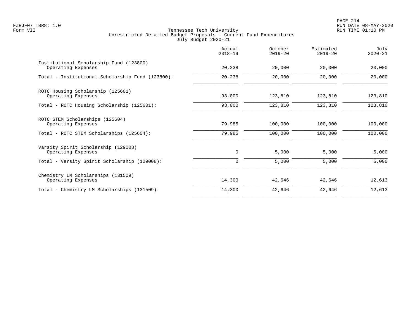PAGE 214 FZRJF07 TBR8: 1.0 RUN DATE 08-MAY-2020

|                                                               | Actual<br>$2018 - 19$ | October<br>$2019 - 20$ | Estimated<br>$2019 - 20$ | July<br>$2020 - 21$ |
|---------------------------------------------------------------|-----------------------|------------------------|--------------------------|---------------------|
| Institutional Scholarship Fund (123800)<br>Operating Expenses | 20,238                | 20,000                 | 20,000                   | 20,000              |
| Total - Institutional Scholarship Fund (123800):              | 20,238                | 20,000                 | 20,000                   | 20,000              |
| ROTC Housing Scholarship (125601)<br>Operating Expenses       | 93,000                | 123,810                | 123,810                  | 123,810             |
| Total - ROTC Housing Scholarship (125601):                    | 93,000                | 123,810                | 123,810                  | 123,810             |
| ROTC STEM Scholarships (125604)<br>Operating Expenses         | 79,985                | 100,000                | 100,000                  | 100,000             |
| Total - ROTC STEM Scholarships (125604):                      | 79,985                | 100,000                | 100,000                  | 100,000             |
| Varsity Spirit Scholarship (129008)<br>Operating Expenses     | $\mathbf 0$           | 5,000                  | 5,000                    | 5,000               |
| Total - Varsity Spirit Scholarship (129008):                  | 0                     | 5,000                  | 5,000                    | 5,000               |
| Chemistry LM Scholarships (131509)<br>Operating Expenses      | 14,300                | 42,646                 | 42,646                   | 12,613              |
| Total - Chemistry LM Scholarships (131509):                   | 14,300                | 42,646                 | 42,646                   | 12,613              |
|                                                               |                       |                        |                          |                     |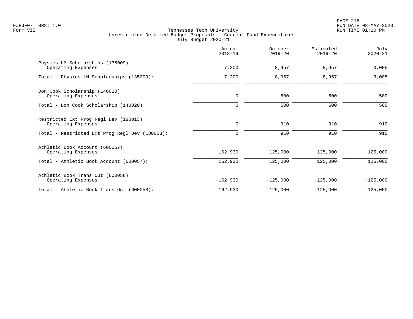|                                                             | Actual<br>$2018 - 19$ | October<br>$2019 - 20$ | Estimated<br>$2019 - 20$ | July<br>$2020 - 21$ |
|-------------------------------------------------------------|-----------------------|------------------------|--------------------------|---------------------|
| Physics LM Scholarships (135009)<br>Operating Expenses      | 7,200                 | 8,957                  | 8,957                    | 3,005               |
| Total - Physics LM Scholarships (135009):                   | 7,200                 | 8,957                  | 8,957                    | 3,005               |
| Don Cook Scholarship (140020)<br>Operating Expenses         | $\mathbf 0$           | 500                    | 500                      | 500                 |
| Total - Don Cook Scholarship (140020):                      | $\mathbf 0$           | 500                    | 500                      | 500                 |
| Restricted Ext Prog Regl Dev (180013)<br>Operating Expenses | $\mathbf 0$           | 910                    | 910                      | 910                 |
| Total - Restricted Ext Prog Regl Dev (180013):              | 0                     | 910                    | 910                      | 910                 |
| Athletic Book Account (600057)<br>Operating Expenses        | 162,930               | 125,000                | 125,000                  | 125,000             |
| Total - Athletic Book Account (600057):                     | 162,930               | 125,000                | 125,000                  | 125,000             |
| Athletic Book Trans Out (600058)<br>Operating Expenses      | $-162,930$            | $-125,000$             | $-125,000$               | $-125,000$          |
| Total - Athletic Book Trans Out (600058):                   | $-162,930$            | $-125,000$             | $-125,000$               | $-125,000$          |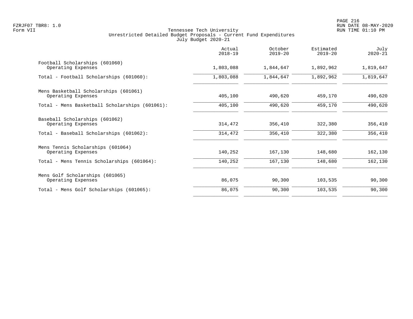|                                                                                                       | Actual<br>$2018 - 19$ | October<br>$2019 - 20$ | Estimated<br>$2019 - 20$ | July<br>$2020 - 21$ |
|-------------------------------------------------------------------------------------------------------|-----------------------|------------------------|--------------------------|---------------------|
| Football Scholarships (601060)<br>Operating Expenses                                                  | 1,803,088             | 1,844,647              | 1,892,962                | 1,819,647           |
| Total - Football Scholarships (601060):                                                               | 1,803,088             | 1,844,647              | 1,892,962                | 1,819,647           |
| Mens Basketball Scholarships (601061)<br>Operating Expenses                                           | 405,100               | 490,620                | 459,170                  | 490,620             |
| Total - Mens Basketball Scholarships (601061):                                                        | 405,100               | 490,620                | 459,170                  | 490,620             |
| Baseball Scholarships (601062)<br>Operating Expenses<br>Total - Baseball Scholarships (601062):       | 314,472<br>314,472    | 356,410<br>356,410     | 322,380<br>322,380       | 356,410<br>356,410  |
| Mens Tennis Scholarships (601064)<br>Operating Expenses<br>Total - Mens Tennis Scholarships (601064): | 140,252<br>140,252    | 167,130<br>167,130     | 148,680<br>148,680       | 162,130<br>162,130  |
| Mens Golf Scholarships (601065)<br>Operating Expenses                                                 | 86,075                | 90,300                 | 103,535                  | 90,300              |
| Total - Mens Golf Scholarships (601065):                                                              | 86,075                | 90,300                 | 103,535                  | 90,300              |
|                                                                                                       |                       |                        |                          |                     |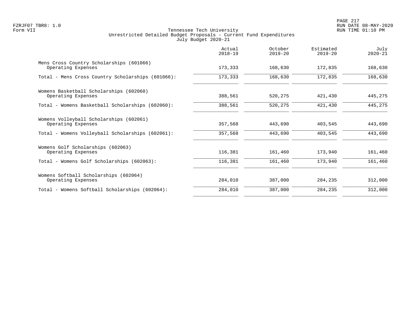|                                                                | Actual<br>$2018 - 19$ | October<br>$2019 - 20$ | Estimated<br>$2019 - 20$ | July<br>$2020 - 21$ |
|----------------------------------------------------------------|-----------------------|------------------------|--------------------------|---------------------|
| Mens Cross Country Scholarships (601066)<br>Operating Expenses | 173,333               | 168,630                | 172,835                  | 168,630             |
| Total - Mens Cross Country Scholarships (601066):              | 173,333               | 168,630                | 172,835                  | 168,630             |
| Womens Basketball Scholarships (602060)<br>Operating Expenses  | 388,561               | 520,275                | 421,430                  | 445,275             |
| Total - Womens Basketball Scholarships (602060):               | 388,561               | 520,275                | 421,430                  | 445,275             |
| Womens Volleyball Scholarships (602061)<br>Operating Expenses  | 357,568               | 443,690                | 403,545                  | 443,690             |
| Total - Womens Volleyball Scholarships (602061):               | 357,568               | 443,690                | 403,545                  | 443,690             |
| Womens Golf Scholarships (602063)<br>Operating Expenses        | 116,381               | 161,460                | 173,940                  | 161,460             |
| Total - Womens Golf Scholarships (602063):                     | 116,381               | 161,460                | 173,940                  | 161,460             |
| Womens Softball Scholarships (602064)<br>Operating Expenses    | 284,010               | 387,000                | 284,235                  | 312,000             |
| Total - Womens Softball Scholarships (602064):                 | 284,010               | 387,000                | 284,235                  | 312,000             |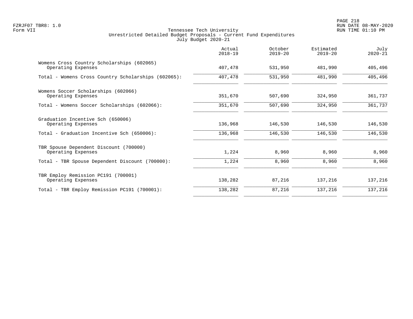|                                                                  | Actual<br>$2018 - 19$ | October<br>$2019 - 20$ | Estimated<br>$2019 - 20$ | July<br>$2020 - 21$ |
|------------------------------------------------------------------|-----------------------|------------------------|--------------------------|---------------------|
| Womens Cross Country Scholarships (602065)<br>Operating Expenses | 407,478               | 531,950                | 481,990                  | 405,496             |
| Total - Womens Cross Country Scholarships (602065):              | 407,478               | 531,950                | 481,990                  | 405,496             |
| Womens Soccer Scholarships (602066)<br>Operating Expenses        | 351,670               | 507,690                | 324,950                  | 361,737             |
| Total - Womens Soccer Scholarships (602066):                     | 351,670               | 507,690                | 324,950                  | 361,737             |
| Graduation Incentive Sch (650006)<br>Operating Expenses          | 136,968               | 146,530                | 146,530                  | 146,530             |
| Total - Graduation Incentive Sch (650006):                       | 136,968               | 146,530                | 146,530                  | 146,530             |
| TBR Spouse Dependent Discount (700000)<br>Operating Expenses     | 1,224                 | 8,960                  | 8,960                    | 8,960               |
| Total - TBR Spouse Dependent Discount (700000):                  | 1,224                 | 8,960                  | 8,960                    | 8,960               |
| TBR Employ Remission PC191 (700001)<br>Operating Expenses        | 138,282               | 87,216                 | 137,216                  | 137,216             |
| Total - TBR Employ Remission PC191 (700001):                     | 138,282               | 87,216                 | 137,216                  | 137,216             |
|                                                                  |                       |                        |                          |                     |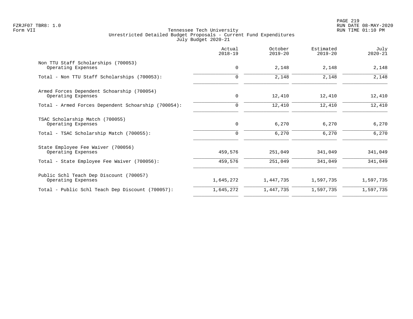|                                                                  | Actual<br>$2018 - 19$ | October<br>$2019 - 20$ | Estimated<br>$2019 - 20$ | July<br>$2020 - 21$ |
|------------------------------------------------------------------|-----------------------|------------------------|--------------------------|---------------------|
| Non TTU Staff Scholarships (700053)<br>Operating Expenses        | $\mathbf 0$           | 2,148                  | 2,148                    | 2,148               |
| Total - Non TTU Staff Scholarships (700053):                     | $\Omega$              | 2,148                  | 2,148                    | 2,148               |
| Armed Forces Dependent Schoarship (700054)<br>Operating Expenses | $\mathbf 0$           | 12,410                 | 12,410                   | 12,410              |
| Total - Armed Forces Dependent Schoarship (700054):              | 0                     | 12,410                 | 12,410                   | 12,410              |
| TSAC Scholarship Match (700055)<br>Operating Expenses            | $\mathbf 0$           | 6,270                  | 6,270                    | 6,270               |
| Total - TSAC Scholarship Match (700055):                         | $\Omega$              | 6,270                  | 6,270                    | 6,270               |
| State Employee Fee Waiver (700056)<br>Operating Expenses         | 459,576               | 251,049                | 341,049                  | 341,049             |
| Total - State Employee Fee Waiver (700056):                      | 459,576               | 251,049                | 341,049                  | 341,049             |
| Public Schl Teach Dep Discount (700057)<br>Operating Expenses    | 1,645,272             | 1,447,735              | 1,597,735                | 1,597,735           |
| Total - Public Schl Teach Dep Discount (700057):                 | 1,645,272             | 1,447,735              | 1,597,735                | 1,597,735           |
|                                                                  |                       |                        |                          |                     |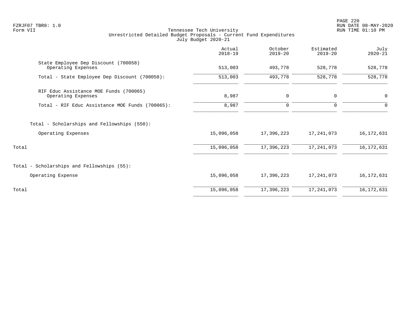PAGE 220 FZRJF07 TBR8: 1.0 RUN DATE 08-MAY-2020

|                                                              | Actual<br>$2018 - 19$ | October<br>$2019 - 20$ | Estimated<br>$2019 - 20$ | July<br>$2020 - 21$ |
|--------------------------------------------------------------|-----------------------|------------------------|--------------------------|---------------------|
| State Employee Dep Discount (700058)<br>Operating Expenses   | 513,003               | 493,778                | 528,778                  | 528,778             |
| Total - State Employee Dep Discount (700058):                | 513,003               | 493,778                | 528,778                  | 528,778             |
| RIF Educ Assistance MOE Funds (700065)<br>Operating Expenses | 8,987                 | 0                      | $\mathbf 0$              | $\mathsf{O}$        |
| Total - RIF Educ Assistance MOE Funds (700065):              | 8,987                 | $\mathbf 0$            | $\mathbf 0$              | $\mathbf 0$         |
| Total - Scholarships and Fellowships (550):                  |                       |                        |                          |                     |
| Operating Expenses                                           | 15,096,058            | 17,396,223             | 17,241,073               | 16,172,631          |
| Total                                                        | 15,096,058            | 17,396,223             | 17, 241, 073             | 16, 172, 631        |
| Total - Scholarships and Fellowships (55):                   |                       |                        |                          |                     |
| Operating Expense                                            | 15,096,058            | 17,396,223             | 17,241,073               | 16,172,631          |
| Total                                                        | 15,096,058            | 17,396,223             | 17, 241, 073             | 16, 172, 631        |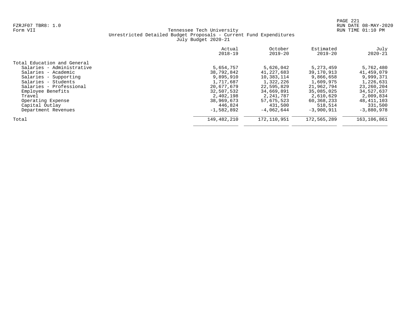|                             | Actual<br>$2018 - 19$ | October<br>$2019 - 20$ | Estimated<br>$2019 - 20$ | July<br>$2020 - 21$ |
|-----------------------------|-----------------------|------------------------|--------------------------|---------------------|
| Total Education and General |                       |                        |                          |                     |
| Salaries - Administrative   | 5,654,757             | 5,626,042              | 5, 273, 459              | 5,762,480           |
| Salaries - Academic         | 38,792,842            | 41,227,683             | 39,170,913               | 41,459,079          |
| Salaries - Supporting       | 9,895,910             | 10,383,114             | 9,866,658                | 9,999,371           |
| Salaries - Students         | 1,717,687             | 1,322,226              | 1,609,975                | 1,226,631           |
| Salaries - Professional     | 20,677,679            | 22,595,829             | 21,962,794               | 23,260,204          |
| Employee Benefits           | 32,507,532            | 34,669,891             | 35,085,025               | 34,527,637          |
| Travel                      | 2,402,198             | 2,241,787              | 2,610,629                | 2,009,834           |
| Operating Expense           | 38,969,673            | 57,675,523             | 60,368,233               | 48, 411, 103        |
| Capital Outlay              | 446,824               | 431,500                | 518,514                  | 331,500             |
| Department Revenues         | $-1,582,892$          | $-4.062.644$           | $-3,900,911$             | $-3,880,978$        |
| Total                       | 149,482,210           | 172,110,951            | 172,565,289              | 163,106,861         |
|                             |                       |                        |                          |                     |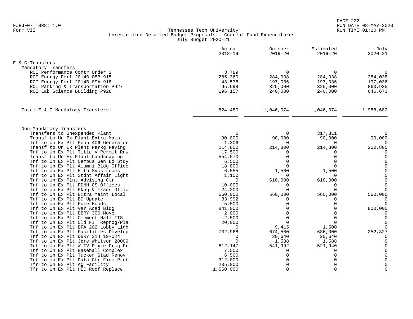|                                     | Actual<br>$2018 - 19$ | October<br>$2019 - 20$ | Estimated<br>$2019 - 20$ | July<br>$2020 - 21$ |
|-------------------------------------|-----------------------|------------------------|--------------------------|---------------------|
| E & G Transfers                     |                       |                        |                          |                     |
| Mandatory Transfers                 |                       |                        |                          |                     |
| ROI Performance Contr Order 2       | 3,789                 | $\Omega$               | $\mathbf 0$              | $\Omega$            |
| ROI Energy Perf 2014B 08B 915       | 285,360               | 284,038                | 284,038                  | 284,038             |
| ROI Energy Perf 2014B 09A 918       | 43,576                | 197,036                | 197,036                  | 197,036             |
| ROI Parking & Transportation P927   | 95,598                | 325,000                | 325,000                  | 860,935             |
| ROI Lab Science Building P928       | 196,157               | 240,000                | 240,000                  | 646,673             |
| Total E & G Mandatory Transfers:    | 624,480               | 1,046,074              | 1,046,074                | 1,988,682           |
|                                     |                       |                        |                          |                     |
| Non-Mandatory Transfers             |                       |                        |                          |                     |
| Transfers to Unexpended Plant       | $\Omega$              | $\Omega$               | 317,311                  | $\Omega$            |
| Transf to Un Ex Plant Extra Maint   | 90,000                | 90,000                 | 90,000                   | 90,000              |
| Trf to Un Ex Plt Penn 406 Generator | 1,306                 | $\Omega$               | $\Omega$                 | $\Omega$            |
| Transf to Un Ex Plant Parkg Paving  | 214,800               | 214,800                | 214,800                  | 200,805             |
| Trf to Un Ex Plt Title V Permit Rnw | 17,500                | 0                      | $\Omega$                 | 0                   |
| Transf to Un Ex Plant Landscaping   | 554,070               | $\mathbf 0$            | $\mathbf 0$              | $\mathbf 0$         |
| Trf to Un Ex Plt Campus Gen Ld Stdy | 6,500                 | $\Omega$               | $\Omega$                 | $\mathbf 0$         |
| Trf to Un Ex Plt Alumni Bldg Office | 18,800                | $\Omega$               | $\Omega$                 | $\mathbf 0$         |
| Trf to Un Ex Plt Hlth Svcs rooms    | 6,555                 | 1,500                  | 1,500                    | $\mathbf 0$         |
| Trf to Un Ex Plt Stdnt Affair Light | 1,100                 | $\Omega$               | $\Omega$                 | $\mathbf 0$         |
| Trf to Un Ex Plnt Advising Ctr      | $\Omega$              | 610,000                | 610,000                  | $\mathsf 0$         |
| Trf to Un Ex Plt FDNH CS Offices    | 10,000                | $\Omega$               | $\mathbf 0$              | $\mathbf 0$         |
| Trf to Un Ex Plt Pkng & Trans Offic | 24,200                | $\Omega$               | $\Omega$                 | $\Omega$            |
| Trf to Un Ex Plt Extra Maint Local  | 560,000               | 560,000                | 560,000                  | 560,000             |
| Trf to Un Ex Plt BO Update          | 33,992                | $\Omega$               | $\Omega$                 | $\Omega$            |
| Trf to Un Ex Plt Fume Hoods         | 5,500                 | $\Omega$               | $\Omega$                 | $\Omega$            |
| Trf to Un Ex Plt Var Acad Bldg      | 841,000               | $\Omega$               | $\Omega$                 | 800,000             |
| Trf to Un Ex Plt DBRY 306 Move      | 2,000                 | $\Omega$               | $\cap$                   | 0                   |
| Trf to Un Ex Plt Clement Hall ITS   | 2,500                 | $\Omega$               | $\Omega$                 | $\mathbf 0$         |
| Trf to Un Ex Plt Old FIT Reprog/Pla | 20,000                | $\Omega$               | $\Omega$                 | $\mathbf 0$         |
| Trf to Un Ex Plt BFA 202 Lobby Ligh | $\Omega$              | 9,415                  | 1,500                    | $\Omega$            |
| Trf to Un Ex Plt Facilities Develop | 732,968               | 674,500                | 686,000                  | 252,827             |
| Trf to Un Ex Plt DBRY 314 19-024    | $\Omega$              | 20,640                 | 20,640                   | 0                   |
| Trf to Un Ex Plt Jere Whitson 20009 | $\Omega$              | 1,588                  | 1,588                    | $\Omega$            |
| Trf to Un Ex Plt W TV Dixie Prkg Pr | 812,147               | 541,992                | 521,940                  |                     |
| Trf to Un Ex Plt Baseball Complex   | 7,500                 | $\Omega$               | 0                        | $\Omega$            |
| Trf to Un Ex Plt Tucker Stad Renov  | 6,500                 | $\Omega$               | $\Omega$                 | $\mathbf 0$         |
| Trf to Un Ex Plt Data Ctr Fire Prot | 312,000               | $\Omega$               | $\Omega$                 | $\mathbf 0$         |
| Tfr to Un Ex Plt Ag Facility        | 235,000               | $\Omega$               | $\Omega$                 | $\mathbf 0$         |
| Tfr to Un Ex Plt HEC Roof Replace   | 1,550,000             | $\Omega$               | $\Omega$                 | $\mathbf 0$         |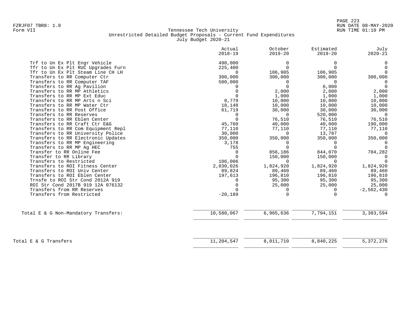|                                      | Actual<br>$2018 - 19$ | October<br>$2019 - 20$ | Estimated<br>$2019 - 20$ | July<br>$2020 - 21$ |
|--------------------------------------|-----------------------|------------------------|--------------------------|---------------------|
| Trf to Un Ex Plt Engr Vehicle        | 490,000               | 0                      | 0                        | $\mathbf 0$         |
| Tfr to Un Ex Plt RUC Upgrades Furn   | 225,400               | $\Omega$               | $\Omega$                 | $\Omega$            |
| Tfr to Un Ex Plt Steam Line CH LH    | $\Omega$              | 106,905                | 106,905                  | $\Omega$            |
| Transfers to RR Computer Ctr         | 300,000               | 300,000                | 300,000                  | 300,000             |
| Transfers to RR Computer TAF         | 500,000               | $\Omega$               | $\Omega$                 | $\Omega$            |
| Transfers to RR Aq Pavilion          | $\Omega$              | $\Omega$               | 6,000                    | $\Omega$            |
| Transfers to RR MP Athletics         |                       | 2,000                  | 2,000                    | 2,000               |
| Transfers to RR MP Ext Educ          |                       | 1,000                  | 1,000                    | 1,000               |
| Transfers to RR MP Arts n Sci        | 8,779                 | 10,000                 | 10,000                   | 10,000              |
| Transfers to RR MP Water Ctr         | 18,148                | 10,000                 | 10,000                   | 10,000              |
| Transfers to RR Post Office          | 61,719                | 30,000                 | 30,000                   | 30,000              |
| Transfers to RR Reserves             | $\Omega$              | $\Omega$               | 520,000                  | 0                   |
| Transfers to RR Eblen Center         | $\Omega$              | 76,510                 | 76,510                   | 76,510              |
| Transfers to RR Craft Ctr E&G        | 45,760                | 40,000                 | 40,000                   | 190,000             |
| Transfers to RR Com Equipment Repl   | 77,110                | 77,110                 | 77,110                   | 77,110              |
| Transfers to RR University Police    | 30,000                | $\Omega$               | 13,787                   | $\Omega$            |
| Transfers to RR Electronic Updates   | 350,000               | 350,000                | 350,000                  | 350,000             |
| Transfers to RR MP Engineering       | 3,178                 | $\Omega$               | $\Omega$                 | $\Omega$            |
| Transfers to RR MP Aq HEC            | 755                   | $\Omega$               | $\cap$                   | $\Omega$            |
| Transfer to RR Online Fee            | $\Omega$              | 856,186                | 844,070                  | 704,282             |
| Transfer to RR Library               | $\Omega$              | 150,000                | 150,000                  | $\Omega$            |
| Transfers to Restricted              | 106,006               | $\Omega$               | $\Omega$                 | $\Omega$            |
| Transfers to ROI Fitness Center      | 2,030,026             | 1,824,920              | 1,824,920                | 1,824,920           |
| Transfers to ROI Univ Center         | 89,824                | 89,460                 | 89,460                   | 89,460              |
| Transfers to ROI Eblen Center        | 197,613               | 196,810                | 196,810                  | 196,810             |
| Trnsfe to ROI Str Cond 2012A 919     |                       | 95,300                 | 95,300                   | 95,300              |
| ROI Str Cond 2017B 919 12A 076132    |                       | 25,000                 | 25,000                   | 25,000              |
| Transfers from RR Reserves           |                       | 0                      | 0                        | $-2,502,430$        |
| Transfers from Restricted            | $-20,189$             | $\Omega$               | $\Omega$                 |                     |
| Total E & G Non-Mandatory Transfers: | 10,580,067            | 6,965,636              | 7,794,151                | 3,383,594           |
|                                      |                       |                        |                          |                     |
|                                      |                       |                        |                          |                     |
| Total E & G Transfers                | 11,204,547            | 8,011,710              | 8,840,225                | 5, 372, 276         |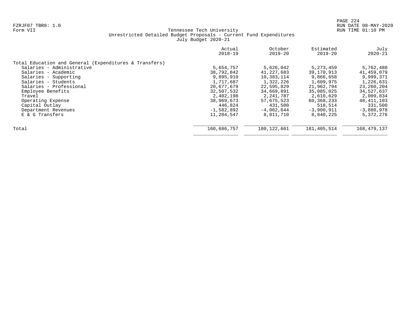|                                                        | Actual<br>$2018 - 19$ | October<br>$2019 - 20$ | Estimated<br>$2019 - 20$ | July<br>$2020 - 21$ |
|--------------------------------------------------------|-----------------------|------------------------|--------------------------|---------------------|
| Total Education and General (Expenditures & Transfers) |                       |                        |                          |                     |
| Salaries - Administrative                              | 5,654,757             | 5,626,042              | 5, 273, 459              | 5,762,480           |
| Salaries - Academic                                    | 38,792,842            | 41,227,683             | 39,170,913               | 41,459,079          |
| Salaries - Supporting                                  | 9,895,910             | 10,383,114             | 9,866,658                | 9,999,371           |
| Salaries - Students                                    | 1,717,687             | 1,322,226              | 1,609,975                | 1,226,631           |
| Salaries - Professional                                | 20,677,679            | 22,595,829             | 21,962,794               | 23,260,204          |
| Employee Benefits                                      | 32,507,532            | 34,669,891             | 35,085,025               | 34,527,637          |
| Travel                                                 | 2,402,198             | 2,241,787              | 2,610,629                | 2,009,834           |
| Operating Expense                                      | 38,969,673            | 57,675,523             | 60,368,233               | 48, 411, 103        |
| Capital Outlay                                         | 446,824               | 431,500                | 518,514                  | 331,500             |
| Department Revenues                                    | $-1,582,892$          | $-4,062,644$           | $-3,900,911$             | $-3,880,978$        |
| E & G Transfers                                        | 11,204,547            | 8,011,710              | 8,840,225                | 5,372,276           |
| Total                                                  | 160,686,757           | 180, 122, 661          | 181,405,514              | 168, 479, 137       |
|                                                        |                       |                        |                          |                     |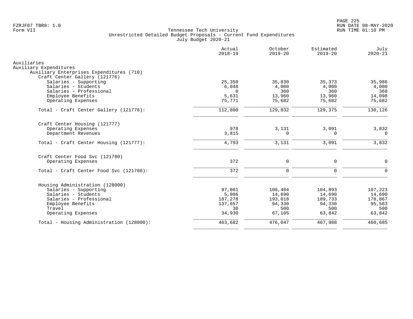|                                                                    | Actual<br>$2018 - 19$ | October<br>$2019 - 20$ | Estimated<br>$2019 - 20$ | July<br>$2020 - 21$ |
|--------------------------------------------------------------------|-----------------------|------------------------|--------------------------|---------------------|
| Auxiliaries                                                        |                       |                        |                          |                     |
| Auxiliary Expenditures<br>Auxiliary Enterprises Expenditures (710) |                       |                        |                          |                     |
| Craft Center Gallery (121776)                                      |                       |                        |                          |                     |
| Salaries - Supporting                                              | 25,350                | 35,830                 | 35,373                   | 35,986              |
| Salaries - Students                                                | 6,048                 | 4,000                  | 4,000                    | 4,000               |
| Salaries - Professional                                            | $\Omega$              | 360                    | 360                      | 360                 |
| Employee Benefits                                                  | 5,631                 | 13,960                 | 13,960                   | 14,098              |
| Operating Expenses                                                 | 75,771                | 75,682                 | 75,682                   | 75,682              |
| Total - Craft Center Gallery (121776):                             | 112,800               | 129,832                | 129,375                  | 130,126             |
| Craft Center Housing (121777)                                      |                       |                        |                          |                     |
| Operating Expenses                                                 | 978                   | 3,131                  | 3,091                    | 3,832               |
| Department Revenues                                                | 3,815                 | $\Omega$               | 0                        | $\Omega$            |
| Total - Craft Center Housing (121777):                             | 4,793                 | 3,131                  | 3,091                    | 3,832               |
| Craft Center Food Svc (121780)                                     |                       |                        |                          |                     |
| Operating Expenses                                                 | 372                   | $\mathbf 0$            | $\mathbf 0$              | $\Omega$            |
| Total - Craft Center Food Svc (121780):                            | 372                   | $\mathbf 0$            | 0                        | $\Omega$            |
|                                                                    |                       |                        |                          |                     |
| Housing Administration (128000)<br>Salaries - Supporting           | 97,801                | 106,404                | 104,893                  | 107,223             |
| Salaries - Students                                                | 5,986                 | 14,690                 | 14,690                   | 14,690              |
| Salaries - Professional                                            | 187,278               | 193,018                | 189,733                  | 178,867             |
| Employee Benefits                                                  | 137,657               | 94,330                 | 94,330                   | 95,563              |
| Travel                                                             | 30                    | 500                    | 500                      | 500                 |
| Operating Expenses                                                 | 34,930                | 67,105                 | 63,842                   | 63,842              |
| Total - Housing Administration (128000):                           | 463,682               | 476,047                | 467,988                  | 460,685             |
|                                                                    |                       |                        |                          |                     |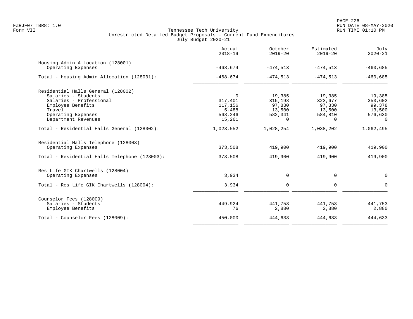|                                                            | Actual<br>$2018 - 19$ | October<br>$2019 - 20$ | Estimated<br>$2019 - 20$ | July<br>$2020 - 21$ |
|------------------------------------------------------------|-----------------------|------------------------|--------------------------|---------------------|
| Housing Admin Allocation (128001)<br>Operating Expenses    | $-468,674$            | $-474,513$             | $-474,513$               | $-460,685$          |
| Total - Housing Admin Allocation (128001):                 | $-468,674$            | $-474,513$             | $-474,513$               | $-460,685$          |
| Residential Halls General (128002)                         |                       |                        |                          |                     |
| Salaries - Students                                        | $\Omega$              | 19,385                 | 19,385                   | 19,385              |
| Salaries - Professional                                    | 317,401               | 315,198                | 322,677                  | 353,602             |
| Employee Benefits                                          | 117,156               | 97,830                 | 97,830                   | 99,378              |
| Travel                                                     | 5,488                 | 13,500                 | 13,500                   | 13,500              |
| Operating Expenses                                         | 568,246               | 582,341                | 584,810                  | 576,630             |
| Department Revenues                                        | 15,261                | $\Omega$               | $\Omega$                 | $\Omega$            |
| Total - Residential Halls General (128002):                | 1,023,552             | 1,028,254              | 1,038,202                | 1,062,495           |
| Residential Halls Telephone (128003)<br>Operating Expenses | 373,508               | 419,900                | 419,900                  | 419,900             |
| Total - Residential Halls Telephone (128003):              | 373,508               | 419,900                | 419,900                  | 419,900             |
| Res Life GIK Chartwells (128004)                           |                       |                        |                          |                     |
| Operating Expenses                                         | 3,934                 | $\mathbf 0$            | $\mathbf 0$              | 0                   |
| Total - Res Life GIK Chartwells (128004):                  | 3,934                 | 0                      | $\Omega$                 | $\Omega$            |
| Counselor Fees (128009)                                    |                       |                        |                          |                     |
| Salaries - Students                                        | 449,924               | 441,753                | 441,753                  | 441,753             |
| Employee Benefits                                          | 76                    | 2,880                  | 2,880                    | 2,880               |
| Total - Counselor Fees (128009):                           | 450,000               | 444,633                | 444,633                  | 444,633             |
|                                                            |                       |                        |                          |                     |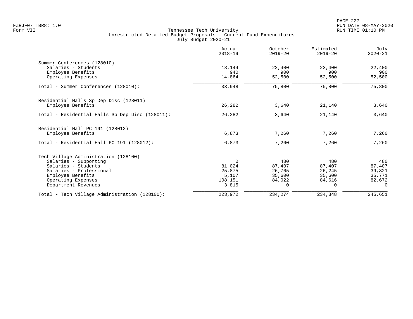|                                                 | Actual<br>$2018 - 19$ | October<br>$2019 - 20$ | Estimated<br>$2019 - 20$ | July<br>$2020 - 21$ |
|-------------------------------------------------|-----------------------|------------------------|--------------------------|---------------------|
| Summer Conferences (128010)                     |                       |                        |                          |                     |
| Salaries - Students                             | 18,144                | 22,400                 | 22,400                   | 22,400              |
| Employee Benefits                               | 940                   | 900                    | 900                      | 900                 |
| Operating Expenses                              | 14,864                | 52,500                 | 52,500                   | 52,500              |
| Total - Summer Conferences (128010):            | 33,948                | 75,800                 | 75,800                   | 75,800              |
| Residential Halls Sp Dep Disc (128011)          |                       |                        |                          |                     |
| Employee Benefits                               | 26,282                | 3,640                  | 21,140                   | 3,640               |
| Total - Residential Halls Sp Dep Disc (128011): | 26,282                | 3,640                  | 21,140                   | 3,640               |
| Residential Hall PC 191 (128012)                |                       |                        |                          |                     |
| Employee Benefits                               | 6,873                 | 7,260                  | 7,260                    | 7,260               |
| Total - Residential Hall PC 191 (128012):       | 6,873                 | 7,260                  | 7,260                    | 7,260               |
| Tech Village Administration (128100)            |                       |                        |                          |                     |
| Salaries - Supporting                           | $\mathbf 0$           | 480                    | 480                      | 480                 |
| Salaries - Students                             | 81,024                | 87,407                 | 87,407                   | 87,407              |
| Salaries - Professional                         | 25,875                | 26,765                 | 26,245                   | 39,321              |
| Employee Benefits                               | 5,107                 | 35,600                 | 35,600                   | 35,771              |
| Operating Expenses                              | 108,151               | 84,022                 | 84,616                   | 82,672              |
| Department Revenues                             | 3,815                 | $\Omega$               | 0                        | $\Omega$            |
| Total - Tech Village Administration (128100):   | 223,972               | 234,274                | 234,348                  | 245,651             |
|                                                 |                       |                        |                          |                     |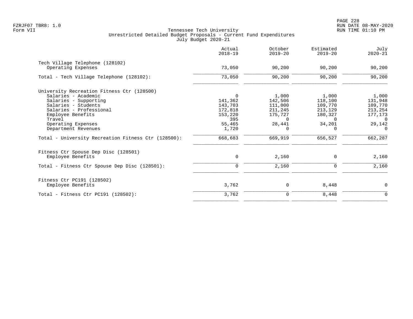|                                                     | Actual<br>$2018 - 19$ | October<br>$2019 - 20$ | Estimated<br>$2019 - 20$ | July<br>$2020 - 21$ |
|-----------------------------------------------------|-----------------------|------------------------|--------------------------|---------------------|
| Tech Village Telephone (128102)                     |                       |                        |                          |                     |
| Operating Expenses                                  | 73,050                | 90,200                 | 90,200                   | 90,200              |
| Total - Tech Village Telephone (128102):            | 73,050                | 90,200                 | 90,200                   | 90,200              |
| University Recreation Fitness Ctr (128500)          |                       |                        |                          |                     |
| Salaries - Academic                                 | $\Omega$              | 1,000                  | 1,000                    | 1,000               |
| Salaries - Supporting                               | 141,362               | 142,506                | 118,100                  | 131,948             |
| Salaries - Students                                 | 143,703               | 111,000                | 109,770                  | 109,770             |
| Salaries - Professional                             | 172,818               | 211,245                | 213,129                  | 213,254             |
| Employee Benefits                                   | 153,220               | 175,727                | 180,327                  | 177,173             |
| Travel                                              | 395                   | $\Omega$               | $\Omega$                 | 0                   |
| Operating Expenses                                  | 55,465                | 28,441                 | 34,201                   | 29,142              |
| Department Revenues                                 | 1,720                 | $\Omega$               | 0                        | $\Omega$            |
| Total - University Recreation Fitness Ctr (128500): | 668,683               | 669,919                | 656,527                  | 662,287             |
| Fitness Ctr Spouse Dep Disc (128501)                |                       |                        |                          |                     |
| Employee Benefits                                   | 0                     | 2,160                  | 0                        | 2,160               |
| Total - Fitness Ctr Spouse Dep Disc (128501):       | $\mathbf 0$           | 2,160                  | 0                        | 2,160               |
| Fitness Ctr PC191 (128502)                          |                       |                        |                          |                     |
| Employee Benefits                                   | 3,762                 | 0                      | 8,448                    | $\mathbf 0$         |
| Total - Fitness Ctr PC191 $(128502)$ :              | 3,762                 | $\mathbf 0$            | 8,448                    | $\mathbf 0$         |
|                                                     |                       |                        |                          |                     |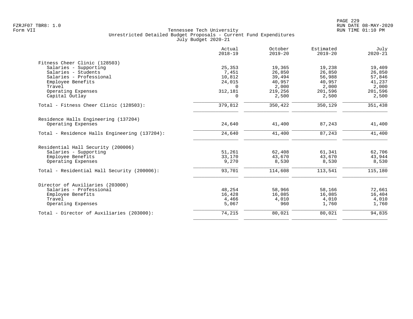|                                               | Actual<br>$2018 - 19$ | October<br>$2019 - 20$ | Estimated<br>$2019 - 20$ | July<br>$2020 - 21$ |
|-----------------------------------------------|-----------------------|------------------------|--------------------------|---------------------|
| Fitness Cheer Clinic (128503)                 |                       |                        |                          |                     |
| Salaries - Supporting                         | 25,353                | 19,365                 | 19,238                   | 19,409              |
| Salaries - Students                           | 7,451                 | 26,850                 | 26,850                   | 26,850              |
| Salaries - Professional                       | 10,812                | 39,494                 | 56,988                   | 57,846              |
| Employee Benefits                             | 24,015                | 40,957                 | 40,957                   | 41,237              |
| Travel                                        | $\Omega$              | 2,000                  | 2,000                    | 2,000               |
| Operating Expenses                            | 312,181               | 219,256                | 201,596                  | 201,596             |
| Capital Outlay                                | $\Omega$              | 2,500                  | 2,500                    | 2,500               |
| Total - Fitness Cheer Clinic (128503):        | 379,812               | 350,422                | 350,129                  | 351,438             |
| Residence Halls Engineering (137204)          |                       |                        |                          |                     |
| Operating Expenses                            | 24,640                | 41,400                 | 87,243                   | 41,400              |
| Total - Residence Halls Engineering (137204): | 24,640                | 41,400                 | 87,243                   | 41,400              |
| Residential Hall Security (200006)            |                       |                        |                          |                     |
| Salaries - Supporting                         | 51,261                | 62,408                 | 61,341                   | 62,706              |
| Employee Benefits                             | 33,170                | 43,670                 | 43,670                   | 43,944              |
| Operating Expenses                            | 9,270                 | 8,530                  | 8,530                    | 8,530               |
| Total - Residential Hall Security (200006):   | 93,701                | 114,608                | 113,541                  | 115,180             |
| Director of Auxiliaries (203000)              |                       |                        |                          |                     |
| Salaries - Professional                       | 48,254                | 58,966                 | 58,166                   | 72,661              |
| Employee Benefits                             | 16,428                | 16,085                 | 16,085                   | 16,404              |
| Travel                                        | 4,466                 | 4,010                  | 4,010                    | 4,010               |
| Operating Expenses                            | 5,067                 | 960                    | 1,760                    | 1,760               |
| Total - Director of Auxiliaries (203000):     | 74,215                | 80,021                 | 80,021                   | 94,835              |
|                                               |                       |                        |                          |                     |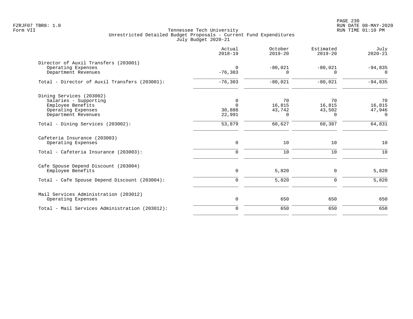PAGE 230 FZRJF07 TBR8: 1.0 RUN DATE 08-MAY-2020

|                                                                                                                     | Actual<br>$2018 - 19$                       | October<br>$2019 - 20$             | Estimated<br>$2019 - 20$               | July<br>$2020 - 21$                |
|---------------------------------------------------------------------------------------------------------------------|---------------------------------------------|------------------------------------|----------------------------------------|------------------------------------|
| Director of Auxil Transfers (203001)<br>Operating Expenses<br>Department Revenues                                   | $\Omega$<br>$-76, 303$                      | $-80,021$<br>$\Omega$              | $-80,021$<br>$\Omega$                  | $-94,835$<br>$\Omega$              |
| Total - Director of Auxil Transfers (203001):                                                                       | $-76, 303$                                  | $-80,021$                          | $-80,021$                              | $-94,835$                          |
| Dining Services (203002)<br>Salaries - Supporting<br>Employee Benefits<br>Operating Expenses<br>Department Revenues | $\mathbf 0$<br>$\Omega$<br>30,888<br>22,991 | 70<br>16,815<br>43,742<br>$\Omega$ | 70<br>16,815<br>43,502<br><sup>0</sup> | 70<br>16,815<br>47,946<br>$\Omega$ |
| Total - Dining Services (203002):                                                                                   | 53,879                                      | 60,627                             | 60,387                                 | 64,831                             |
| Cafeteria Insurance (203003)<br>Operating Expenses                                                                  | $\mathsf{O}$                                | 10                                 | 10                                     | 10                                 |
| Total - Cafeteria Insurance (203003):                                                                               | $\mathbf 0$                                 | 10                                 | 10                                     | 10                                 |
| Cafe Spouse Depend Discount (203004)<br>Employee Benefits                                                           | 0                                           | 5,820                              | 0                                      | 5,820                              |
| Total - Cafe Spouse Depend Discount (203004):                                                                       | $\mathbf 0$                                 | 5,820                              | $\mathbf 0$                            | 5,820                              |
| Mail Services Administration (203012)<br>Operating Expenses                                                         | $\mathbf 0$                                 | 650                                | 650                                    | 650                                |
| Total - Mail Services Administration (203012):                                                                      | $\mathbf 0$                                 | 650                                | 650                                    | 650                                |
|                                                                                                                     |                                             |                                    |                                        |                                    |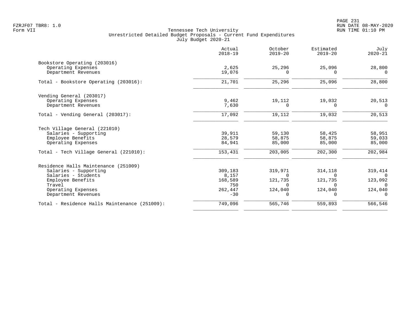|                                               | Actual<br>$2018 - 19$ | October<br>$2019 - 20$ | Estimated<br>$2019 - 20$ | July<br>$2020 - 21$ |
|-----------------------------------------------|-----------------------|------------------------|--------------------------|---------------------|
| Bookstore Operating (203016)                  |                       |                        |                          |                     |
| Operating Expenses                            | 2,625                 | 25,296                 | 25,096                   | 28,800              |
| Department Revenues                           | 19,076                | $\Omega$               | O                        | $\Omega$            |
| Total - Bookstore Operating (203016):         | 21,701                | 25,296                 | 25,096                   | 28,800              |
| Vending General (203017)                      |                       |                        |                          |                     |
| Operating Expenses                            | 9,462                 | 19,112                 | 19,032                   | 20,513              |
| Department Revenues                           | 7,630                 | $\Omega$               | ∩                        | $\Omega$            |
| Total - Vending General (203017):             | 17,092                | 19,112                 | 19,032                   | 20,513              |
| Tech Village General (221010)                 |                       |                        |                          |                     |
| Salaries - Supporting                         | 39,911                | 59,130                 | 58,425                   | 58,951              |
| Employee Benefits                             | 28,579                | 58,875                 | 58,875                   | 59,033              |
| Operating Expenses                            | 84,941                | 85,000                 | 85,000                   | 85,000              |
| Total - Tech Village General (221010):        | 153,431               | 203,005                | 202,300                  | 202,984             |
| Residence Halls Maintenance (251009)          |                       |                        |                          |                     |
| Salaries - Supporting                         | 309,183               | 319,971                | 314,118                  | 319,414             |
| Salaries - Students                           | 8,157                 | $\Omega$               | $\Omega$                 | $\Omega$            |
| Employee Benefits                             | 168,589               | 121,735                | 121,735                  | 123,092             |
| Travel                                        | 750                   | <sup>n</sup>           |                          | $\Omega$            |
| Operating Expenses                            | 262,447               | 124,040                | 124,040                  | 124,040             |
| Department Revenues                           | $-30$                 | $\Omega$               | 0                        | $\mathbf 0$         |
| Total - Residence Halls Maintenance (251009): | 749,096               | 565,746                | 559,893                  | 566,546             |
|                                               |                       |                        |                          |                     |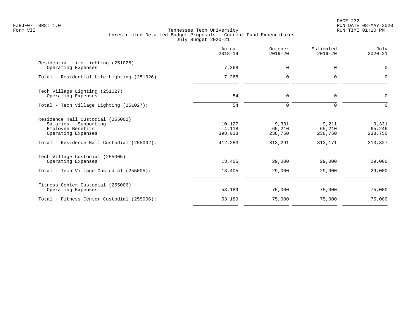PAGE 232 FZRJF07 TBR8: 1.0 RUN DATE 08-MAY-2020

|                                                                                                                                                     | Actual<br>$2018 - 19$                 | October<br>$2019 - 20$                | Estimated<br>$2019 - 20$              | July<br>$2020 - 21$                   |
|-----------------------------------------------------------------------------------------------------------------------------------------------------|---------------------------------------|---------------------------------------|---------------------------------------|---------------------------------------|
| Residential Life Lighting (251026)<br>Operating Expenses                                                                                            | 7,268                                 | $\mathbf 0$                           | $\mathbf 0$                           | 0                                     |
| Total - Residential Life Lighting (251026):                                                                                                         | 7,268                                 | $\mathbf 0$                           | $\mathbf 0$                           | $\Omega$                              |
| Tech Village Lighting (251027)<br>Operating Expenses                                                                                                | 54                                    | 0                                     | $\mathbf 0$                           | 0                                     |
| Total - Tech Village Lighting (251027):                                                                                                             | 54                                    | $\mathbf 0$                           | $\mathbf 0$                           | 0                                     |
| Residence Hall Custodial (255002)<br>Salaries - Supporting<br>Employee Benefits<br>Operating Expenses<br>Total - Residence Hall Custodial (255002): | 10,127<br>4,118<br>398,038<br>412,283 | 9,331<br>65,210<br>238,750<br>313,291 | 9,211<br>65,210<br>238,750<br>313,171 | 9,331<br>65,246<br>238,750<br>313,327 |
| Tech Village Custodial (255005)<br>Operating Expenses                                                                                               | 13,405                                | 29,000                                | 29,000                                | 29,000                                |
| Total - Tech Village Custodial (255005):                                                                                                            | 13,405                                | 29,000                                | 29,000                                | 29,000                                |
| Fitness Center Custodial (255006)<br>Operating Expenses                                                                                             | 53,189                                | 75,000                                | 75,000                                | 75,000                                |
| Total - Fitness Center Custodial (255006):                                                                                                          | 53,189                                | 75,000                                | 75,000                                | 75,000                                |
|                                                                                                                                                     |                                       |                                       |                                       |                                       |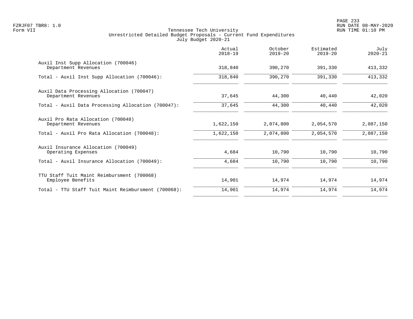|                                                                  | Actual<br>$2018 - 19$ | October<br>$2019 - 20$ | Estimated<br>$2019 - 20$ | July<br>$2020 - 21$ |
|------------------------------------------------------------------|-----------------------|------------------------|--------------------------|---------------------|
| Auxil Inst Supp Allocation (700046)<br>Department Revenues       | 318,840               | 390,270                | 391,330                  | 413,332             |
| Total - Auxil Inst Supp Allocation (700046):                     | 318,840               | 390,270                | 391,330                  | 413,332             |
| Auxil Data Processing Allocation (700047)<br>Department Revenues | 37,645                | 44,300                 | 40,440                   | 42,020              |
| Total - Auxil Data Processing Allocation (700047):               | 37,645                | 44,300                 | 40,440                   | 42,020              |
| Auxil Pro Rata Allocation (700048)<br>Department Revenues        | 1,622,150             | 2,074,800              | 2,054,570                | 2,087,150           |
| Total - Auxil Pro Rata Allocation (700048):                      | 1,622,150             | 2,074,800              | 2,054,570                | 2,087,150           |
| Auxil Insurance Allocation (700049)<br>Operating Expenses        | 4,684                 | 10,790                 | 10,790                   | 10,790              |
| Total - Auxil Insurance Allocation (700049):                     | 4,684                 | 10,790                 | 10,790                   | 10,790              |
| TTU Staff Tuit Maint Reimbursment (700068)<br>Employee Benefits  | 14,901                | 14,974                 | 14,974                   | 14,974              |
| Total - TTU Staff Tuit Maint Reimbursment (700068):              | 14,901                | 14,974                 | 14,974                   | 14,974              |
|                                                                  |                       |                        |                          |                     |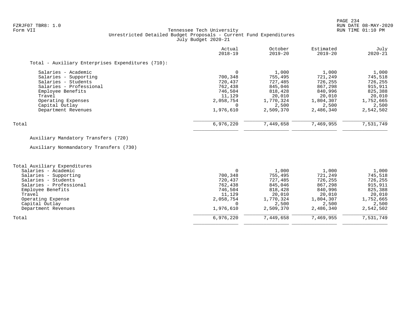# FZRJF07 TBR8: 1.0 RUN DATE 08-MAY-2020 Tennessee Tech University Unrestricted Detailed Budget Proposals - Current Fund Expenditures July Budget 2020-21

| $2018 - 19$ | $2019 - 20$                         | $2019 - 20$ | July<br>$2020 - 21$ |
|-------------|-------------------------------------|-------------|---------------------|
|             |                                     |             |                     |
|             | 1,000                               | 1,000       | 1,000               |
| 700,348     | 755,495                             | 721,249     | 745,518             |
| 720,437     | 727,485                             | 726,255     | 726,255             |
| 762,438     | 845,046                             | 867,298     | 915,911             |
| 746,504     | 818,428                             | 840,996     | 825,388             |
| 11,129      | 20,010                              | 20,010      | 20,010              |
|             | 1,770,324                           | 1,804,307   | 1,752,665           |
|             | 2,500                               | 2,500       | 2,500               |
|             | 2,509,370                           | 2,486,340   | 2,542,502           |
|             |                                     |             | 7,531,749           |
|             | 2,058,754<br>1,976,610<br>6,976,220 | 7,449,658   | 7,469,955           |

# Auxiliary Mandatory Transfers (720)

Auxiliary Nonmandatory Transfers (730)

| Total Auxiliary Expenditures |           |           |           |           |
|------------------------------|-----------|-----------|-----------|-----------|
| Salaries - Academic          |           | 1,000     | 1,000     | 1,000     |
| Salaries - Supporting        | 700,348   | 755,495   | 721,249   | 745,518   |
| Salaries - Students          | 720,437   | 727,485   | 726,255   | 726,255   |
| Salaries - Professional      | 762,438   | 845,046   | 867,298   | 915,911   |
| Employee Benefits            | 746,504   | 818,428   | 840,996   | 825,388   |
| Travel                       | 11,129    | 20,010    | 20,010    | 20,010    |
| Operating Expense            | 2,058,754 | 1,770,324 | 1,804,307 | 1,752,665 |
| Capital Outlay               |           | 2,500     | 2,500     | 2,500     |
| Department Revenues          | 1,976,610 | 2,509,370 | 2,486,340 | 2,542,502 |
| Total                        | 6,976,220 | 7,449,658 | 7,469,955 | 7,531,749 |
|                              |           |           |           |           |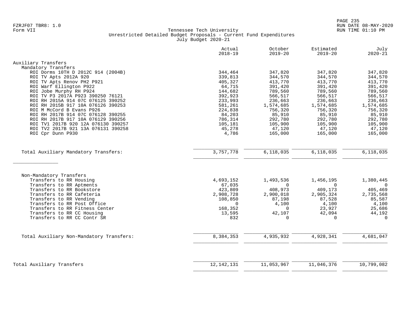|                                                       | Actual<br>$2018 - 19$ | October<br>$2019 - 20$ | Estimated<br>$2019 - 20$ | July<br>$2020 - 21$   |
|-------------------------------------------------------|-----------------------|------------------------|--------------------------|-----------------------|
| Auxiliary Transfers                                   |                       |                        |                          |                       |
| Mandatory Transfers                                   |                       |                        |                          |                       |
| ROI Dorms 10TH D 2012C 914 (2004B)                    | 344,464               | 347,820                | 347,820                  | 347,820               |
| ROI TV Apts 2012A 920                                 | 339,813               | 344,570                | 344,570                  | 344,570               |
| ROI TV Apts Renov PH2 P921                            | 405,327               | 413,770                | 413,770                  | 413,770               |
| ROI Warf Ellington P922                               | 64,715                | 391,420                | 391,420                  | 391,420               |
| ROI Jobe Murphy RH P924                               | 144,682               | 789,560                | 789,560                  | 789,560               |
| ROI TV P3 2017A P923 390250 76121                     | 392,923               | 566,517                | 566,517                  | 566,517               |
| ROI RH 2015A 914 07C 076125 390252                    | 233,993               | 236,663                | 236,663                  | 236,663               |
| ROI RH 2015B 917 10A 076126 390253                    | 581,261               | 1,574,685              | 1,574,685                | 1,574,685             |
| ROI M McCord B Evans P926                             | 224,838               | 756,320                | 756,320                  | 756,320               |
| ROI RH 2017B 914 07C 076128 390255                    | 84,203                | 85,910                 | 85,910                   | 85,910                |
| ROI RH 2017B 917 10A 076129 390256                    | 786,314               | 292,780                | 292,780                  | 292,780               |
| ROI TV1 2017B 920 12A 076130 390257                   | 105,181               | 105,900                | 105,900                  | 105,900               |
| ROI TV2 2017B 921 13A 076131 390258                   | 45,278                | 47,120                 | 47,120                   | 47,120                |
| ROI Cpr Dunn P930                                     | 4,786                 | 165,000                | 165,000                  | 165,000               |
| Total Auxiliary Mandatory Transfers:                  | 3,757,778             | 6,118,035              | 6,118,035                | 6, 118, 035           |
|                                                       |                       |                        |                          |                       |
|                                                       |                       |                        |                          |                       |
| Non-Mandatory Transfers<br>Transfers to RR Housing    |                       |                        |                          |                       |
|                                                       | 4,693,152<br>67,035   | 1,493,536<br>$\Omega$  | 1,456,195<br>$\Omega$    | 1,380,445<br>$\Omega$ |
| Transfers to RR Aptments<br>Transfers to RR Bookstore | 423,809               | 408,973                | 409,173                  | 405,469               |
| Transfers to RR Cafeteria                             | 2,908,728             | 2,900,018              | 2,905,324                | 2,735,568             |
| Transfers to RR Vending                               | 108,850               | 87,198                 | 87,528                   | 85,587                |
| Transfers to RR Post Office                           | $\Omega$              | 4,100                  | 4,100                    | 4,100                 |
| Transfers to RR Fitness Center                        | 168,352               | $\Omega$               | 23,927                   | 25,686                |
| Transfers to RR CC Housing                            | 13,595                | 42,107                 | 42,094                   | 44,192                |
| Transfers to RR CC Contr SR                           | 832                   | $\Omega$               | $\Omega$                 | $\Omega$              |
|                                                       |                       |                        |                          |                       |
| Total Auxiliary Non-Mandatory Transfers:              | 8,384,353             | 4,935,932              | 4,928,341                | 4,681,047             |
|                                                       |                       |                        |                          |                       |
| Total Auxiliary Transfers                             | 12, 142, 131          | 11,053,967             | 11,046,376               | 10,799,082            |
|                                                       |                       |                        |                          |                       |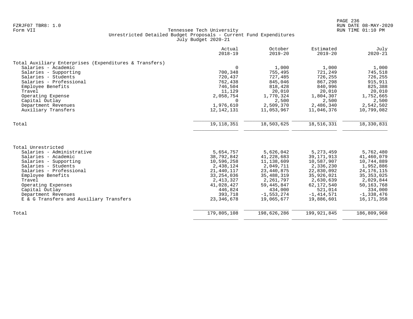|                                                        | Actual<br>$2018 - 19$ | October<br>$2019 - 20$ | Estimated<br>$2019 - 20$ | July<br>$2020 - 21$ |
|--------------------------------------------------------|-----------------------|------------------------|--------------------------|---------------------|
| Total Auxiliary Enterprises (Expenditures & Transfers) |                       |                        |                          |                     |
| Salaries - Academic                                    | $\Omega$              | 1,000                  | 1,000                    | 1,000               |
| Salaries - Supporting                                  | 700,348               | 755,495                | 721,249                  | 745,518             |
| Salaries - Students                                    | 720,437               | 727,485                | 726,255                  | 726,255             |
| Salaries - Professional                                | 762,438               | 845,046                | 867,298                  | 915,911             |
| Employee Benefits                                      | 746,504               | 818,428                | 840,996                  | 825,388             |
| Travel                                                 | 11,129                | 20,010                 | 20,010                   | 20,010              |
| Operating Expense                                      | 2,058,754             | 1,770,324              | 1,804,307                | 1,752,665           |
| Capital Outlay                                         | $\Omega$              | 2,500                  | 2,500                    | 2,500               |
| Department Revenues                                    | 1,976,610             | 2,509,370              | 2,486,340                | 2,542,502           |
| Auxiliary Transfers                                    | 12,142,131            | 11,053,967             | 11,046,376               | 10,799,082          |
| Total                                                  | 19, 118, 351          | 18,503,625             | 18,516,331               | 18,330,831          |
|                                                        |                       |                        |                          |                     |
| Total Unrestricted                                     |                       |                        |                          |                     |
| Salaries - Administrative                              | 5,654,757             | 5,626,042              | 5, 273, 459              | 5,762,480           |
| Salaries - Academic                                    | 38,792,842            | 41,228,683             | 39, 171, 913             | 41,460,079          |
| Salaries - Supporting                                  | 10,596,258            | 11, 138, 609           | 10,587,907               | 10,744,889          |
| Salaries - Students                                    | 2,438,124             | 2,049,711              | 2,336,230                | 1,952,886           |
| Salaries - Professional                                | 21,440,117            | 23, 440, 875           | 22,830,092               | 24, 176, 115        |
| Employee Benefits                                      | 33, 254, 036          | 35, 488, 319           | 35,926,021               | 35, 353, 025        |
| Travel                                                 | 2, 413, 327           | 2,261,797              | 2,630,639                | 2,029,844           |
| Operating Expenses                                     | 41,028,427            | 59, 445, 847           | 62,172,540               | 50, 163, 768        |
| Capital Outlay                                         | 446,824               | 434,000                | 521,014                  | 334,000             |
| Department Revenues                                    | 393,718               | $-1,553,274$           | $-1, 414, 571$           | $-1,338,476$        |
| E & G Transfers and Auxiliary Transfers                | 23, 346, 678          | 19,065,677             | 19,886,601               | 16, 171, 358        |
| Total                                                  | 179,805,108           | 198,626,286            | 199,921,845              | 186,809,968         |
|                                                        |                       |                        |                          |                     |